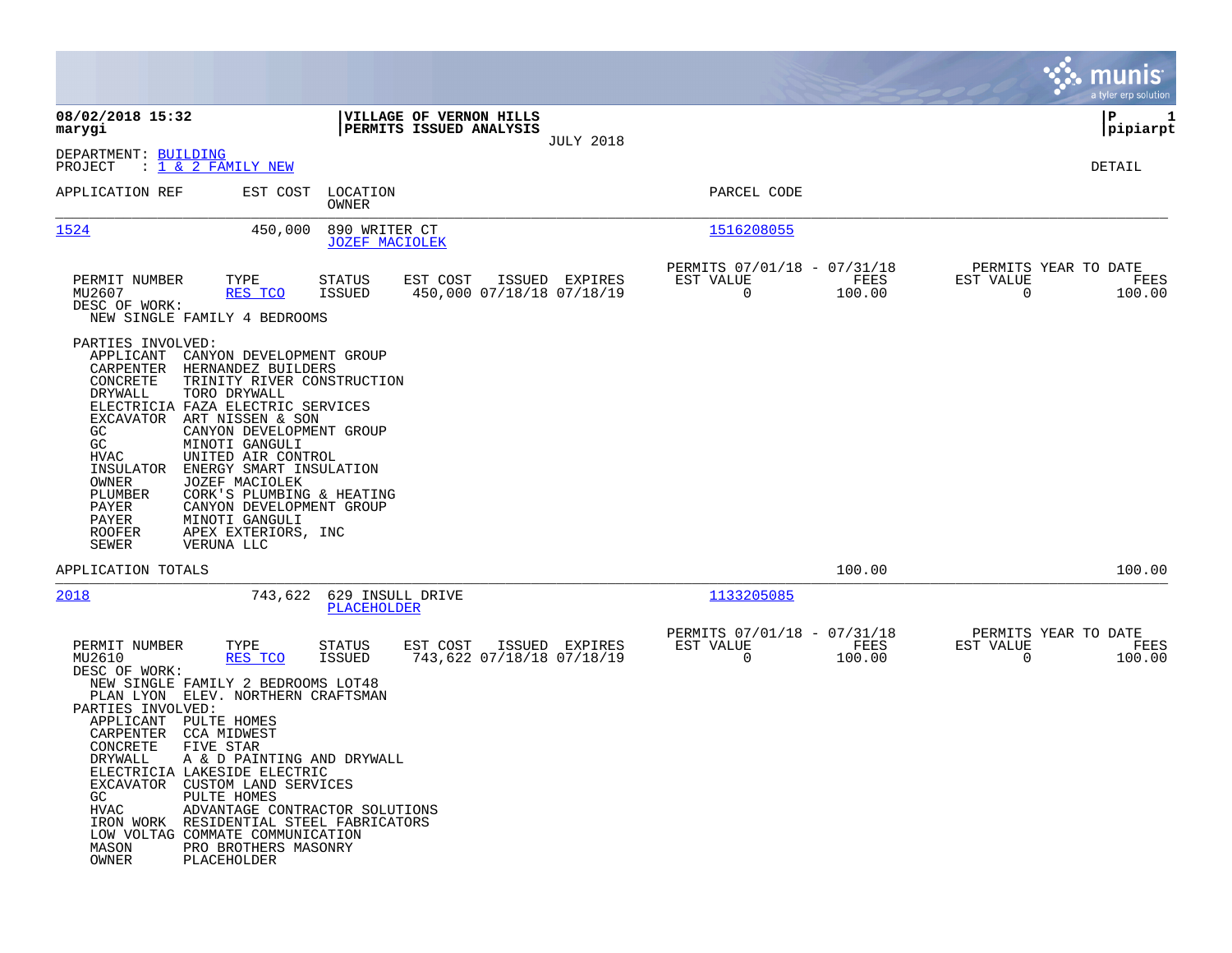|                                                                                                                                                                                                                                                                                                                                                                                                                                                                                                                                                                             |                                                                                             |                                                                              |                | munis<br>a tyler erp solution                            |
|-----------------------------------------------------------------------------------------------------------------------------------------------------------------------------------------------------------------------------------------------------------------------------------------------------------------------------------------------------------------------------------------------------------------------------------------------------------------------------------------------------------------------------------------------------------------------------|---------------------------------------------------------------------------------------------|------------------------------------------------------------------------------|----------------|----------------------------------------------------------|
| 08/02/2018 15:32<br>marygi                                                                                                                                                                                                                                                                                                                                                                                                                                                                                                                                                  | VILLAGE OF VERNON HILLS<br>PERMITS ISSUED ANALYSIS                                          |                                                                              |                | ΙP<br>1<br> pipiarpt                                     |
| DEPARTMENT: BUILDING<br>PROJECT<br>$: 1 \& 2$ FAMILY NEW                                                                                                                                                                                                                                                                                                                                                                                                                                                                                                                    |                                                                                             | <b>JULY 2018</b>                                                             |                | DETAIL                                                   |
| EST COST<br>APPLICATION REF                                                                                                                                                                                                                                                                                                                                                                                                                                                                                                                                                 | LOCATION<br>OWNER                                                                           | PARCEL CODE                                                                  |                |                                                          |
| 1524<br>450,000                                                                                                                                                                                                                                                                                                                                                                                                                                                                                                                                                             | 890 WRITER CT<br><b>JOZEF MACIOLEK</b>                                                      | 1516208055                                                                   |                |                                                          |
| TYPE<br>PERMIT NUMBER<br>MU2607<br>RES TCO<br>DESC OF WORK:<br>NEW SINGLE FAMILY 4 BEDROOMS                                                                                                                                                                                                                                                                                                                                                                                                                                                                                 | EST COST<br>STATUS<br>ISSUED<br>450,000 07/18/18 07/18/19                                   | PERMITS 07/01/18 - 07/31/18<br>ISSUED EXPIRES<br>EST VALUE<br>$\overline{0}$ | FEES<br>100.00 | PERMITS YEAR TO DATE<br>EST VALUE<br>FEES<br>0<br>100.00 |
| PARTIES INVOLVED:<br>APPLICANT<br>CANYON DEVELOPMENT GROUP<br>CARPENTER<br>HERNANDEZ BUILDERS<br>CONCRETE<br>TRINITY RIVER CONSTRUCTION<br>DRYWALL<br>TORO DRYWALL<br>ELECTRICIA FAZA ELECTRIC SERVICES<br>EXCAVATOR<br>ART NISSEN & SON<br>GC.<br>CANYON DEVELOPMENT GROUP<br>GC<br>MINOTI GANGULI<br>HVAC<br>UNITED AIR CONTROL<br>INSULATOR<br>ENERGY SMART INSULATION<br>OWNER<br>JOZEF MACIOLEK<br>PLUMBER<br>CORK'S PLUMBING & HEATING<br>PAYER<br>CANYON DEVELOPMENT GROUP<br>MINOTI GANGULI<br>PAYER<br><b>ROOFER</b><br>APEX EXTERIORS, INC<br>SEWER<br>VERUNA LLC |                                                                                             |                                                                              |                |                                                          |
| APPLICATION TOTALS                                                                                                                                                                                                                                                                                                                                                                                                                                                                                                                                                          |                                                                                             |                                                                              | 100.00         | 100.00                                                   |
| 2018                                                                                                                                                                                                                                                                                                                                                                                                                                                                                                                                                                        | 743,622 629 INSULL DRIVE<br>PLACEHOLDER                                                     | 1133205085                                                                   |                |                                                          |
| PERMIT NUMBER<br>TYPE<br>MU2610<br>RES TCO<br>DESC OF WORK:<br>NEW SINGLE FAMILY 2 BEDROOMS LOT48<br>PLAN LYON ELEV. NORTHERN CRAFTSMAN<br>PARTIES INVOLVED:<br>APPLICANT<br>PULTE HOMES<br>CARPENTER<br><b>CCA MIDWEST</b><br>CONCRETE<br>FIVE STAR<br>DRYWALL<br>A & D PAINTING AND DRYWALL<br>ELECTRICIA LAKESIDE ELECTRIC<br>EXCAVATOR CUSTOM LAND SERVICES<br>GC<br>PULTE HOMES<br>HVAC<br>IRON WORK RESIDENTIAL STEEL FABRICATORS<br>LOW VOLTAG COMMATE COMMUNICATION<br>PRO BROTHERS MASONRY<br>MASON<br>OWNER<br>PLACEHOLDER                                        | EST COST<br>STATUS<br>743,622 07/18/18 07/18/19<br>ISSUED<br>ADVANTAGE CONTRACTOR SOLUTIONS | PERMITS 07/01/18 - 07/31/18<br>ISSUED EXPIRES<br>EST VALUE<br>0              | FEES<br>100.00 | PERMITS YEAR TO DATE<br>EST VALUE<br>FEES<br>100.00<br>0 |

**College**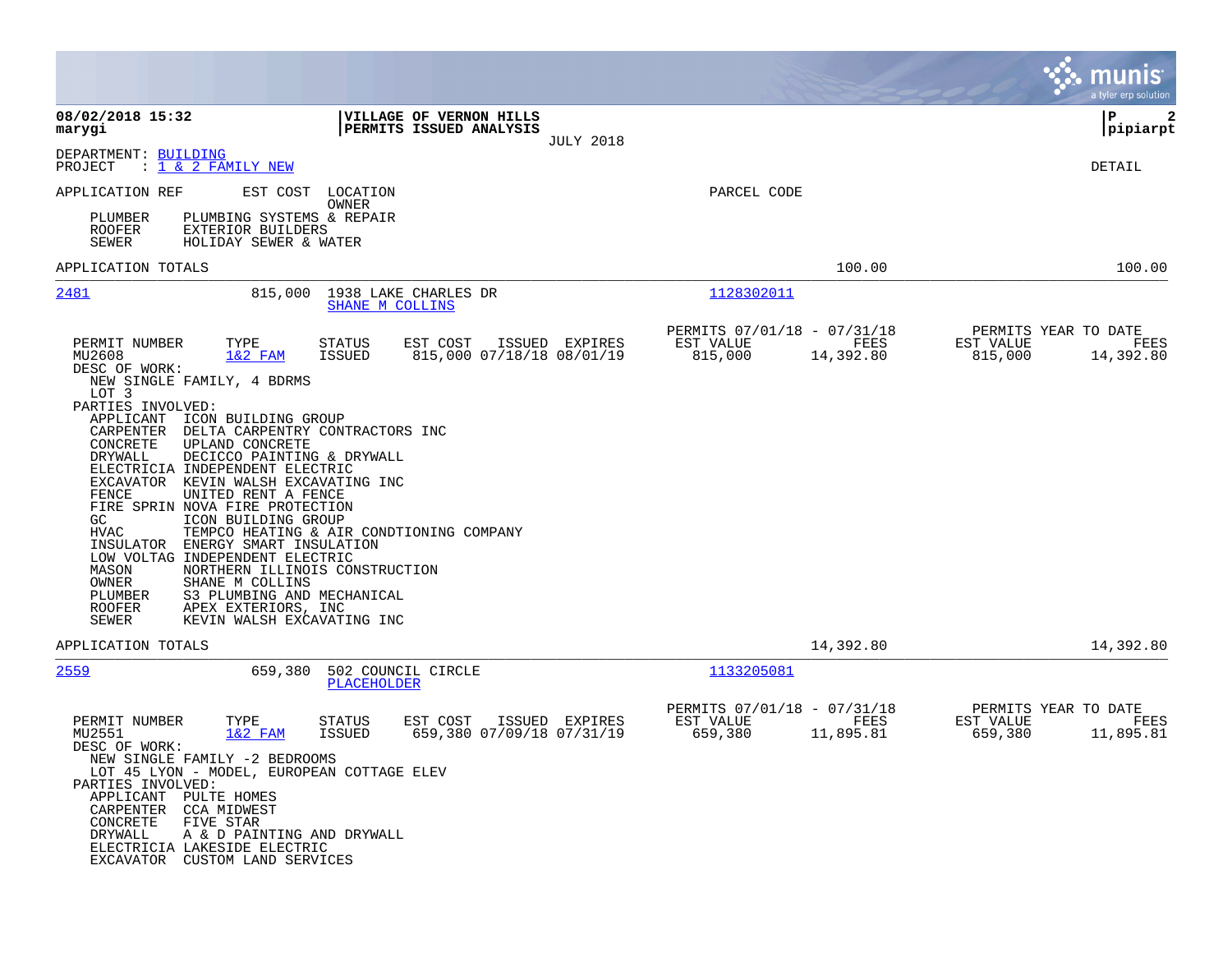|                                                                                                                                                                                                                                                                                                                                                                                                                                                                                                                                                                                                                                                                                                                                          |                                                                                                                         |                                                     |                   | munis<br>a tyler erp solution                                     |
|------------------------------------------------------------------------------------------------------------------------------------------------------------------------------------------------------------------------------------------------------------------------------------------------------------------------------------------------------------------------------------------------------------------------------------------------------------------------------------------------------------------------------------------------------------------------------------------------------------------------------------------------------------------------------------------------------------------------------------------|-------------------------------------------------------------------------------------------------------------------------|-----------------------------------------------------|-------------------|-------------------------------------------------------------------|
| 08/02/2018 15:32<br>marygi                                                                                                                                                                                                                                                                                                                                                                                                                                                                                                                                                                                                                                                                                                               | VILLAGE OF VERNON HILLS<br>PERMITS ISSUED ANALYSIS                                                                      | <b>JULY 2018</b>                                    |                   | 2<br>l P<br> pipiarpt                                             |
| DEPARTMENT: BUILDING<br>: <u>1 &amp; 2 FAMILY NEW</u><br>PROJECT                                                                                                                                                                                                                                                                                                                                                                                                                                                                                                                                                                                                                                                                         |                                                                                                                         |                                                     |                   | DETAIL                                                            |
| APPLICATION REF<br>PLUMBING SYSTEMS & REPAIR<br>PLUMBER<br>ROOFER<br><b>EXTERIOR BUILDERS</b><br>SEWER<br>HOLIDAY SEWER & WATER                                                                                                                                                                                                                                                                                                                                                                                                                                                                                                                                                                                                          | EST COST LOCATION<br>OWNER                                                                                              | PARCEL CODE                                         |                   |                                                                   |
| APPLICATION TOTALS                                                                                                                                                                                                                                                                                                                                                                                                                                                                                                                                                                                                                                                                                                                       |                                                                                                                         |                                                     | 100.00            | 100.00                                                            |
| 2481<br>815,000                                                                                                                                                                                                                                                                                                                                                                                                                                                                                                                                                                                                                                                                                                                          | 1938 LAKE CHARLES DR<br>SHANE M COLLINS                                                                                 | 1128302011                                          |                   |                                                                   |
| PERMIT NUMBER<br>TYPE<br>MU2608<br>$1&2$ FAM<br>DESC OF WORK:<br>NEW SINGLE FAMILY, 4 BDRMS<br>LOT 3<br>PARTIES INVOLVED:<br>APPLICANT<br>ICON BUILDING GROUP<br>CARPENTER DELTA CARPENTRY CONTRACTORS INC<br>CONCRETE<br>UPLAND CONCRETE<br>DRYWALL<br>DECICCO PAINTING & DRYWALL<br>ELECTRICIA INDEPENDENT ELECTRIC<br>EXCAVATOR KEVIN WALSH EXCAVATING INC<br>FENCE<br>UNITED RENT A FENCE<br>FIRE SPRIN NOVA FIRE PROTECTION<br>ICON BUILDING GROUP<br>GC<br>HVAC<br>ENERGY SMART INSULATION<br>INSULATOR<br>LOW VOLTAG INDEPENDENT ELECTRIC<br>MASON<br>NORTHERN ILLINOIS CONSTRUCTION<br>OWNER<br>SHANE M COLLINS<br>S3 PLUMBING AND MECHANICAL<br>PLUMBER<br>ROOFER<br>APEX EXTERIORS, INC<br>SEWER<br>KEVIN WALSH EXCAVATING INC | STATUS<br>EST COST<br>ISSUED EXPIRES<br>815,000 07/18/18 08/01/19<br>ISSUED<br>TEMPCO HEATING & AIR CONDTIONING COMPANY | PERMITS 07/01/18 - 07/31/18<br>EST VALUE<br>815,000 | FEES<br>14,392.80 | PERMITS YEAR TO DATE<br>EST VALUE<br>FEES<br>815,000<br>14,392.80 |
| APPLICATION TOTALS                                                                                                                                                                                                                                                                                                                                                                                                                                                                                                                                                                                                                                                                                                                       |                                                                                                                         |                                                     | 14,392.80         | 14,392.80                                                         |
| 2559<br>659,380                                                                                                                                                                                                                                                                                                                                                                                                                                                                                                                                                                                                                                                                                                                          | 502 COUNCIL CIRCLE<br>PLACEHOLDER                                                                                       | 1133205081                                          |                   |                                                                   |
| PERMIT NUMBER<br>TYPE<br>MU2551<br>$1&2$ FAM<br>DESC OF WORK:<br>NEW SINGLE FAMILY -2 BEDROOMS<br>LOT 45 LYON - MODEL, EUROPEAN COTTAGE ELEV<br>PARTIES INVOLVED:<br>APPLICANT PULTE HOMES<br>CARPENTER CCA MIDWEST<br>CONCRETE<br>FIVE STAR<br><b>DRYWALL</b><br>A & D PAINTING AND DRYWALL<br>ELECTRICIA LAKESIDE ELECTRIC<br>EXCAVATOR CUSTOM LAND SERVICES                                                                                                                                                                                                                                                                                                                                                                           | EST COST<br>STATUS<br>ISSUED EXPIRES<br>659,380 07/09/18 07/31/19<br>ISSUED                                             | PERMITS 07/01/18 - 07/31/18<br>EST VALUE<br>659,380 | FEES<br>11,895.81 | PERMITS YEAR TO DATE<br>EST VALUE<br>FEES<br>659,380<br>11,895.81 |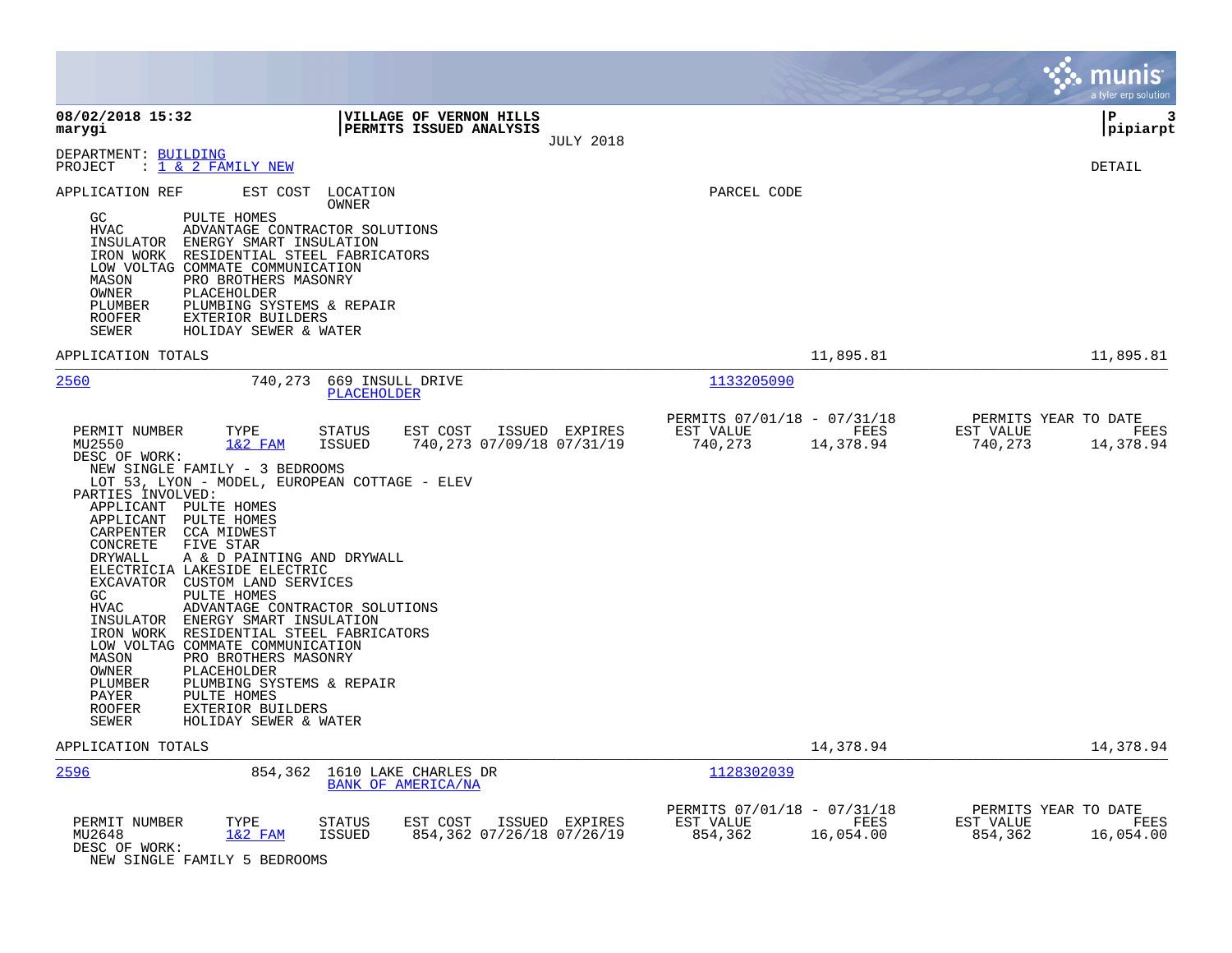|                                                                                                                                                                                                                                                                                                                                                                                                                                                                                                                                                                                                                                                                                                                                                                                                                                                                              |                                                                          | munis<br>a tyler erp solution                                     |
|------------------------------------------------------------------------------------------------------------------------------------------------------------------------------------------------------------------------------------------------------------------------------------------------------------------------------------------------------------------------------------------------------------------------------------------------------------------------------------------------------------------------------------------------------------------------------------------------------------------------------------------------------------------------------------------------------------------------------------------------------------------------------------------------------------------------------------------------------------------------------|--------------------------------------------------------------------------|-------------------------------------------------------------------|
| 08/02/2018 15:32<br>VILLAGE OF VERNON HILLS<br>PERMITS ISSUED ANALYSIS<br>marygi<br><b>JULY 2018</b>                                                                                                                                                                                                                                                                                                                                                                                                                                                                                                                                                                                                                                                                                                                                                                         |                                                                          | l P<br>3<br> pipiarpt                                             |
| DEPARTMENT: BUILDING<br>: 1 & 2 FAMILY NEW<br>PROJECT                                                                                                                                                                                                                                                                                                                                                                                                                                                                                                                                                                                                                                                                                                                                                                                                                        |                                                                          | <b>DETAIL</b>                                                     |
| APPLICATION REF<br>EST COST<br>LOCATION<br>OWNER<br>GC<br>PULTE HOMES<br>HVAC<br>ADVANTAGE CONTRACTOR SOLUTIONS<br>ENERGY SMART INSULATION<br>INSULATOR<br>IRON WORK RESIDENTIAL STEEL FABRICATORS<br>LOW VOLTAG COMMATE COMMUNICATION<br>MASON<br>PRO BROTHERS MASONRY<br>OWNER<br>PLACEHOLDER<br>PLUMBING SYSTEMS & REPAIR<br>PLUMBER<br><b>ROOFER</b><br>EXTERIOR BUILDERS<br>HOLIDAY SEWER & WATER<br>SEWER                                                                                                                                                                                                                                                                                                                                                                                                                                                              | PARCEL CODE                                                              |                                                                   |
| APPLICATION TOTALS                                                                                                                                                                                                                                                                                                                                                                                                                                                                                                                                                                                                                                                                                                                                                                                                                                                           | 11,895.81                                                                | 11,895.81                                                         |
| 2560<br>740,273<br>669 INSULL DRIVE<br><b>PLACEHOLDER</b>                                                                                                                                                                                                                                                                                                                                                                                                                                                                                                                                                                                                                                                                                                                                                                                                                    | 1133205090                                                               |                                                                   |
| PERMIT NUMBER<br>TYPE<br>EST COST<br>ISSUED EXPIRES<br>STATUS<br>MU2550<br>$1&2$ FAM<br>ISSUED<br>740,273 07/09/18 07/31/19<br>DESC OF WORK:<br>NEW SINGLE FAMILY - 3 BEDROOMS<br>LOT 53, LYON - MODEL, EUROPEAN COTTAGE - ELEV<br>PARTIES INVOLVED:<br>APPLICANT PULTE HOMES<br>PULTE HOMES<br>APPLICANT<br>CCA MIDWEST<br>CARPENTER<br>CONCRETE<br>FIVE STAR<br>DRYWALL<br>A & D PAINTING AND DRYWALL<br>ELECTRICIA LAKESIDE ELECTRIC<br>EXCAVATOR CUSTOM LAND SERVICES<br>PULTE HOMES<br>GC.<br>${\tt HVAC}$<br>ADVANTAGE CONTRACTOR SOLUTIONS<br>INSULATOR<br>ENERGY SMART INSULATION<br>RESIDENTIAL STEEL FABRICATORS<br>IRON WORK<br>LOW VOLTAG COMMATE COMMUNICATION<br>MASON<br>PRO BROTHERS MASONRY<br>OWNER<br>PLACEHOLDER<br>PLUMBER<br>PLUMBING SYSTEMS & REPAIR<br>PAYER<br>PULTE HOMES<br>EXTERIOR BUILDERS<br><b>ROOFER</b><br>HOLIDAY SEWER & WATER<br>SEWER | PERMITS 07/01/18 - 07/31/18<br>EST VALUE<br>FEES<br>740,273<br>14,378.94 | PERMITS YEAR TO DATE<br>EST VALUE<br>FEES<br>740,273<br>14,378.94 |
| APPLICATION TOTALS                                                                                                                                                                                                                                                                                                                                                                                                                                                                                                                                                                                                                                                                                                                                                                                                                                                           | 14,378.94                                                                | 14,378.94                                                         |
| 2596<br>854,362<br>1610 LAKE CHARLES DR<br>BANK OF AMERICA/NA                                                                                                                                                                                                                                                                                                                                                                                                                                                                                                                                                                                                                                                                                                                                                                                                                | 1128302039                                                               |                                                                   |
| PERMIT NUMBER<br>TYPE<br>STATUS<br>EST COST<br>ISSUED EXPIRES<br>$1&2$ FAM<br>854,362 07/26/18 07/26/19<br>MU2648<br>ISSUED<br>DESC OF WORK:<br>NEW SINGLE FAMILY 5 BEDROOMS                                                                                                                                                                                                                                                                                                                                                                                                                                                                                                                                                                                                                                                                                                 | PERMITS 07/01/18 - 07/31/18<br>EST VALUE<br>FEES<br>854,362<br>16,054.00 | PERMITS YEAR TO DATE<br>EST VALUE<br>FEES<br>854,362<br>16,054.00 |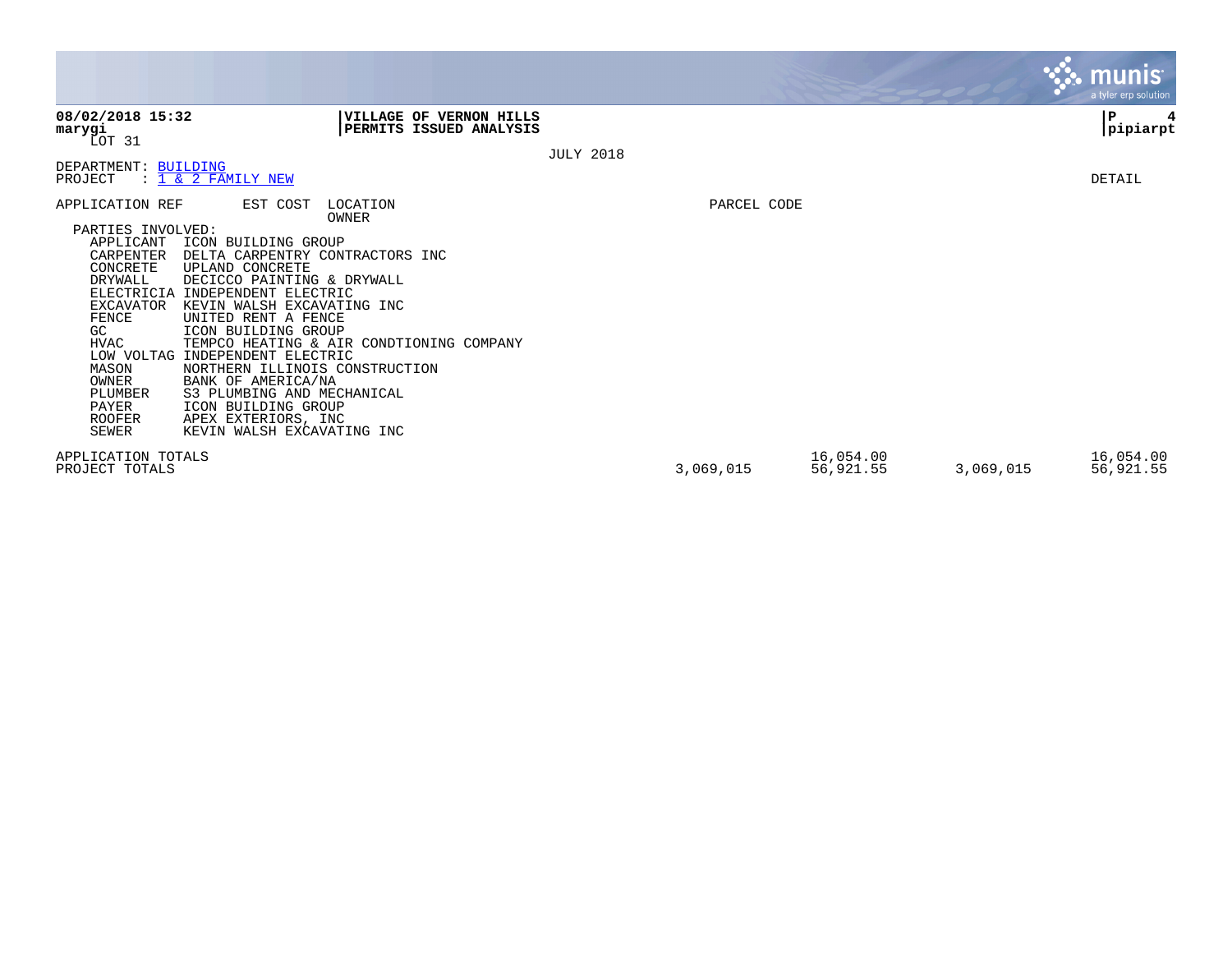|                                                                                                                                                                                                           |                                                                                                                                                                                                                                                                                                                                                                                                                  |                                                    |                  |             |                        |           | munis<br>a tyler erp solution |
|-----------------------------------------------------------------------------------------------------------------------------------------------------------------------------------------------------------|------------------------------------------------------------------------------------------------------------------------------------------------------------------------------------------------------------------------------------------------------------------------------------------------------------------------------------------------------------------------------------------------------------------|----------------------------------------------------|------------------|-------------|------------------------|-----------|-------------------------------|
| 08/02/2018 15:32<br>marygi<br>LOT 31                                                                                                                                                                      |                                                                                                                                                                                                                                                                                                                                                                                                                  | VILLAGE OF VERNON HILLS<br>PERMITS ISSUED ANALYSIS |                  |             |                        |           | 4<br>P<br> pipiarpt           |
| DEPARTMENT: BUILDING<br>PROJECT                                                                                                                                                                           | : 1 & 2 FAMILY NEW                                                                                                                                                                                                                                                                                                                                                                                               |                                                    | <b>JULY 2018</b> |             |                        |           | DETAIL                        |
| APPLICATION REF                                                                                                                                                                                           | EST COST                                                                                                                                                                                                                                                                                                                                                                                                         | LOCATION<br>OWNER                                  |                  | PARCEL CODE |                        |           |                               |
| PARTIES INVOLVED:<br>APPLICANT<br>CARPENTER<br>CONCRETE<br>DRYWALL<br><b>EXCAVATOR</b><br>FENCE<br>GC<br><b>HVAC</b><br>LOW VOLTAG<br>MASON<br>OWNER<br>PLUMBER<br>PAYER<br><b>ROOFER</b><br><b>SEWER</b> | ICON BUILDING GROUP<br>DELTA CARPENTRY CONTRACTORS INC<br>UPLAND CONCRETE<br>DECICCO PAINTING & DRYWALL<br>ELECTRICIA INDEPENDENT ELECTRIC<br>KEVIN WALSH EXCAVATING INC<br>UNITED RENT A FENCE<br>ICON BUILDING GROUP<br>INDEPENDENT ELECTRIC<br>NORTHERN ILLINOIS CONSTRUCTION<br>BANK OF AMERICA/NA<br>S3 PLUMBING AND MECHANICAL<br>ICON BUILDING GROUP<br>APEX EXTERIORS, INC<br>KEVIN WALSH EXCAVATING INC | TEMPCO HEATING & AIR CONDTIONING COMPANY           |                  |             |                        |           |                               |
| APPLICATION TOTALS<br>PROJECT TOTALS                                                                                                                                                                      |                                                                                                                                                                                                                                                                                                                                                                                                                  |                                                    |                  | 3,069,015   | 16,054.00<br>56,921.55 | 3,069,015 | 16,054.00<br>56,921.55        |

 $\mathcal{L}^{\text{max}}$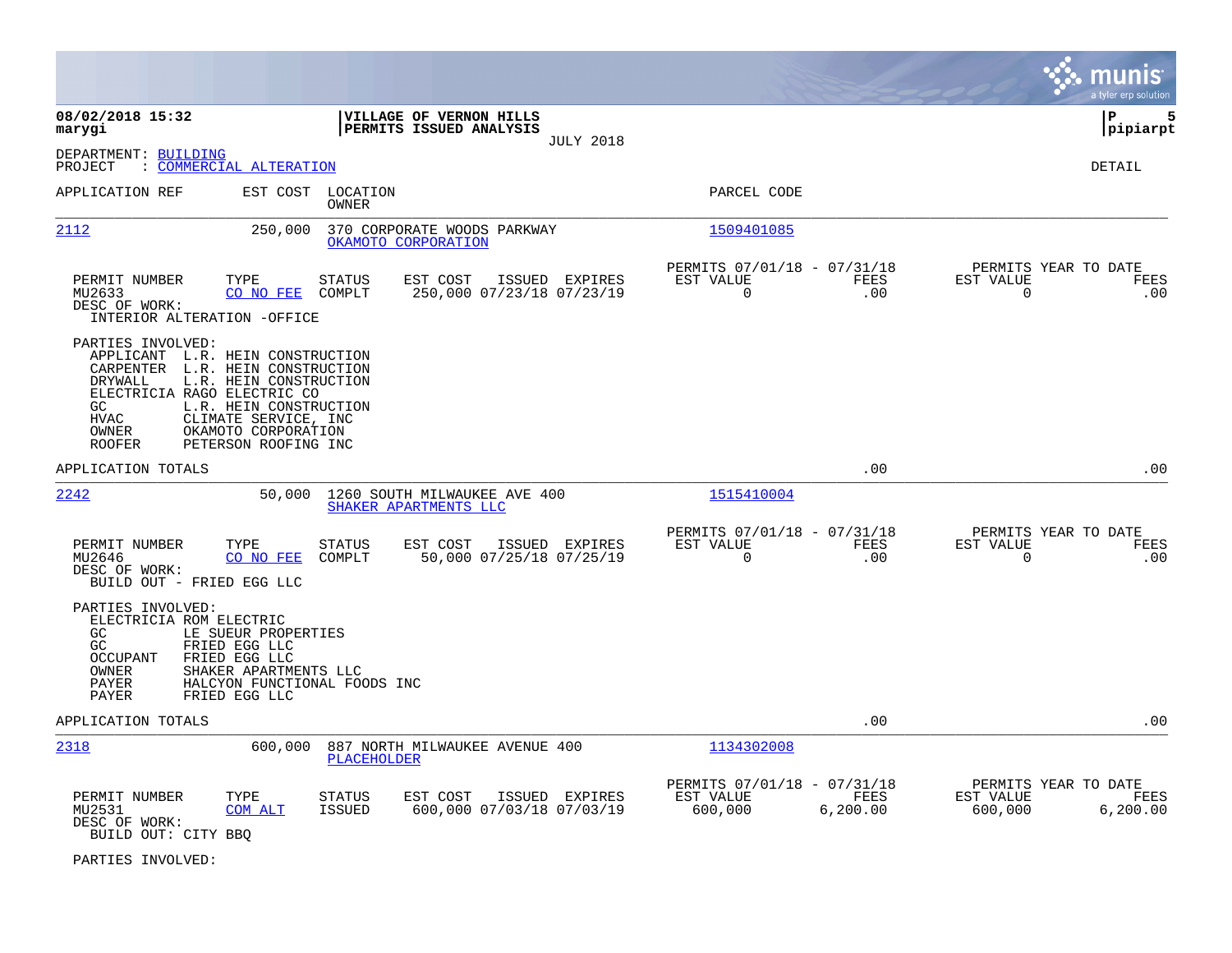|                                                                             |                                                                                                                                                                                                                                |                            |                                                       |                  |                                                      |                   |                                               | munis<br>a tyler erp solution |
|-----------------------------------------------------------------------------|--------------------------------------------------------------------------------------------------------------------------------------------------------------------------------------------------------------------------------|----------------------------|-------------------------------------------------------|------------------|------------------------------------------------------|-------------------|-----------------------------------------------|-------------------------------|
| 08/02/2018 15:32<br>marygi                                                  |                                                                                                                                                                                                                                |                            | VILLAGE OF VERNON HILLS<br>PERMITS ISSUED ANALYSIS    | <b>JULY 2018</b> |                                                      |                   |                                               | P<br>5<br> pipiarpt           |
| DEPARTMENT: BUILDING<br>PROJECT                                             | : COMMERCIAL ALTERATION                                                                                                                                                                                                        |                            |                                                       |                  |                                                      |                   |                                               | <b>DETAIL</b>                 |
| APPLICATION REF                                                             |                                                                                                                                                                                                                                | EST COST LOCATION<br>OWNER |                                                       |                  | PARCEL CODE                                          |                   |                                               |                               |
| 2112                                                                        | 250,000                                                                                                                                                                                                                        |                            | 370 CORPORATE WOODS PARKWAY<br>OKAMOTO CORPORATION    |                  | 1509401085                                           |                   |                                               |                               |
| PERMIT NUMBER<br>MU2633<br>DESC OF WORK:                                    | TYPE<br>CO NO FEE<br>INTERIOR ALTERATION -OFFICE                                                                                                                                                                               | <b>STATUS</b><br>COMPLT    | EST COST<br>250,000 07/23/18 07/23/19                 | ISSUED EXPIRES   | PERMITS 07/01/18 - 07/31/18<br>EST VALUE<br>0        | FEES<br>.00       | PERMITS YEAR TO DATE<br>EST VALUE<br>0        | FEES<br>.00                   |
| PARTIES INVOLVED:<br>DRYWALL<br>GC<br><b>HVAC</b><br>OWNER<br><b>ROOFER</b> | APPLICANT L.R. HEIN CONSTRUCTION<br>CARPENTER L.R. HEIN CONSTRUCTION<br>L.R. HEIN CONSTRUCTION<br>ELECTRICIA RAGO ELECTRIC CO<br>L.R. HEIN CONSTRUCTION<br>CLIMATE SERVICE, INC<br>OKAMOTO CORPORATION<br>PETERSON ROOFING INC |                            |                                                       |                  |                                                      |                   |                                               |                               |
| APPLICATION TOTALS                                                          |                                                                                                                                                                                                                                |                            |                                                       |                  |                                                      | .00               |                                               | .00                           |
| 2242                                                                        | 50,000                                                                                                                                                                                                                         |                            | 1260 SOUTH MILWAUKEE AVE 400<br>SHAKER APARTMENTS LLC |                  | 1515410004                                           |                   |                                               |                               |
| PERMIT NUMBER<br>MU2646<br>DESC OF WORK:                                    | TYPE<br>CO NO FEE<br>BUILD OUT - FRIED EGG LLC                                                                                                                                                                                 | <b>STATUS</b><br>COMPLT    | EST COST<br>50,000 07/25/18 07/25/19                  | ISSUED EXPIRES   | PERMITS 07/01/18 - 07/31/18<br>EST VALUE<br>$\Omega$ | FEES<br>.00       | PERMITS YEAR TO DATE<br>EST VALUE<br>$\Omega$ | FEES<br>.00                   |
| PARTIES INVOLVED:<br>GC<br>GC<br><b>OCCUPANT</b><br>OWNER<br>PAYER<br>PAYER | ELECTRICIA ROM ELECTRIC<br>LE SUEUR PROPERTIES<br>FRIED EGG LLC<br>FRIED EGG LLC<br>SHAKER APARTMENTS LLC<br>HALCYON FUNCTIONAL FOODS INC<br>FRIED EGG LLC                                                                     |                            |                                                       |                  |                                                      |                   |                                               |                               |
| APPLICATION TOTALS                                                          |                                                                                                                                                                                                                                |                            |                                                       |                  |                                                      | .00               |                                               | .00                           |
| 2318                                                                        | 600,000                                                                                                                                                                                                                        | PLACEHOLDER                | 887 NORTH MILWAUKEE AVENUE 400                        |                  | 1134302008                                           |                   |                                               |                               |
| PERMIT NUMBER<br>MU2531<br>DESC OF WORK:<br>BUILD OUT: CITY BBQ             | TYPE<br>COM ALT                                                                                                                                                                                                                | STATUS<br><b>ISSUED</b>    | EST COST<br>600,000 07/03/18 07/03/19                 | ISSUED EXPIRES   | PERMITS 07/01/18 - 07/31/18<br>EST VALUE<br>600,000  | FEES<br>6, 200.00 | PERMITS YEAR TO DATE<br>EST VALUE<br>600,000  | FEES<br>6, 200.00             |

PARTIES INVOLVED: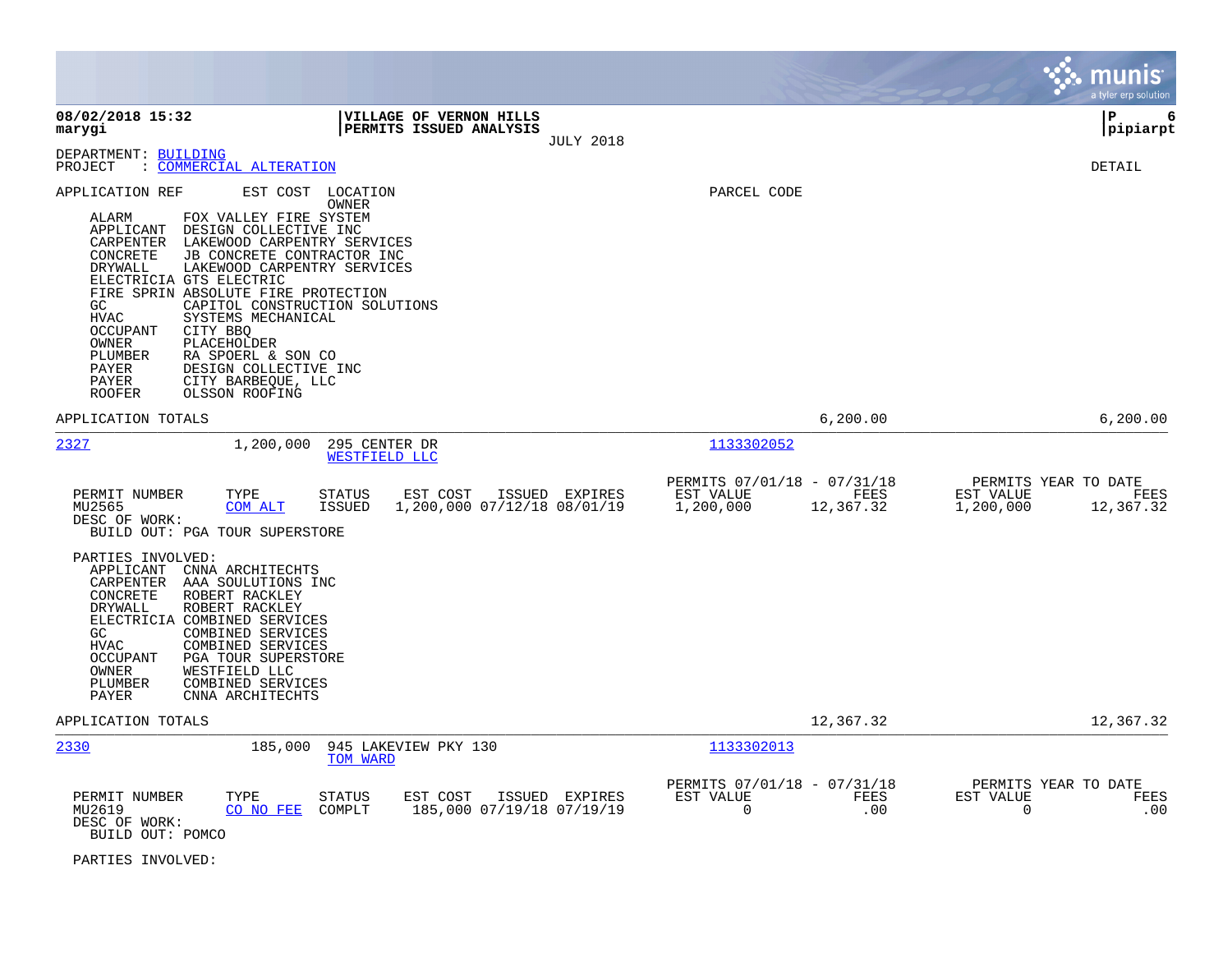|                                                                                                                                                                                                                                                                                                                                                                                                                                                                                                                                    |                                                                                      |                                                                            | munis<br>a tyler erp solution                                       |
|------------------------------------------------------------------------------------------------------------------------------------------------------------------------------------------------------------------------------------------------------------------------------------------------------------------------------------------------------------------------------------------------------------------------------------------------------------------------------------------------------------------------------------|--------------------------------------------------------------------------------------|----------------------------------------------------------------------------|---------------------------------------------------------------------|
| 08/02/2018 15:32<br>marygi                                                                                                                                                                                                                                                                                                                                                                                                                                                                                                         | VILLAGE OF VERNON HILLS<br>PERMITS ISSUED ANALYSIS<br><b>JULY 2018</b>               |                                                                            | P<br>6<br> pipiarpt                                                 |
| DEPARTMENT: BUILDING<br>: COMMERCIAL ALTERATION<br>PROJECT                                                                                                                                                                                                                                                                                                                                                                                                                                                                         |                                                                                      |                                                                            | DETAIL                                                              |
| APPLICATION REF<br>FOX VALLEY FIRE SYSTEM<br>ALARM<br>APPLICANT<br>DESIGN COLLECTIVE INC<br>LAKEWOOD CARPENTRY SERVICES<br>CARPENTER<br>CONCRETE<br>JB CONCRETE CONTRACTOR INC<br><b>DRYWALL</b><br>LAKEWOOD CARPENTRY SERVICES<br>ELECTRICIA GTS ELECTRIC<br>FIRE SPRIN ABSOLUTE FIRE PROTECTION<br>GC.<br>HVAC<br>SYSTEMS MECHANICAL<br><b>OCCUPANT</b><br>CITY BBQ<br>PLACEHOLDER<br>OWNER<br>PLUMBER<br>RA SPOERL & SON CO<br>PAYER<br>DESIGN COLLECTIVE INC<br>PAYER<br>CITY BARBEQUE, LLC<br><b>ROOFER</b><br>OLSSON ROOFING | EST COST LOCATION<br>OWNER<br>CAPITOL CONSTRUCTION SOLUTIONS                         | PARCEL CODE                                                                |                                                                     |
| APPLICATION TOTALS                                                                                                                                                                                                                                                                                                                                                                                                                                                                                                                 |                                                                                      | 6, 200.00                                                                  | 6, 200.00                                                           |
| 2327<br>1,200,000                                                                                                                                                                                                                                                                                                                                                                                                                                                                                                                  | 295 CENTER DR<br>WESTFIELD LLC                                                       | 1133302052                                                                 |                                                                     |
| TYPE<br>PERMIT NUMBER<br>MU2565<br>COM ALT<br>DESC OF WORK:<br>BUILD OUT: PGA TOUR SUPERSTORE                                                                                                                                                                                                                                                                                                                                                                                                                                      | ISSUED EXPIRES<br>STATUS<br>EST COST<br><b>ISSUED</b><br>1,200,000 07/12/18 08/01/19 | PERMITS 07/01/18 - 07/31/18<br>EST VALUE<br>FEES<br>1,200,000<br>12,367.32 | PERMITS YEAR TO DATE<br>EST VALUE<br>FEES<br>1,200,000<br>12,367.32 |
| PARTIES INVOLVED:<br>CNNA ARCHITECHTS<br>APPLICANT<br>CARPENTER<br>AAA SOULUTIONS INC<br>CONCRETE<br>ROBERT RACKLEY<br><b>DRYWALL</b><br>ROBERT RACKLEY<br>ELECTRICIA COMBINED SERVICES<br>GC<br>COMBINED SERVICES<br><b>HVAC</b><br>COMBINED SERVICES<br><b>OCCUPANT</b><br>PGA TOUR SUPERSTORE<br>OWNER<br>WESTFIELD LLC<br>PLUMBER<br>COMBINED SERVICES<br>PAYER<br>CNNA ARCHITECHTS                                                                                                                                            |                                                                                      |                                                                            |                                                                     |
| APPLICATION TOTALS                                                                                                                                                                                                                                                                                                                                                                                                                                                                                                                 |                                                                                      | 12,367.32                                                                  | 12,367.32                                                           |
| 2330<br>185,000                                                                                                                                                                                                                                                                                                                                                                                                                                                                                                                    | 945 LAKEVIEW PKY 130<br>TOM WARD                                                     | 1133302013                                                                 |                                                                     |
| PERMIT NUMBER<br>TYPE<br>MU2619<br>CO NO FEE<br>DESC OF WORK:<br>BUILD OUT: POMCO                                                                                                                                                                                                                                                                                                                                                                                                                                                  | STATUS<br>EST COST<br>ISSUED EXPIRES<br>COMPLT<br>185,000 07/19/18 07/19/19          | PERMITS 07/01/18 - 07/31/18<br>EST VALUE<br><b>FEES</b><br>0<br>.00        | PERMITS YEAR TO DATE<br>EST VALUE<br><b>FEES</b><br>$\Omega$<br>.00 |
| PARTIES INVOLVED:                                                                                                                                                                                                                                                                                                                                                                                                                                                                                                                  |                                                                                      |                                                                            |                                                                     |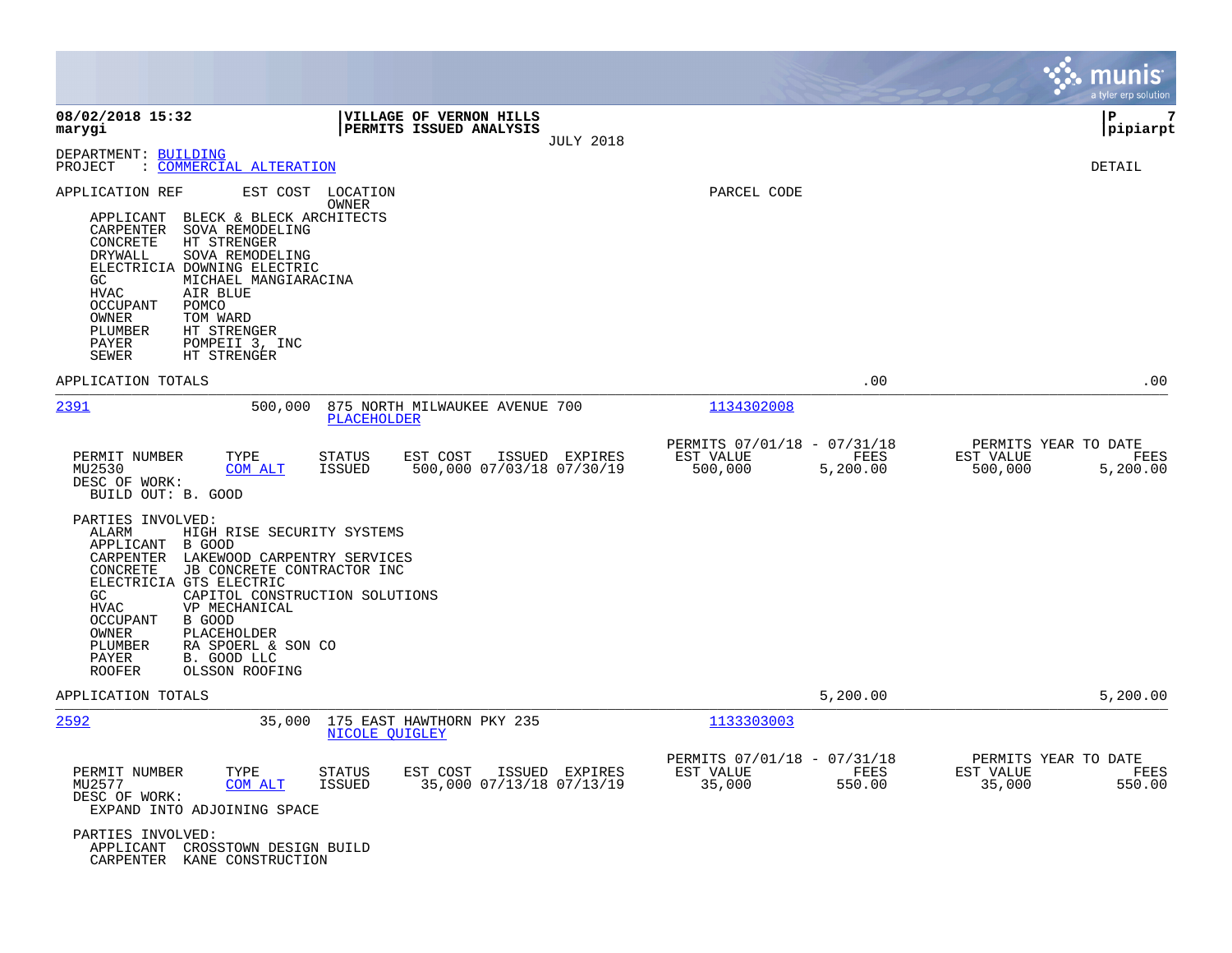|                                                                                                                                                                                                                                                                                                                                                                                                                           |                                                                                          |                                                     |                                                                           | munis<br>a tyler erp solution |
|---------------------------------------------------------------------------------------------------------------------------------------------------------------------------------------------------------------------------------------------------------------------------------------------------------------------------------------------------------------------------------------------------------------------------|------------------------------------------------------------------------------------------|-----------------------------------------------------|---------------------------------------------------------------------------|-------------------------------|
| 08/02/2018 15:32<br>marygi                                                                                                                                                                                                                                                                                                                                                                                                | VILLAGE OF VERNON HILLS<br>PERMITS ISSUED ANALYSIS                                       | <b>JULY 2018</b>                                    |                                                                           | l P<br>7<br> pipiarpt         |
| DEPARTMENT: BUILDING<br>: COMMERCIAL ALTERATION<br>PROJECT                                                                                                                                                                                                                                                                                                                                                                |                                                                                          |                                                     |                                                                           | DETAIL                        |
| EST COST<br>APPLICATION REF<br>APPLICANT<br>BLECK & BLECK ARCHITECTS<br>SOVA REMODELING<br>CARPENTER<br>CONCRETE<br>HT STRENGER<br>DRYWALL<br>SOVA REMODELING<br>ELECTRICIA DOWNING ELECTRIC<br>GC<br>MICHAEL MANGIARACINA<br><b>HVAC</b><br>AIR BLUE<br><b>OCCUPANT</b><br>POMCO<br>OWNER<br>TOM WARD<br>PLUMBER<br>HT STRENGER<br>PAYER<br>POMPEII 3, INC<br><b>SEWER</b><br>HT STRENGER                                | LOCATION<br>OWNER                                                                        | PARCEL CODE                                         |                                                                           |                               |
| APPLICATION TOTALS                                                                                                                                                                                                                                                                                                                                                                                                        |                                                                                          |                                                     | .00                                                                       | .00                           |
| 2391<br>500,000                                                                                                                                                                                                                                                                                                                                                                                                           | 875 NORTH MILWAUKEE AVENUE 700<br>PLACEHOLDER                                            | 1134302008                                          |                                                                           |                               |
| PERMIT NUMBER<br>TYPE<br>MU2530<br>COM ALT<br>DESC OF WORK:<br>BUILD OUT: B. GOOD                                                                                                                                                                                                                                                                                                                                         | <b>STATUS</b><br>EST COST<br>ISSUED EXPIRES<br>ISSUED<br>500,000 07/03/18 07/30/19       | PERMITS 07/01/18 - 07/31/18<br>EST VALUE<br>500,000 | PERMITS YEAR TO DATE<br>FEES<br>EST VALUE<br>500,000<br>5,200.00          | FEES<br>5,200.00              |
| PARTIES INVOLVED:<br>ALARM<br>HIGH RISE SECURITY SYSTEMS<br>APPLICANT<br>B GOOD<br>CARPENTER<br>LAKEWOOD CARPENTRY SERVICES<br>CONCRETE<br>JB CONCRETE CONTRACTOR INC<br>ELECTRICIA GTS ELECTRIC<br>GC<br>CAPITOL CONSTRUCTION SOLUTIONS<br><b>HVAC</b><br>VP MECHANICAL<br><b>OCCUPANT</b><br>B GOOD<br>PLACEHOLDER<br>OWNER<br>PLUMBER<br>RA SPOERL & SON CO<br>PAYER<br>B. GOOD LLC<br><b>ROOFER</b><br>OLSSON ROOFING |                                                                                          |                                                     |                                                                           |                               |
| APPLICATION TOTALS                                                                                                                                                                                                                                                                                                                                                                                                        |                                                                                          |                                                     | 5,200.00                                                                  | 5,200.00                      |
| 2592<br>35,000                                                                                                                                                                                                                                                                                                                                                                                                            | 175 EAST HAWTHORN PKY 235<br><b>NICOLE OUIGLEY</b>                                       | 1133303003                                          |                                                                           |                               |
| PERMIT NUMBER<br>TYPE<br>MU2577<br><b>COM ALT</b><br>DESC OF WORK:<br>EXPAND INTO ADJOINING SPACE<br>PARTIES INVOLVED:<br>APPLICANT<br>CROSSTOWN DESIGN BUILD<br>CARPENTER<br>KANE CONSTRUCTION                                                                                                                                                                                                                           | EST COST<br>ISSUED EXPIRES<br><b>STATUS</b><br><b>ISSUED</b><br>35,000 07/13/18 07/13/19 | PERMITS 07/01/18 -<br>EST VALUE<br>35,000           | 07/31/18<br>PERMITS YEAR TO DATE<br>FEES<br>EST VALUE<br>550.00<br>35,000 | FEES<br>550.00                |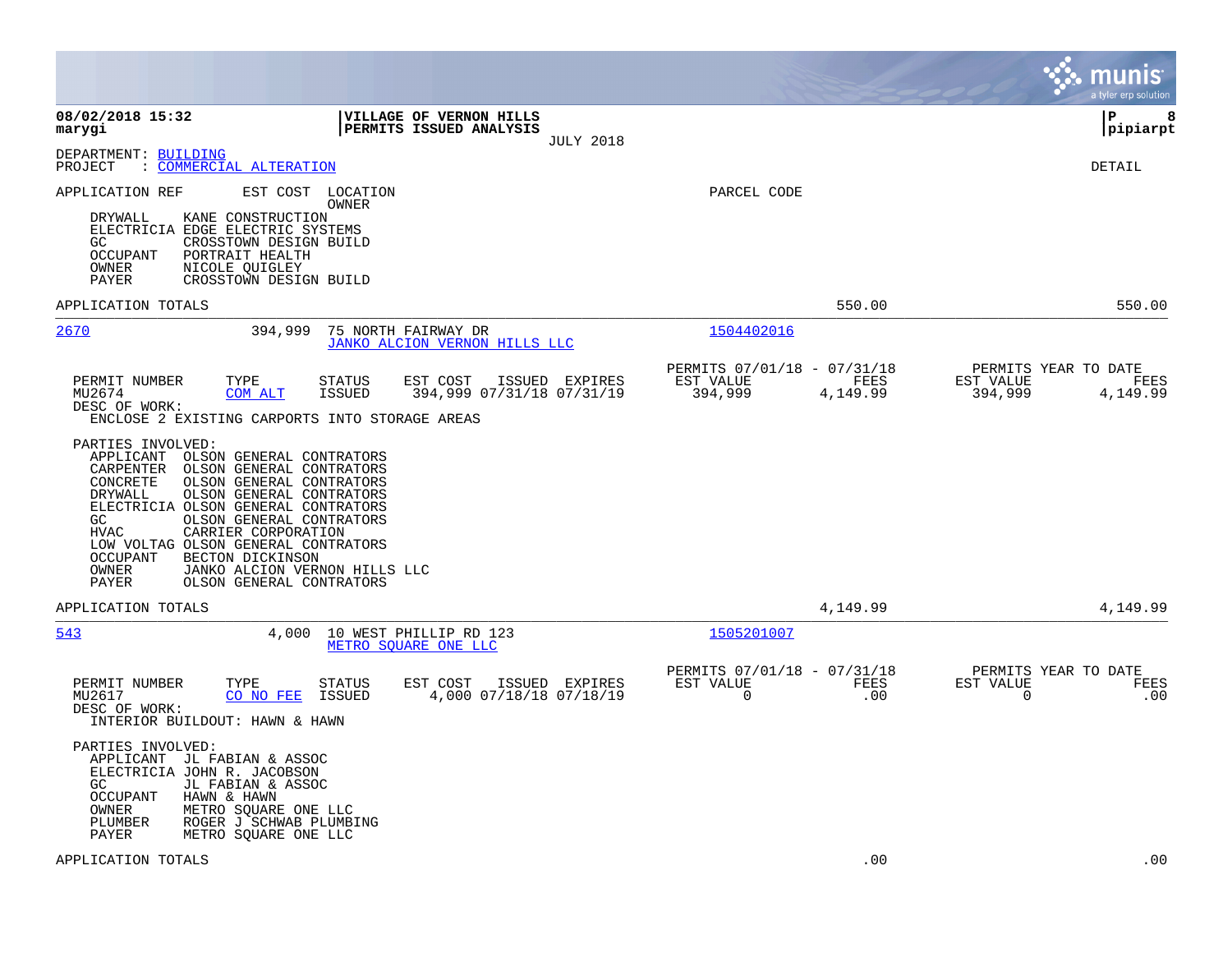|                                                                                                                                                                                                                                                                                                                                                                                                                                                      |                                                                         | munis<br>a tyler erp solution                                    |
|------------------------------------------------------------------------------------------------------------------------------------------------------------------------------------------------------------------------------------------------------------------------------------------------------------------------------------------------------------------------------------------------------------------------------------------------------|-------------------------------------------------------------------------|------------------------------------------------------------------|
| 08/02/2018 15:32<br>VILLAGE OF VERNON HILLS<br>PERMITS ISSUED ANALYSIS<br>marygi<br><b>JULY 2018</b>                                                                                                                                                                                                                                                                                                                                                 |                                                                         | l P<br>8<br> pipiarpt                                            |
| DEPARTMENT: BUILDING<br>: COMMERCIAL ALTERATION<br>PROJECT                                                                                                                                                                                                                                                                                                                                                                                           |                                                                         | <b>DETAIL</b>                                                    |
| EST COST<br>APPLICATION REF<br>LOCATION<br><b>OWNER</b><br>DRYWALL<br>KANE CONSTRUCTION<br>ELECTRICIA EDGE ELECTRIC SYSTEMS<br>CROSSTOWN DESIGN BUILD<br>GC.<br><b>OCCUPANT</b><br>PORTRAIT HEALTH<br>OWNER<br>NICOLE QUIGLEY<br>PAYER<br>CROSSTOWN DESIGN BUILD                                                                                                                                                                                     | PARCEL CODE                                                             |                                                                  |
| APPLICATION TOTALS                                                                                                                                                                                                                                                                                                                                                                                                                                   | 550.00                                                                  | 550.00                                                           |
| 2670<br>394,999<br>75 NORTH FAIRWAY DR<br><b>JANKO ALCION VERNON HILLS LLC</b>                                                                                                                                                                                                                                                                                                                                                                       | 1504402016                                                              |                                                                  |
| PERMIT NUMBER<br>TYPE<br><b>STATUS</b><br>EST COST<br>ISSUED EXPIRES<br>MU2674<br>COM ALT<br><b>ISSUED</b><br>394,999 07/31/18 07/31/19<br>DESC OF WORK:<br>ENCLOSE 2 EXISTING CARPORTS INTO STORAGE AREAS                                                                                                                                                                                                                                           | PERMITS 07/01/18 - 07/31/18<br>EST VALUE<br>FEES<br>394,999<br>4,149.99 | PERMITS YEAR TO DATE<br>EST VALUE<br>FEES<br>394,999<br>4,149.99 |
| PARTIES INVOLVED:<br>APPLICANT OLSON GENERAL CONTRATORS<br>OLSON GENERAL CONTRATORS<br>CARPENTER<br>OLSON GENERAL CONTRATORS<br>CONCRETE<br>OLSON GENERAL CONTRATORS<br>DRYWALL<br>ELECTRICIA OLSON GENERAL CONTRATORS<br>OLSON GENERAL CONTRATORS<br>GC<br>CARRIER CORPORATION<br><b>HVAC</b><br>LOW VOLTAG OLSON GENERAL CONTRATORS<br>BECTON DICKINSON<br>OCCUPANT<br>JANKO ALCION VERNON HILLS LLC<br>OWNER<br>PAYER<br>OLSON GENERAL CONTRATORS |                                                                         |                                                                  |
| APPLICATION TOTALS                                                                                                                                                                                                                                                                                                                                                                                                                                   | 4,149.99                                                                | 4,149.99                                                         |
| 543<br>4,000<br>10 WEST PHILLIP RD 123<br>METRO SOUARE ONE LLC                                                                                                                                                                                                                                                                                                                                                                                       | 1505201007                                                              |                                                                  |
| PERMIT NUMBER<br>TYPE<br><b>STATUS</b><br>EST COST<br>ISSUED EXPIRES<br>MU2617<br>CO NO FEE<br>ISSUED<br>4,000 07/18/18 07/18/19<br>DESC OF WORK:<br>INTERIOR BUILDOUT: HAWN & HAWN                                                                                                                                                                                                                                                                  | PERMITS 07/01/18 - 07/31/18<br>EST VALUE<br>FEES<br>$\mathbf 0$<br>.00  | PERMITS YEAR TO DATE<br>EST VALUE<br>FEES<br>$\mathbf 0$<br>.00  |
| PARTIES INVOLVED:<br>APPLICANT JL FABIAN & ASSOC<br>ELECTRICIA JOHN R. JACOBSON<br>JL FABIAN & ASSOC<br>GC.<br><b>OCCUPANT</b><br>HAWN & HAWN<br>OWNER<br>METRO SQUARE ONE LLC<br>PLUMBER<br>ROGER J SCHWAB PLUMBING<br>METRO SQUARE ONE LLC<br>PAYER                                                                                                                                                                                                |                                                                         |                                                                  |
| APPLICATION TOTALS                                                                                                                                                                                                                                                                                                                                                                                                                                   | .00                                                                     | .00                                                              |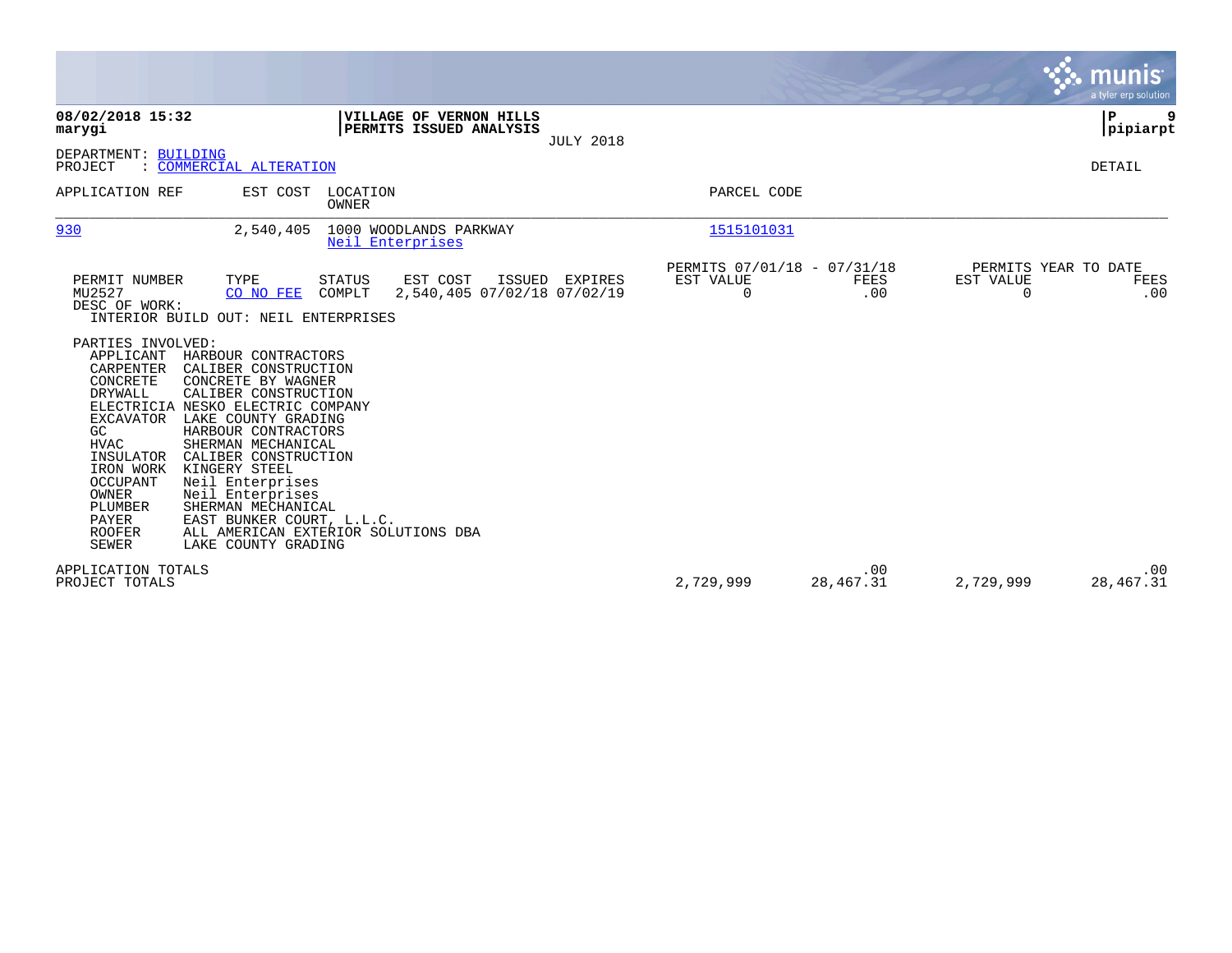|                                                                                                                                                                                                                                                                                                                                                                                                                                                                                                                                                                                                                                     |                                               |                    |                                               | munis<br>a tyler erp solution |
|-------------------------------------------------------------------------------------------------------------------------------------------------------------------------------------------------------------------------------------------------------------------------------------------------------------------------------------------------------------------------------------------------------------------------------------------------------------------------------------------------------------------------------------------------------------------------------------------------------------------------------------|-----------------------------------------------|--------------------|-----------------------------------------------|-------------------------------|
| 08/02/2018 15:32<br>VILLAGE OF VERNON HILLS<br>PERMITS ISSUED ANALYSIS<br>marygi<br><b>JULY 2018</b>                                                                                                                                                                                                                                                                                                                                                                                                                                                                                                                                |                                               |                    |                                               | P<br> pipiarpt                |
| DEPARTMENT: BUILDING<br>: COMMERCIAL ALTERATION<br>PROJECT                                                                                                                                                                                                                                                                                                                                                                                                                                                                                                                                                                          |                                               |                    |                                               | DETAIL                        |
| APPLICATION REF<br>EST COST<br>LOCATION<br>OWNER                                                                                                                                                                                                                                                                                                                                                                                                                                                                                                                                                                                    | PARCEL CODE                                   |                    |                                               |                               |
| 1000 WOODLANDS PARKWAY<br>930<br>2,540,405<br>Neil Enterprises                                                                                                                                                                                                                                                                                                                                                                                                                                                                                                                                                                      | 1515101031                                    |                    |                                               |                               |
| TYPE<br>EST COST<br>PERMIT NUMBER<br><b>STATUS</b><br>ISSUED EXPIRES<br>MU2527<br>2,540,405 07/02/18 07/02/19<br>CO NO FEE<br>COMPLT<br>DESC OF WORK:<br>INTERIOR BUILD OUT: NEIL ENTERPRISES<br>PARTIES INVOLVED:<br>APPLICANT<br>HARBOUR CONTRACTORS<br>CARPENTER<br>CALIBER CONSTRUCTION<br>CONCRETE<br>CONCRETE BY WAGNER<br><b>DRYWALL</b><br>CALIBER CONSTRUCTION<br>ELECTRICIA NESKO ELECTRIC COMPANY<br><b>EXCAVATOR</b><br>LAKE COUNTY GRADING<br>GC<br>HARBOUR CONTRACTORS<br><b>HVAC</b><br>SHERMAN MECHANICAL<br>CALIBER CONSTRUCTION<br>INSULATOR<br>KINGERY STEEL<br>IRON WORK<br><b>OCCUPANT</b><br>Neil Enterprises | PERMITS 07/01/18 - 07/31/18<br>EST VALUE<br>0 | FEES<br>.00        | PERMITS YEAR TO DATE<br>EST VALUE<br>$\Omega$ | FEES<br>.00                   |
| OWNER<br>Neil Enterprises<br>SHERMAN MECHANICAL<br>PLUMBER<br>PAYER<br>EAST BUNKER COURT, L.L.C.<br><b>ROOFER</b><br>ALL AMERICAN EXTERIOR SOLUTIONS DBA<br><b>SEWER</b><br>LAKE COUNTY GRADING<br>APPLICATION TOTALS<br>PROJECT TOTALS                                                                                                                                                                                                                                                                                                                                                                                             | 2,729,999                                     | .00<br>28, 467. 31 | 2,729,999                                     | .00<br>28, 467. 31            |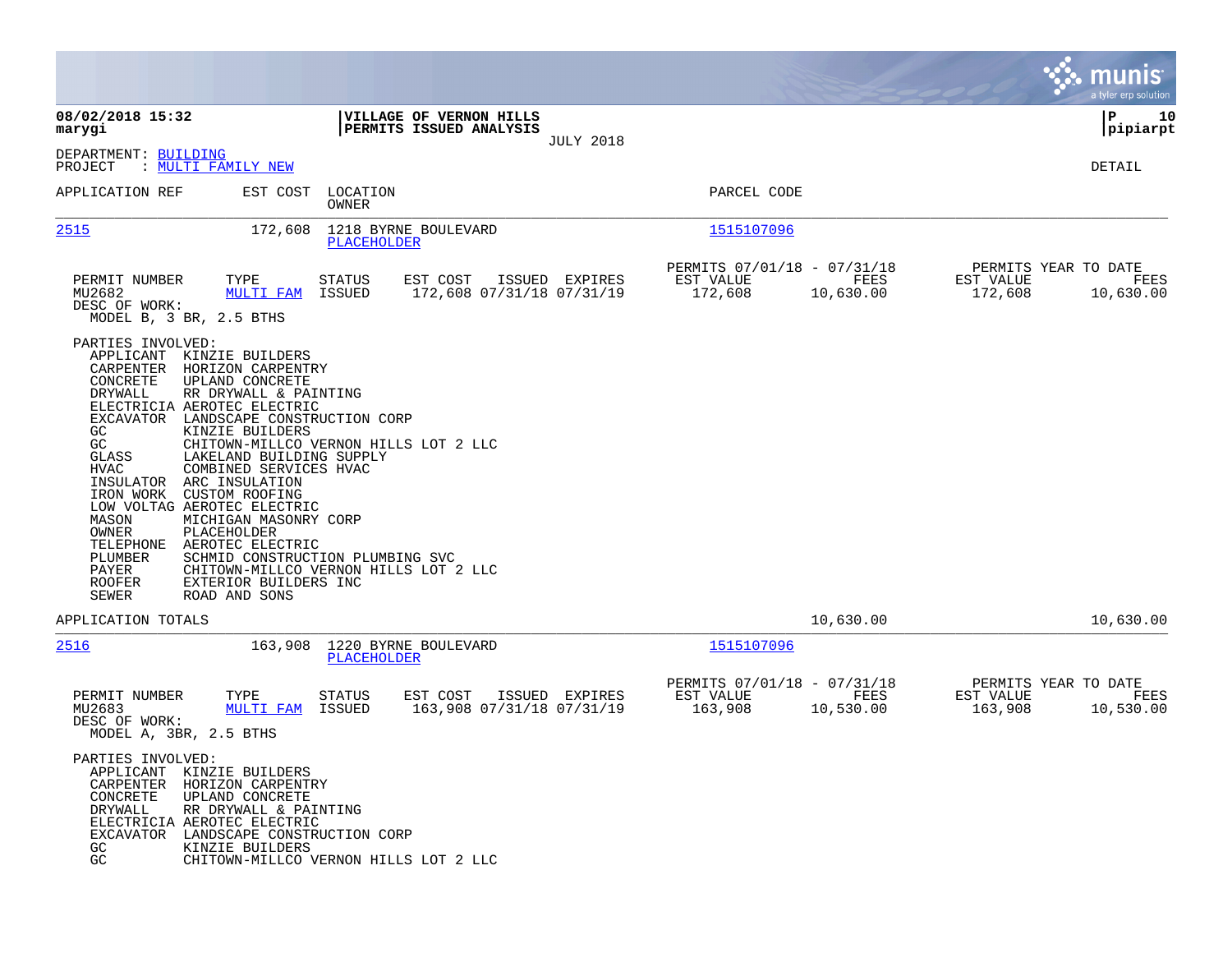|                                                                                                                                                                                                                                                                                                                                                                                                                                                                                                                                                                                                                             |                                                                                                                    |                                                                          | munis<br>a tyler erp solution                                     |
|-----------------------------------------------------------------------------------------------------------------------------------------------------------------------------------------------------------------------------------------------------------------------------------------------------------------------------------------------------------------------------------------------------------------------------------------------------------------------------------------------------------------------------------------------------------------------------------------------------------------------------|--------------------------------------------------------------------------------------------------------------------|--------------------------------------------------------------------------|-------------------------------------------------------------------|
| 08/02/2018 15:32<br>marygi                                                                                                                                                                                                                                                                                                                                                                                                                                                                                                                                                                                                  | VILLAGE OF VERNON HILLS<br>PERMITS ISSUED ANALYSIS<br><b>JULY 2018</b>                                             |                                                                          | l P<br>10<br> pipiarpt                                            |
| DEPARTMENT: BUILDING<br>: MULTI FAMILY NEW<br>PROJECT                                                                                                                                                                                                                                                                                                                                                                                                                                                                                                                                                                       |                                                                                                                    |                                                                          | DETAIL                                                            |
| APPLICATION REF<br>EST COST                                                                                                                                                                                                                                                                                                                                                                                                                                                                                                                                                                                                 | LOCATION<br>OWNER                                                                                                  | PARCEL CODE                                                              |                                                                   |
| 2515<br>172,608                                                                                                                                                                                                                                                                                                                                                                                                                                                                                                                                                                                                             | 1218 BYRNE BOULEVARD<br>PLACEHOLDER                                                                                | 1515107096                                                               |                                                                   |
| PERMIT NUMBER<br>TYPE<br>MU2682<br><b>MULTI FAM</b><br>DESC OF WORK:<br>MODEL B, 3 BR, 2.5 BTHS                                                                                                                                                                                                                                                                                                                                                                                                                                                                                                                             | STATUS<br>EST COST<br>ISSUED EXPIRES<br>172,608 07/31/18 07/31/19<br>ISSUED                                        | PERMITS 07/01/18 - 07/31/18<br>EST VALUE<br>FEES<br>172,608<br>10,630.00 | PERMITS YEAR TO DATE<br>EST VALUE<br>FEES<br>172,608<br>10,630.00 |
| PARTIES INVOLVED:<br>APPLICANT<br>KINZIE BUILDERS<br>CARPENTER<br>HORIZON CARPENTRY<br>CONCRETE<br>UPLAND CONCRETE<br>DRYWALL<br>RR DRYWALL & PAINTING<br>ELECTRICIA AEROTEC ELECTRIC<br>EXCAVATOR LANDSCAPE CONSTRUCTION CORP<br>GC<br>KINZIE BUILDERS<br>GC<br>GLASS<br>LAKELAND BUILDING SUPPLY<br>HVAC<br>COMBINED SERVICES HVAC<br>INSULATOR<br>ARC INSULATION<br>IRON WORK<br><b>CUSTOM ROOFING</b><br>LOW VOLTAG AEROTEC ELECTRIC<br>MASON<br>MICHIGAN MASONRY CORP<br>OWNER<br>PLACEHOLDER<br>TELEPHONE<br>AEROTEC ELECTRIC<br>PLUMBER<br>PAYER<br>EXTERIOR BUILDERS INC<br><b>ROOFER</b><br>ROAD AND SONS<br>SEWER | CHITOWN-MILLCO VERNON HILLS LOT 2 LLC<br>SCHMID CONSTRUCTION PLUMBING SVC<br>CHITOWN-MILLCO VERNON HILLS LOT 2 LLC |                                                                          |                                                                   |
| APPLICATION TOTALS                                                                                                                                                                                                                                                                                                                                                                                                                                                                                                                                                                                                          |                                                                                                                    | 10,630.00                                                                | 10,630.00                                                         |
| 2516<br>163,908                                                                                                                                                                                                                                                                                                                                                                                                                                                                                                                                                                                                             | 1220 BYRNE BOULEVARD<br>PLACEHOLDER                                                                                | 1515107096                                                               |                                                                   |
| PERMIT NUMBER<br>TYPE<br>MU2683<br><b>MULTI FAM</b><br>DESC OF WORK:<br>MODEL A, 3BR, 2.5 BTHS                                                                                                                                                                                                                                                                                                                                                                                                                                                                                                                              | STATUS<br>EST COST<br>ISSUED EXPIRES<br>ISSUED<br>163,908 07/31/18 07/31/19                                        | PERMITS 07/01/18 - 07/31/18<br>EST VALUE<br>FEES<br>163,908<br>10,530.00 | PERMITS YEAR TO DATE<br>EST VALUE<br>FEES<br>163,908<br>10,530.00 |
| PARTIES INVOLVED:<br>APPLICANT<br>KINZIE BUILDERS<br>CARPENTER<br>HORIZON CARPENTRY<br>CONCRETE<br>UPLAND CONCRETE<br>RR DRYWALL & PAINTING<br>DRYWALL<br>ELECTRICIA AEROTEC ELECTRIC<br>EXCAVATOR<br>LANDSCAPE CONSTRUCTION CORP<br>GC<br>KINZIE BUILDERS<br>GC                                                                                                                                                                                                                                                                                                                                                            | CHITOWN-MILLCO VERNON HILLS LOT 2 LLC                                                                              |                                                                          |                                                                   |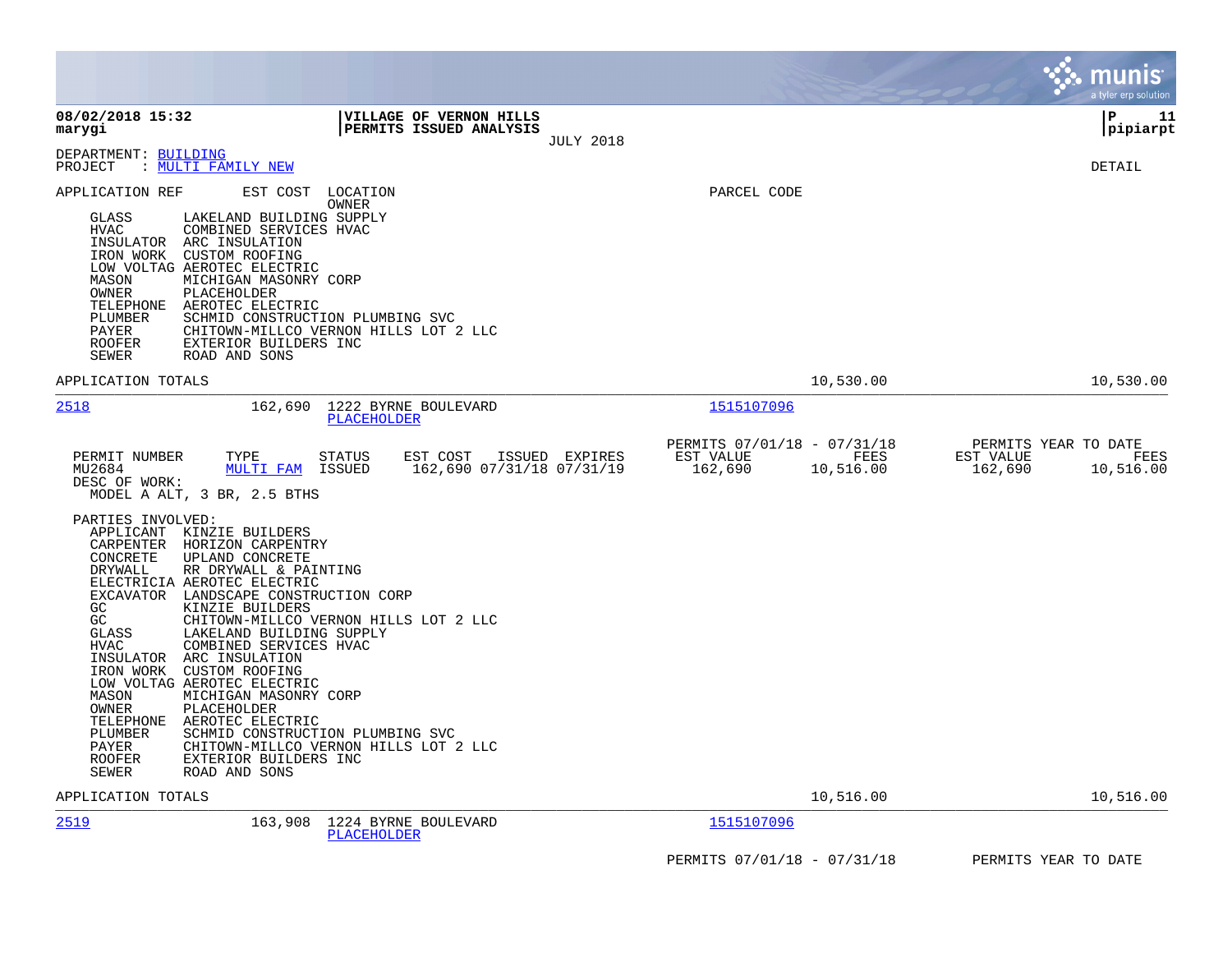|                                                                                                                                                                                                                                                                                                                                                                                                                                                                                                                                                                                                                                                                                                                                                                                                                                                                                                                                              |                                                                          | munis<br>a tyler erp solution                                     |
|----------------------------------------------------------------------------------------------------------------------------------------------------------------------------------------------------------------------------------------------------------------------------------------------------------------------------------------------------------------------------------------------------------------------------------------------------------------------------------------------------------------------------------------------------------------------------------------------------------------------------------------------------------------------------------------------------------------------------------------------------------------------------------------------------------------------------------------------------------------------------------------------------------------------------------------------|--------------------------------------------------------------------------|-------------------------------------------------------------------|
| 08/02/2018 15:32<br>VILLAGE OF VERNON HILLS<br>PERMITS ISSUED ANALYSIS<br>marygi<br><b>JULY 2018</b>                                                                                                                                                                                                                                                                                                                                                                                                                                                                                                                                                                                                                                                                                                                                                                                                                                         |                                                                          | l P<br>11<br> pipiarpt                                            |
| DEPARTMENT: BUILDING<br>: MULTI FAMILY NEW<br>PROJECT                                                                                                                                                                                                                                                                                                                                                                                                                                                                                                                                                                                                                                                                                                                                                                                                                                                                                        |                                                                          | <b>DETAIL</b>                                                     |
| EST COST<br>APPLICATION REF<br>LOCATION<br><b>OWNER</b><br>GLASS<br>LAKELAND BUILDING SUPPLY<br><b>HVAC</b><br>COMBINED SERVICES HVAC<br>INSULATOR<br>ARC INSULATION<br>IRON WORK<br>CUSTOM ROOFING<br>LOW VOLTAG AEROTEC ELECTRIC<br>MASON<br>MICHIGAN MASONRY CORP<br><b>OWNER</b><br>PLACEHOLDER<br>TELEPHONE<br>AEROTEC ELECTRIC<br>PLUMBER<br>SCHMID CONSTRUCTION PLUMBING SVC<br>PAYER<br>CHITOWN-MILLCO VERNON HILLS LOT 2 LLC<br>EXTERIOR BUILDERS INC<br>ROOFER<br>SEWER<br>ROAD AND SONS                                                                                                                                                                                                                                                                                                                                                                                                                                           | PARCEL CODE                                                              |                                                                   |
| APPLICATION TOTALS                                                                                                                                                                                                                                                                                                                                                                                                                                                                                                                                                                                                                                                                                                                                                                                                                                                                                                                           | 10,530.00                                                                | 10,530.00                                                         |
| 1222 BYRNE BOULEVARD<br>2518<br>162,690<br>PLACEHOLDER                                                                                                                                                                                                                                                                                                                                                                                                                                                                                                                                                                                                                                                                                                                                                                                                                                                                                       | 1515107096                                                               |                                                                   |
| PERMIT NUMBER<br>TYPE<br><b>STATUS</b><br>EST COST<br>ISSUED EXPIRES<br>MULTI FAM<br>162,690 07/31/18 07/31/19<br>MU2684<br>ISSUED<br>DESC OF WORK:<br>MODEL A ALT, 3 BR, 2.5 BTHS<br>PARTIES INVOLVED:<br>APPLICANT KINZIE BUILDERS<br>CARPENTER HORIZON CARPENTRY<br>CONCRETE<br>UPLAND CONCRETE<br><b>DRYWALL</b><br>RR DRYWALL & PAINTING<br>ELECTRICIA AEROTEC ELECTRIC<br>EXCAVATOR LANDSCAPE CONSTRUCTION CORP<br>GC<br>KINZIE BUILDERS<br>GC<br>CHITOWN-MILLCO VERNON HILLS LOT 2 LLC<br>LAKELAND BUILDING SUPPLY<br>GLASS<br><b>HVAC</b><br>COMBINED SERVICES HVAC<br>INSULATOR<br>ARC INSULATION<br>IRON WORK CUSTOM ROOFING<br>LOW VOLTAG AEROTEC ELECTRIC<br>MASON<br>MICHIGAN MASONRY CORP<br><b>OWNER</b><br>PLACEHOLDER<br>TELEPHONE<br>AEROTEC ELECTRIC<br>PLUMBER<br>SCHMID CONSTRUCTION PLUMBING SVC<br>PAYER<br>CHITOWN-MILLCO VERNON HILLS LOT 2 LLC<br><b>ROOFER</b><br>EXTERIOR BUILDERS INC<br>SEWER<br>ROAD AND SONS | PERMITS 07/01/18 - 07/31/18<br>FEES<br>EST VALUE<br>162,690<br>10,516.00 | PERMITS YEAR TO DATE<br>EST VALUE<br>FEES<br>162,690<br>10,516.00 |
| APPLICATION TOTALS                                                                                                                                                                                                                                                                                                                                                                                                                                                                                                                                                                                                                                                                                                                                                                                                                                                                                                                           | 10,516.00                                                                | 10,516.00                                                         |
| 2519<br>163,908<br>1224 BYRNE BOULEVARD<br><b>PLACEHOLDER</b>                                                                                                                                                                                                                                                                                                                                                                                                                                                                                                                                                                                                                                                                                                                                                                                                                                                                                | 1515107096                                                               |                                                                   |
|                                                                                                                                                                                                                                                                                                                                                                                                                                                                                                                                                                                                                                                                                                                                                                                                                                                                                                                                              | PERMITS 07/01/18 - 07/31/18                                              | PERMITS YEAR TO DATE                                              |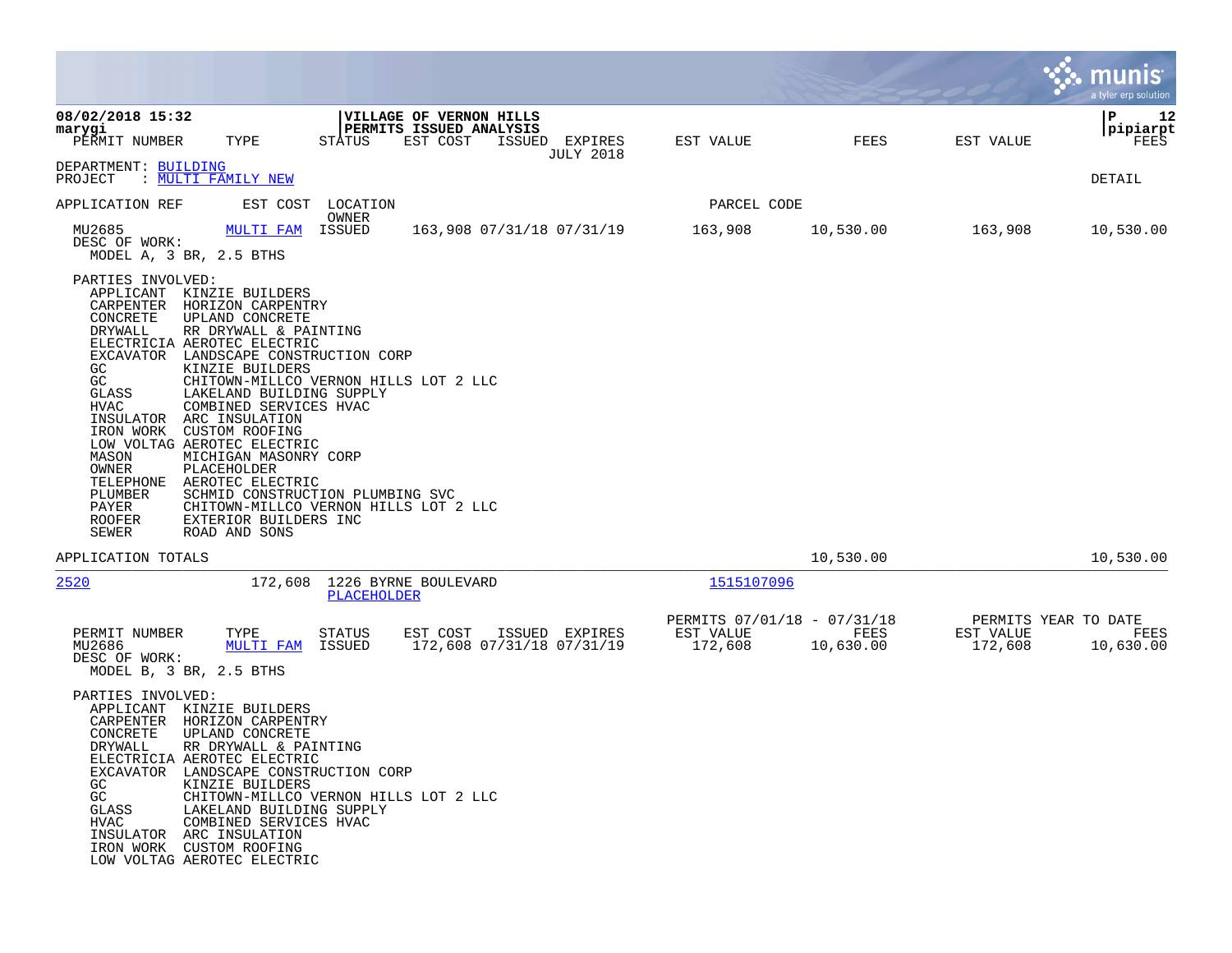|                                                                                                                                                                                                                                                                                                                                                                                                                                                                                                                                                                                                                                                                                                                                            |                         |                                                                |                                    |                                                     |                   |                                              | a tyler erp solution                    |
|--------------------------------------------------------------------------------------------------------------------------------------------------------------------------------------------------------------------------------------------------------------------------------------------------------------------------------------------------------------------------------------------------------------------------------------------------------------------------------------------------------------------------------------------------------------------------------------------------------------------------------------------------------------------------------------------------------------------------------------------|-------------------------|----------------------------------------------------------------|------------------------------------|-----------------------------------------------------|-------------------|----------------------------------------------|-----------------------------------------|
| 08/02/2018 15:32<br>marygi<br>PERMIT NUMBER<br>TYPE                                                                                                                                                                                                                                                                                                                                                                                                                                                                                                                                                                                                                                                                                        | STATUS                  | VILLAGE OF VERNON HILLS<br>PERMITS ISSUED ANALYSIS<br>EST COST | ISSUED EXPIRES<br><b>JULY 2018</b> | EST VALUE                                           | FEES              | EST VALUE                                    | $\mathbf{P}$<br>12<br> pipiarpt<br>FEES |
| DEPARTMENT: BUILDING<br>: MULTI FAMILY NEW<br>PROJECT                                                                                                                                                                                                                                                                                                                                                                                                                                                                                                                                                                                                                                                                                      |                         |                                                                |                                    |                                                     |                   |                                              | DETAIL                                  |
| EST COST<br>APPLICATION REF                                                                                                                                                                                                                                                                                                                                                                                                                                                                                                                                                                                                                                                                                                                | LOCATION                |                                                                |                                    | PARCEL CODE                                         |                   |                                              |                                         |
| MU2685<br>MULTI FAM<br>DESC OF WORK:<br>MODEL A, 3 BR, 2.5 BTHS                                                                                                                                                                                                                                                                                                                                                                                                                                                                                                                                                                                                                                                                            | OWNER<br>ISSUED         | 163,908 07/31/18 07/31/19                                      |                                    | 163,908                                             | 10,530.00         | 163,908                                      | 10,530.00                               |
| PARTIES INVOLVED:<br>APPLICANT KINZIE BUILDERS<br>CARPENTER<br>HORIZON CARPENTRY<br>CONCRETE<br>UPLAND CONCRETE<br>DRYWALL<br>RR DRYWALL & PAINTING<br>ELECTRICIA AEROTEC ELECTRIC<br>EXCAVATOR<br>LANDSCAPE CONSTRUCTION CORP<br>GC<br>KINZIE BUILDERS<br>GC<br>CHITOWN-MILLCO VERNON HILLS LOT 2 LLC<br>GLASS<br>LAKELAND BUILDING SUPPLY<br>COMBINED SERVICES HVAC<br>HVAC<br>ARC INSULATION<br>INSULATOR<br>CUSTOM ROOFING<br>IRON WORK<br>LOW VOLTAG AEROTEC ELECTRIC<br>MASON<br>MICHIGAN MASONRY CORP<br>OWNER<br>PLACEHOLDER<br>TELEPHONE<br>AEROTEC ELECTRIC<br>PLUMBER<br>SCHMID CONSTRUCTION PLUMBING SVC<br>PAYER<br>CHITOWN-MILLCO VERNON HILLS LOT 2 LLC<br><b>ROOFER</b><br>EXTERIOR BUILDERS INC<br>SEWER<br>ROAD AND SONS |                         |                                                                |                                    |                                                     |                   |                                              |                                         |
| APPLICATION TOTALS                                                                                                                                                                                                                                                                                                                                                                                                                                                                                                                                                                                                                                                                                                                         |                         |                                                                |                                    |                                                     | 10,530.00         |                                              | 10,530.00                               |
| 2520<br>172,608                                                                                                                                                                                                                                                                                                                                                                                                                                                                                                                                                                                                                                                                                                                            | PLACEHOLDER             | 1226 BYRNE BOULEVARD                                           |                                    | 1515107096                                          |                   |                                              |                                         |
| PERMIT NUMBER<br>TYPE<br>MU2686<br>MULTI FAM<br>DESC OF WORK:<br>MODEL B, 3 BR, 2.5 BTHS                                                                                                                                                                                                                                                                                                                                                                                                                                                                                                                                                                                                                                                   | <b>STATUS</b><br>ISSUED | EST COST<br>172,608 07/31/18 07/31/19                          | ISSUED EXPIRES                     | PERMITS 07/01/18 - 07/31/18<br>EST VALUE<br>172,608 | FEES<br>10,630.00 | PERMITS YEAR TO DATE<br>EST VALUE<br>172,608 | FEES<br>10,630.00                       |
| PARTIES INVOLVED:<br>KINZIE BUILDERS<br>APPLICANT<br>CARPENTER<br>HORIZON CARPENTRY<br>CONCRETE<br>UPLAND CONCRETE<br>DRYWALL<br>RR DRYWALL & PAINTING<br>ELECTRICIA AEROTEC ELECTRIC<br>EXCAVATOR LANDSCAPE CONSTRUCTION CORP<br>KINZIE BUILDERS<br>GC.<br>GC<br>CHITOWN-MILLCO VERNON HILLS LOT 2 LLC<br><b>GLASS</b><br>LAKELAND BUILDING SUPPLY<br>COMBINED SERVICES HVAC<br>HVAC<br>INSULATOR ARC INSULATION<br>IRON WORK CUSTOM ROOFING<br>LOW VOLTAG AEROTEC ELECTRIC                                                                                                                                                                                                                                                               |                         |                                                                |                                    |                                                     |                   |                                              |                                         |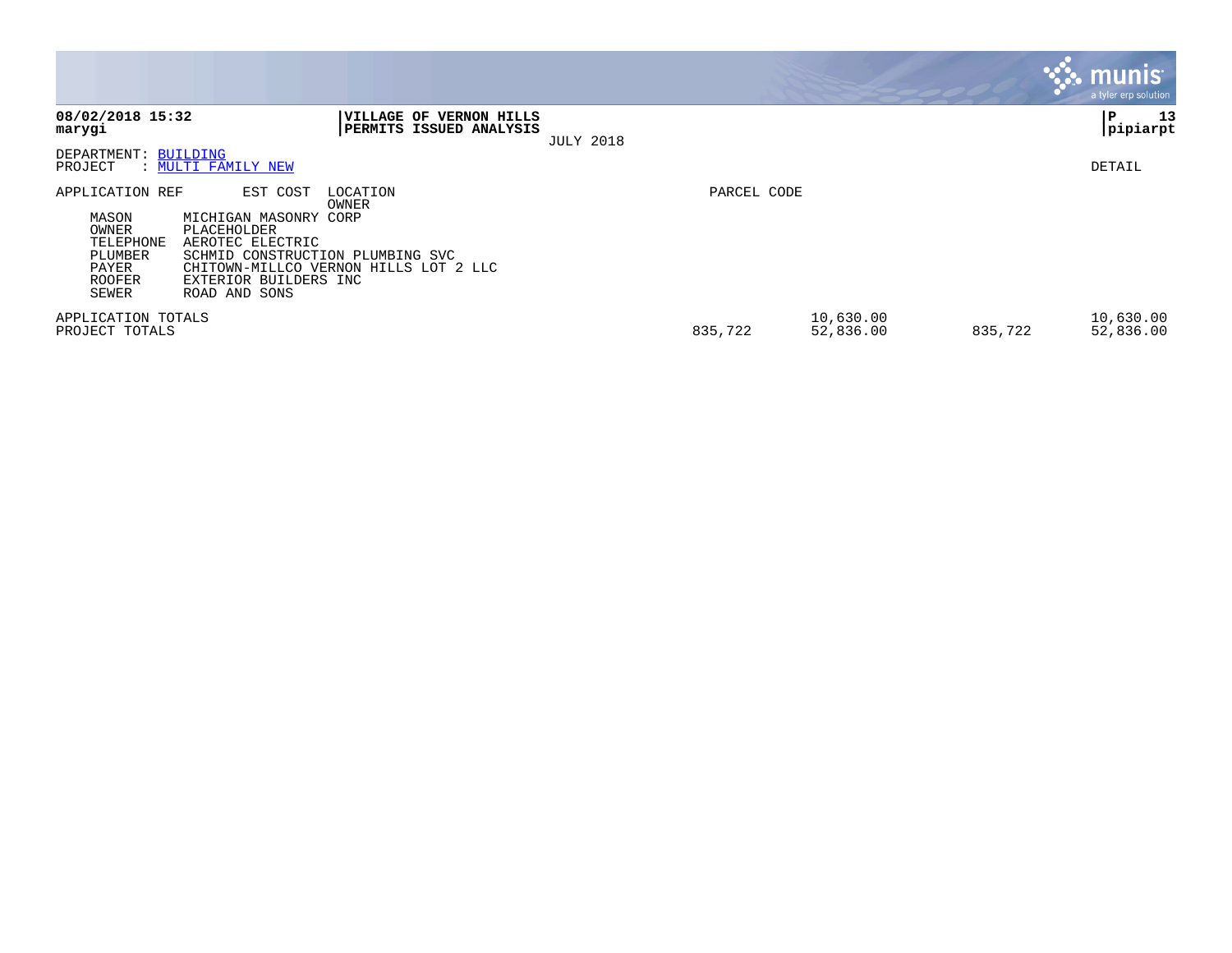|                                                                                       |                                                                                                                                                                                                                  |             |                                   | <b>Munis</b><br>a tyler erp solution |
|---------------------------------------------------------------------------------------|------------------------------------------------------------------------------------------------------------------------------------------------------------------------------------------------------------------|-------------|-----------------------------------|--------------------------------------|
| 08/02/2018 15:32<br>marygi                                                            | VILLAGE OF VERNON HILLS<br>PERMITS ISSUED ANALYSIS<br><b>JULY 2018</b>                                                                                                                                           |             |                                   | 13<br>ΙP<br> pipiarpt                |
| DEPARTMENT: BUILDING<br>PROJECT                                                       | : MULTI FAMILY NEW                                                                                                                                                                                               |             |                                   | DETAIL                               |
| APPLICATION REF<br>MASON<br>OWNER<br>TELEPHONE<br>PLUMBER<br>PAYER<br>ROOFER<br>SEWER | EST COST<br>LOCATION<br>OWNER<br>MICHIGAN MASONRY CORP<br>PLACEHOLDER<br>AEROTEC ELECTRIC<br>SCHMID CONSTRUCTION PLUMBING SVC<br>CHITOWN-MILLCO VERNON HILLS LOT 2 LLC<br>EXTERIOR BUILDERS INC<br>ROAD AND SONS | PARCEL CODE |                                   |                                      |
| APPLICATION TOTALS<br>PROJECT TOTALS                                                  |                                                                                                                                                                                                                  | 835,722     | 10,630.00<br>52,836.00<br>835,722 | 10,630.00<br>52,836.00               |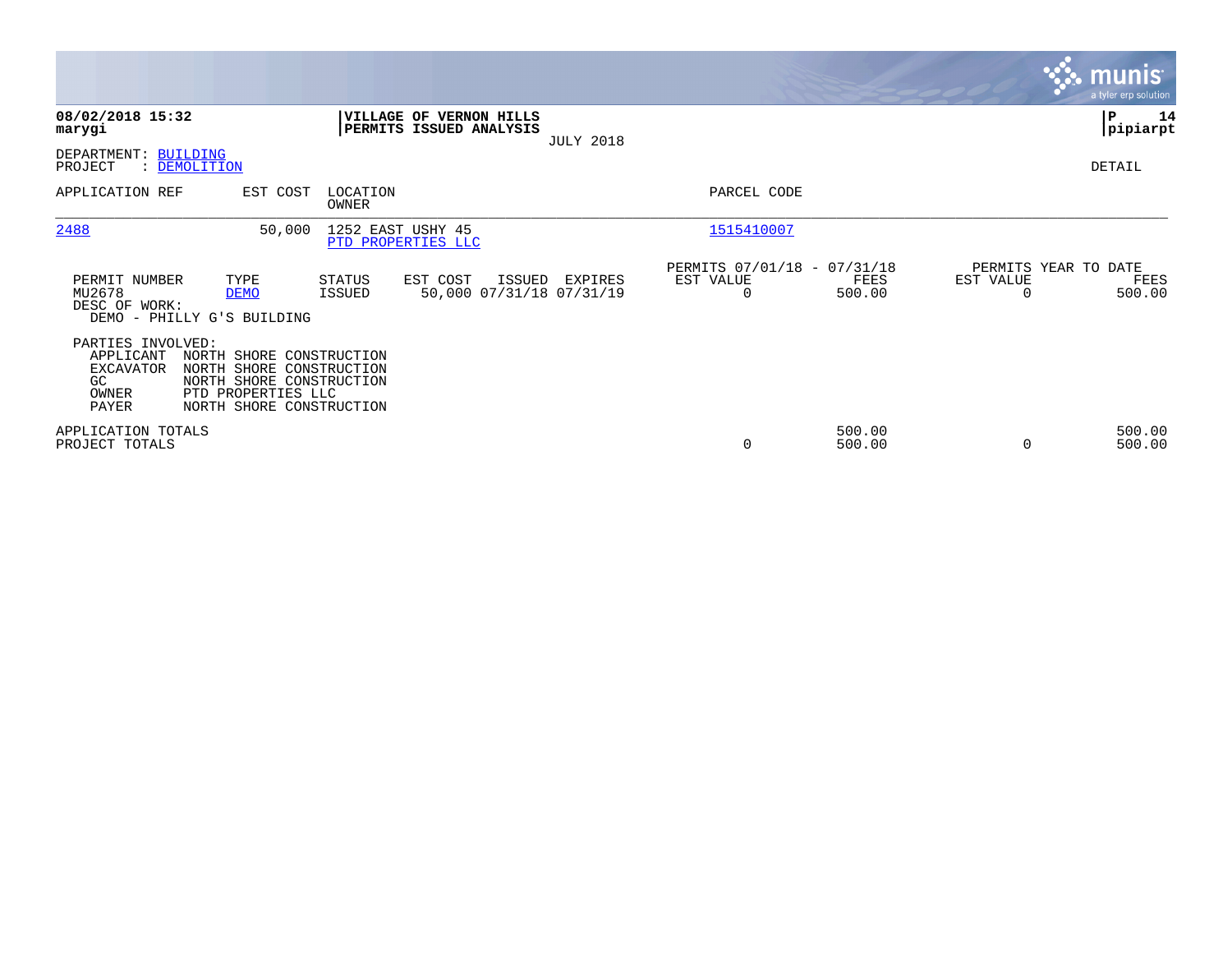|                                                                            |                                                                                                                                    |                   |                                                |                  |                                                         |                  |                                   | <b>munis</b><br>a tyler erp solution |
|----------------------------------------------------------------------------|------------------------------------------------------------------------------------------------------------------------------------|-------------------|------------------------------------------------|------------------|---------------------------------------------------------|------------------|-----------------------------------|--------------------------------------|
| 08/02/2018 15:32<br>marygi                                                 |                                                                                                                                    | <b>VILLAGE OF</b> | <b>VERNON HILLS</b><br>PERMITS ISSUED ANALYSIS | <b>JULY 2018</b> |                                                         |                  |                                   | ∣₽<br>14<br> pipiarpt                |
| DEPARTMENT: BUILDING<br>PROJECT                                            | : DEMOLITION                                                                                                                       |                   |                                                |                  |                                                         |                  |                                   | DETAIL                               |
| APPLICATION REF                                                            | EST COST                                                                                                                           | LOCATION<br>OWNER |                                                |                  | PARCEL CODE                                             |                  |                                   |                                      |
| 2488                                                                       | 50,000                                                                                                                             |                   | 1252 EAST USHY 45<br>PTD PROPERTIES LLC        |                  | 1515410007                                              |                  |                                   |                                      |
| PERMIT NUMBER<br>MU2678<br>DESC OF WORK:                                   | TYPE<br><b>DEMO</b><br>DEMO - PHILLY G'S BUILDING                                                                                  | STATUS<br>ISSUED  | EST COST<br>ISSUED<br>50,000 07/31/18 07/31/19 | EXPIRES          | PERMITS 07/01/18 - 07/31/18<br>EST VALUE<br>$\mathbf 0$ | FEES<br>500.00   | PERMITS YEAR TO DATE<br>EST VALUE | FEES<br>500.00                       |
| PARTIES INVOLVED:<br>APPLICANT<br><b>EXCAVATOR</b><br>GC<br>OWNER<br>PAYER | NORTH SHORE CONSTRUCTION<br>NORTH SHORE CONSTRUCTION<br>NORTH SHORE CONSTRUCTION<br>PTD PROPERTIES LLC<br>NORTH SHORE CONSTRUCTION |                   |                                                |                  |                                                         |                  |                                   |                                      |
| APPLICATION TOTALS<br>PROJECT TOTALS                                       |                                                                                                                                    |                   |                                                |                  | 0                                                       | 500.00<br>500.00 |                                   | 500.00<br>500.00                     |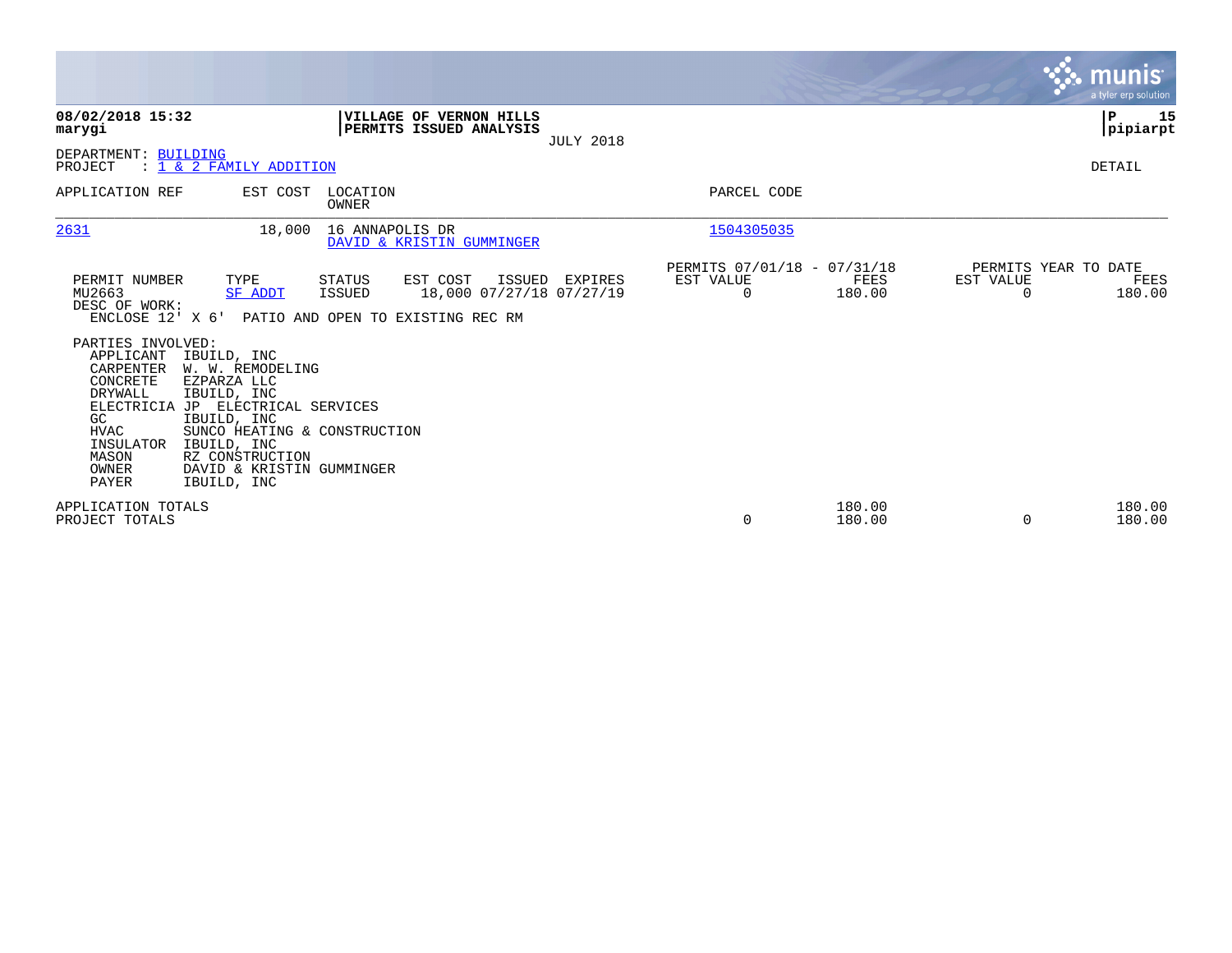|                                                                                                                                                                                                                                                                                                                                                                                     |                                                                                                                        |                                                                        | <b>munis</b><br>a tyler erp solution                |
|-------------------------------------------------------------------------------------------------------------------------------------------------------------------------------------------------------------------------------------------------------------------------------------------------------------------------------------------------------------------------------------|------------------------------------------------------------------------------------------------------------------------|------------------------------------------------------------------------|-----------------------------------------------------|
| 08/02/2018 15:32<br>marygi                                                                                                                                                                                                                                                                                                                                                          | <b>VILLAGE OF VERNON HILLS</b><br>PERMITS ISSUED ANALYSIS<br><b>JULY 2018</b>                                          |                                                                        | 15<br>P<br> pipiarpt                                |
| DEPARTMENT: BUILDING<br>: 1 & 2 FAMILY ADDITION<br>PROJECT                                                                                                                                                                                                                                                                                                                          |                                                                                                                        |                                                                        | DETAIL                                              |
| APPLICATION REF<br>EST COST                                                                                                                                                                                                                                                                                                                                                         | LOCATION<br>OWNER                                                                                                      | PARCEL CODE                                                            |                                                     |
| 2631<br>18,000                                                                                                                                                                                                                                                                                                                                                                      | 16 ANNAPOLIS DR<br>DAVID & KRISTIN GUMMINGER                                                                           | 1504305035                                                             |                                                     |
| TYPE<br>PERMIT NUMBER<br>MU2663<br><b>SF ADDT</b><br>DESC OF WORK:<br>ENCLOSE 12' X 6'                                                                                                                                                                                                                                                                                              | <b>STATUS</b><br>EST COST<br>ISSUED EXPIRES<br>18,000 07/27/18 07/27/19<br>ISSUED<br>PATIO AND OPEN TO EXISTING REC RM | PERMITS 07/01/18 - 07/31/18<br>EST VALUE<br>FEES<br>$\Omega$<br>180.00 | PERMITS YEAR TO DATE<br>EST VALUE<br>FEES<br>180.00 |
| PARTIES INVOLVED:<br>APPLICANT<br>IBUILD, INC<br>CARPENTER<br>W. W. REMODELING<br>CONCRETE<br>EZPARZA LLC<br><b>DRYWALL</b><br>IBUILD, INC<br>ELECTRICIA<br>JP ELECTRICAL SERVICES<br>GC<br>IBUILD, INC<br><b>HVAC</b><br>SUNCO HEATING & CONSTRUCTION<br>INSULATOR<br>IBUILD, INC<br>RZ CONSTRUCTION<br>MASON<br>OWNER<br>DAVID & KRISTIN GUMMINGER<br><b>PAYER</b><br>IBUILD, INC |                                                                                                                        |                                                                        |                                                     |
| APPLICATION TOTALS<br>PROJECT TOTALS                                                                                                                                                                                                                                                                                                                                                |                                                                                                                        | 180.00<br>0<br>180.00                                                  | 180.00<br>180.00<br>$\Omega$                        |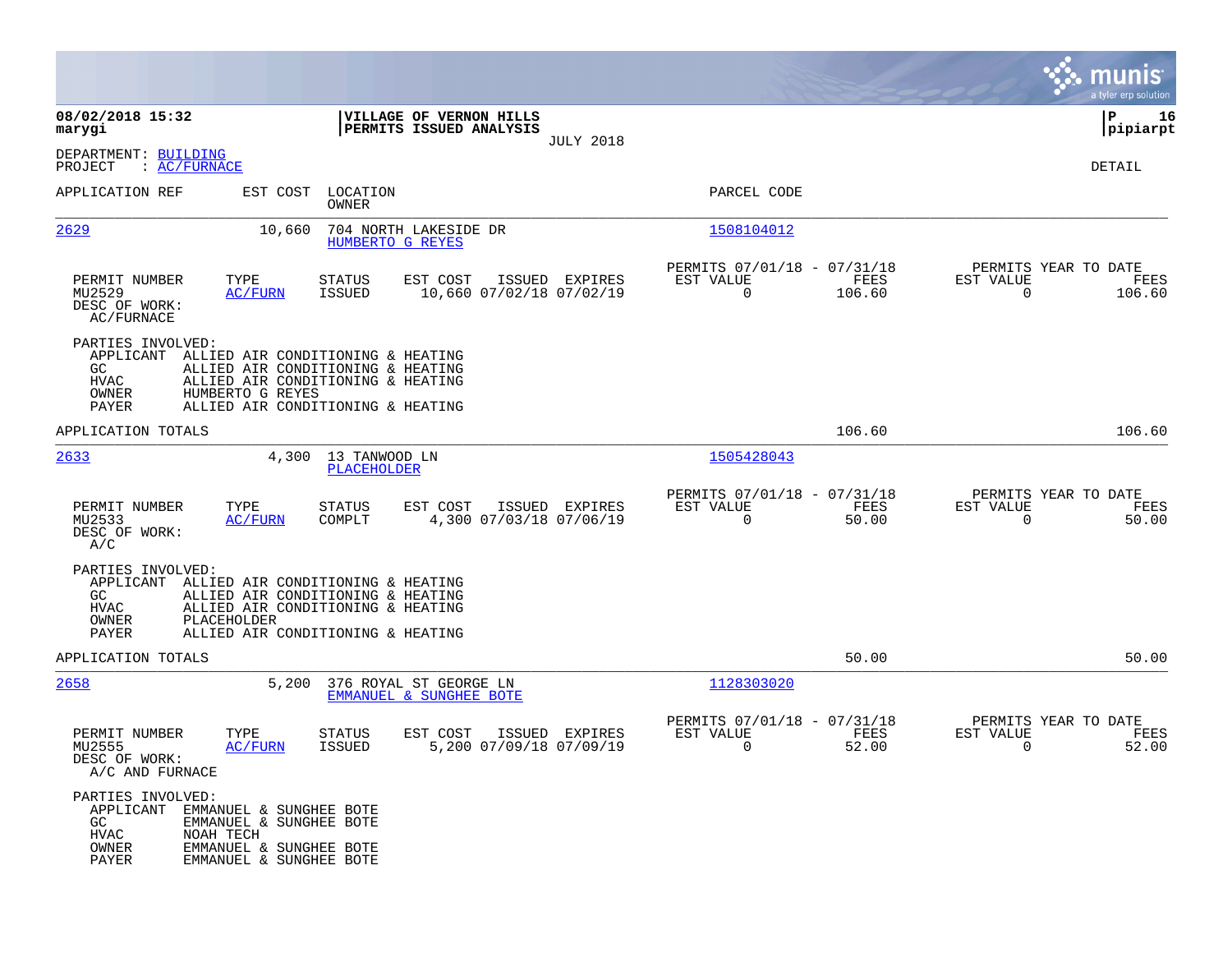|                                                                                                                                                                                         |                                                                                                                                                  |                                                                           | munis<br>a tyler erp solution                                   |
|-----------------------------------------------------------------------------------------------------------------------------------------------------------------------------------------|--------------------------------------------------------------------------------------------------------------------------------------------------|---------------------------------------------------------------------------|-----------------------------------------------------------------|
| 08/02/2018 15:32<br>marygi                                                                                                                                                              | VILLAGE OF VERNON HILLS<br>PERMITS ISSUED ANALYSIS<br><b>JULY 2018</b>                                                                           |                                                                           | 16<br>  P<br> pipiarpt                                          |
| DEPARTMENT: BUILDING<br>: AC/FURNACE<br>PROJECT                                                                                                                                         |                                                                                                                                                  |                                                                           | DETAIL                                                          |
| APPLICATION REF<br>EST COST                                                                                                                                                             | LOCATION<br>OWNER                                                                                                                                | PARCEL CODE                                                               |                                                                 |
| 2629<br>10,660                                                                                                                                                                          | 704 NORTH LAKESIDE DR<br>HUMBERTO G REYES                                                                                                        | 1508104012                                                                |                                                                 |
| TYPE<br>PERMIT NUMBER<br>MU2529<br>AC/FURN<br>DESC OF WORK:<br>AC/FURNACE                                                                                                               | ISSUED EXPIRES<br>STATUS<br>EST COST<br><b>ISSUED</b><br>10,660 07/02/18 07/02/19                                                                | PERMITS 07/01/18 - 07/31/18<br>FEES<br>EST VALUE<br>106.60<br>$\mathbf 0$ | PERMITS YEAR TO DATE<br>EST VALUE<br>FEES<br>$\Omega$<br>106.60 |
| PARTIES INVOLVED:<br>APPLICANT<br>GC.<br><b>HVAC</b><br>OWNER<br>HUMBERTO G REYES<br>PAYER                                                                                              | ALLIED AIR CONDITIONING & HEATING<br>ALLIED AIR CONDITIONING & HEATING<br>ALLIED AIR CONDITIONING & HEATING<br>ALLIED AIR CONDITIONING & HEATING |                                                                           |                                                                 |
| APPLICATION TOTALS                                                                                                                                                                      |                                                                                                                                                  | 106.60                                                                    | 106.60                                                          |
| 2633<br>4,300                                                                                                                                                                           | 13 TANWOOD LN<br>PLACEHOLDER                                                                                                                     | 1505428043                                                                |                                                                 |
| TYPE<br>PERMIT NUMBER<br>MU2533<br><b>AC/FURN</b><br>DESC OF WORK:<br>A/C                                                                                                               | STATUS<br>EST COST<br>ISSUED EXPIRES<br>COMPLT<br>4,300 07/03/18 07/06/19                                                                        | PERMITS 07/01/18 - 07/31/18<br>EST VALUE<br>FEES<br>$\mathbf 0$<br>50.00  | PERMITS YEAR TO DATE<br>EST VALUE<br>FEES<br>$\Omega$<br>50.00  |
| PARTIES INVOLVED:<br>APPLICANT<br>GC<br>HVAC<br>OWNER<br>PLACEHOLDER<br>PAYER                                                                                                           | ALLIED AIR CONDITIONING & HEATING<br>ALLIED AIR CONDITIONING & HEATING<br>ALLIED AIR CONDITIONING & HEATING<br>ALLIED AIR CONDITIONING & HEATING |                                                                           |                                                                 |
| APPLICATION TOTALS                                                                                                                                                                      |                                                                                                                                                  | 50.00                                                                     | 50.00                                                           |
| 2658<br>5,200                                                                                                                                                                           | 376 ROYAL ST GEORGE LN<br>EMMANUEL & SUNGHEE BOTE                                                                                                | 1128303020                                                                |                                                                 |
| PERMIT NUMBER<br>TYPE<br>MU2555<br><b>AC/FURN</b><br>DESC OF WORK:<br>A/C AND FURNACE                                                                                                   | STATUS<br>EST COST<br>ISSUED EXPIRES<br>5,200 07/09/18 07/09/19<br>ISSUED                                                                        | PERMITS 07/01/18 - 07/31/18<br>EST VALUE<br>FEES<br>52.00<br>0            | PERMITS YEAR TO DATE<br>EST VALUE<br>FEES<br>0<br>52.00         |
| PARTIES INVOLVED:<br>EMMANUEL & SUNGHEE BOTE<br>APPLICANT<br>GC<br>EMMANUEL & SUNGHEE BOTE<br>HVAC<br>NOAH TECH<br>EMMANUEL & SUNGHEE BOTE<br>OWNER<br>PAYER<br>EMMANUEL & SUNGHEE BOTE |                                                                                                                                                  |                                                                           |                                                                 |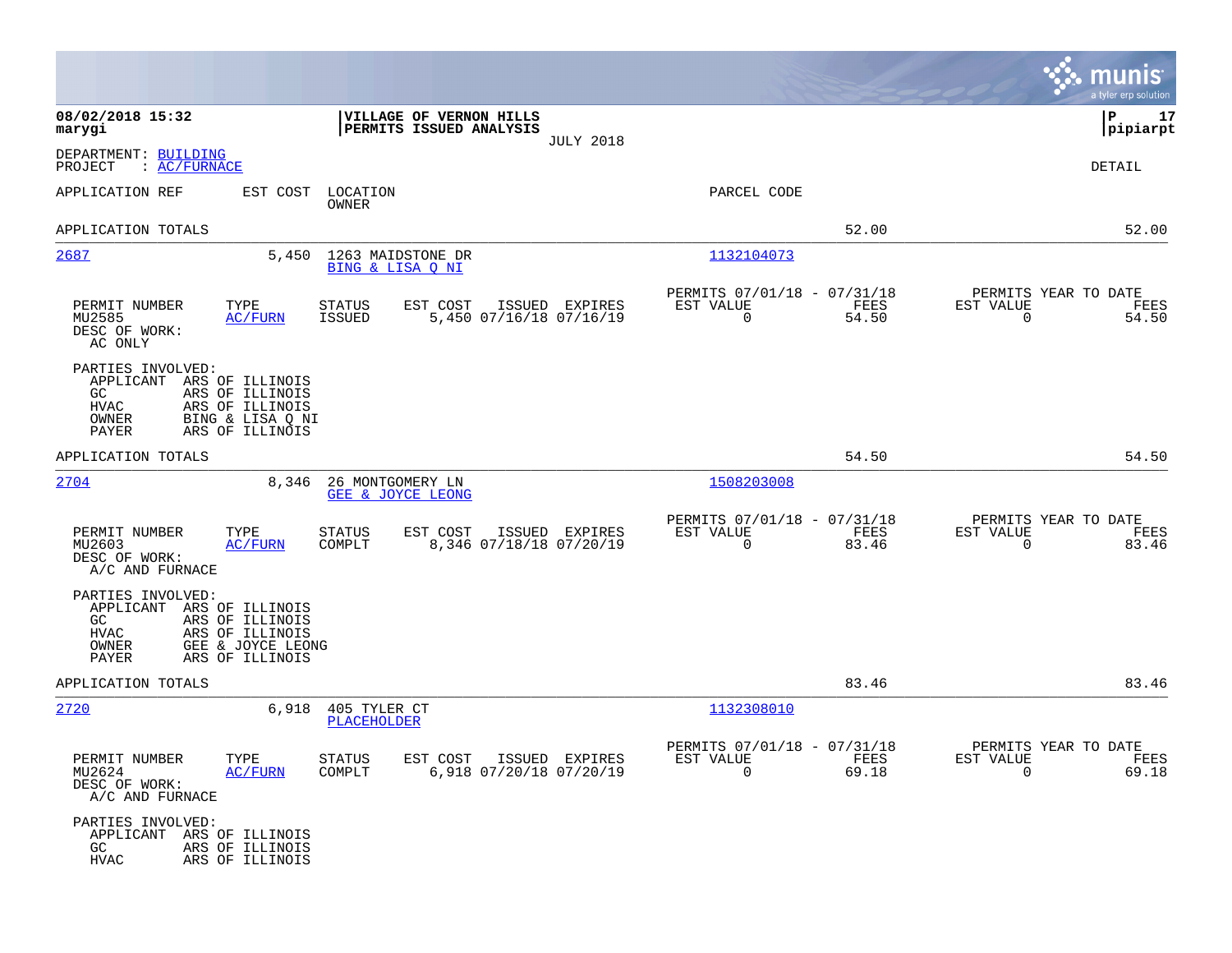|                                                                       |                                                                                               |                                       |                                                    |                  |                                                         |               |                                                  | munis<br>a tyler erp solution |
|-----------------------------------------------------------------------|-----------------------------------------------------------------------------------------------|---------------------------------------|----------------------------------------------------|------------------|---------------------------------------------------------|---------------|--------------------------------------------------|-------------------------------|
| 08/02/2018 15:32<br>marygi                                            |                                                                                               |                                       | VILLAGE OF VERNON HILLS<br>PERMITS ISSUED ANALYSIS | <b>JULY 2018</b> |                                                         |               |                                                  | 17<br>P<br> pipiarpt          |
| DEPARTMENT: BUILDING<br>PROJECT<br>$\colon$ AC/FURNACE                |                                                                                               |                                       |                                                    |                  |                                                         |               |                                                  | DETAIL                        |
| APPLICATION REF                                                       | EST COST                                                                                      | LOCATION<br>OWNER                     |                                                    |                  | PARCEL CODE                                             |               |                                                  |                               |
| APPLICATION TOTALS                                                    |                                                                                               |                                       |                                                    |                  |                                                         | 52.00         |                                                  | 52.00                         |
| 2687                                                                  | 5,450                                                                                         | 1263 MAIDSTONE DR<br>BING & LISA O NI |                                                    |                  | 1132104073                                              |               |                                                  |                               |
| PERMIT NUMBER<br>MU2585<br>DESC OF WORK:<br>AC ONLY                   | TYPE<br>AC/FURN                                                                               | <b>STATUS</b><br><b>ISSUED</b>        | EST COST<br>5,450 07/16/18 07/16/19                | ISSUED EXPIRES   | PERMITS 07/01/18 - 07/31/18<br>EST VALUE<br>0           | FEES<br>54.50 | PERMITS YEAR TO DATE<br>EST VALUE<br>$\mathbf 0$ | FEES<br>54.50                 |
| PARTIES INVOLVED:<br>APPLICANT<br>GC<br><b>HVAC</b><br>OWNER<br>PAYER | ARS OF ILLINOIS<br>ARS OF ILLINOIS<br>ARS OF ILLINOIS<br>BING & LISA O NI<br>ARS OF ILLINOIS  |                                       |                                                    |                  |                                                         |               |                                                  |                               |
| APPLICATION TOTALS                                                    |                                                                                               |                                       |                                                    |                  |                                                         | 54.50         |                                                  | 54.50                         |
| 2704                                                                  | 8,346                                                                                         | 26 MONTGOMERY LN<br>GEE & JOYCE LEONG |                                                    |                  | 1508203008                                              |               |                                                  |                               |
| PERMIT NUMBER<br>MU2603<br>DESC OF WORK:<br>A/C AND FURNACE           | TYPE<br>AC/FURN                                                                               | <b>STATUS</b><br>COMPLT               | EST COST<br>8,346 07/18/18 07/20/19                | ISSUED EXPIRES   | PERMITS 07/01/18 - 07/31/18<br>EST VALUE<br>$\mathbf 0$ | FEES<br>83.46 | PERMITS YEAR TO DATE<br>EST VALUE<br>$\mathbf 0$ | FEES<br>83.46                 |
| PARTIES INVOLVED:<br>APPLICANT<br>GC<br>HVAC<br>OWNER<br>PAYER        | ARS OF ILLINOIS<br>ARS OF ILLINOIS<br>ARS OF ILLINOIS<br>GEE & JOYCE LEONG<br>ARS OF ILLINOIS |                                       |                                                    |                  |                                                         |               |                                                  |                               |
| APPLICATION TOTALS                                                    |                                                                                               |                                       |                                                    |                  |                                                         | 83.46         |                                                  | 83.46                         |
| 2720                                                                  | 6,918                                                                                         | 405 TYLER CT<br>PLACEHOLDER           |                                                    |                  | 1132308010                                              |               |                                                  |                               |
| PERMIT NUMBER<br>MU2624<br>DESC OF WORK:<br>A/C AND FURNACE           | TYPE<br><b>AC/FURN</b>                                                                        | STATUS<br>COMPLT                      | EST COST ISSUED EXPIRES<br>6,918 07/20/18 07/20/19 |                  | PERMITS 07/01/18 - 07/31/18<br>EST VALUE<br>$\Omega$    | FEES<br>69.18 | PERMITS YEAR TO DATE<br>EST VALUE<br>$\Omega$    | FEES<br>69.18                 |
| PARTIES INVOLVED:<br>APPLICANT ARS OF ILLINOIS<br>GC<br><b>HVAC</b>   | ARS OF ILLINOIS<br>ARS OF ILLINOIS                                                            |                                       |                                                    |                  |                                                         |               |                                                  |                               |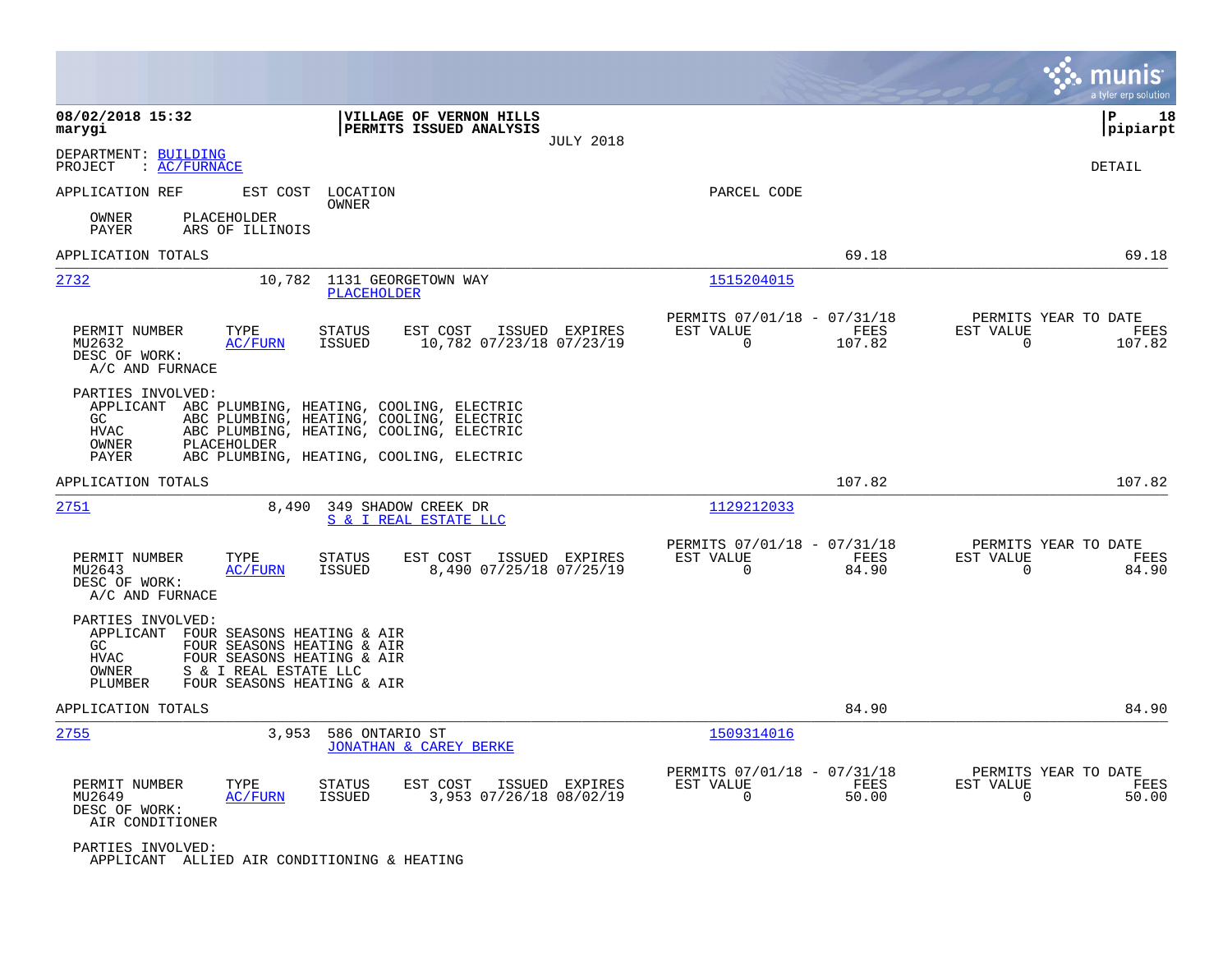|                                                                                                                                                                                                                                                            | munis<br>a tyler erp solution                                                                                                              |
|------------------------------------------------------------------------------------------------------------------------------------------------------------------------------------------------------------------------------------------------------------|--------------------------------------------------------------------------------------------------------------------------------------------|
| 08/02/2018 15:32<br><b> VILLAGE OF VERNON HILLS</b><br>marygi<br><b>PERMITS ISSUED ANALYSIS</b><br><b>JULY 2018</b>                                                                                                                                        | P<br>18<br> pipiarpt                                                                                                                       |
| DEPARTMENT: BUILDING<br>PROJECT<br>: <u>AC/FURNACE</u>                                                                                                                                                                                                     | DETAIL                                                                                                                                     |
| APPLICATION REF<br>EST COST LOCATION<br>OWNER                                                                                                                                                                                                              | PARCEL CODE                                                                                                                                |
| PLACEHOLDER<br>OWNER<br>PAYER<br>ARS OF ILLINOIS                                                                                                                                                                                                           |                                                                                                                                            |
| APPLICATION TOTALS                                                                                                                                                                                                                                         | 69.18<br>69.18                                                                                                                             |
| <u> 2732</u><br>10,782<br>1131 GEORGETOWN WAY<br>PLACEHOLDER                                                                                                                                                                                               | 1515204015                                                                                                                                 |
| EST COST<br>ISSUED EXPIRES<br>PERMIT NUMBER<br>TYPE<br>STATUS<br>10,782 07/23/18 07/23/19<br>MU2632<br><b>AC/FURN</b><br><b>ISSUED</b><br>DESC OF WORK:<br>A/C AND FURNACE                                                                                 | PERMITS 07/01/18 - 07/31/18<br>PERMITS YEAR TO DATE<br>EST VALUE<br>EST VALUE<br>FEES<br>FEES<br>$\Omega$<br>107.82<br>$\Omega$<br>107.82  |
| PARTIES INVOLVED:<br>APPLICANT ABC PLUMBING, HEATING, COOLING, ELECTRIC<br>GC<br>ABC PLUMBING, HEATING, COOLING, ELECTRIC<br>ABC PLUMBING, HEATING, COOLING, ELECTRIC<br>HVAC<br>OWNER<br>PLACEHOLDER<br>PAYER<br>ABC PLUMBING, HEATING, COOLING, ELECTRIC |                                                                                                                                            |
| APPLICATION TOTALS                                                                                                                                                                                                                                         | 107.82<br>107.82                                                                                                                           |
| <u> 2751</u><br>8,490<br>349 SHADOW CREEK DR<br>S & I REAL ESTATE LLC                                                                                                                                                                                      | 1129212033                                                                                                                                 |
| TYPE<br>ISSUED EXPIRES<br>PERMIT NUMBER<br><b>STATUS</b><br>EST COST<br>8,490 07/25/18 07/25/19<br>MU2643<br><b>AC/FURN</b><br><b>ISSUED</b><br>DESC OF WORK:<br>A/C AND FURNACE                                                                           | PERMITS 07/01/18 - 07/31/18<br>PERMITS YEAR TO DATE<br>EST VALUE<br>EST VALUE<br>FEES<br>FEES<br>$\Omega$<br>84.90<br>$\Omega$<br>84.90    |
| PARTIES INVOLVED:<br>APPLICANT<br>FOUR SEASONS HEATING & AIR<br>GC<br>FOUR SEASONS HEATING & AIR<br>HVAC<br>FOUR SEASONS HEATING & AIR<br>OWNER<br>S & I REAL ESTATE LLC<br>PLUMBER<br>FOUR SEASONS HEATING & AIR                                          |                                                                                                                                            |
| APPLICATION TOTALS                                                                                                                                                                                                                                         | 84.90<br>84.90                                                                                                                             |
| <u> 2755</u><br>3,953<br>586 ONTARIO ST<br><b>JONATHAN &amp; CAREY BERKE</b>                                                                                                                                                                               | 1509314016                                                                                                                                 |
| PERMIT NUMBER<br>TYPE<br><b>STATUS</b><br>EST COST<br>ISSUED EXPIRES<br>3,953 07/26/18 08/02/19<br>MU2649<br><b>AC/FURN</b><br><b>ISSUED</b><br>DESC OF WORK:<br>AIR CONDITIONER                                                                           | PERMITS 07/01/18 - 07/31/18<br>PERMITS YEAR TO DATE<br>EST VALUE<br>FEES<br>EST VALUE<br>FEES<br>$\mathbf 0$<br>50.00<br>$\Omega$<br>50.00 |
| PARTIES INVOLVED:<br>APPLICANT ALLIED AIR CONDITIONING & HEATING                                                                                                                                                                                           |                                                                                                                                            |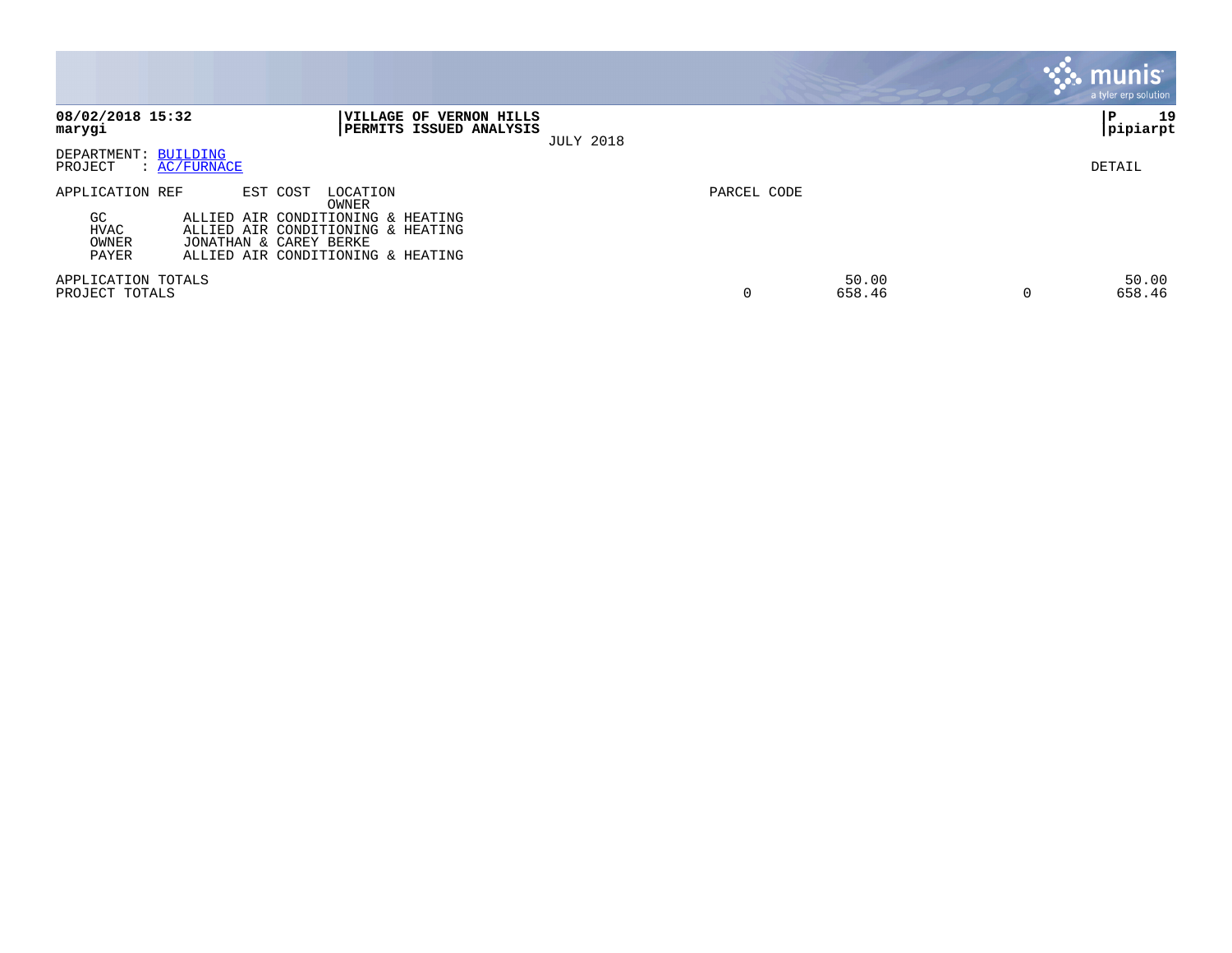|                                                        |                                                                                                                                       |                   |                                                       |                  |             |                 |   | munis <sup>1</sup><br>a tyler erp solution |
|--------------------------------------------------------|---------------------------------------------------------------------------------------------------------------------------------------|-------------------|-------------------------------------------------------|------------------|-------------|-----------------|---|--------------------------------------------|
| 08/02/2018 15:32<br>marygi                             |                                                                                                                                       | <b>VILLAGE OF</b> | <b>VERNON HILLS</b><br><b>PERMITS ISSUED ANALYSIS</b> | <b>JULY 2018</b> |             |                 |   | 19<br>  P<br> pipiarpt                     |
| DEPARTMENT: BUILDING<br>$\colon$ AC/FURNACE<br>PROJECT |                                                                                                                                       |                   |                                                       |                  |             |                 |   | DETAIL                                     |
| APPLICATION REF                                        | EST COST                                                                                                                              | LOCATION<br>OWNER |                                                       |                  | PARCEL CODE |                 |   |                                            |
| GC.<br>HVAC<br>OWNER<br>PAYER                          | ALLIED AIR CONDITIONING & HEATING<br>ALLIED AIR CONDITIONING & HEATING<br>JONATHAN & CAREY BERKE<br>ALLIED AIR CONDITIONING & HEATING |                   |                                                       |                  |             |                 |   |                                            |
| APPLICATION TOTALS<br>PROJECT TOTALS                   |                                                                                                                                       |                   |                                                       |                  | 0           | 50.00<br>658.46 | 0 | 50.00<br>658.46                            |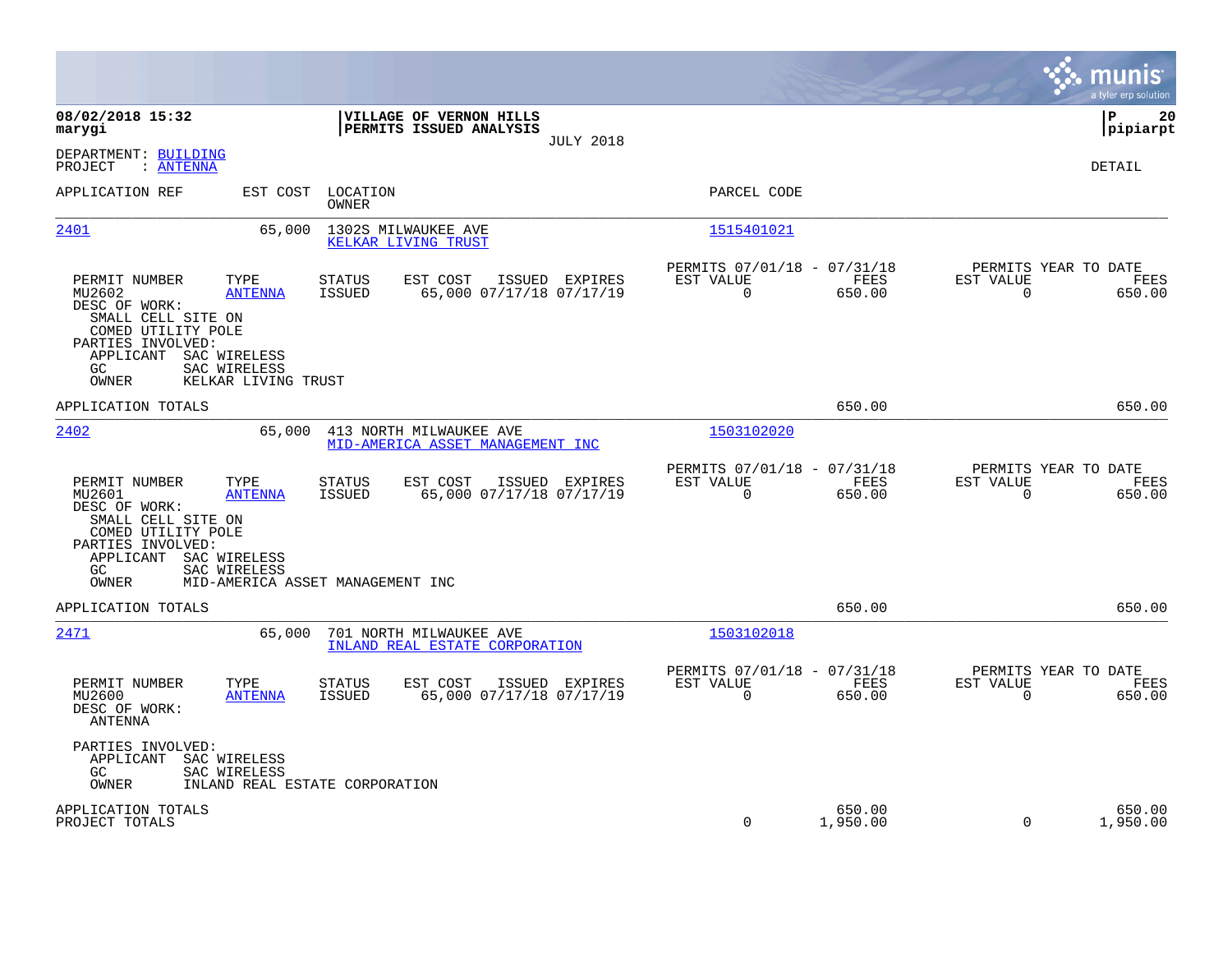|                                                                                                                                                                                                                        |                                                                                          |                                                         |                    |                                        | munis<br>a tyler erp solution |
|------------------------------------------------------------------------------------------------------------------------------------------------------------------------------------------------------------------------|------------------------------------------------------------------------------------------|---------------------------------------------------------|--------------------|----------------------------------------|-------------------------------|
| 08/02/2018 15:32<br>marygi                                                                                                                                                                                             | VILLAGE OF VERNON HILLS<br>PERMITS ISSUED ANALYSIS<br><b>JULY 2018</b>                   |                                                         |                    |                                        | P<br>20<br> pipiarpt          |
| DEPARTMENT: BUILDING<br>PROJECT<br>: ANTENNA                                                                                                                                                                           |                                                                                          |                                                         |                    |                                        | <b>DETAIL</b>                 |
| APPLICATION REF<br>EST COST                                                                                                                                                                                            | LOCATION<br>OWNER                                                                        | PARCEL CODE                                             |                    |                                        |                               |
| 2401<br>65,000                                                                                                                                                                                                         | 1302S MILWAUKEE AVE<br>KELKAR LIVING TRUST                                               | 1515401021                                              |                    |                                        |                               |
| TYPE<br>PERMIT NUMBER<br>MU2602<br><b>ANTENNA</b><br>DESC OF WORK:<br>SMALL CELL SITE ON<br>COMED UTILITY POLE<br>PARTIES INVOLVED:<br>APPLICANT<br>SAC WIRELESS<br>GC<br>SAC WIRELESS<br>OWNER<br>KELKAR LIVING TRUST | EST COST<br>ISSUED EXPIRES<br><b>STATUS</b><br><b>ISSUED</b><br>65,000 07/17/18 07/17/19 | PERMITS 07/01/18 - 07/31/18<br>EST VALUE<br>$\mathbf 0$ | FEES<br>650.00     | PERMITS YEAR TO DATE<br>EST VALUE<br>0 | FEES<br>650.00                |
| APPLICATION TOTALS                                                                                                                                                                                                     |                                                                                          |                                                         | 650.00             |                                        | 650.00                        |
| 2402<br>65,000                                                                                                                                                                                                         | 413 NORTH MILWAUKEE AVE<br>MID-AMERICA ASSET MANAGEMENT INC                              | 1503102020                                              |                    |                                        |                               |
| PERMIT NUMBER<br>TYPE<br>MU2601<br><b>ANTENNA</b><br>DESC OF WORK:<br>SMALL CELL SITE ON<br>COMED UTILITY POLE<br>PARTIES INVOLVED:<br>APPLICANT<br>SAC WIRELESS<br>GC<br>SAC WIRELESS                                 | STATUS<br>EST COST<br>ISSUED EXPIRES<br>ISSUED<br>65,000 07/17/18 07/17/19               | PERMITS 07/01/18 - 07/31/18<br>EST VALUE<br>0           | FEES<br>650.00     | PERMITS YEAR TO DATE<br>EST VALUE<br>0 | FEES<br>650.00                |
| OWNER<br>MID-AMERICA ASSET MANAGEMENT INC<br>APPLICATION TOTALS                                                                                                                                                        |                                                                                          |                                                         | 650.00             |                                        | 650.00                        |
| 2471<br>65,000                                                                                                                                                                                                         | 701 NORTH MILWAUKEE AVE<br>INLAND REAL ESTATE CORPORATION                                | 1503102018                                              |                    |                                        |                               |
| TYPE<br>PERMIT NUMBER<br>MU2600<br><b>ANTENNA</b><br>DESC OF WORK:<br>ANTENNA                                                                                                                                          | STATUS<br>EST COST<br>ISSUED EXPIRES<br>ISSUED<br>65,000 07/17/18 07/17/19               | PERMITS 07/01/18 - 07/31/18<br>EST VALUE<br>$\Omega$    | FEES<br>650.00     | PERMITS YEAR TO DATE<br>EST VALUE<br>0 | FEES<br>650.00                |
| PARTIES INVOLVED:<br>APPLICANT<br>SAC WIRELESS<br>GC<br>SAC WIRELESS<br>OWNER<br>INLAND REAL ESTATE CORPORATION                                                                                                        |                                                                                          |                                                         |                    |                                        |                               |
| APPLICATION TOTALS<br>PROJECT TOTALS                                                                                                                                                                                   |                                                                                          | $\Omega$                                                | 650.00<br>1,950.00 | $\Omega$                               | 650.00<br>1,950.00            |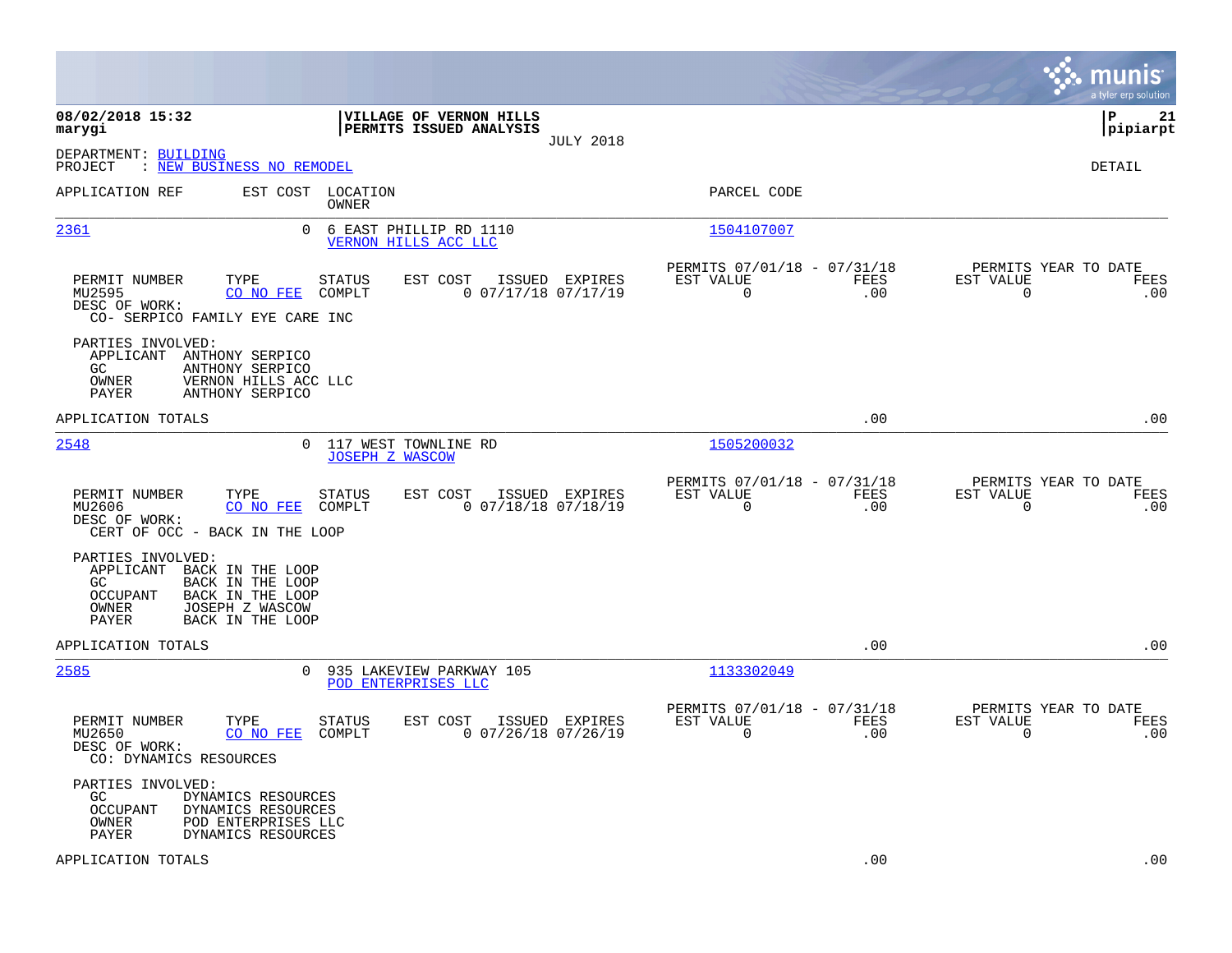|                                                                                                                                                                              |                                                                                    |                                                                        | munis<br>a tyler erp solution                                   |
|------------------------------------------------------------------------------------------------------------------------------------------------------------------------------|------------------------------------------------------------------------------------|------------------------------------------------------------------------|-----------------------------------------------------------------|
| 08/02/2018 15:32<br>marygi                                                                                                                                                   | VILLAGE OF VERNON HILLS<br>PERMITS ISSUED ANALYSIS<br><b>JULY 2018</b>             |                                                                        | lР<br>21<br> pipiarpt                                           |
| DEPARTMENT: BUILDING<br>PROJECT<br>: NEW BUSINESS NO REMODEL                                                                                                                 |                                                                                    |                                                                        | <b>DETAIL</b>                                                   |
| APPLICATION REF                                                                                                                                                              | EST COST LOCATION<br>OWNER                                                         | PARCEL CODE                                                            |                                                                 |
| 2361                                                                                                                                                                         | $\Omega$<br>6 EAST PHILLIP RD 1110<br>VERNON HILLS ACC LLC                         | 1504107007                                                             |                                                                 |
| TYPE<br>PERMIT NUMBER<br>MU2595<br>CO NO FEE<br>DESC OF WORK:<br>CO- SERPICO FAMILY EYE CARE INC                                                                             | EST COST<br>ISSUED EXPIRES<br><b>STATUS</b><br>COMPLT<br>$0$ 07/17/18 07/17/19     | PERMITS 07/01/18 - 07/31/18<br>EST VALUE<br>FEES<br>$\mathbf 0$<br>.00 | PERMITS YEAR TO DATE<br>EST VALUE<br>FEES<br>$\mathbf 0$<br>.00 |
| PARTIES INVOLVED:<br>APPLICANT ANTHONY SERPICO<br>GC.<br>ANTHONY SERPICO<br>OWNER<br>VERNON HILLS ACC LLC<br>PAYER<br>ANTHONY SERPICO                                        |                                                                                    |                                                                        |                                                                 |
| APPLICATION TOTALS                                                                                                                                                           |                                                                                    | .00                                                                    | .00                                                             |
| 2548                                                                                                                                                                         | 0<br>117 WEST TOWNLINE RD<br><b>JOSEPH Z WASCOW</b>                                | 1505200032                                                             |                                                                 |
| PERMIT NUMBER<br>TYPE<br>MU2606<br>CO NO FEE<br>DESC OF WORK:<br>CERT OF OCC - BACK IN THE LOOP                                                                              | <b>STATUS</b><br>EST COST<br>ISSUED EXPIRES<br>COMPLT<br>$0$ $07/18/18$ $07/18/19$ | PERMITS 07/01/18 - 07/31/18<br>EST VALUE<br>FEES<br>$\Omega$<br>.00    | PERMITS YEAR TO DATE<br>EST VALUE<br>FEES<br>$\mathbf 0$<br>.00 |
| PARTIES INVOLVED:<br>APPLICANT<br>BACK IN THE LOOP<br>GC<br>BACK IN THE LOOP<br><b>OCCUPANT</b><br>BACK IN THE LOOP<br>OWNER<br>JOSEPH Z WASCOW<br>BACK IN THE LOOP<br>PAYER |                                                                                    |                                                                        |                                                                 |
| APPLICATION TOTALS                                                                                                                                                           |                                                                                    | .00                                                                    | .00                                                             |
| 2585                                                                                                                                                                         | $\Omega$<br>935 LAKEVIEW PARKWAY 105<br>POD ENTERPRISES LLC                        | 1133302049                                                             |                                                                 |
| PERMIT NUMBER<br>TYPE<br>CO NO FEE<br>MU2650<br>DESC OF WORK:<br>CO: DYNAMICS RESOURCES                                                                                      | STATUS<br>EST COST<br>ISSUED EXPIRES<br>COMPLT<br>$0$ 07/26/18 07/26/19            | PERMITS 07/01/18 - 07/31/18<br>EST VALUE<br>FEES<br>$\mathbf 0$<br>.00 | PERMITS YEAR TO DATE<br>EST VALUE<br>FEES<br>$\mathbf 0$<br>.00 |
| PARTIES INVOLVED:<br>GC<br>DYNAMICS RESOURCES<br>OCCUPANT<br>DYNAMICS RESOURCES<br>POD ENTERPRISES LLC<br>OWNER<br>PAYER<br>DYNAMICS RESOURCES                               |                                                                                    |                                                                        |                                                                 |
| APPLICATION TOTALS                                                                                                                                                           |                                                                                    | .00                                                                    | .00                                                             |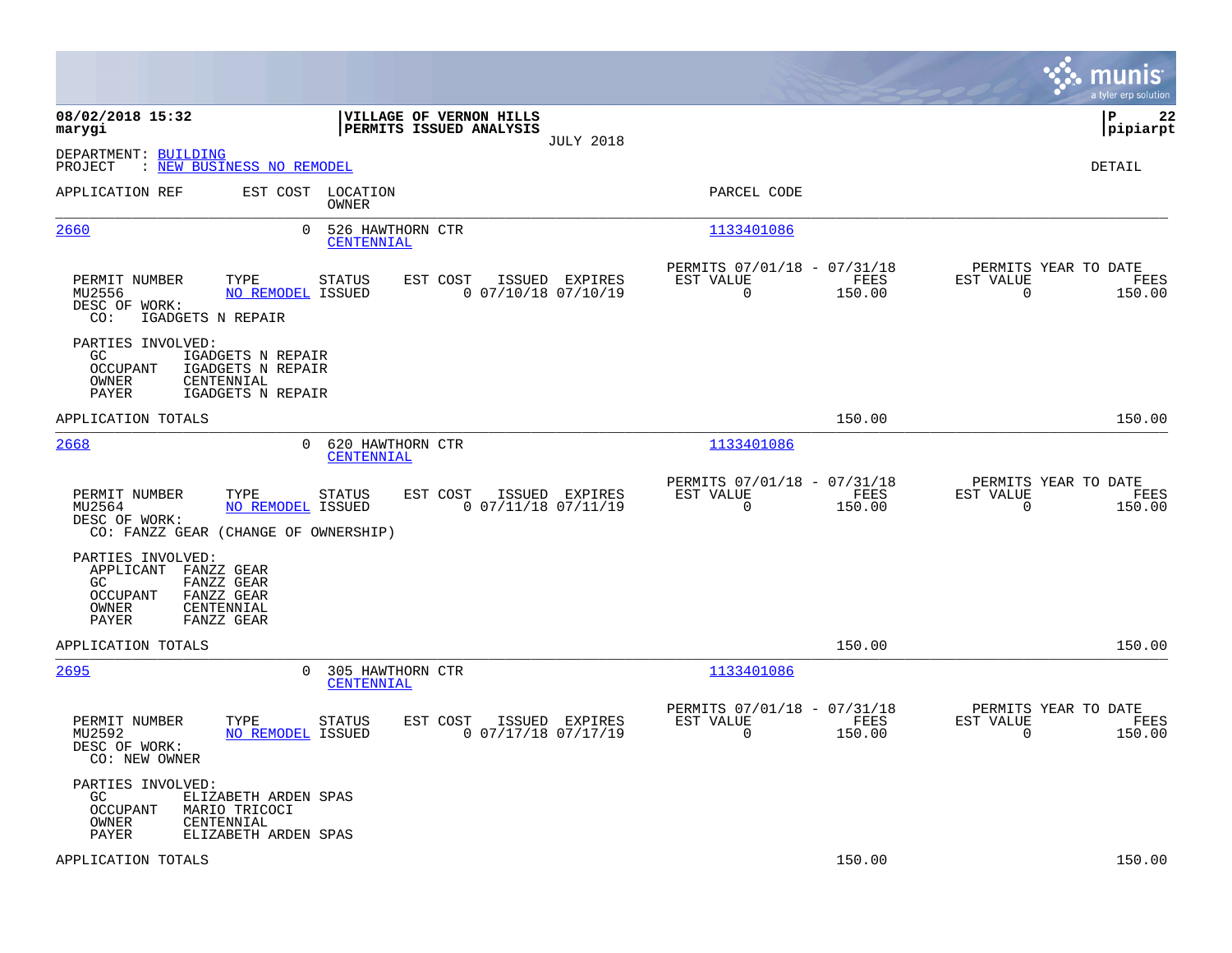|                                                                                                                                                 |                                                                                               |                                                                        | munis<br>a tyler erp solution                                      |
|-------------------------------------------------------------------------------------------------------------------------------------------------|-----------------------------------------------------------------------------------------------|------------------------------------------------------------------------|--------------------------------------------------------------------|
| 08/02/2018 15:32<br>marygi                                                                                                                      | VILLAGE OF VERNON HILLS<br>PERMITS ISSUED ANALYSIS<br><b>JULY 2018</b>                        |                                                                        | 22<br>l P<br> pipiarpt                                             |
| DEPARTMENT: BUILDING<br>: NEW BUSINESS NO REMODEL<br>PROJECT                                                                                    |                                                                                               |                                                                        | DETAIL                                                             |
| APPLICATION REF                                                                                                                                 | EST COST LOCATION<br>OWNER                                                                    | PARCEL CODE                                                            |                                                                    |
| 2660                                                                                                                                            | $\Omega$<br>526 HAWTHORN CTR<br>CENTENNIAL                                                    | 1133401086                                                             |                                                                    |
| TYPE<br>PERMIT NUMBER<br>MU2556<br>DESC OF WORK:<br>CO:<br>IGADGETS N REPAIR                                                                    | EST COST<br>ISSUED EXPIRES<br>STATUS<br>$0$ 07/10/18 07/10/19<br><b>NO REMODEL ISSUED</b>     | PERMITS 07/01/18 - 07/31/18<br>EST VALUE<br>FEES<br>$\Omega$<br>150.00 | PERMITS YEAR TO DATE<br>EST VALUE<br>FEES<br>$\Omega$<br>150.00    |
| PARTIES INVOLVED:<br>IGADGETS N REPAIR<br>GC<br><b>OCCUPANT</b><br>IGADGETS N REPAIR<br>OWNER<br>CENTENNIAL<br>PAYER<br>IGADGETS N REPAIR       |                                                                                               |                                                                        |                                                                    |
| APPLICATION TOTALS                                                                                                                              |                                                                                               | 150.00                                                                 | 150.00                                                             |
| 2668                                                                                                                                            | 620 HAWTHORN CTR<br>$\Omega$<br>CENTENNIAL                                                    | 1133401086                                                             |                                                                    |
| PERMIT NUMBER<br>TYPE<br>MU2564<br>DESC OF WORK:<br>CO: FANZZ GEAR (CHANGE OF OWNERSHIP)                                                        | STATUS<br>EST COST<br>ISSUED EXPIRES<br>NO REMODEL ISSUED<br>$0$ $07/11/18$ $07/11/19$        | PERMITS 07/01/18 - 07/31/18<br>EST VALUE<br>FEES<br>$\Omega$<br>150.00 | PERMITS YEAR TO DATE<br>EST VALUE<br>FEES<br>$\Omega$<br>150.00    |
| PARTIES INVOLVED:<br>APPLICANT<br>FANZZ GEAR<br>FANZZ GEAR<br>GC<br><b>OCCUPANT</b><br>FANZZ GEAR<br>OWNER<br>CENTENNIAL<br>PAYER<br>FANZZ GEAR |                                                                                               |                                                                        |                                                                    |
| APPLICATION TOTALS                                                                                                                              |                                                                                               | 150.00                                                                 | 150.00                                                             |
| 2695                                                                                                                                            | $\Omega$<br>305 HAWTHORN CTR<br>CENTENNIAL                                                    | 1133401086                                                             |                                                                    |
| PERMIT NUMBER<br>TYPE<br>MU2592<br>DESC OF WORK:<br>CO: NEW OWNER                                                                               | <b>STATUS</b><br>EST COST<br>ISSUED EXPIRES<br>$0$ $07/17/18$ $07/17/19$<br>NO REMODEL ISSUED | PERMITS 07/01/18 - 07/31/18<br>EST VALUE<br>FEES<br>$\Omega$<br>150.00 | PERMITS YEAR TO DATE<br>EST VALUE<br>FEES<br>$\mathbf 0$<br>150.00 |
| PARTIES INVOLVED:<br>GC.<br>ELIZABETH ARDEN SPAS<br><b>OCCUPANT</b><br>MARIO TRICOCI<br>OWNER<br>CENTENNIAL<br>PAYER<br>ELIZABETH ARDEN SPAS    |                                                                                               |                                                                        |                                                                    |
| APPLICATION TOTALS                                                                                                                              |                                                                                               | 150.00                                                                 | 150.00                                                             |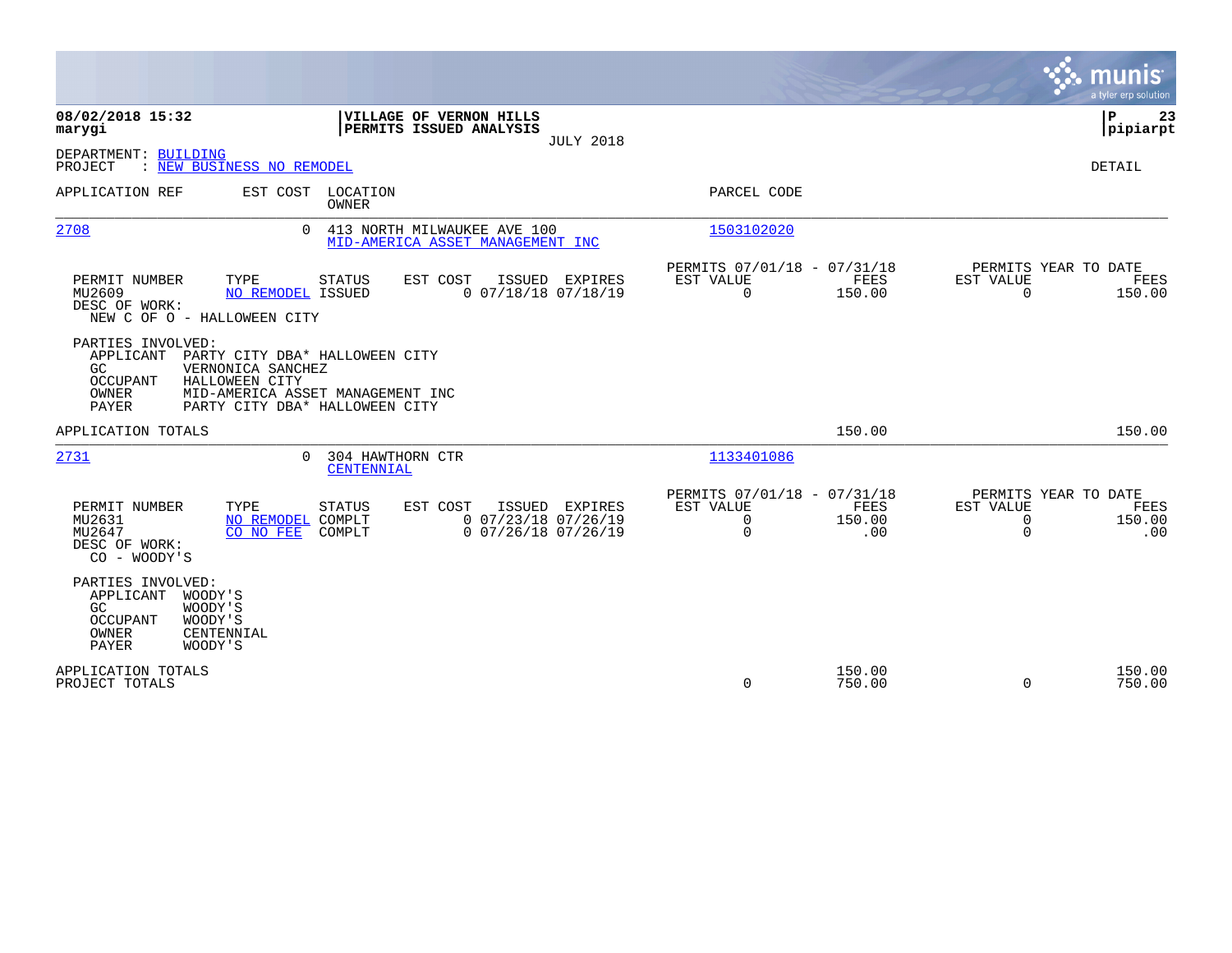|                                                                                                                                                                                                                                         |                                                                                              | munis<br>a tyler erp solution                                                      |
|-----------------------------------------------------------------------------------------------------------------------------------------------------------------------------------------------------------------------------------------|----------------------------------------------------------------------------------------------|------------------------------------------------------------------------------------|
| 08/02/2018 15:32<br>VILLAGE OF VERNON HILLS<br>PERMITS ISSUED ANALYSIS<br>marygi<br><b>JULY 2018</b>                                                                                                                                    |                                                                                              | l P<br>23<br> pipiarpt                                                             |
| DEPARTMENT: BUILDING<br>: NEW BUSINESS NO REMODEL<br>PROJECT                                                                                                                                                                            |                                                                                              | <b>DETAIL</b>                                                                      |
| APPLICATION REF<br>EST COST<br>LOCATION<br><b>OWNER</b>                                                                                                                                                                                 | PARCEL CODE                                                                                  |                                                                                    |
| 413 NORTH MILWAUKEE AVE 100<br>2708<br>$\Omega$<br>MID-AMERICA ASSET MANAGEMENT INC                                                                                                                                                     | 1503102020                                                                                   |                                                                                    |
| ISSUED EXPIRES<br>PERMIT NUMBER<br>TYPE<br>STATUS<br>EST COST<br>$0$ $07/18/18$ $07/18/19$<br>MU2609<br>NO REMODEL ISSUED<br>DESC OF WORK:<br>NEW C OF O - HALLOWEEN CITY                                                               | PERMITS 07/01/18 - 07/31/18<br>EST VALUE<br>FEES<br>$\Omega$<br>150.00                       | PERMITS YEAR TO DATE<br>EST VALUE<br>FEES<br>$\Omega$<br>150.00                    |
| PARTIES INVOLVED:<br>APPLICANT<br>PARTY CITY DBA* HALLOWEEN CITY<br>GC.<br>VERNONICA SANCHEZ<br><b>OCCUPANT</b><br>HALLOWEEN CITY<br><b>OWNER</b><br>MID-AMERICA ASSET MANAGEMENT INC<br><b>PAYER</b><br>PARTY CITY DBA* HALLOWEEN CITY |                                                                                              |                                                                                    |
| APPLICATION TOTALS                                                                                                                                                                                                                      | 150.00                                                                                       | 150.00                                                                             |
| 2731<br>304 HAWTHORN CTR<br>$\Omega$<br>CENTENNIAL                                                                                                                                                                                      | 1133401086                                                                                   |                                                                                    |
| PERMIT NUMBER<br>TYPE<br><b>STATUS</b><br>EST COST<br>ISSUED EXPIRES<br>$0$ 07/23/18 07/26/19<br>MU2631<br>NO REMODEL COMPLT<br>$0$ 07/26/18 07/26/19<br>MU2647<br>CO NO FEE<br>COMPLT<br>DESC OF WORK:<br>$CO - WOODY'S$               | PERMITS 07/01/18 - 07/31/18<br>EST VALUE<br><b>FEES</b><br>0<br>150.00<br>$\mathbf 0$<br>.00 | PERMITS YEAR TO DATE<br>EST VALUE<br><b>FEES</b><br>0<br>150.00<br>$\Omega$<br>.00 |
| PARTIES INVOLVED:<br>APPLICANT<br>WOODY'S<br>GC.<br>WOODY'S<br>OCCUPANT<br>WOODY'S<br>OWNER<br>CENTENNIAL<br><b>PAYER</b><br>WOODY'S                                                                                                    |                                                                                              |                                                                                    |
| APPLICATION TOTALS<br>PROJECT TOTALS                                                                                                                                                                                                    | 150.00<br>0<br>750.00                                                                        | 150.00<br>$\Omega$<br>750.00                                                       |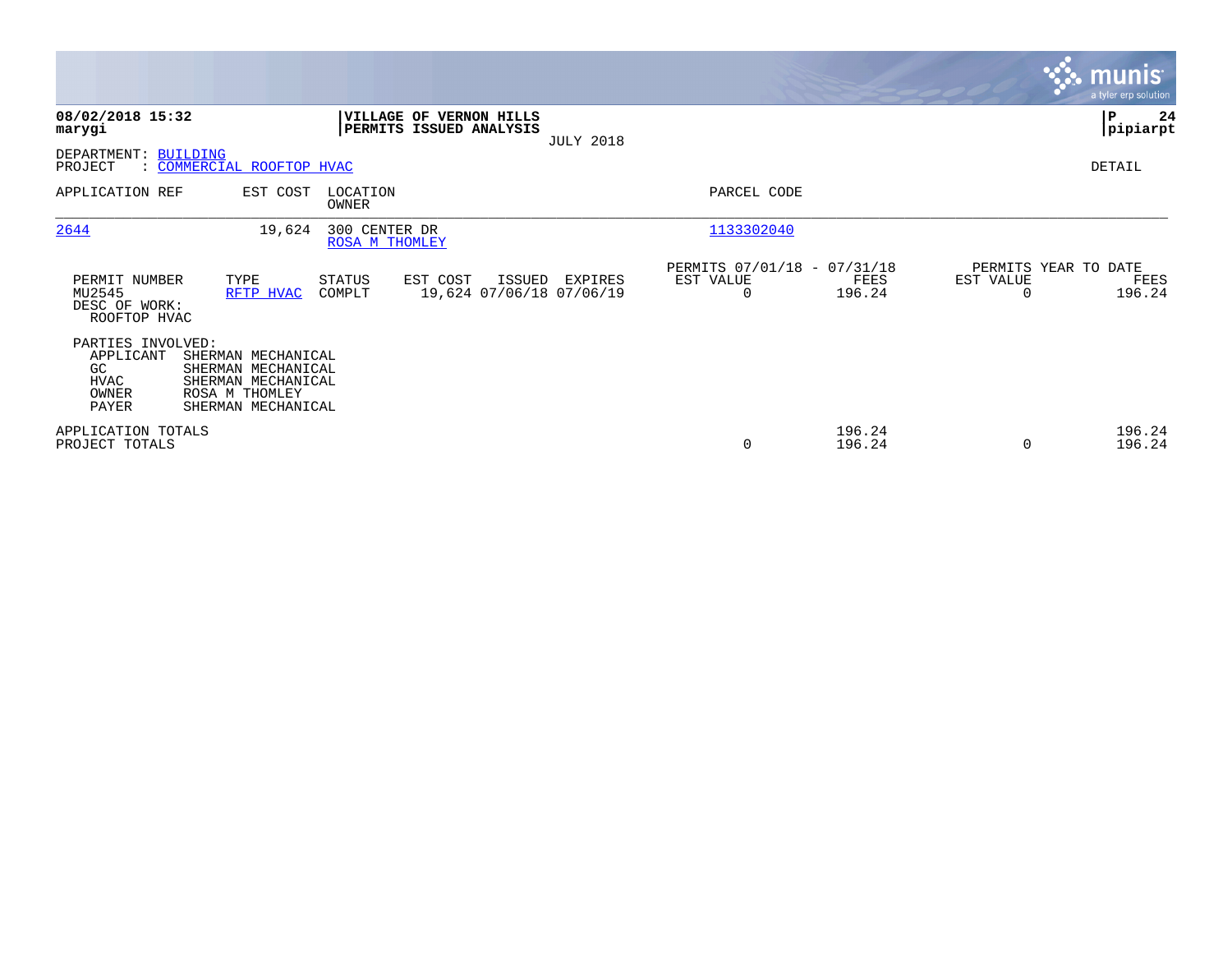|                                                                        |                                                                                                        |                                 |                                                    |                  |                                                      |                  |                                   | <b>munis</b><br>a tyler erp solution |
|------------------------------------------------------------------------|--------------------------------------------------------------------------------------------------------|---------------------------------|----------------------------------------------------|------------------|------------------------------------------------------|------------------|-----------------------------------|--------------------------------------|
| 08/02/2018 15:32<br>marygi                                             |                                                                                                        |                                 | VILLAGE OF VERNON HILLS<br>PERMITS ISSUED ANALYSIS | <b>JULY 2018</b> |                                                      |                  |                                   | 24<br>∣₽<br> pipiarpt                |
| DEPARTMENT: BUILDING<br>PROJECT                                        | : COMMERCIAL ROOFTOP HVAC                                                                              |                                 |                                                    |                  |                                                      |                  |                                   | DETAIL                               |
| APPLICATION REF                                                        | EST COST                                                                                               | LOCATION<br>OWNER               |                                                    |                  | PARCEL CODE                                          |                  |                                   |                                      |
| 2644                                                                   | 19,624                                                                                                 | 300 CENTER DR<br>ROSA M THOMLEY |                                                    |                  | 1133302040                                           |                  |                                   |                                      |
| PERMIT NUMBER<br>MU2545<br>DESC OF WORK:<br>ROOFTOP HVAC               | TYPE<br>RFTP HVAC                                                                                      | STATUS<br>COMPLT                | EST COST<br>ISSUED<br>19,624 07/06/18 07/06/19     | EXPIRES          | PERMITS 07/01/18 - 07/31/18<br>EST VALUE<br>$\Omega$ | FEES<br>196.24   | PERMITS YEAR TO DATE<br>EST VALUE | FEES<br>196.24                       |
| PARTIES INVOLVED:<br>APPLICANT<br>GC.<br><b>HVAC</b><br>OWNER<br>PAYER | SHERMAN MECHANICAL<br>SHERMAN MECHANICAL<br>SHERMAN MECHANICAL<br>ROSA M THOMLEY<br>SHERMAN MECHANICAL |                                 |                                                    |                  |                                                      |                  |                                   |                                      |
| APPLICATION TOTALS<br>PROJECT TOTALS                                   |                                                                                                        |                                 |                                                    |                  | $\mathbf 0$                                          | 196.24<br>196.24 | $\Omega$                          | 196.24<br>196.24                     |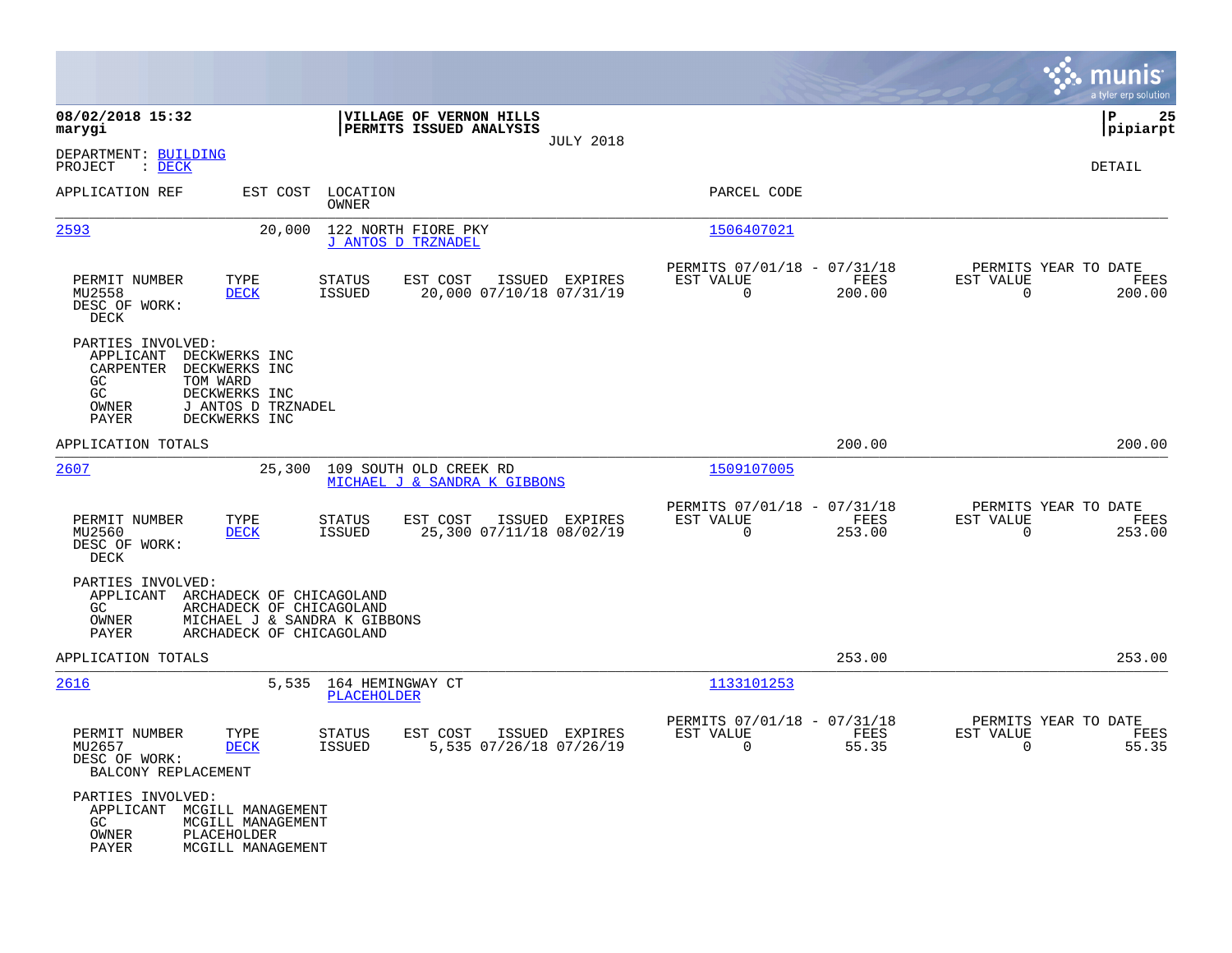|                                                                                                                                                                                 |                                                                                         |                                                                           | munis<br>a tyler erp solution                                  |
|---------------------------------------------------------------------------------------------------------------------------------------------------------------------------------|-----------------------------------------------------------------------------------------|---------------------------------------------------------------------------|----------------------------------------------------------------|
| 08/02/2018 15:32<br>marygi                                                                                                                                                      | VILLAGE OF VERNON HILLS<br>PERMITS ISSUED ANALYSIS<br><b>JULY 2018</b>                  |                                                                           | P<br>25<br>$ $ pipiarpt                                        |
| DEPARTMENT: BUILDING<br>PROJECT<br>$\therefore$ DECK                                                                                                                            |                                                                                         |                                                                           | DETAIL                                                         |
| APPLICATION REF<br>EST COST                                                                                                                                                     | LOCATION<br>OWNER                                                                       | PARCEL CODE                                                               |                                                                |
| <u>2593</u><br>20,000                                                                                                                                                           | 122 NORTH FIORE PKY<br>J ANTOS D TRZNADEL                                               | 1506407021                                                                |                                                                |
| PERMIT NUMBER<br>TYPE<br>MU2558<br><b>DECK</b><br>DESC OF WORK:<br>DECK                                                                                                         | STATUS<br>EST COST<br>ISSUED EXPIRES<br><b>ISSUED</b><br>20,000 07/10/18 07/31/19       | PERMITS 07/01/18 - 07/31/18<br>EST VALUE<br>FEES<br>$\mathbf 0$<br>200.00 | PERMITS YEAR TO DATE<br>EST VALUE<br>FEES<br>200.00<br>0       |
| PARTIES INVOLVED:<br>APPLICANT<br>DECKWERKS INC<br>CARPENTER<br>DECKWERKS INC<br>GC<br>TOM WARD<br>GC<br>DECKWERKS INC<br>OWNER<br>J ANTOS D TRZNADEL<br>PAYER<br>DECKWERKS INC |                                                                                         |                                                                           |                                                                |
| APPLICATION TOTALS                                                                                                                                                              |                                                                                         | 200.00                                                                    | 200.00                                                         |
| 2607<br>25,300                                                                                                                                                                  | 109 SOUTH OLD CREEK RD<br>MICHAEL J & SANDRA K GIBBONS                                  | 1509107005                                                                |                                                                |
| PERMIT NUMBER<br>TYPE<br>MU2560<br><b>DECK</b><br>DESC OF WORK:<br>DECK                                                                                                         | STATUS<br>EST COST<br>ISSUED EXPIRES<br>25,300 07/11/18 08/02/19<br><b>ISSUED</b>       | PERMITS 07/01/18 - 07/31/18<br>EST VALUE<br>FEES<br>253.00<br>0           | PERMITS YEAR TO DATE<br>EST VALUE<br>FEES<br>253.00<br>0       |
| PARTIES INVOLVED:<br>APPLICANT<br>ARCHADECK OF CHICAGOLAND<br>GC<br>ARCHADECK OF CHICAGOLAND<br>MICHAEL J & SANDRA K GIBBONS<br>OWNER<br>ARCHADECK OF CHICAGOLAND<br>PAYER      |                                                                                         |                                                                           |                                                                |
| APPLICATION TOTALS                                                                                                                                                              |                                                                                         | 253.00                                                                    | 253.00                                                         |
| 2616<br>5,535                                                                                                                                                                   | 164 HEMINGWAY CT<br>PLACEHOLDER                                                         | 1133101253                                                                |                                                                |
| TYPE<br>PERMIT NUMBER<br>MU2657<br><b>DECK</b><br>DESC OF WORK:<br>BALCONY REPLACEMENT                                                                                          | EST COST<br><b>STATUS</b><br>ISSUED EXPIRES<br>5,535 07/26/18 07/26/19<br><b>ISSUED</b> | PERMITS 07/01/18 - 07/31/18<br>EST VALUE<br>FEES<br>$\Omega$<br>55.35     | PERMITS YEAR TO DATE<br>EST VALUE<br>FEES<br>$\Omega$<br>55.35 |
| PARTIES INVOLVED:<br>APPLICANT MCGILL MANAGEMENT<br>GC.<br>MCGILL MANAGEMENT<br>OWNER<br>PLACEHOLDER<br>MCGILL MANAGEMENT<br>PAYER                                              |                                                                                         |                                                                           |                                                                |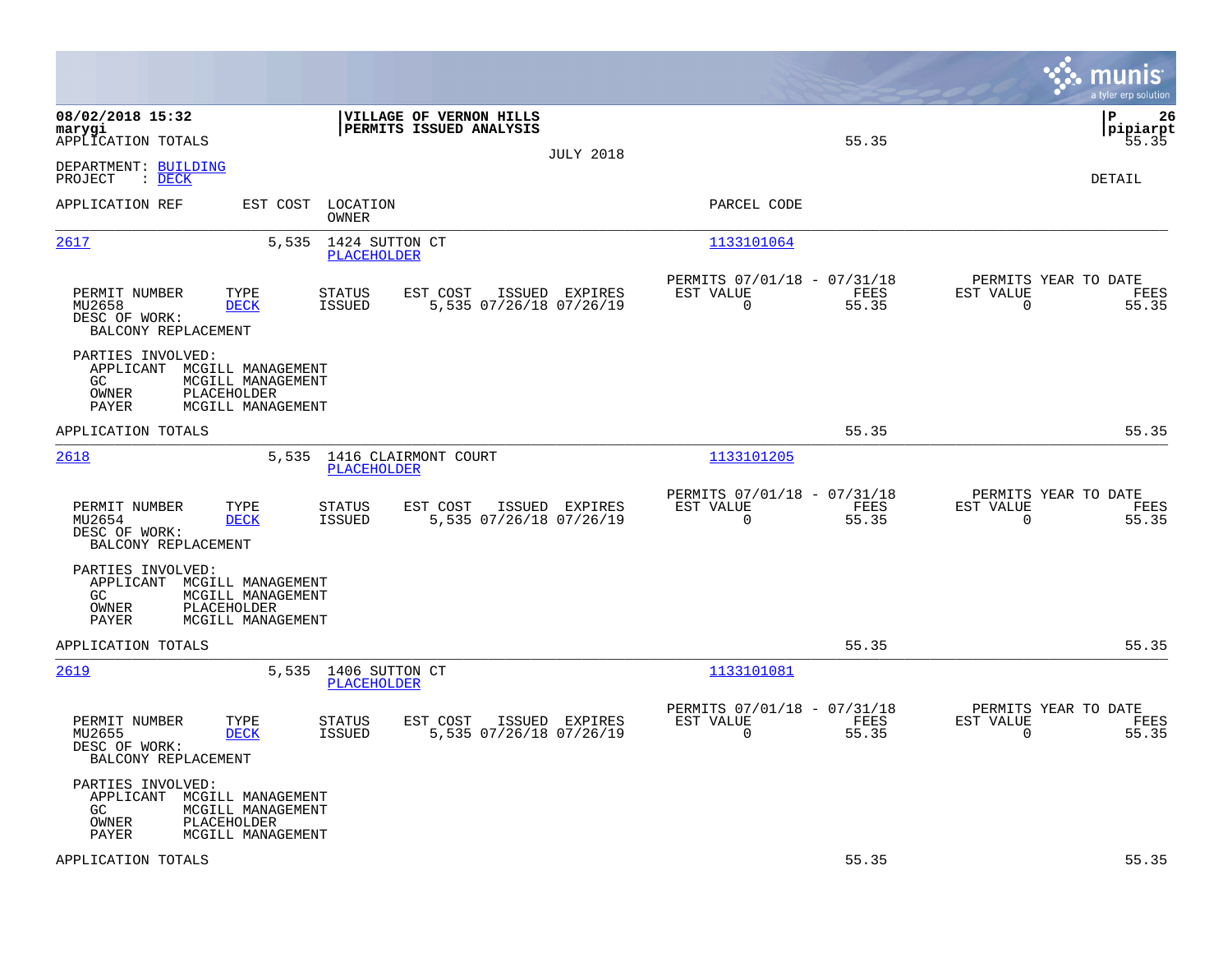|                                                                                                                                           |                                                                                         |                                                                       | munis<br>a tyler erp solution                                     |
|-------------------------------------------------------------------------------------------------------------------------------------------|-----------------------------------------------------------------------------------------|-----------------------------------------------------------------------|-------------------------------------------------------------------|
| 08/02/2018 15:32<br>marygi<br>APPLICATION TOTALS                                                                                          | VILLAGE OF VERNON HILLS<br>PERMITS ISSUED ANALYSIS<br><b>JULY 2018</b>                  | 55.35                                                                 | 26<br> P<br> pipiarpt<br>55.35                                    |
| DEPARTMENT: BUILDING<br>$:$ DECK<br>PROJECT                                                                                               |                                                                                         |                                                                       | <b>DETAIL</b>                                                     |
| APPLICATION REF                                                                                                                           | EST COST LOCATION<br>OWNER                                                              | PARCEL CODE                                                           |                                                                   |
| 2617                                                                                                                                      | 5,535 1424 SUTTON CT<br>PLACEHOLDER                                                     | 1133101064                                                            |                                                                   |
| PERMIT NUMBER<br>TYPE<br>MU2658<br><b>DECK</b><br>DESC OF WORK:<br>BALCONY REPLACEMENT                                                    | STATUS<br>EST COST<br>ISSUED EXPIRES<br>5,535 07/26/18 07/26/19<br>ISSUED               | PERMITS 07/01/18 - 07/31/18<br>EST VALUE<br>FEES<br>$\Omega$<br>55.35 | PERMITS YEAR TO DATE<br>EST VALUE<br>FEES<br>$\mathbf 0$<br>55.35 |
| PARTIES INVOLVED:<br>APPLICANT MCGILL MANAGEMENT<br>GC.<br>MCGILL MANAGEMENT<br>OWNER<br>PLACEHOLDER<br>PAYER<br>MCGILL MANAGEMENT        |                                                                                         |                                                                       |                                                                   |
| APPLICATION TOTALS                                                                                                                        |                                                                                         | 55.35                                                                 | 55.35                                                             |
| 2618                                                                                                                                      | 5,535 1416 CLAIRMONT COURT<br>PLACEHOLDER                                               | 1133101205                                                            |                                                                   |
| PERMIT NUMBER<br>TYPE<br>MU2654<br><b>DECK</b><br>DESC OF WORK:<br>BALCONY REPLACEMENT                                                    | <b>STATUS</b><br>EST COST<br>ISSUED EXPIRES<br>5,535 07/26/18 07/26/19<br><b>ISSUED</b> | PERMITS 07/01/18 - 07/31/18<br>EST VALUE<br>FEES<br>$\Omega$<br>55.35 | PERMITS YEAR TO DATE<br>EST VALUE<br>FEES<br>$\mathbf 0$<br>55.35 |
| PARTIES INVOLVED:<br>APPLICANT MCGILL MANAGEMENT<br>GC.<br>MCGILL MANAGEMENT<br>PLACEHOLDER<br>OWNER<br>MCGILL MANAGEMENT<br>PAYER        |                                                                                         |                                                                       |                                                                   |
| APPLICATION TOTALS                                                                                                                        |                                                                                         | 55.35                                                                 | 55.35                                                             |
| <u>2619</u><br>5,535                                                                                                                      | 1406 SUTTON CT<br>PLACEHOLDER                                                           | 1133101081                                                            |                                                                   |
| PERMIT NUMBER<br>TYPE<br>MU2655<br><b>DECK</b><br>DESC OF WORK:<br>BALCONY REPLACEMENT                                                    | STATUS<br>EST COST<br>ISSUED EXPIRES<br>5,535 07/26/18 07/26/19<br><b>ISSUED</b>        | PERMITS 07/01/18 - 07/31/18<br>EST VALUE<br>FEES<br>$\Omega$<br>55.35 | PERMITS YEAR TO DATE<br>EST VALUE<br>FEES<br>$\mathbf 0$<br>55.35 |
| PARTIES INVOLVED:<br>APPLICANT MCGILL MANAGEMENT<br>GC.<br>MCGILL MANAGEMENT<br>OWNER<br><b>PLACEHOLDER</b><br>PAYER<br>MCGILL MANAGEMENT |                                                                                         |                                                                       |                                                                   |
| APPLICATION TOTALS                                                                                                                        |                                                                                         | 55.35                                                                 | 55.35                                                             |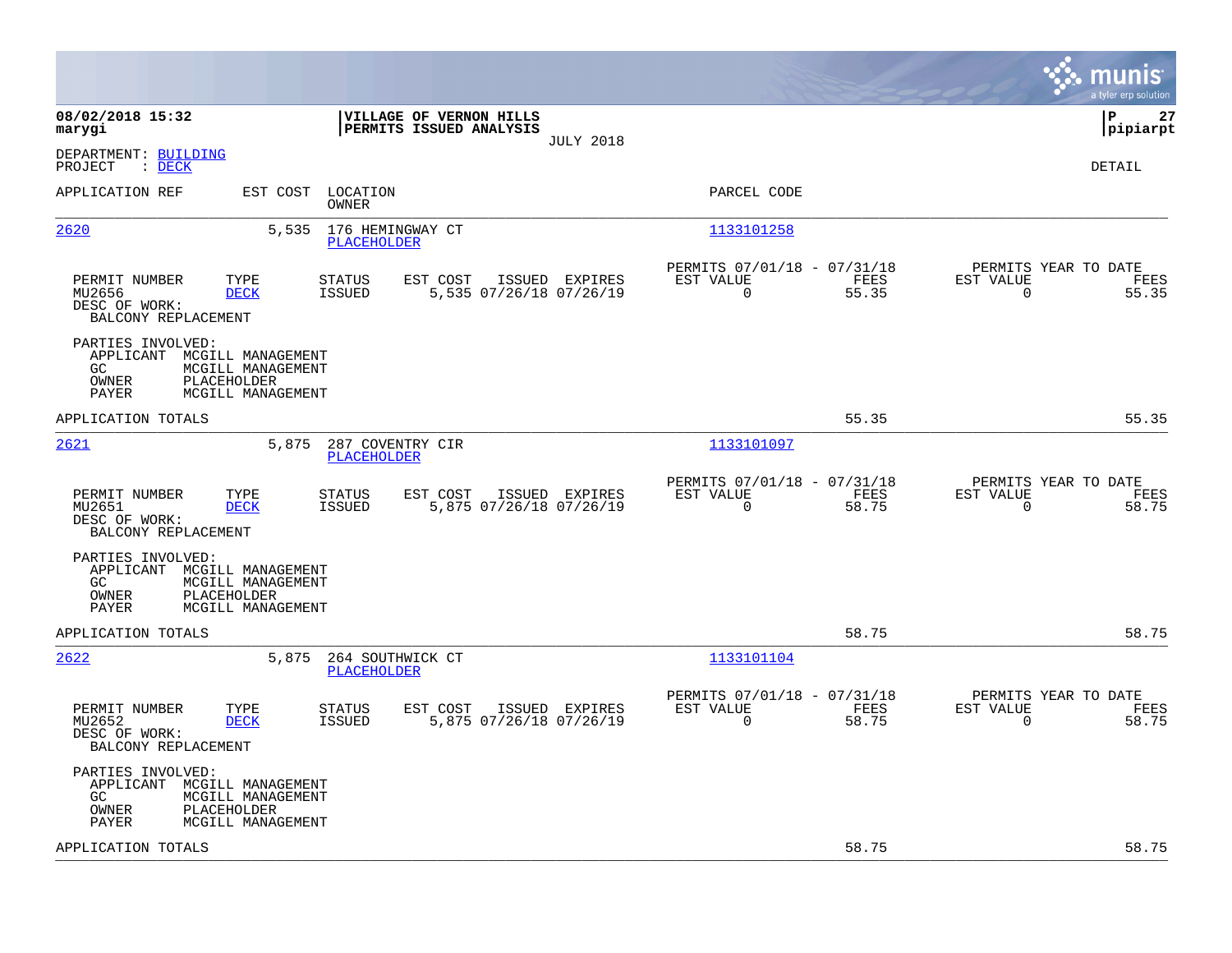|                                                                                                                                                                                   |                                                                          | munis<br>a tyler erp solution                                     |
|-----------------------------------------------------------------------------------------------------------------------------------------------------------------------------------|--------------------------------------------------------------------------|-------------------------------------------------------------------|
| 08/02/2018 15:32<br>VILLAGE OF VERNON HILLS<br>marygi<br>PERMITS ISSUED ANALYSIS<br><b>JULY 2018</b>                                                                              |                                                                          | P<br>27<br> pipiarpt                                              |
| DEPARTMENT: BUILDING<br>$:$ DECK<br>PROJECT                                                                                                                                       |                                                                          | <b>DETAIL</b>                                                     |
| APPLICATION REF<br>EST COST<br>LOCATION<br>OWNER                                                                                                                                  | PARCEL CODE                                                              |                                                                   |
| 2620<br>176 HEMINGWAY CT<br>5,535<br><b>PLACEHOLDER</b>                                                                                                                           | 1133101258                                                               |                                                                   |
| PERMIT NUMBER<br>TYPE<br><b>STATUS</b><br>EST COST<br>ISSUED EXPIRES<br>MU2656<br><b>DECK</b><br><b>ISSUED</b><br>5,535 07/26/18 07/26/19<br>DESC OF WORK:<br>BALCONY REPLACEMENT | PERMITS 07/01/18 - 07/31/18<br>EST VALUE<br>FEES<br>$\Omega$<br>55.35    | PERMITS YEAR TO DATE<br>EST VALUE<br>FEES<br>$\mathbf 0$<br>55.35 |
| PARTIES INVOLVED:<br>APPLICANT MCGILL MANAGEMENT<br>GC.<br>MCGILL MANAGEMENT<br><b>PLACEHOLDER</b><br>OWNER<br>PAYER<br>MCGILL MANAGEMENT                                         |                                                                          |                                                                   |
| APPLICATION TOTALS                                                                                                                                                                | 55.35                                                                    | 55.35                                                             |
| 2621<br>5,875<br>287 COVENTRY CIR<br><b>PLACEHOLDER</b>                                                                                                                           | 1133101097                                                               |                                                                   |
| EST COST<br>PERMIT NUMBER<br>TYPE<br>STATUS<br>ISSUED EXPIRES<br><b>ISSUED</b><br>5,875 07/26/18 07/26/19<br>MU2651<br><b>DECK</b><br>DESC OF WORK:<br>BALCONY REPLACEMENT        | PERMITS 07/01/18 - 07/31/18<br>EST VALUE<br>FEES<br>$\mathbf 0$<br>58.75 | PERMITS YEAR TO DATE<br>EST VALUE<br>FEES<br>$\mathbf 0$<br>58.75 |
| PARTIES INVOLVED:<br>APPLICANT MCGILL MANAGEMENT<br>GC<br>MCGILL MANAGEMENT<br>PLACEHOLDER<br>OWNER<br>PAYER<br>MCGILL MANAGEMENT                                                 |                                                                          |                                                                   |
| APPLICATION TOTALS                                                                                                                                                                | 58.75                                                                    | 58.75                                                             |
| 2622<br>5,875<br>264 SOUTHWICK CT<br>PLACEHOLDER                                                                                                                                  | 1133101104                                                               |                                                                   |
| EST COST<br>PERMIT NUMBER<br>TYPE<br>STATUS<br>ISSUED EXPIRES<br>MU2652<br><b>DECK</b><br><b>ISSUED</b><br>5,875 07/26/18 07/26/19<br>DESC OF WORK:<br>BALCONY REPLACEMENT        | PERMITS 07/01/18 - 07/31/18<br>EST VALUE<br>FEES<br>0<br>58.75           | PERMITS YEAR TO DATE<br>EST VALUE<br>FEES<br>58.75<br>0           |
| PARTIES INVOLVED:<br>APPLICANT MCGILL MANAGEMENT<br>GC<br>MCGILL MANAGEMENT<br>PLACEHOLDER<br>OWNER<br>PAYER<br>MCGILL MANAGEMENT                                                 |                                                                          |                                                                   |
| APPLICATION TOTALS                                                                                                                                                                | 58.75                                                                    | 58.75                                                             |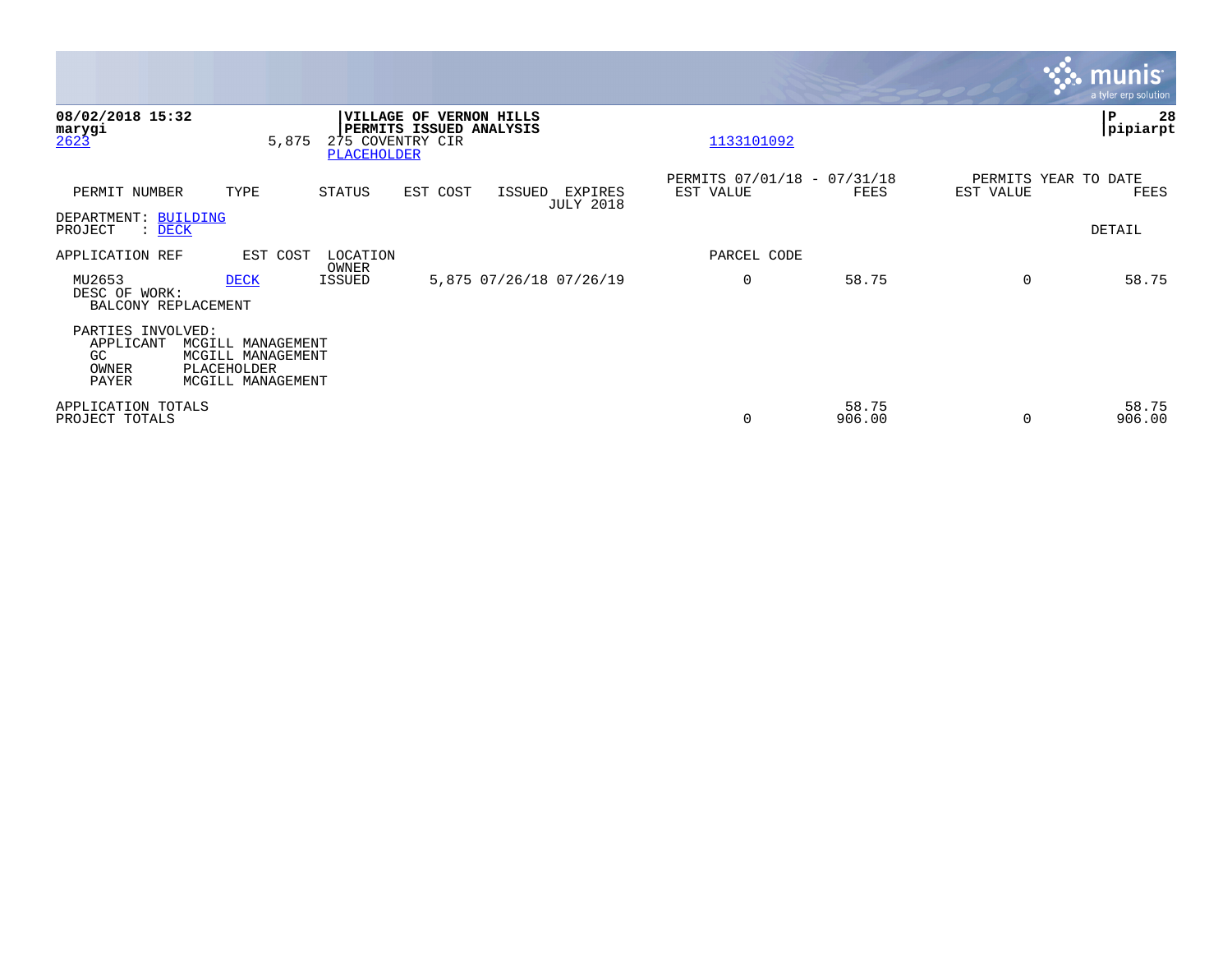|                                                                                                                                      |                                                    |                                                  | <b>munis</b><br>a tyler erp solution      |
|--------------------------------------------------------------------------------------------------------------------------------------|----------------------------------------------------|--------------------------------------------------|-------------------------------------------|
| 08/02/2018 15:32<br>marygi<br>275 COVENTRY CIR<br>2623<br>5,875<br>PLACEHOLDER                                                       | VILLAGE OF VERNON HILLS<br>PERMITS ISSUED ANALYSIS | 1133101092                                       | l P<br>28<br> pipiarpt                    |
| TYPE<br>STATUS<br>PERMIT NUMBER                                                                                                      | EST COST<br>ISSUED<br>EXPIRES<br><b>JULY 2018</b>  | PERMITS 07/01/18 - 07/31/18<br>EST VALUE<br>FEES | PERMITS YEAR TO DATE<br>EST VALUE<br>FEES |
| DEPARTMENT: BUILDING<br>PROJECT<br>: DECK                                                                                            |                                                    |                                                  | DETAIL                                    |
| APPLICATION REF<br>EST COST<br>LOCATION<br>OWNER                                                                                     |                                                    | PARCEL CODE                                      |                                           |
| MU2653<br>ISSUED<br><b>DECK</b><br>DESC OF WORK:<br>BALCONY REPLACEMENT                                                              | 5,875 07/26/18 07/26/19                            | 0<br>58.75                                       | 58.75<br>$\Omega$                         |
| PARTIES INVOLVED:<br>APPLICANT<br>MCGILL MANAGEMENT<br>GC<br>MCGILL MANAGEMENT<br>OWNER<br>PLACEHOLDER<br>PAYER<br>MCGILL MANAGEMENT |                                                    |                                                  |                                           |
| APPLICATION TOTALS<br>PROJECT TOTALS                                                                                                 |                                                    | 58.75<br>0<br>906.00                             | 58.75<br>906.00                           |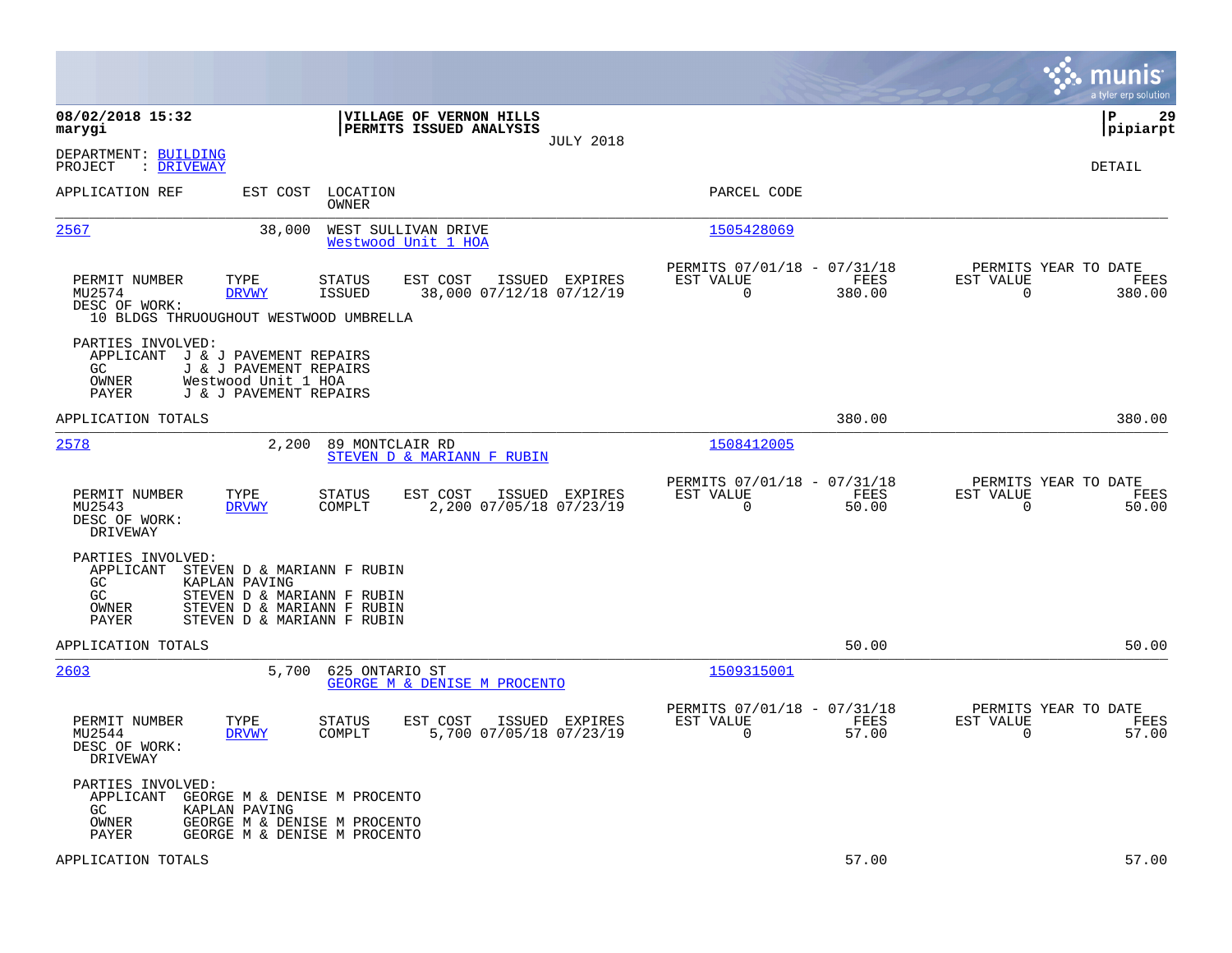|                                                              |                                                                                                                                       |                                                    |                  |                                                         |                |                       | mun<br>a tyler erp solution            |
|--------------------------------------------------------------|---------------------------------------------------------------------------------------------------------------------------------------|----------------------------------------------------|------------------|---------------------------------------------------------|----------------|-----------------------|----------------------------------------|
| 08/02/2018 15:32<br>marygi                                   |                                                                                                                                       | VILLAGE OF VERNON HILLS<br>PERMITS ISSUED ANALYSIS |                  |                                                         |                |                       | P<br>29<br> pipiarpt                   |
| DEPARTMENT: BUILDING<br>PROJECT<br>: DRIVEWAY                |                                                                                                                                       |                                                    | <b>JULY 2018</b> |                                                         |                |                       | <b>DETAIL</b>                          |
| APPLICATION REF                                              | EST COST<br>LOCATION<br>OWNER                                                                                                         |                                                    |                  | PARCEL CODE                                             |                |                       |                                        |
| 2567                                                         | 38,000                                                                                                                                | WEST SULLIVAN DRIVE<br>Westwood Unit 1 HOA         |                  | 1505428069                                              |                |                       |                                        |
| PERMIT NUMBER<br>MU2574<br>DESC OF WORK:                     | TYPE<br><b>STATUS</b><br><b>DRVWY</b><br><b>ISSUED</b><br>10 BLDGS THRUOUGHOUT WESTWOOD UMBRELLA                                      | EST COST<br>38,000 07/12/18 07/12/19               | ISSUED EXPIRES   | PERMITS 07/01/18 - 07/31/18<br>EST VALUE<br>$\Omega$    | FEES<br>380.00 | EST VALUE<br>$\Omega$ | PERMITS YEAR TO DATE<br>FEES<br>380.00 |
| PARTIES INVOLVED:<br>APPLICANT<br>GC.<br>OWNER<br>PAYER      | J & J PAVEMENT REPAIRS<br>J & J PAVEMENT REPAIRS<br>Westwood Unit 1 HOA<br>J & J PAVEMENT REPAIRS                                     |                                                    |                  |                                                         |                |                       |                                        |
| APPLICATION TOTALS                                           |                                                                                                                                       |                                                    |                  |                                                         | 380.00         |                       | 380.00                                 |
| 2578                                                         | 2,200                                                                                                                                 | 89 MONTCLAIR RD<br>STEVEN D & MARIANN F RUBIN      |                  | 1508412005                                              |                |                       |                                        |
| PERMIT NUMBER<br>MU2543<br>DESC OF WORK:<br>DRIVEWAY         | TYPE<br>STATUS<br><b>DRVWY</b><br>COMPLT                                                                                              | EST COST<br>2,200 07/05/18 07/23/19                | ISSUED EXPIRES   | PERMITS 07/01/18 - 07/31/18<br>EST VALUE<br>$\mathbf 0$ | FEES<br>50.00  | EST VALUE<br>$\Omega$ | PERMITS YEAR TO DATE<br>FEES<br>50.00  |
| PARTIES INVOLVED:<br>APPLICANT<br>GC<br>GC<br>OWNER<br>PAYER | STEVEN D & MARIANN F RUBIN<br>KAPLAN PAVING<br>STEVEN D & MARIANN F RUBIN<br>STEVEN D & MARIANN F RUBIN<br>STEVEN D & MARIANN F RUBIN |                                                    |                  |                                                         |                |                       |                                        |
| APPLICATION TOTALS                                           |                                                                                                                                       |                                                    |                  |                                                         | 50.00          |                       | 50.00                                  |
| 2603                                                         | 5,700 625 ONTARIO ST                                                                                                                  | GEORGE M & DENISE M PROCENTO                       |                  | 1509315001                                              |                |                       |                                        |
| PERMIT NUMBER<br>MU2544<br>DESC OF WORK:<br>DRIVEWAY         | TYPE<br><b>STATUS</b><br>COMPLT<br><b>DRVWY</b>                                                                                       | EST COST<br>5,700 07/05/18 07/23/19                | ISSUED EXPIRES   | PERMITS 07/01/18 - 07/31/18<br>EST VALUE<br>$\Omega$    | FEES<br>57.00  | EST VALUE<br>0        | PERMITS YEAR TO DATE<br>FEES<br>57.00  |
| PARTIES INVOLVED:<br>APPLICANT<br>GC.<br>OWNER<br>PAYER      | GEORGE M & DENISE M PROCENTO<br>KAPLAN PAVING<br>GEORGE M & DENISE M PROCENTO<br>GEORGE M & DENISE M PROCENTO                         |                                                    |                  |                                                         |                |                       |                                        |
| APPLICATION TOTALS                                           |                                                                                                                                       |                                                    |                  |                                                         | 57.00          |                       | 57.00                                  |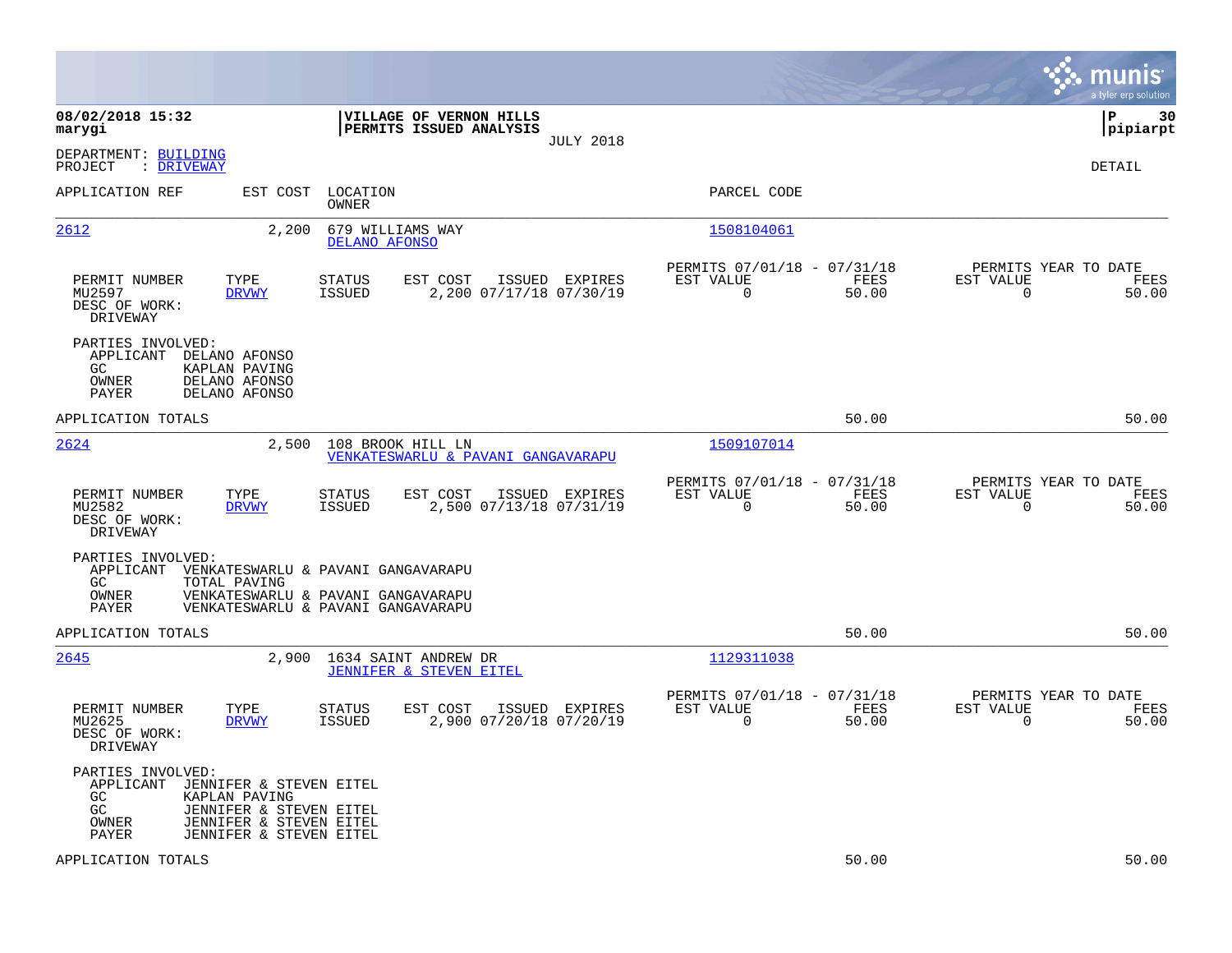|                                                                                                                                                                                            |                                                                                                                |                                                                       | munis<br>a tyler erp solution                                     |
|--------------------------------------------------------------------------------------------------------------------------------------------------------------------------------------------|----------------------------------------------------------------------------------------------------------------|-----------------------------------------------------------------------|-------------------------------------------------------------------|
| 08/02/2018 15:32<br>marygi                                                                                                                                                                 | VILLAGE OF VERNON HILLS<br>PERMITS ISSUED ANALYSIS<br><b>JULY 2018</b>                                         |                                                                       | ΙP<br>30<br> pipiarpt                                             |
| DEPARTMENT: BUILDING<br>: DRIVEWAY<br>PROJECT                                                                                                                                              |                                                                                                                |                                                                       | DETAIL                                                            |
| APPLICATION REF<br>EST COST                                                                                                                                                                | LOCATION<br>OWNER                                                                                              | PARCEL CODE                                                           |                                                                   |
| <u> 2612</u>                                                                                                                                                                               | 2,200<br>679 WILLIAMS WAY<br>DELANO AFONSO                                                                     | 1508104061                                                            |                                                                   |
| TYPE<br>PERMIT NUMBER<br>MU2597<br><b>DRVWY</b><br>DESC OF WORK:<br>DRIVEWAY                                                                                                               | EST COST<br>STATUS<br>ISSUED EXPIRES<br><b>ISSUED</b><br>2,200 07/17/18 07/30/19                               | PERMITS 07/01/18 - 07/31/18<br>EST VALUE<br>FEES<br>0<br>50.00        | PERMITS YEAR TO DATE<br>EST VALUE<br>FEES<br>50.00<br>0           |
| PARTIES INVOLVED:<br>APPLICANT<br>DELANO AFONSO<br>GC<br>KAPLAN PAVING<br>DELANO AFONSO<br>OWNER<br>PAYER<br>DELANO AFONSO                                                                 |                                                                                                                |                                                                       |                                                                   |
| APPLICATION TOTALS                                                                                                                                                                         |                                                                                                                | 50.00                                                                 | 50.00                                                             |
| 2624                                                                                                                                                                                       | 2,500<br>108 BROOK HILL LN<br>VENKATESWARLU & PAVANI GANGAVARAPU                                               | 1509107014                                                            |                                                                   |
| PERMIT NUMBER<br>TYPE<br>MU2582<br><b>DRVWY</b><br>DESC OF WORK:<br>DRIVEWAY                                                                                                               | STATUS<br>EST COST<br>ISSUED EXPIRES<br>2,500 07/13/18 07/31/19<br><b>ISSUED</b>                               | PERMITS 07/01/18 - 07/31/18<br>EST VALUE<br>FEES<br>$\Omega$<br>50.00 | PERMITS YEAR TO DATE<br>EST VALUE<br>FEES<br>$\mathbf 0$<br>50.00 |
| PARTIES INVOLVED:<br>APPLICANT<br>GC<br>TOTAL PAVING<br>OWNER<br>PAYER                                                                                                                     | VENKATESWARLU & PAVANI GANGAVARAPU<br>VENKATESWARLU & PAVANI GANGAVARAPU<br>VENKATESWARLU & PAVANI GANGAVARAPU |                                                                       |                                                                   |
| APPLICATION TOTALS                                                                                                                                                                         |                                                                                                                | 50.00                                                                 | 50.00                                                             |
| 2645                                                                                                                                                                                       | 2,900<br>1634 SAINT ANDREW DR<br>JENNIFER & STEVEN EITEL                                                       | 1129311038                                                            |                                                                   |
| PERMIT NUMBER<br>TYPE<br>MU2625<br><b>DRVWY</b><br>DESC OF WORK:<br>DRIVEWAY                                                                                                               | STATUS<br>EST COST<br>ISSUED EXPIRES<br>2,900 07/20/18 07/20/19<br>ISSUED                                      | PERMITS 07/01/18 - 07/31/18<br>EST VALUE<br>FEES<br>50.00<br>0        | PERMITS YEAR TO DATE<br>EST VALUE<br>FEES<br>$\mathbf 0$<br>50.00 |
| PARTIES INVOLVED:<br>APPLICANT<br>JENNIFER & STEVEN EITEL<br>GC.<br>KAPLAN PAVING<br>GC<br>JENNIFER & STEVEN EITEL<br>OWNER<br>JENNIFER & STEVEN EITEL<br>JENNIFER & STEVEN EITEL<br>PAYER |                                                                                                                |                                                                       |                                                                   |
| APPLICATION TOTALS                                                                                                                                                                         |                                                                                                                | 50.00                                                                 | 50.00                                                             |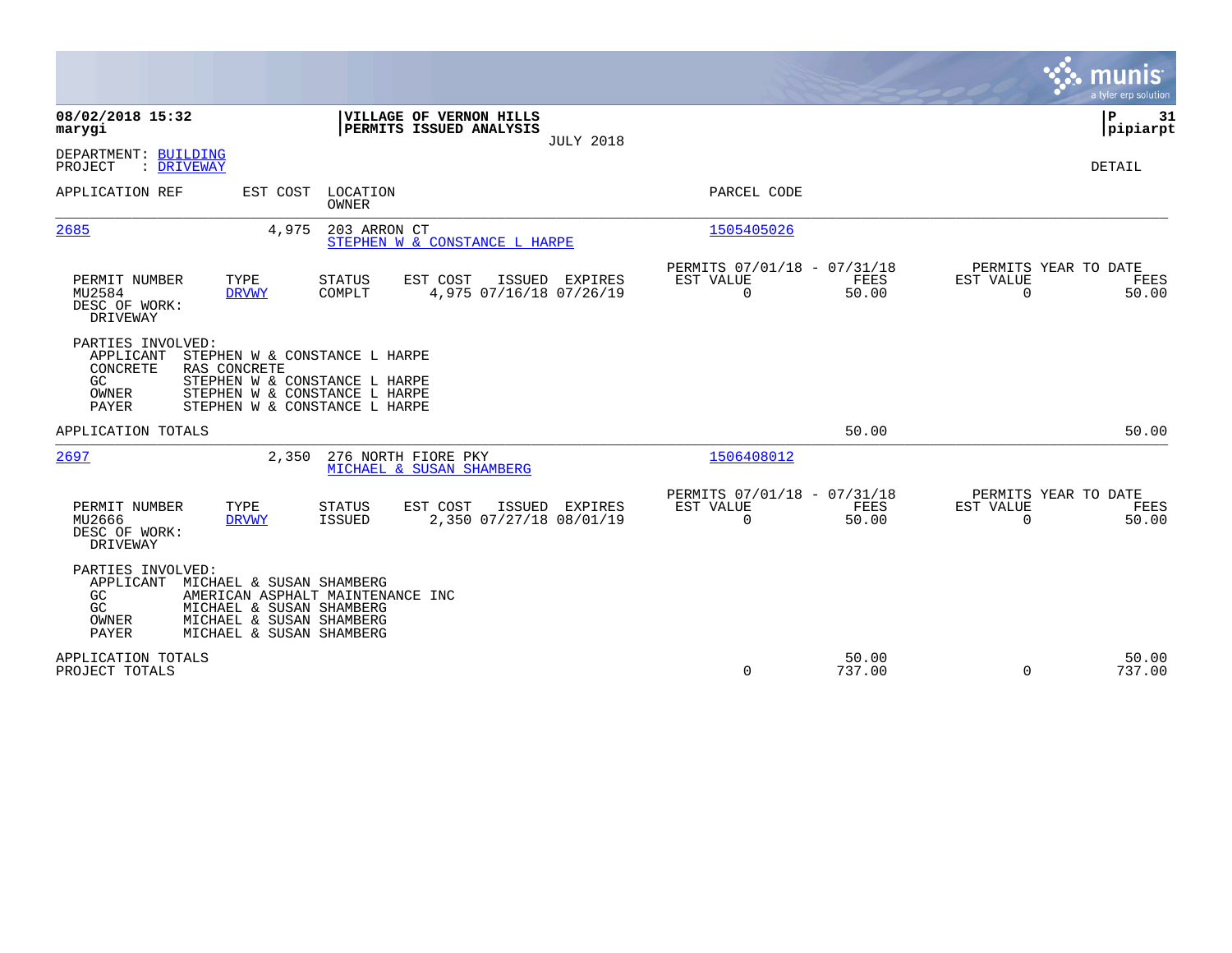|                                                                                                                                                                                                                               |                                                                                 | munis<br>a tyler erp solution                                     |
|-------------------------------------------------------------------------------------------------------------------------------------------------------------------------------------------------------------------------------|---------------------------------------------------------------------------------|-------------------------------------------------------------------|
| 08/02/2018 15:32<br>VILLAGE OF VERNON HILLS<br>PERMITS ISSUED ANALYSIS<br>marygi<br><b>JULY 2018</b>                                                                                                                          |                                                                                 | ΙP<br>31<br> pipiarpt                                             |
| DEPARTMENT: BUILDING<br>: DRIVEWAY<br>PROJECT                                                                                                                                                                                 |                                                                                 | DETAIL                                                            |
| LOCATION<br>APPLICATION REF<br>EST COST<br><b>OWNER</b>                                                                                                                                                                       | PARCEL CODE                                                                     |                                                                   |
| 2685<br>4,975<br>203 ARRON CT<br>STEPHEN W & CONSTANCE L HARPE                                                                                                                                                                | 1505405026                                                                      |                                                                   |
| TYPE<br>EST COST<br>PERMIT NUMBER<br>STATUS<br>ISSUED EXPIRES<br>COMPLT<br>4,975 07/16/18 07/26/19<br>MU2584<br><b>DRVWY</b><br>DESC OF WORK:<br>DRIVEWAY                                                                     | PERMITS 07/01/18 - 07/31/18<br>EST VALUE<br><b>FEES</b><br>$\mathbf 0$<br>50.00 | PERMITS YEAR TO DATE<br>EST VALUE<br>FEES<br>50.00<br>$\mathbf 0$ |
| PARTIES INVOLVED:<br>APPLICANT<br>STEPHEN W & CONSTANCE L HARPE<br>CONCRETE<br>RAS CONCRETE<br>GC<br>STEPHEN W & CONSTANCE L HARPE<br>OWNER<br>STEPHEN W & CONSTANCE L HARPE<br><b>PAYER</b><br>STEPHEN W & CONSTANCE L HARPE |                                                                                 |                                                                   |
| APPLICATION TOTALS                                                                                                                                                                                                            | 50.00                                                                           | 50.00                                                             |
| 2697<br>2,350<br>276 NORTH FIORE PKY<br>MICHAEL & SUSAN SHAMBERG                                                                                                                                                              | 1506408012                                                                      |                                                                   |
| PERMIT NUMBER<br>TYPE<br><b>STATUS</b><br>EST COST<br>ISSUED<br>EXPIRES<br><b>ISSUED</b><br>2,350 07/27/18 08/01/19<br>MU2666<br><b>DRVWY</b><br>DESC OF WORK:<br>DRIVEWAY                                                    | PERMITS 07/01/18 - 07/31/18<br>EST VALUE<br>FEES<br>$\mathbf 0$<br>50.00        | PERMITS YEAR TO DATE<br>EST VALUE<br>FEES<br>$\mathbf 0$<br>50.00 |
| PARTIES INVOLVED:<br>APPLICANT<br>MICHAEL & SUSAN SHAMBERG<br>GC<br>AMERICAN ASPHALT MAINTENANCE INC<br>GC<br>MICHAEL & SUSAN SHAMBERG<br>MICHAEL & SUSAN SHAMBERG<br>OWNER<br>MICHAEL & SUSAN SHAMBERG<br><b>PAYER</b>       |                                                                                 |                                                                   |
| APPLICATION TOTALS<br>PROJECT TOTALS                                                                                                                                                                                          | 50.00<br>$\mathbf 0$<br>737.00                                                  | 50.00<br>737.00<br>$\mathbf 0$                                    |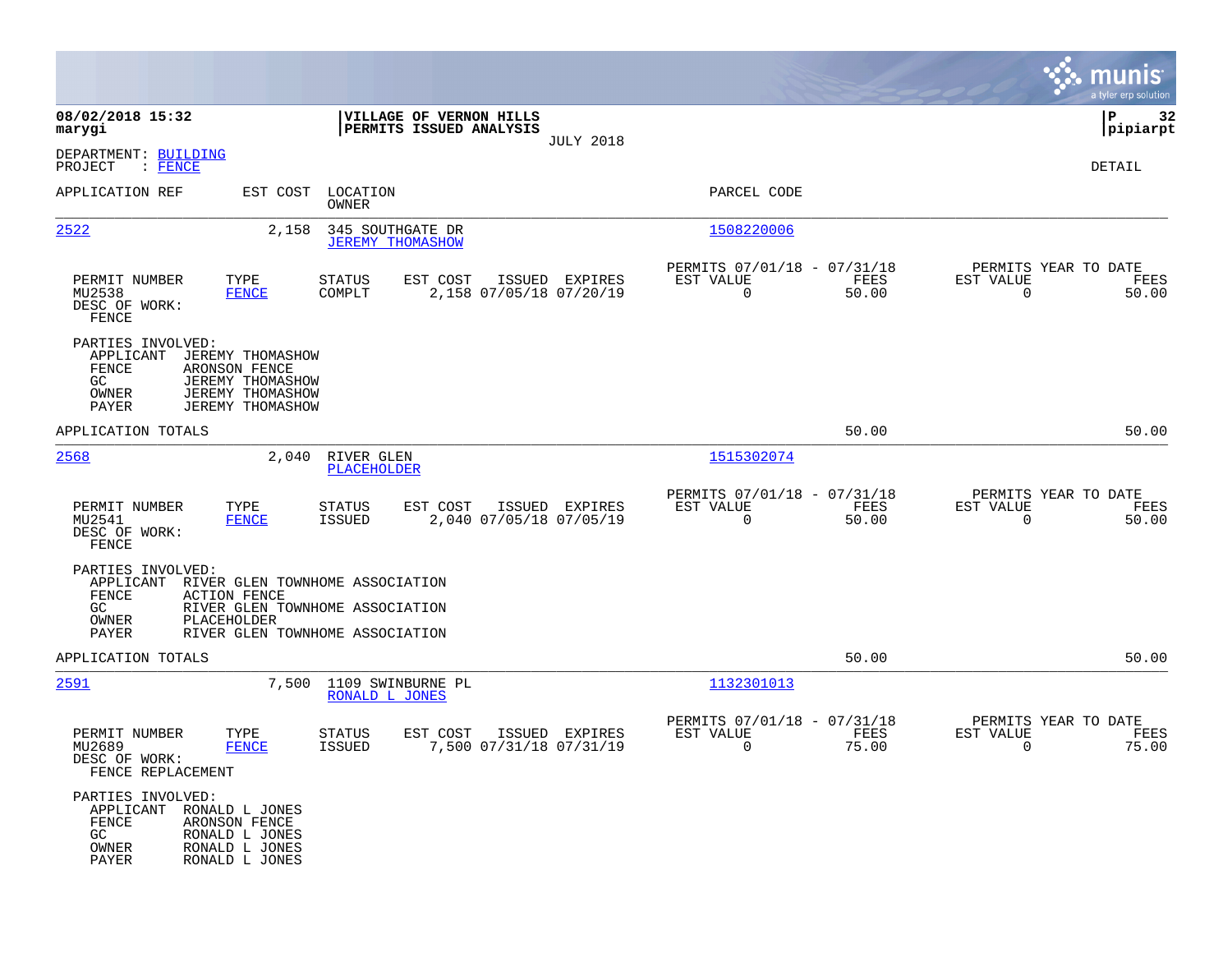|                                                                                                                                                                          |                                                                                                       |                                                                          | munis<br>a tyler erp solution                                     |
|--------------------------------------------------------------------------------------------------------------------------------------------------------------------------|-------------------------------------------------------------------------------------------------------|--------------------------------------------------------------------------|-------------------------------------------------------------------|
| 08/02/2018 15:32<br>marygi                                                                                                                                               | VILLAGE OF VERNON HILLS<br>PERMITS ISSUED ANALYSIS                                                    |                                                                          | P<br>32<br> pipiarpt                                              |
| DEPARTMENT: BUILDING<br>PROJECT<br>: FENCE                                                                                                                               | <b>JULY 2018</b>                                                                                      |                                                                          | DETAIL                                                            |
| APPLICATION REF<br>EST COST                                                                                                                                              | LOCATION<br>OWNER                                                                                     | PARCEL CODE                                                              |                                                                   |
| 2522<br>2,158                                                                                                                                                            | 345 SOUTHGATE DR<br><b>JEREMY THOMASHOW</b>                                                           | 1508220006                                                               |                                                                   |
| PERMIT NUMBER<br>TYPE<br>MU2538<br><b>FENCE</b><br>DESC OF WORK:<br>FENCE                                                                                                | <b>STATUS</b><br>EST COST<br>ISSUED EXPIRES<br>COMPLT<br>2,158 07/05/18 07/20/19                      | PERMITS 07/01/18 - 07/31/18<br>EST VALUE<br>FEES<br>$\mathbf 0$<br>50.00 | PERMITS YEAR TO DATE<br>EST VALUE<br>FEES<br>$\mathbf 0$<br>50.00 |
| PARTIES INVOLVED:<br>APPLICANT<br>JEREMY THOMASHOW<br>FENCE<br>ARONSON FENCE<br>JEREMY THOMASHOW<br>GC.<br>OWNER<br><b>JEREMY THOMASHOW</b><br>PAYER<br>JEREMY THOMASHOW |                                                                                                       |                                                                          |                                                                   |
| APPLICATION TOTALS                                                                                                                                                       |                                                                                                       | 50.00                                                                    | 50.00                                                             |
| 2568<br>2,040                                                                                                                                                            | RIVER GLEN<br>PLACEHOLDER                                                                             | 1515302074                                                               |                                                                   |
| PERMIT NUMBER<br>TYPE<br>MU2541<br><b>FENCE</b><br>DESC OF WORK:<br>FENCE                                                                                                | EST COST<br>ISSUED EXPIRES<br>STATUS<br><b>ISSUED</b><br>2,040 07/05/18 07/05/19                      | PERMITS 07/01/18 - 07/31/18<br>EST VALUE<br>FEES<br>$\mathbf 0$<br>50.00 | PERMITS YEAR TO DATE<br>EST VALUE<br>FEES<br>$\mathbf 0$<br>50.00 |
| PARTIES INVOLVED:<br>APPLICANT<br>FENCE<br><b>ACTION FENCE</b><br>GC<br>PLACEHOLDER<br>OWNER<br>PAYER                                                                    | RIVER GLEN TOWNHOME ASSOCIATION<br>RIVER GLEN TOWNHOME ASSOCIATION<br>RIVER GLEN TOWNHOME ASSOCIATION |                                                                          |                                                                   |
| APPLICATION TOTALS                                                                                                                                                       |                                                                                                       | 50.00                                                                    | 50.00                                                             |
| 2591<br>7,500                                                                                                                                                            | 1109 SWINBURNE PL<br>RONALD L JONES                                                                   | 1132301013                                                               |                                                                   |
| PERMIT NUMBER<br>TYPE<br>MU2689<br><b>FENCE</b><br>DESC OF WORK:<br>FENCE REPLACEMENT                                                                                    | ISSUED EXPIRES<br>STATUS<br>EST COST<br><b>ISSUED</b><br>7,500 07/31/18 07/31/19                      | PERMITS 07/01/18 - 07/31/18<br>EST VALUE<br>FEES<br>0<br>75.00           | PERMITS YEAR TO DATE<br>EST VALUE<br>FEES<br>0<br>75.00           |
| PARTIES INVOLVED:<br>APPLICANT RONALD L JONES<br>${\tt FENCE}$<br>ARONSON FENCE<br>GC<br>RONALD L JONES<br>OWNER<br>RONALD L JONES<br>PAYER<br>RONALD L JONES            |                                                                                                       |                                                                          |                                                                   |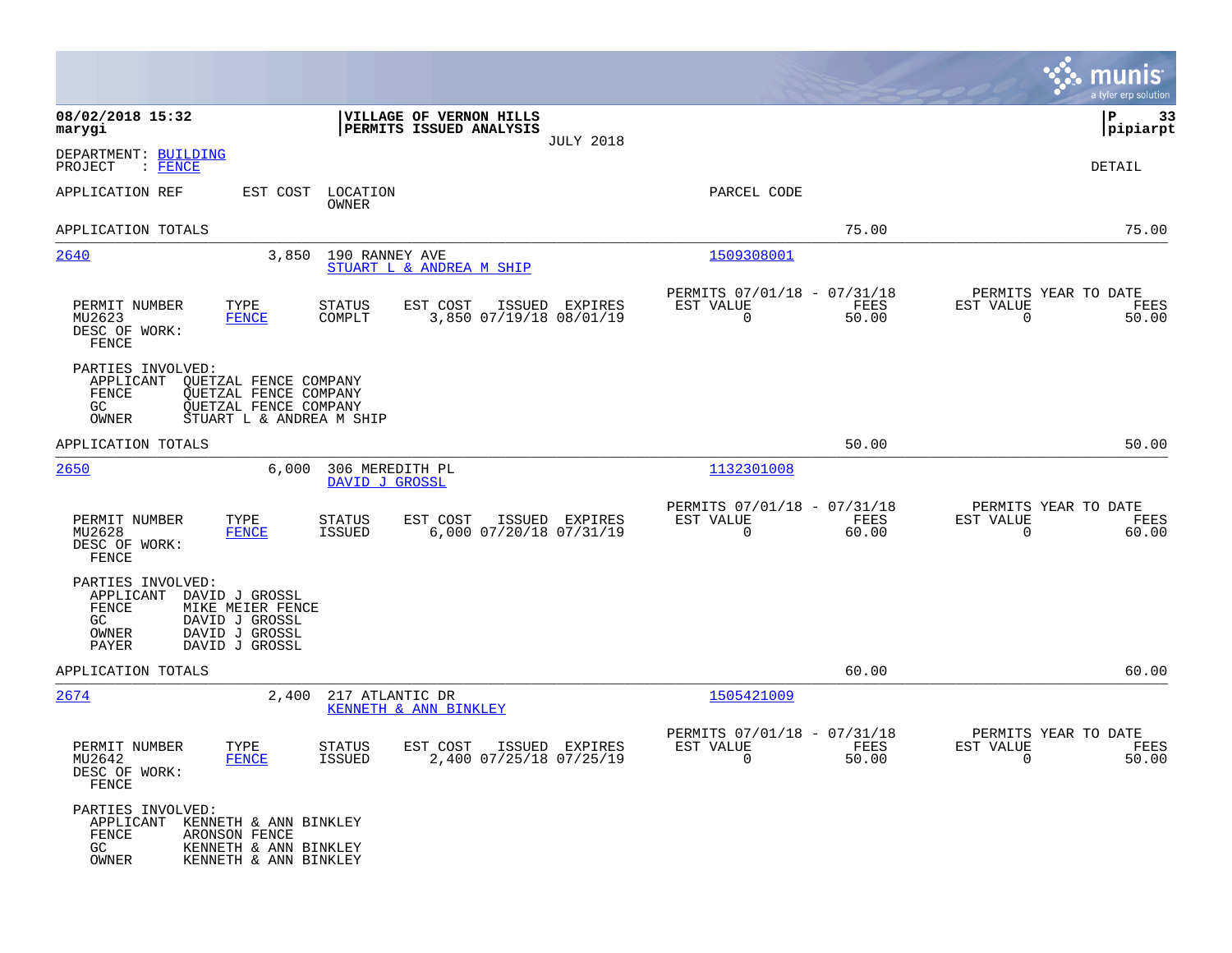|                                                                 |                                                                                                            |                                   |                                                    |                  |                                                         |               |                                                     | munis<br>a tyler erp solution |
|-----------------------------------------------------------------|------------------------------------------------------------------------------------------------------------|-----------------------------------|----------------------------------------------------|------------------|---------------------------------------------------------|---------------|-----------------------------------------------------|-------------------------------|
| 08/02/2018 15:32<br>marygi                                      |                                                                                                            |                                   | VILLAGE OF VERNON HILLS<br>PERMITS ISSUED ANALYSIS | <b>JULY 2018</b> |                                                         |               |                                                     | P<br>33<br> pipiarpt          |
| DEPARTMENT: BUILDING<br>PROJECT<br>: FENCE                      |                                                                                                            |                                   |                                                    |                  |                                                         |               |                                                     | DETAIL                        |
| APPLICATION REF                                                 | EST COST                                                                                                   | LOCATION<br>OWNER                 |                                                    |                  | PARCEL CODE                                             |               |                                                     |                               |
| APPLICATION TOTALS                                              |                                                                                                            |                                   |                                                    |                  |                                                         | 75.00         |                                                     | 75.00                         |
| 2640                                                            | 3,850                                                                                                      | 190 RANNEY AVE                    | STUART L & ANDREA M SHIP                           |                  | 1509308001                                              |               |                                                     |                               |
| PERMIT NUMBER<br>MU2623<br>DESC OF WORK:<br>FENCE               | TYPE<br><b>FENCE</b>                                                                                       | STATUS<br>COMPLT                  | EST COST<br>3,850 07/19/18 08/01/19                | ISSUED EXPIRES   | PERMITS 07/01/18 - 07/31/18<br>EST VALUE<br>$\mathbf 0$ | FEES<br>50.00 | PERMITS YEAR TO DATE<br>EST VALUE<br>$\mathbf 0$    | FEES<br>50.00                 |
| PARTIES INVOLVED:<br>APPLICANT<br>FENCE<br>GC<br>OWNER          | QUETZAL FENCE COMPANY<br>QUETZAL FENCE COMPANY<br><b>QUETZAL FENCE COMPANY</b><br>STUART L & ANDREA M SHIP |                                   |                                                    |                  |                                                         |               |                                                     |                               |
| APPLICATION TOTALS                                              |                                                                                                            |                                   |                                                    |                  |                                                         | 50.00         |                                                     | 50.00                         |
| 2650                                                            | 6,000                                                                                                      | 306 MEREDITH PL<br>DAVID J GROSSL |                                                    |                  | 1132301008                                              |               |                                                     |                               |
| PERMIT NUMBER<br>MU2628<br>DESC OF WORK:<br>FENCE               | TYPE<br><b>FENCE</b>                                                                                       | STATUS<br><b>ISSUED</b>           | EST COST<br>6,000 07/20/18 07/31/19                | ISSUED EXPIRES   | PERMITS 07/01/18 - 07/31/18<br>EST VALUE<br>0           | FEES<br>60.00 | PERMITS YEAR TO DATE<br>EST VALUE<br>0              | FEES<br>60.00                 |
| PARTIES INVOLVED:<br>APPLICANT<br>FENCE<br>GC<br>OWNER<br>PAYER | DAVID J GROSSL<br>MIKE MEIER FENCE<br>DAVID J GROSSL<br>DAVID J GROSSL<br>DAVID J GROSSL                   |                                   |                                                    |                  |                                                         |               |                                                     |                               |
| APPLICATION TOTALS                                              |                                                                                                            |                                   |                                                    |                  |                                                         | 60.00         |                                                     | 60.00                         |
| 2674                                                            | 2,400                                                                                                      | 217 ATLANTIC DR                   | KENNETH & ANN BINKLEY                              |                  | 1505421009                                              |               |                                                     |                               |
| PERMIT NUMBER<br>MU2642<br>DESC OF WORK:<br>FENCE               | TYPE<br><b>FENCE</b>                                                                                       | STATUS<br>ISSUED                  | EST COST<br>2,400 07/25/18 07/25/19                | ISSUED EXPIRES   | PERMITS 07/01/18 - 07/31/18<br>EST VALUE<br>0           | FEES<br>50.00 | PERMITS YEAR TO DATE<br>EST VALUE<br>$\overline{0}$ | FEES<br>50.00                 |
| PARTIES INVOLVED:<br>APPLICANT<br>FENCE<br>GC<br>OWNER          | KENNETH & ANN BINKLEY<br>ARONSON FENCE<br>KENNETH & ANN BINKLEY<br>KENNETH & ANN BINKLEY                   |                                   |                                                    |                  |                                                         |               |                                                     |                               |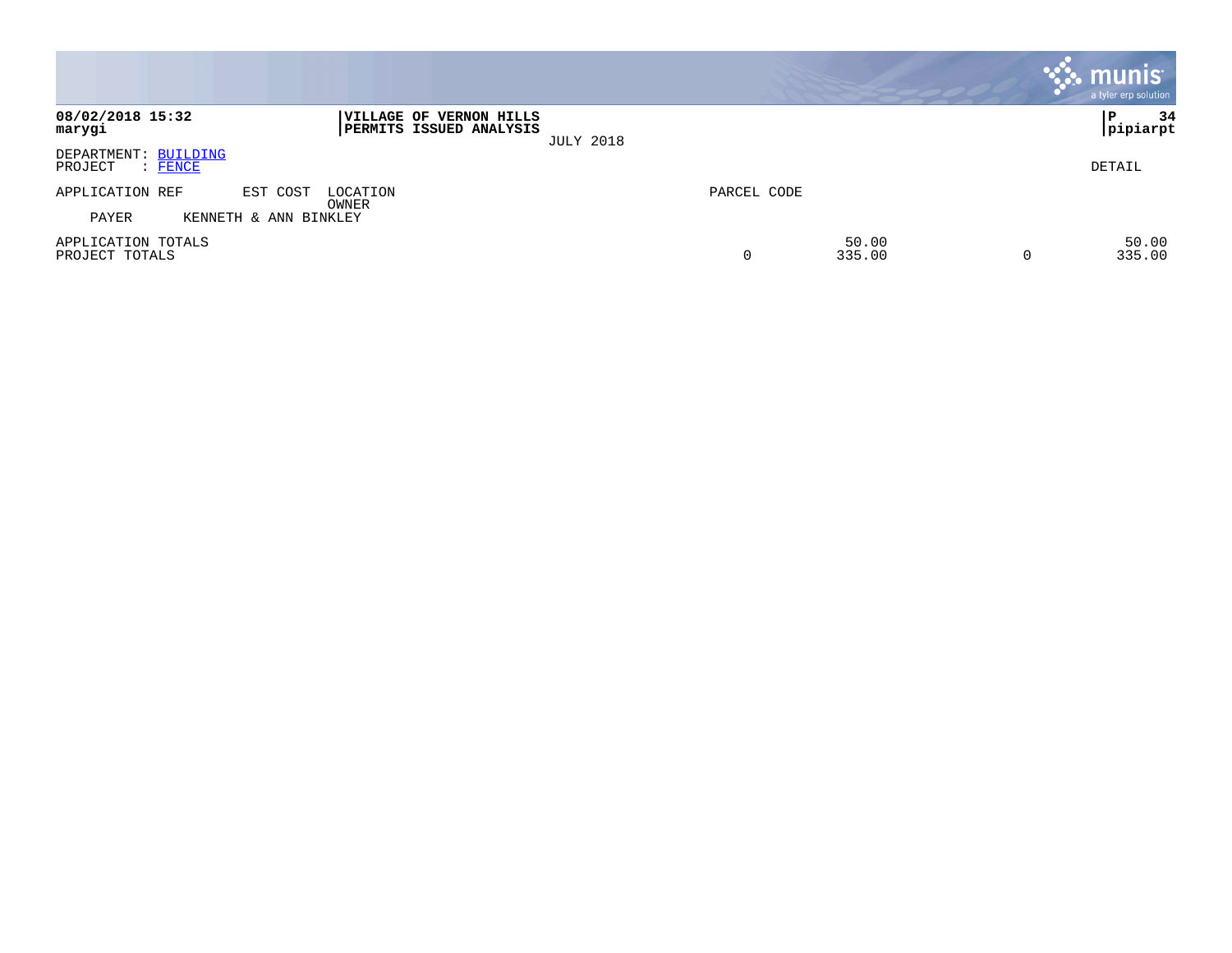|                                                   |                                                    |                  |                 |   | munis <sup>®</sup><br>a tyler erp solution |
|---------------------------------------------------|----------------------------------------------------|------------------|-----------------|---|--------------------------------------------|
| 08/02/2018 15:32<br>marygi                        | VILLAGE OF VERNON HILLS<br>PERMITS ISSUED ANALYSIS | <b>JULY 2018</b> |                 |   | 34<br>P<br> pipiarpt                       |
| DEPARTMENT: BUILDING<br>PROJECT<br>$\colon$ FENCE |                                                    |                  |                 |   | DETAIL                                     |
| APPLICATION REF                                   | EST COST<br>LOCATION<br>OWNER                      | PARCEL CODE      |                 |   |                                            |
| PAYER                                             | KENNETH & ANN BINKLEY                              |                  |                 |   |                                            |
| APPLICATION TOTALS<br>PROJECT TOTALS              |                                                    | 0                | 50.00<br>335.00 | 0 | 50.00<br>335.00                            |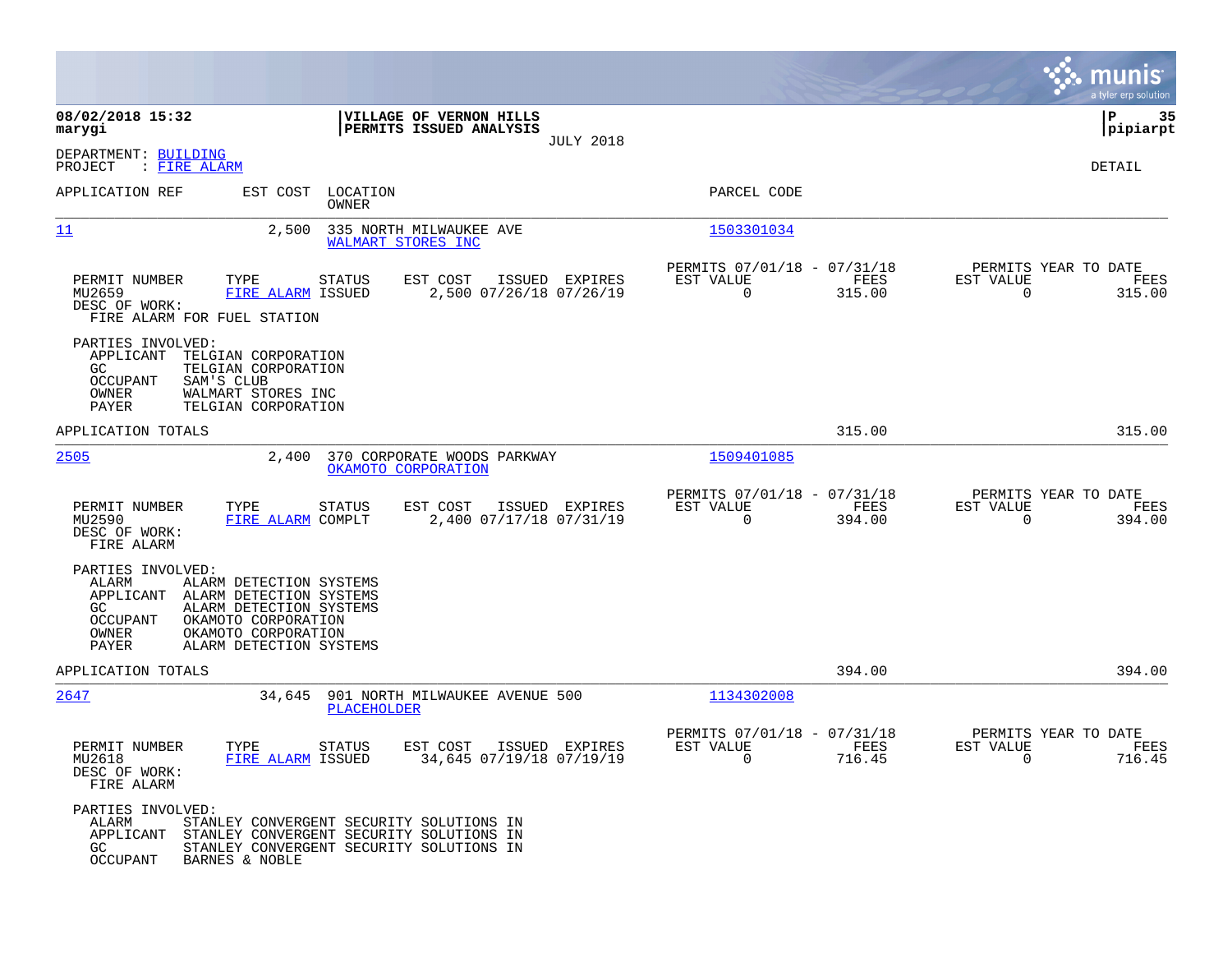|                                                                                                                                                                                                                                       |                                                                                                                                  |                                                                        | munis<br>a tyler erp solution                                      |
|---------------------------------------------------------------------------------------------------------------------------------------------------------------------------------------------------------------------------------------|----------------------------------------------------------------------------------------------------------------------------------|------------------------------------------------------------------------|--------------------------------------------------------------------|
| 08/02/2018 15:32<br>marygi                                                                                                                                                                                                            | VILLAGE OF VERNON HILLS<br>PERMITS ISSUED ANALYSIS                                                                               |                                                                        | ∣P<br>35<br>pipiarpt                                               |
| DEPARTMENT: BUILDING<br>: FIRE ALARM<br>PROJECT                                                                                                                                                                                       | <b>JULY 2018</b>                                                                                                                 |                                                                        | DETAIL                                                             |
| APPLICATION REF                                                                                                                                                                                                                       | EST COST LOCATION<br>OWNER                                                                                                       | PARCEL CODE                                                            |                                                                    |
| 11                                                                                                                                                                                                                                    | 2,500<br>335 NORTH MILWAUKEE AVE<br>WALMART STORES INC                                                                           | 1503301034                                                             |                                                                    |
| PERMIT NUMBER<br>TYPE<br>MU2659<br>DESC OF WORK:<br>FIRE ALARM FOR FUEL STATION                                                                                                                                                       | EST COST<br><b>STATUS</b><br>ISSUED EXPIRES<br>2,500 07/26/18 07/26/19<br>FIRE ALARM ISSUED                                      | PERMITS 07/01/18 - 07/31/18<br>EST VALUE<br>FEES<br>$\Omega$<br>315.00 | PERMITS YEAR TO DATE<br>EST VALUE<br>FEES<br>$\Omega$<br>315.00    |
| PARTIES INVOLVED:<br>APPLICANT<br>TELGIAN CORPORATION<br>GC.<br>TELGIAN CORPORATION<br>OCCUPANT<br>SAM'S CLUB<br>WALMART STORES INC<br>OWNER<br>TELGIAN CORPORATION<br>PAYER                                                          |                                                                                                                                  |                                                                        |                                                                    |
| APPLICATION TOTALS                                                                                                                                                                                                                    |                                                                                                                                  | 315.00                                                                 | 315.00                                                             |
| 2505                                                                                                                                                                                                                                  | 2,400<br>370 CORPORATE WOODS PARKWAY<br>OKAMOTO CORPORATION                                                                      | 1509401085                                                             |                                                                    |
| PERMIT NUMBER<br>TYPE<br>MU2590<br>DESC OF WORK:<br>FIRE ALARM                                                                                                                                                                        | EST COST<br>ISSUED EXPIRES<br><b>STATUS</b><br>FIRE ALARM COMPLT<br>2,400 07/17/18 07/31/19                                      | PERMITS 07/01/18 - 07/31/18<br>EST VALUE<br>FEES<br>$\Omega$<br>394.00 | PERMITS YEAR TO DATE<br>EST VALUE<br>FEES<br>$\mathbf 0$<br>394.00 |
| PARTIES INVOLVED:<br>ALARM DETECTION SYSTEMS<br>ALARM<br>APPLICANT<br>ALARM DETECTION SYSTEMS<br>GC<br>ALARM DETECTION SYSTEMS<br>OCCUPANT<br>OKAMOTO CORPORATION<br>OWNER<br>OKAMOTO CORPORATION<br>PAYER<br>ALARM DETECTION SYSTEMS |                                                                                                                                  |                                                                        |                                                                    |
| APPLICATION TOTALS                                                                                                                                                                                                                    |                                                                                                                                  | 394.00                                                                 | 394.00                                                             |
| 2647                                                                                                                                                                                                                                  | 901 NORTH MILWAUKEE AVENUE 500<br>34,645<br>PLACEHOLDER                                                                          | 1134302008                                                             |                                                                    |
| PERMIT NUMBER<br>TYPE<br>MU2618<br>DESC OF WORK:<br>FIRE ALARM                                                                                                                                                                        | EST COST<br><b>STATUS</b><br>ISSUED EXPIRES<br>FIRE ALARM ISSUED<br>34,645 07/19/18 07/19/19                                     | PERMITS 07/01/18 - 07/31/18<br>EST VALUE<br>FEES<br>0<br>716.45        | PERMITS YEAR TO DATE<br>EST VALUE<br>FEES<br>$\mathbf 0$<br>716.45 |
| PARTIES INVOLVED:<br>ALARM<br>APPLICANT<br>GC.<br>BARNES & NOBLE<br><b>OCCUPANT</b>                                                                                                                                                   | STANLEY CONVERGENT SECURITY SOLUTIONS IN<br>STANLEY CONVERGENT SECURITY SOLUTIONS IN<br>STANLEY CONVERGENT SECURITY SOLUTIONS IN |                                                                        |                                                                    |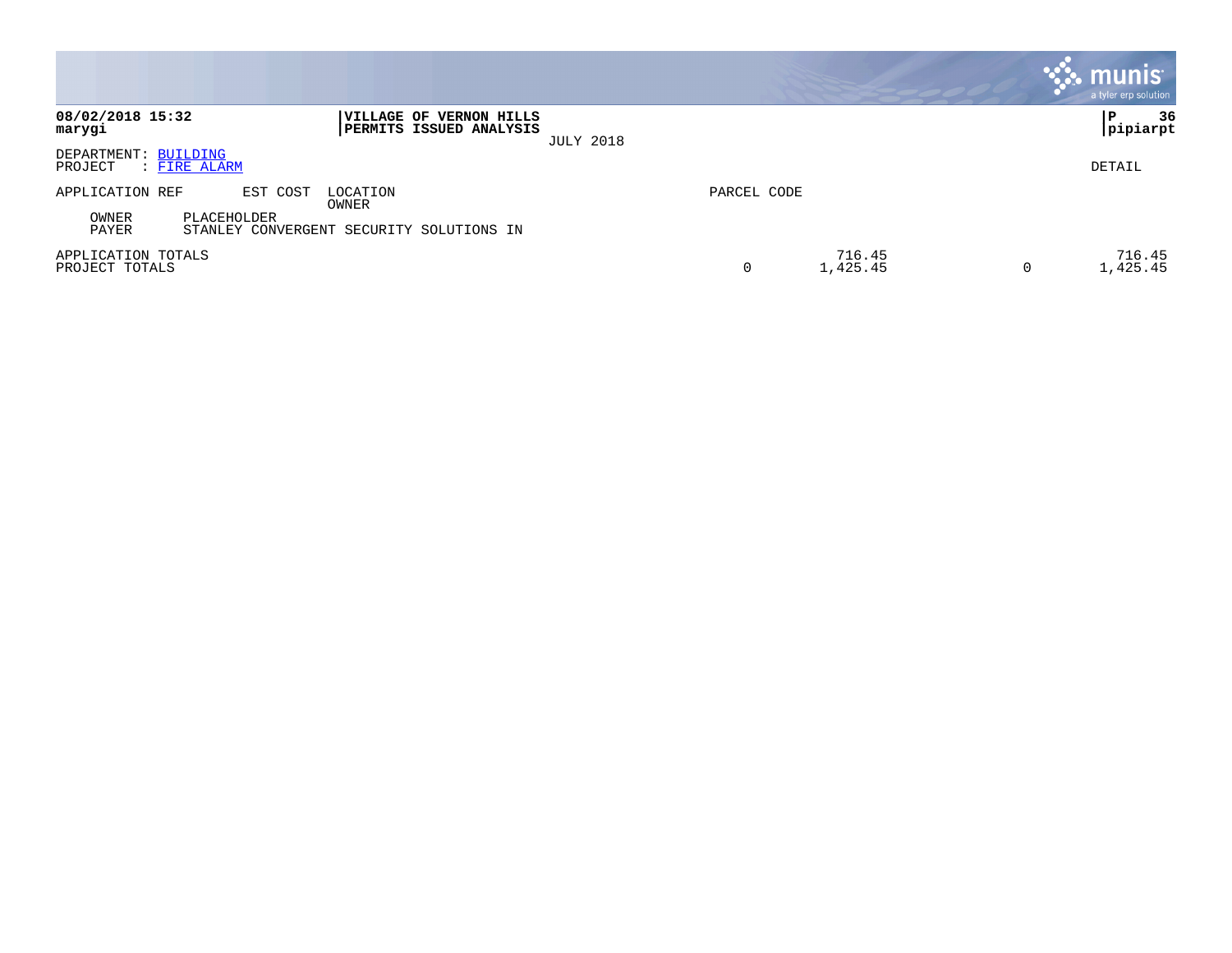|                                                 |                                                           |                              | <b>munis</b><br>a tyler erp solution |
|-------------------------------------------------|-----------------------------------------------------------|------------------------------|--------------------------------------|
| 08/02/2018 15:32<br>marygi                      | VILLAGE OF VERNON HILLS<br><b>PERMITS ISSUED ANALYSIS</b> | <b>JULY 2018</b>             | 36<br>P<br> pipiarpt                 |
| DEPARTMENT: BUILDING<br>PROJECT<br>: FIRE ALARM |                                                           |                              | DETAIL                               |
| APPLICATION REF<br>EST COST                     | LOCATION<br>OWNER                                         | PARCEL CODE                  |                                      |
| OWNER<br>PLACEHOLDER<br>PAYER                   | STANLEY CONVERGENT SECURITY SOLUTIONS IN                  |                              |                                      |
| APPLICATION TOTALS<br>PROJECT TOTALS            |                                                           | 716.45<br>0<br>1,425.45<br>0 | 716.45<br>1,425.45                   |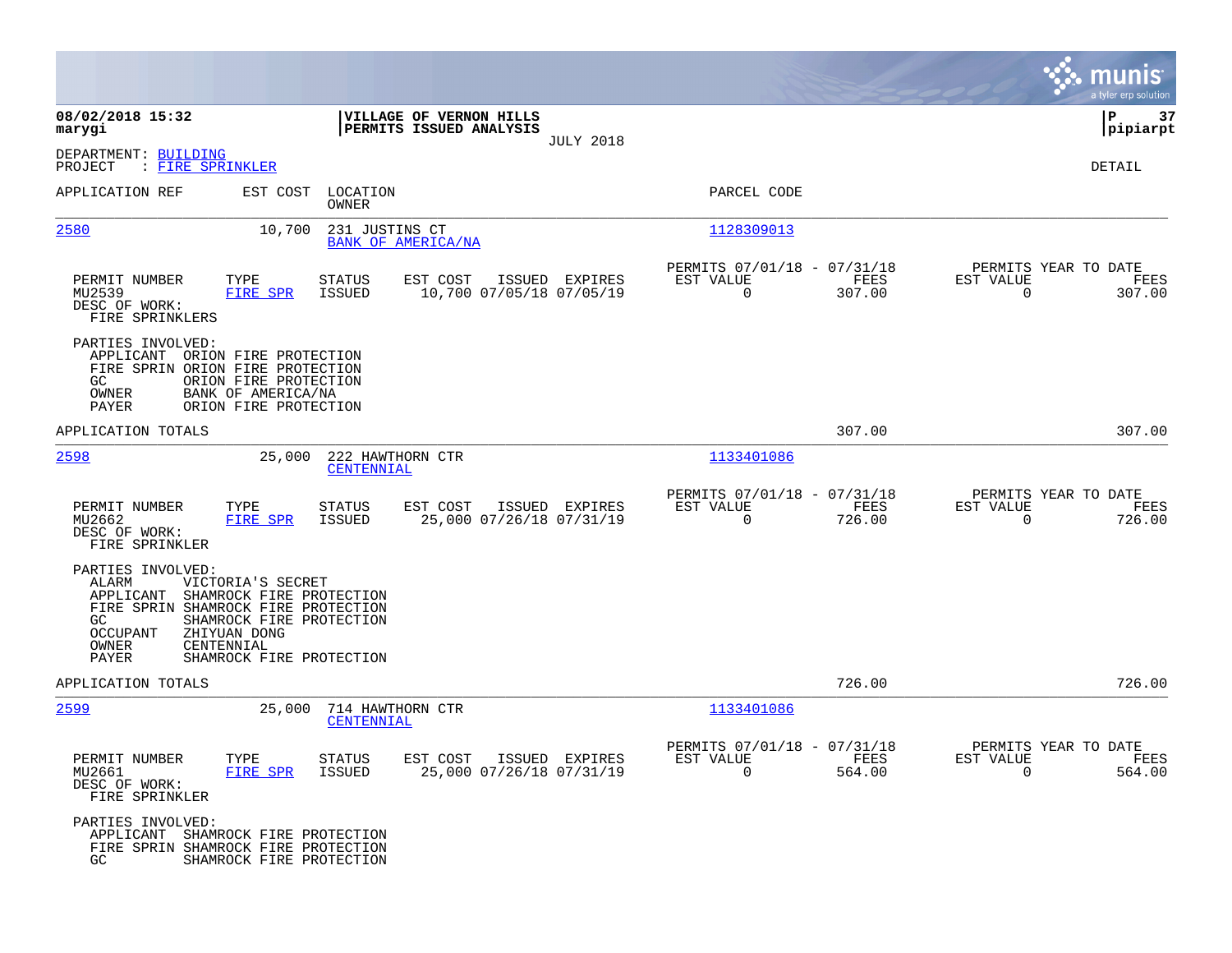|                                                                                                                                                                                                                                                                   |                                                                                   |                                                                           | munis<br>a tyler erp solution                                   |
|-------------------------------------------------------------------------------------------------------------------------------------------------------------------------------------------------------------------------------------------------------------------|-----------------------------------------------------------------------------------|---------------------------------------------------------------------------|-----------------------------------------------------------------|
| 08/02/2018 15:32<br>marygi                                                                                                                                                                                                                                        | VILLAGE OF VERNON HILLS<br>PERMITS ISSUED ANALYSIS                                |                                                                           | 37<br>IΡ<br> pipiarpt                                           |
| DEPARTMENT: BUILDING<br>PROJECT<br>: FIRE SPRINKLER                                                                                                                                                                                                               | <b>JULY 2018</b>                                                                  |                                                                           | DETAIL                                                          |
| APPLICATION REF<br>EST COST                                                                                                                                                                                                                                       | LOCATION<br>OWNER                                                                 | PARCEL CODE                                                               |                                                                 |
| 2580<br>10,700                                                                                                                                                                                                                                                    | 231 JUSTINS CT<br>BANK OF AMERICA/NA                                              | 1128309013                                                                |                                                                 |
| PERMIT NUMBER<br>TYPE<br>MU2539<br>FIRE SPR<br>DESC OF WORK:<br>FIRE SPRINKLERS                                                                                                                                                                                   | ISSUED EXPIRES<br>STATUS<br>EST COST<br><b>ISSUED</b><br>10,700 07/05/18 07/05/19 | PERMITS 07/01/18 - 07/31/18<br>FEES<br>EST VALUE<br>$\mathbf 0$<br>307.00 | PERMITS YEAR TO DATE<br>EST VALUE<br>FEES<br>$\Omega$<br>307.00 |
| PARTIES INVOLVED:<br>APPLICANT ORION FIRE PROTECTION<br>FIRE SPRIN ORION FIRE PROTECTION<br>GC<br>ORION FIRE PROTECTION<br>BANK OF AMERICA/NA<br>OWNER<br>PAYER<br>ORION FIRE PROTECTION                                                                          |                                                                                   |                                                                           |                                                                 |
| APPLICATION TOTALS                                                                                                                                                                                                                                                |                                                                                   | 307.00                                                                    | 307.00                                                          |
| 2598<br>25,000                                                                                                                                                                                                                                                    | 222 HAWTHORN CTR<br>CENTENNIAL                                                    | 1133401086                                                                |                                                                 |
| PERMIT NUMBER<br>TYPE<br>MU2662<br>FIRE SPR<br>DESC OF WORK:<br>FIRE SPRINKLER                                                                                                                                                                                    | <b>STATUS</b><br>EST COST<br>ISSUED EXPIRES<br>25,000 07/26/18 07/31/19<br>ISSUED | PERMITS 07/01/18 - 07/31/18<br>EST VALUE<br>FEES<br>726.00<br>$\Omega$    | PERMITS YEAR TO DATE<br>EST VALUE<br>FEES<br>$\Omega$<br>726.00 |
| PARTIES INVOLVED:<br>ALARM<br>VICTORIA'S SECRET<br>APPLICANT<br>SHAMROCK FIRE PROTECTION<br>FIRE SPRIN SHAMROCK FIRE PROTECTION<br>SHAMROCK FIRE PROTECTION<br>GC.<br><b>OCCUPANT</b><br>ZHIYUAN DONG<br>OWNER<br>CENTENNIAL<br>PAYER<br>SHAMROCK FIRE PROTECTION |                                                                                   |                                                                           |                                                                 |
| APPLICATION TOTALS                                                                                                                                                                                                                                                |                                                                                   | 726.00                                                                    | 726.00                                                          |
| 2599<br>25,000                                                                                                                                                                                                                                                    | 714 HAWTHORN CTR<br>CENTENNIAL                                                    | 1133401086                                                                |                                                                 |
| PERMIT NUMBER<br>TYPE<br>MU2661<br>FIRE SPR<br>DESC OF WORK:<br>FIRE SPRINKLER                                                                                                                                                                                    | STATUS<br>EST COST ISSUED EXPIRES<br>25,000 07/26/18 07/31/19<br>ISSUED           | PERMITS 07/01/18 - 07/31/18<br>EST VALUE<br>FEES<br>$\Omega$<br>564.00    | PERMITS YEAR TO DATE<br>EST VALUE<br>FEES<br>$\Omega$<br>564.00 |
| PARTIES INVOLVED:<br>APPLICANT SHAMROCK FIRE PROTECTION<br>FIRE SPRIN SHAMROCK FIRE PROTECTION<br>GC<br>SHAMROCK FIRE PROTECTION                                                                                                                                  |                                                                                   |                                                                           |                                                                 |

**Contract**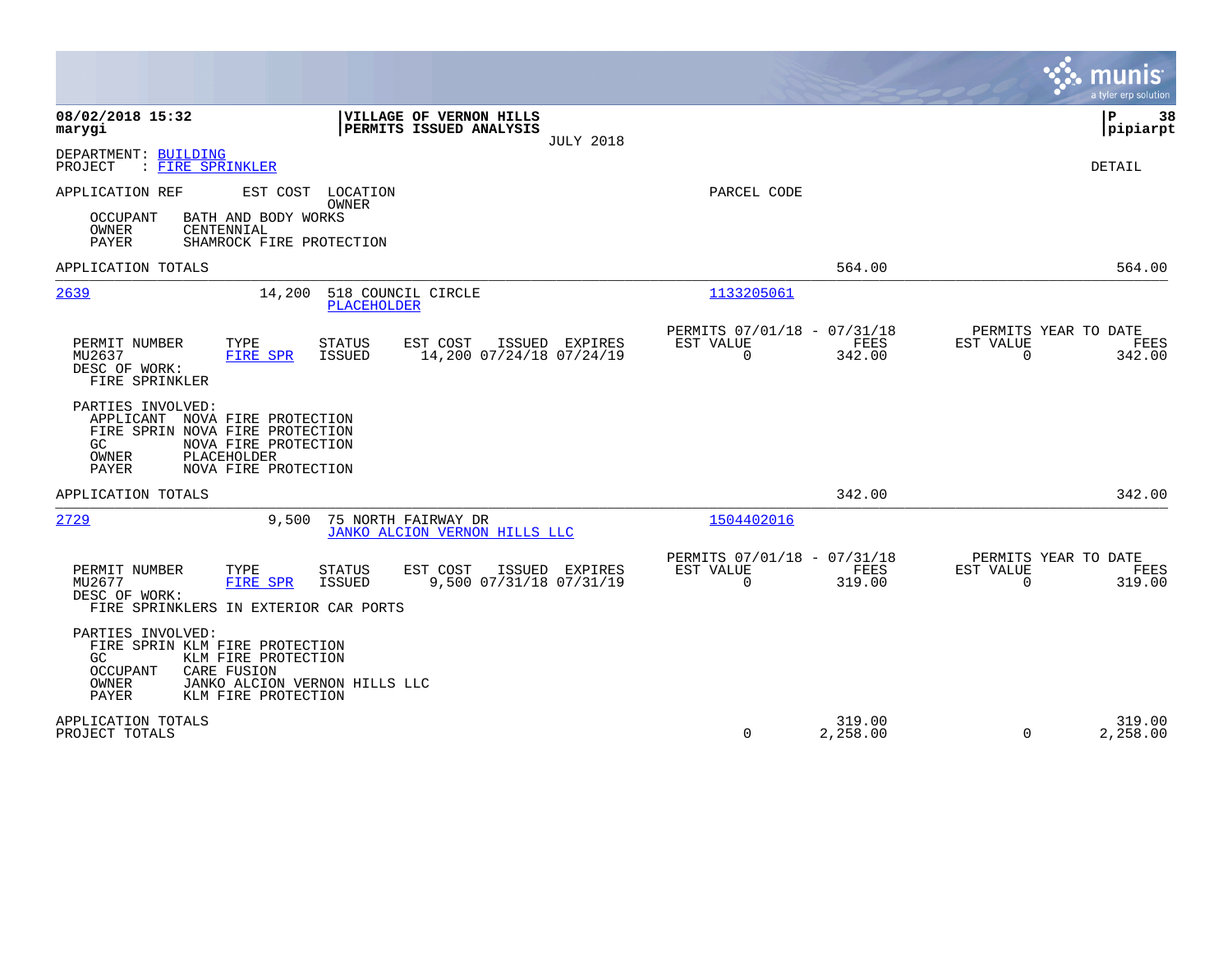|                                                                                                                                                                                                         |                                                                                  | munis<br>a tyler erp solution                                             |
|---------------------------------------------------------------------------------------------------------------------------------------------------------------------------------------------------------|----------------------------------------------------------------------------------|---------------------------------------------------------------------------|
| 08/02/2018 15:32<br>VILLAGE OF VERNON HILLS<br>PERMITS ISSUED ANALYSIS<br>marygi<br><b>JULY 2018</b>                                                                                                    |                                                                                  | ΙP<br>38<br> pipiarpt                                                     |
| DEPARTMENT: BUILDING<br>PROJECT<br>: FIRE SPRINKLER                                                                                                                                                     |                                                                                  | <b>DETAIL</b>                                                             |
| APPLICATION REF<br>EST COST<br>LOCATION<br>OWNER<br>BATH AND BODY WORKS<br>OCCUPANT<br>OWNER<br>CENTENNIAL<br>PAYER<br>SHAMROCK FIRE PROTECTION                                                         | PARCEL CODE                                                                      |                                                                           |
| APPLICATION TOTALS                                                                                                                                                                                      | 564.00                                                                           | 564.00                                                                    |
| 2639<br>14,200<br>518 COUNCIL CIRCLE<br><b>PLACEHOLDER</b>                                                                                                                                              | 1133205061                                                                       |                                                                           |
| TYPE<br><b>STATUS</b><br>EST COST<br>PERMIT NUMBER<br>ISSUED EXPIRES<br>14,200 07/24/18 07/24/19<br>MU2637<br><b>FIRE SPR</b><br><b>ISSUED</b><br>DESC OF WORK:<br>FIRE SPRINKLER                       | PERMITS 07/01/18 - 07/31/18<br>EST VALUE<br><b>FEES</b><br>$\Omega$<br>342.00    | PERMITS YEAR TO DATE<br>EST VALUE<br><b>FEES</b><br>$\mathbf 0$<br>342.00 |
| PARTIES INVOLVED:<br>APPLICANT NOVA FIRE PROTECTION<br>FIRE SPRIN NOVA FIRE PROTECTION<br>NOVA FIRE PROTECTION<br>GC<br>OWNER<br>PLACEHOLDER<br>PAYER<br>NOVA FIRE PROTECTION                           |                                                                                  |                                                                           |
| APPLICATION TOTALS                                                                                                                                                                                      | 342.00                                                                           | 342.00                                                                    |
| 2729<br>9,500<br>75 NORTH FAIRWAY DR<br>JANKO ALCION VERNON HILLS LLC                                                                                                                                   | 1504402016                                                                       |                                                                           |
| TYPE<br>EST COST<br>PERMIT NUMBER<br><b>STATUS</b><br>ISSUED EXPIRES<br>MU2677<br><b>FIRE SPR</b><br><b>ISSUED</b><br>9,500 07/31/18 07/31/19<br>DESC OF WORK:<br>FIRE SPRINKLERS IN EXTERIOR CAR PORTS | PERMITS 07/01/18 - 07/31/18<br>EST VALUE<br><b>FEES</b><br>$\mathbf 0$<br>319.00 | PERMITS YEAR TO DATE<br>EST VALUE<br>FEES<br>319.00<br>$\Omega$           |
| PARTIES INVOLVED:<br>FIRE SPRIN KLM FIRE PROTECTION<br>KLM FIRE PROTECTION<br>GC.<br><b>OCCUPANT</b><br>CARE FUSION<br>OWNER<br>JANKO ALCION VERNON HILLS LLC<br>PAYER<br>KLM FIRE PROTECTION           |                                                                                  |                                                                           |
| APPLICATION TOTALS<br>PROJECT TOTALS                                                                                                                                                                    | 319.00<br>0<br>2,258.00                                                          | 319.00<br>$\Omega$<br>2,258.00                                            |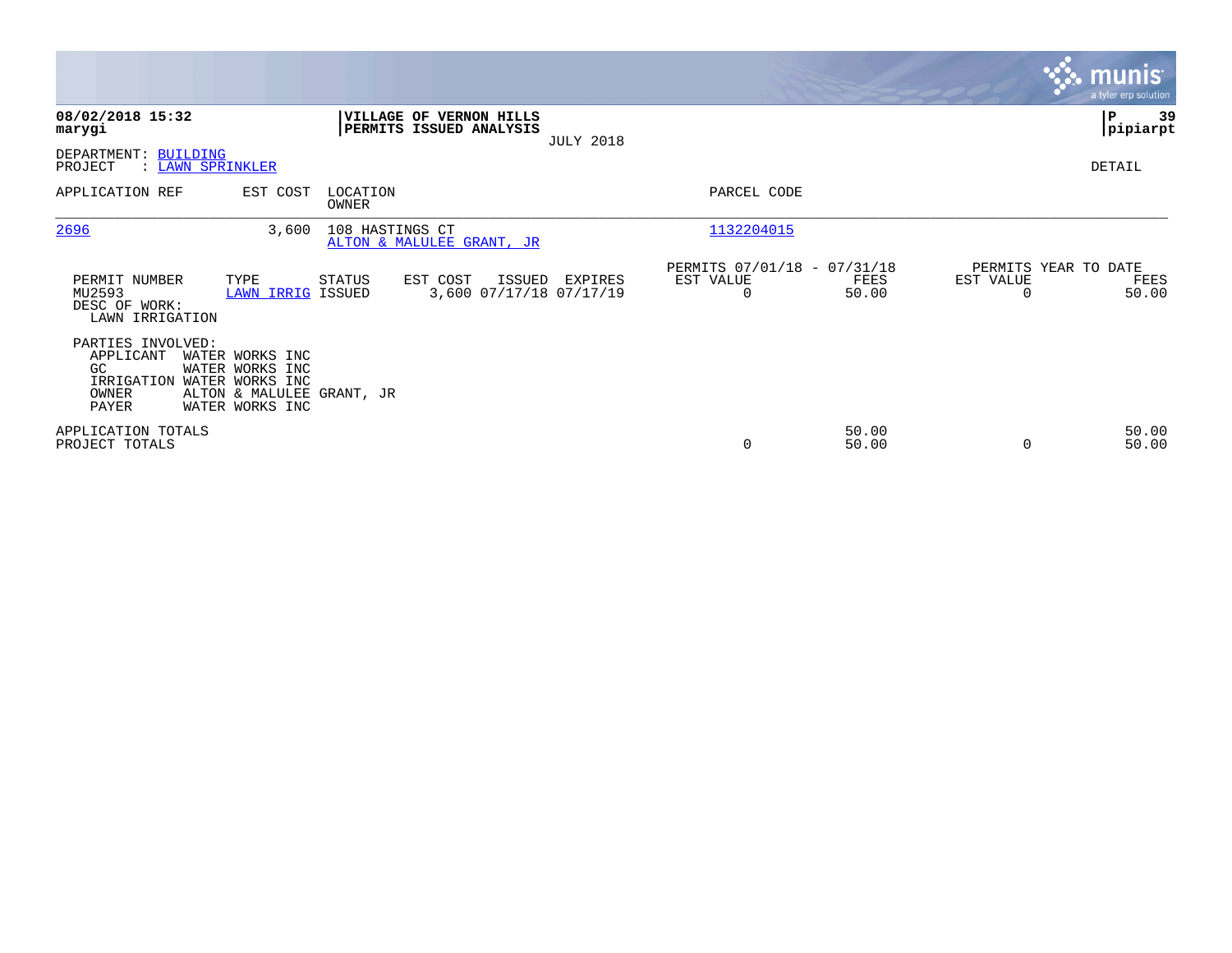|                                                                                       |                                                                                    |                   |                                                    |                  |                                                      |                |                                               | <b>munis</b><br>a tyler erp solution |
|---------------------------------------------------------------------------------------|------------------------------------------------------------------------------------|-------------------|----------------------------------------------------|------------------|------------------------------------------------------|----------------|-----------------------------------------------|--------------------------------------|
| 08/02/2018 15:32<br>marygi                                                            |                                                                                    |                   | VILLAGE OF VERNON HILLS<br>PERMITS ISSUED ANALYSIS | <b>JULY 2018</b> |                                                      |                |                                               | 39<br>∣P<br> pipiarpt                |
| DEPARTMENT: BUILDING<br>PROJECT<br>: LAWN SPRINKLER                                   |                                                                                    |                   |                                                    |                  |                                                      |                |                                               | DETAIL                               |
| APPLICATION REF                                                                       | EST COST                                                                           | LOCATION<br>OWNER |                                                    |                  | PARCEL CODE                                          |                |                                               |                                      |
| 2696                                                                                  | 3,600                                                                              | 108 HASTINGS CT   | ALTON & MALULEE GRANT, JR                          |                  | 1132204015                                           |                |                                               |                                      |
| PERMIT NUMBER<br>MU2593<br>DESC OF WORK:<br>LAWN IRRIGATION                           | TYPE<br>LAWN IRRIG ISSUED                                                          | STATUS            | EST COST<br>ISSUED<br>3,600 07/17/18 07/17/19      | EXPIRES          | PERMITS 07/01/18 - 07/31/18<br>EST VALUE<br>$\Omega$ | FEES<br>50.00  | PERMITS YEAR TO DATE<br>EST VALUE<br>$\Omega$ | FEES<br>50.00                        |
| PARTIES INVOLVED:<br>APPLICANT<br>GC.<br>IRRIGATION WATER WORKS INC<br>OWNER<br>PAYER | WATER WORKS INC<br>WATER WORKS INC<br>ALTON & MALULEE GRANT, JR<br>WATER WORKS INC |                   |                                                    |                  |                                                      |                |                                               |                                      |
| APPLICATION TOTALS<br>PROJECT TOTALS                                                  |                                                                                    |                   |                                                    |                  | 0                                                    | 50.00<br>50.00 |                                               | 50.00<br>50.00                       |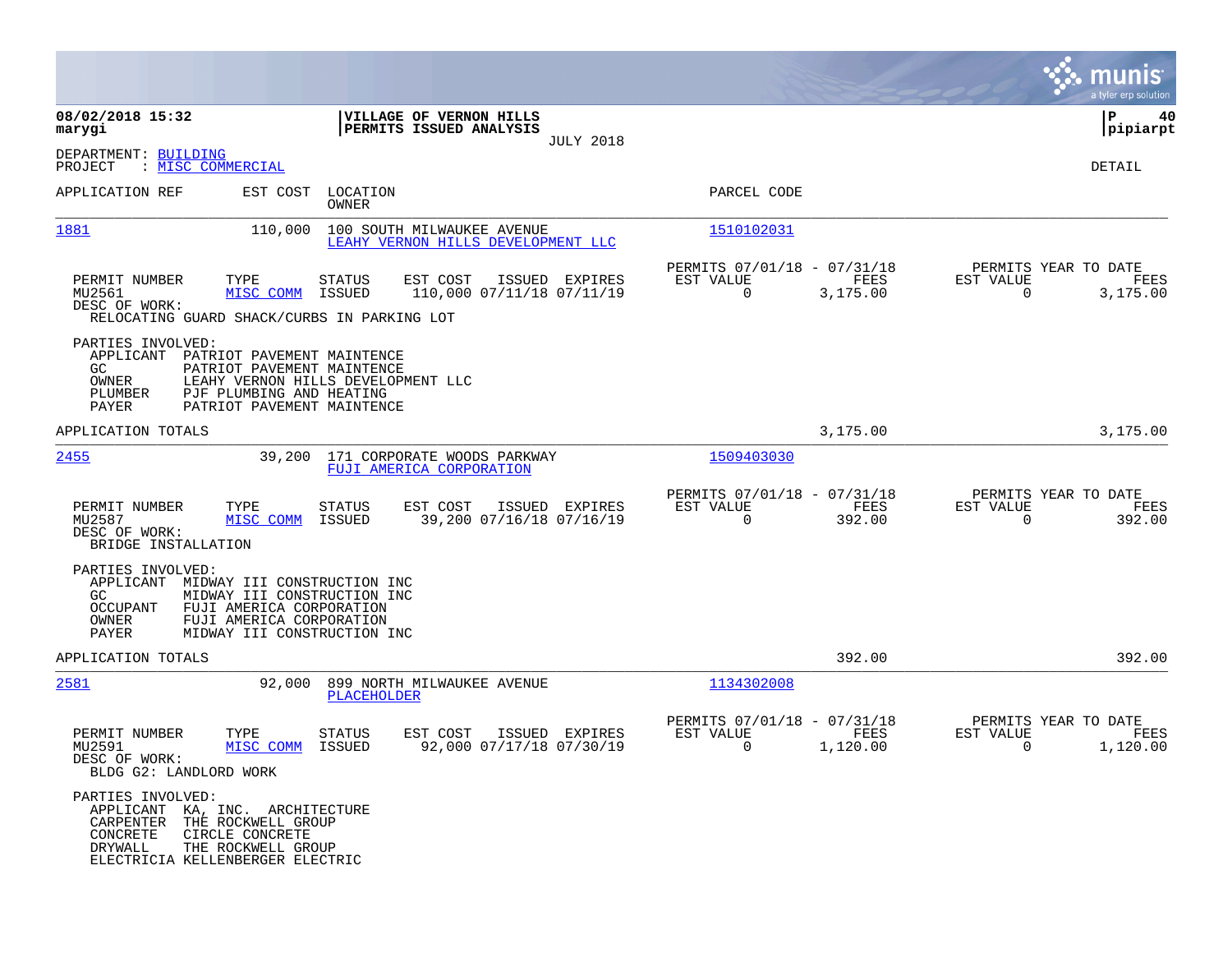|                                                                                                                                                                                                                              |                                                                             |                                                                             | munis<br>a tyler erp solution                                      |
|------------------------------------------------------------------------------------------------------------------------------------------------------------------------------------------------------------------------------|-----------------------------------------------------------------------------|-----------------------------------------------------------------------------|--------------------------------------------------------------------|
| 08/02/2018 15:32<br>marygi                                                                                                                                                                                                   | VILLAGE OF VERNON HILLS<br>PERMITS ISSUED ANALYSIS<br><b>JULY 2018</b>      |                                                                             | 40<br>ΙP<br> pipiarpt                                              |
| DEPARTMENT: BUILDING<br>: MISC COMMERCIAL<br>PROJECT                                                                                                                                                                         |                                                                             |                                                                             | DETAIL                                                             |
| APPLICATION REF<br>EST COST                                                                                                                                                                                                  | LOCATION<br>OWNER                                                           | PARCEL CODE                                                                 |                                                                    |
| 1881<br>110,000                                                                                                                                                                                                              | 100 SOUTH MILWAUKEE AVENUE<br>LEAHY VERNON HILLS DEVELOPMENT LLC            | <u>1510102031</u>                                                           |                                                                    |
| PERMIT NUMBER<br>TYPE<br>MU2561<br>MISC COMM<br>DESC OF WORK:<br>RELOCATING GUARD SHACK/CURBS IN PARKING LOT                                                                                                                 | EST COST<br>ISSUED EXPIRES<br>STATUS<br>ISSUED<br>110,000 07/11/18 07/11/19 | PERMITS 07/01/18 - 07/31/18<br>EST VALUE<br>FEES<br>$\mathbf 0$<br>3,175.00 | PERMITS YEAR TO DATE<br>EST VALUE<br>FEES<br>$\Omega$<br>3,175.00  |
| PARTIES INVOLVED:<br>APPLICANT<br>PATRIOT PAVEMENT MAINTENCE<br>PATRIOT PAVEMENT MAINTENCE<br>GC.<br>OWNER<br>PLUMBER<br>PJF PLUMBING AND HEATING<br>PATRIOT PAVEMENT MAINTENCE<br>PAYER                                     | LEAHY VERNON HILLS DEVELOPMENT LLC                                          |                                                                             |                                                                    |
| APPLICATION TOTALS                                                                                                                                                                                                           |                                                                             | 3,175.00                                                                    | 3,175.00                                                           |
| 2455<br>39,200                                                                                                                                                                                                               | 171 CORPORATE WOODS PARKWAY<br>FUJI AMERICA CORPORATION                     | 1509403030                                                                  |                                                                    |
| TYPE<br>PERMIT NUMBER<br>MU2587<br>MISC COMM<br>DESC OF WORK:<br>BRIDGE INSTALLATION                                                                                                                                         | STATUS<br>EST COST<br>ISSUED EXPIRES<br>ISSUED<br>39,200 07/16/18 07/16/19  | PERMITS 07/01/18 - 07/31/18<br>FEES<br>EST VALUE<br>$\mathbf 0$<br>392.00   | PERMITS YEAR TO DATE<br>EST VALUE<br>FEES<br>$\mathbf 0$<br>392.00 |
| PARTIES INVOLVED:<br>APPLICANT MIDWAY III CONSTRUCTION INC<br>MIDWAY III CONSTRUCTION INC<br>GC.<br><b>OCCUPANT</b><br>FUJI AMERICA CORPORATION<br>OWNER<br>FUJI AMERICA CORPORATION<br>PAYER<br>MIDWAY III CONSTRUCTION INC |                                                                             |                                                                             |                                                                    |
| APPLICATION TOTALS                                                                                                                                                                                                           |                                                                             | 392.00                                                                      | 392.00                                                             |
| 2581<br>92,000                                                                                                                                                                                                               | 899 NORTH MILWAUKEE AVENUE<br><b>PLACEHOLDER</b>                            | 1134302008                                                                  |                                                                    |
| PERMIT NUMBER<br>TYPE<br>MU2591<br>MISC COMM<br>DESC OF WORK:<br>BLDG G2: LANDLORD WORK                                                                                                                                      | ISSUED EXPIRES<br>STATUS<br>EST COST<br>92,000 07/17/18 07/30/19<br>ISSUED  | PERMITS 07/01/18 - 07/31/18<br>EST VALUE<br><b>FEES</b><br>0<br>1,120.00    | PERMITS YEAR TO DATE<br>EST VALUE<br>FEES<br>0<br>1,120.00         |
| PARTIES INVOLVED:<br>APPLICANT KA, INC. ARCHITECTURE<br>CARPENTER THE ROCKWELL GROUP<br>CONCRETE CIRCLE CONCRETE<br>DRYWALL<br>THE ROCKWELL GROUP<br>ELECTRICIA KELLENBERGER ELECTRIC                                        |                                                                             |                                                                             |                                                                    |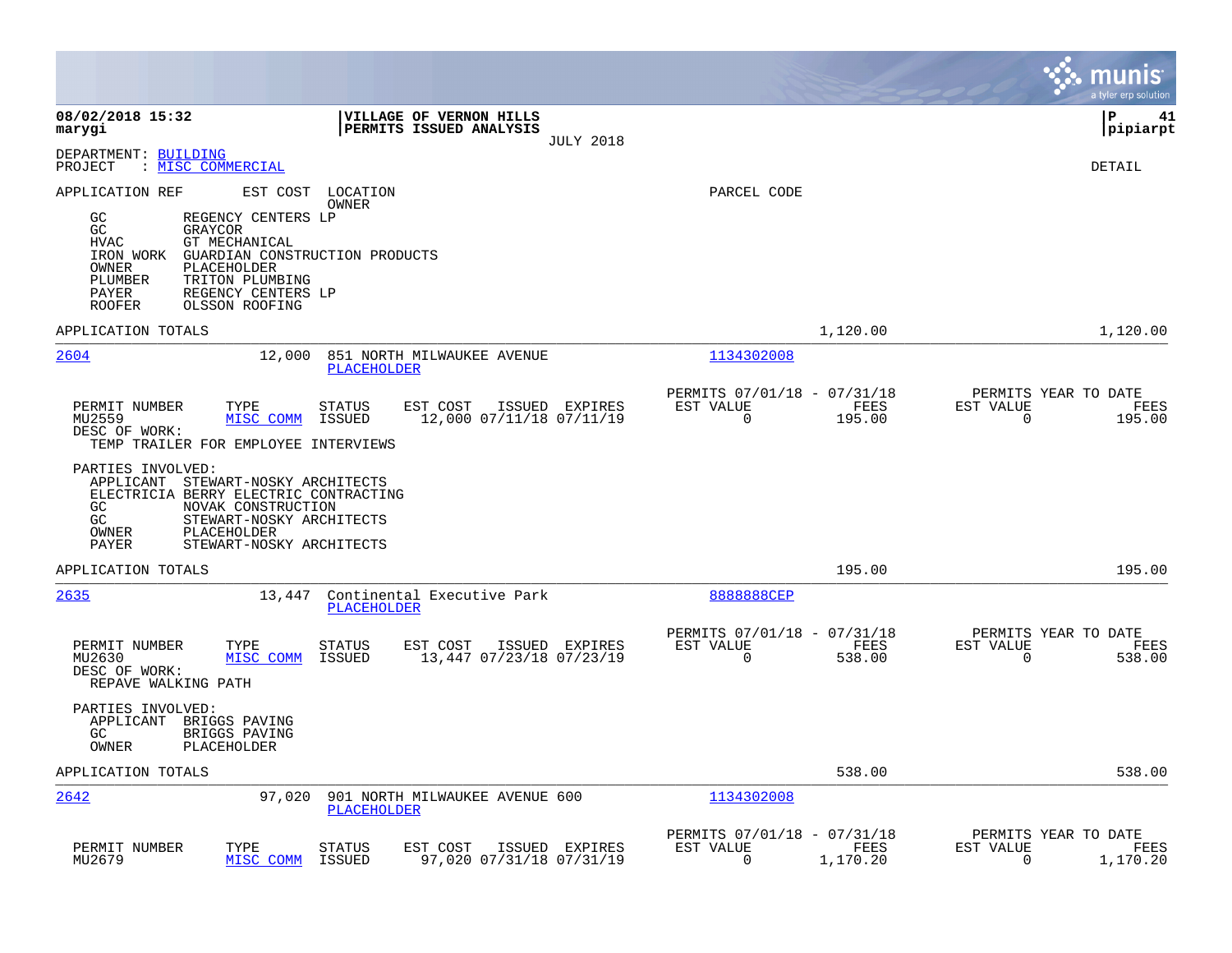|                                                                                                                                                                                                                                                                                               |                                                                        | munis<br>a tyler erp solution                                   |
|-----------------------------------------------------------------------------------------------------------------------------------------------------------------------------------------------------------------------------------------------------------------------------------------------|------------------------------------------------------------------------|-----------------------------------------------------------------|
| 08/02/2018 15:32<br>VILLAGE OF VERNON HILLS<br>PERMITS ISSUED ANALYSIS<br>marygi<br><b>JULY 2018</b>                                                                                                                                                                                          |                                                                        | l P<br>41<br> pipiarpt                                          |
| DEPARTMENT: BUILDING<br>: MISC COMMERCIAL<br>PROJECT                                                                                                                                                                                                                                          |                                                                        | DETAIL                                                          |
| APPLICATION REF<br>EST COST<br>LOCATION<br>OWNER<br>GC<br>REGENCY CENTERS LP<br>GC<br>GRAYCOR<br>HVAC<br>GT MECHANICAL<br>IRON WORK<br>GUARDIAN CONSTRUCTION PRODUCTS<br>OWNER<br>PLACEHOLDER<br>PLUMBER<br>TRITON PLUMBING<br>REGENCY CENTERS LP<br>PAYER<br><b>ROOFER</b><br>OLSSON ROOFING | PARCEL CODE                                                            |                                                                 |
| APPLICATION TOTALS                                                                                                                                                                                                                                                                            | 1,120.00                                                               | 1,120.00                                                        |
| 2604<br>12,000<br>851 NORTH MILWAUKEE AVENUE<br>PLACEHOLDER                                                                                                                                                                                                                                   | 1134302008                                                             |                                                                 |
| PERMIT NUMBER<br>TYPE<br><b>STATUS</b><br>EST COST<br>ISSUED EXPIRES<br>MISC COMM<br>12,000 07/11/18 07/11/19<br>MU2559<br>ISSUED<br>DESC OF WORK:<br>TEMP TRAILER FOR EMPLOYEE INTERVIEWS                                                                                                    | PERMITS 07/01/18 - 07/31/18<br>EST VALUE<br>FEES<br>$\Omega$<br>195.00 | PERMITS YEAR TO DATE<br>EST VALUE<br>FEES<br>0<br>195.00        |
| PARTIES INVOLVED:<br>APPLICANT STEWART-NOSKY ARCHITECTS<br>ELECTRICIA BERRY ELECTRIC CONTRACTING<br>GC<br>NOVAK CONSTRUCTION<br>GC<br>STEWART-NOSKY ARCHITECTS<br>OWNER<br>PLACEHOLDER<br>PAYER<br>STEWART-NOSKY ARCHITECTS                                                                   |                                                                        |                                                                 |
| APPLICATION TOTALS                                                                                                                                                                                                                                                                            | 195.00                                                                 | 195.00                                                          |
| 2635<br>13,447<br>Continental Executive Park<br>PLACEHOLDER                                                                                                                                                                                                                                   | 888888CEP                                                              |                                                                 |
| PERMIT NUMBER<br>TYPE<br><b>STATUS</b><br>EST COST<br>ISSUED EXPIRES<br>ISSUED<br>13,447 07/23/18 07/23/19<br>MU2630<br>MISC COMM<br>DESC OF WORK:<br>REPAVE WALKING PATH                                                                                                                     | PERMITS 07/01/18 - 07/31/18<br>EST VALUE<br>FEES<br>$\Omega$<br>538.00 | PERMITS YEAR TO DATE<br>EST VALUE<br>FEES<br>$\Omega$<br>538.00 |
| PARTIES INVOLVED:<br>APPLICANT BRIGGS PAVING<br>GC.<br>BRIGGS PAVING<br>PLACEHOLDER<br>OWNER                                                                                                                                                                                                  |                                                                        |                                                                 |
| APPLICATION TOTALS                                                                                                                                                                                                                                                                            | 538.00                                                                 | 538.00                                                          |
| 2642<br>97,020<br>901 NORTH MILWAUKEE AVENUE 600<br>PLACEHOLDER                                                                                                                                                                                                                               | 1134302008                                                             |                                                                 |
| PERMIT NUMBER<br>TYPE<br>EST COST<br>STATUS<br>ISSUED EXPIRES<br>MU2679<br>MISC COMM<br>ISSUED<br>97,020 07/31/18 07/31/19                                                                                                                                                                    | PERMITS 07/01/18 - 07/31/18<br>EST VALUE<br>FEES<br>0<br>1,170.20      | PERMITS YEAR TO DATE<br>EST VALUE<br>FEES<br>0<br>1,170.20      |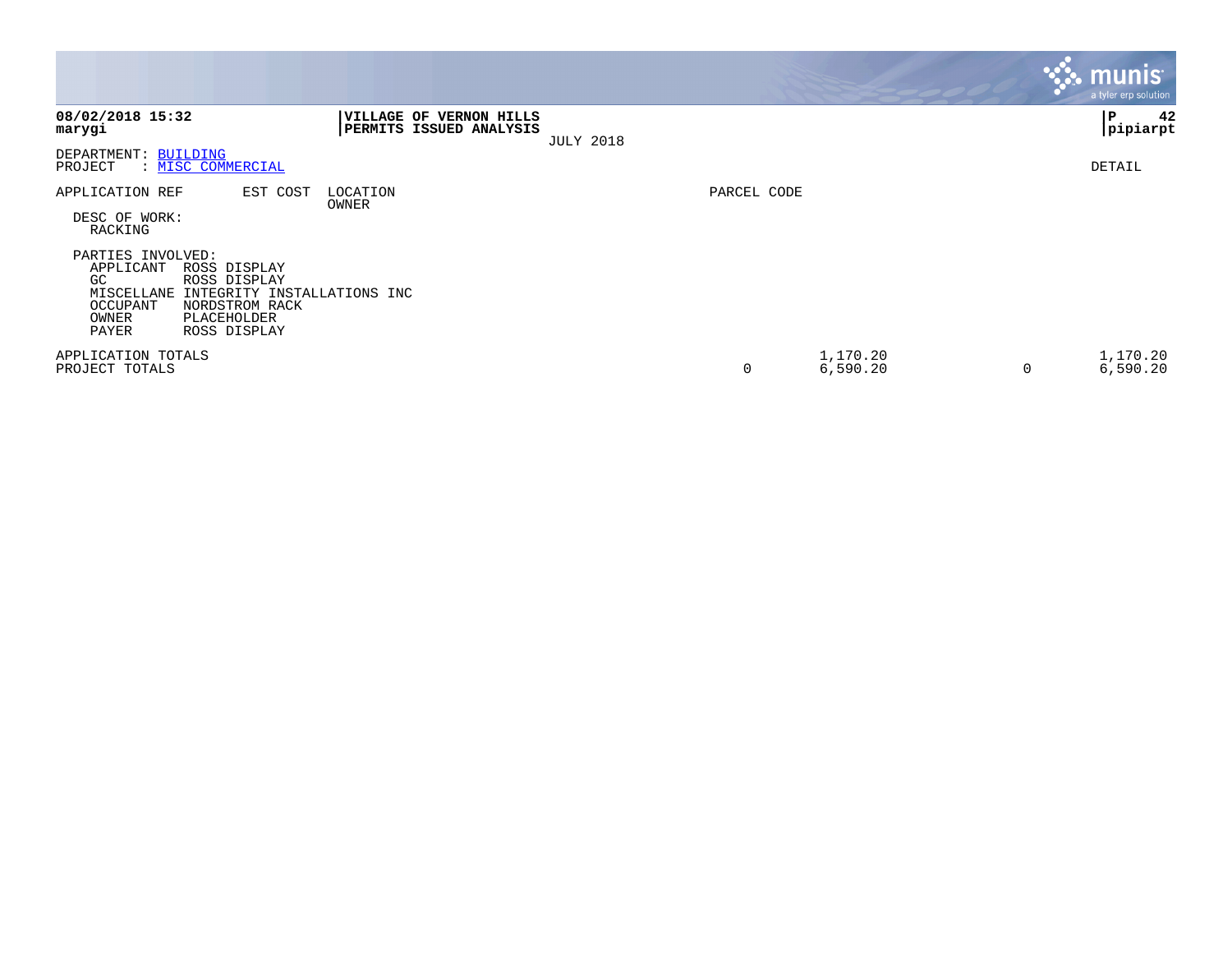|                                                                                                                                                                                                  |                                                                  |                  |             |                      | munis <sup>®</sup><br>a tyler erp solution |    |
|--------------------------------------------------------------------------------------------------------------------------------------------------------------------------------------------------|------------------------------------------------------------------|------------------|-------------|----------------------|--------------------------------------------|----|
| 08/02/2018 15:32<br>marygi                                                                                                                                                                       | <b>VILLAGE OF VERNON HILLS</b><br><b>PERMITS ISSUED ANALYSIS</b> | <b>JULY 2018</b> |             |                      | P<br>pipiarpt                              | 42 |
| DEPARTMENT: BUILDING<br>PROJECT<br>: MISC COMMERCIAL                                                                                                                                             |                                                                  |                  |             |                      | DETAIL                                     |    |
| EST COST<br>APPLICATION REF                                                                                                                                                                      | LOCATION<br>OWNER                                                |                  | PARCEL CODE |                      |                                            |    |
| DESC OF WORK:<br>RACKING                                                                                                                                                                         |                                                                  |                  |             |                      |                                            |    |
| PARTIES INVOLVED:<br>APPLICANT<br>ROSS DISPLAY<br>GC<br>ROSS DISPLAY<br>MISCELLANE<br>INTEGRITY INSTALLATIONS INC<br>OCCUPANT<br>NORDSTROM RACK<br>OWNER<br>PLACEHOLDER<br>PAYER<br>ROSS DISPLAY |                                                                  |                  |             |                      |                                            |    |
| APPLICATION TOTALS<br>PROJECT TOTALS                                                                                                                                                             |                                                                  |                  | $\mathbf 0$ | 1,170.20<br>6,590.20 | 1,170.20<br>0<br>6,590.20                  |    |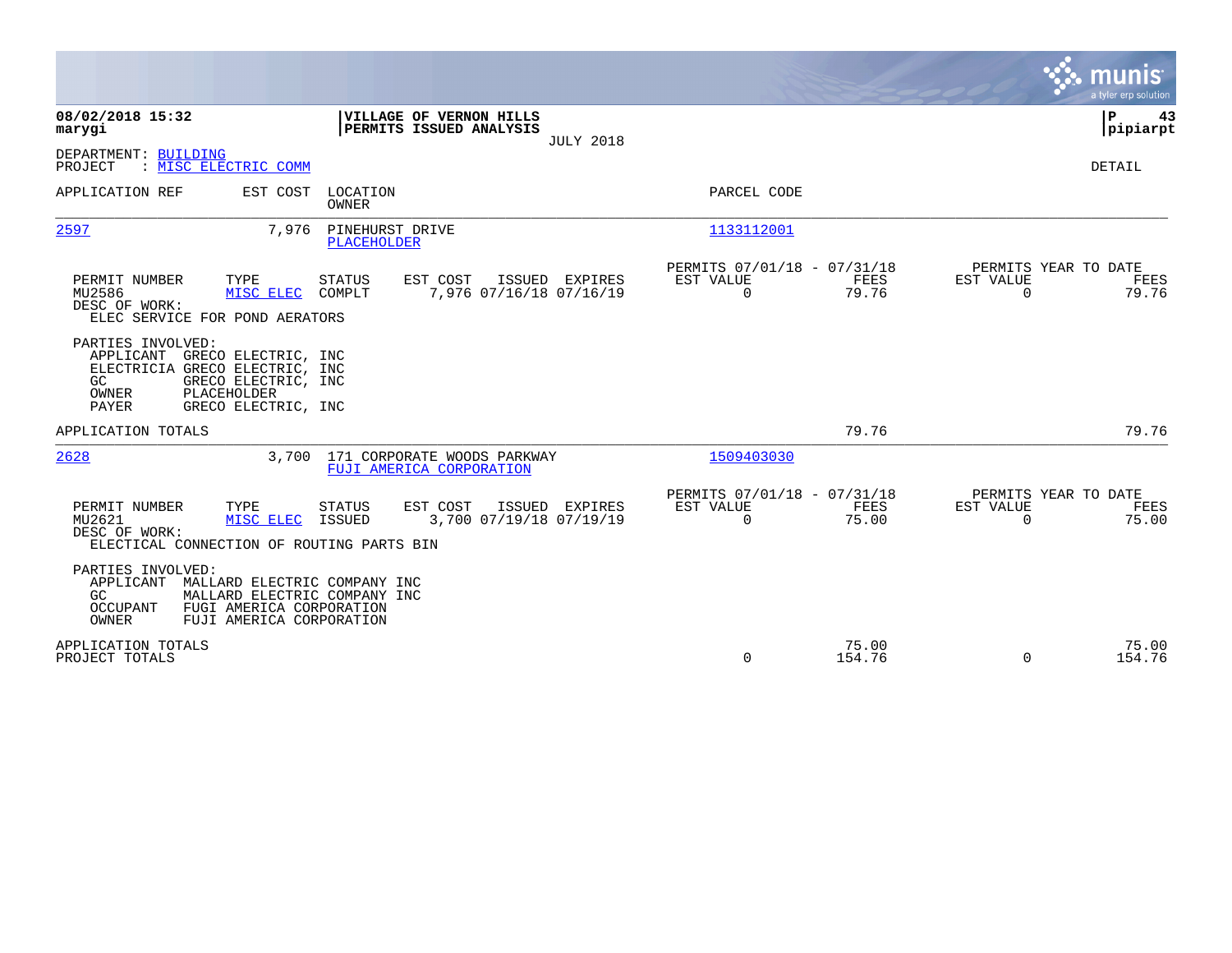|                                                                                                                                                                                                |                                                                                           | a tyler erp solution                                 |
|------------------------------------------------------------------------------------------------------------------------------------------------------------------------------------------------|-------------------------------------------------------------------------------------------|------------------------------------------------------|
| 08/02/2018 15:32<br>VILLAGE OF VERNON HILLS<br>PERMITS ISSUED ANALYSIS<br>marygi<br><b>JULY 2018</b>                                                                                           |                                                                                           | P<br>43<br> pipiarpt                                 |
| DEPARTMENT: BUILDING<br>PROJECT<br>: MISC ELECTRIC COMM                                                                                                                                        |                                                                                           | DETAIL                                               |
| APPLICATION REF<br>EST COST<br>LOCATION<br>OWNER                                                                                                                                               | PARCEL CODE                                                                               |                                                      |
| 2597<br>7.976 PINEHURST DRIVE<br><b>PLACEHOLDER</b>                                                                                                                                            | 1133112001                                                                                |                                                      |
| PERMIT NUMBER<br>TYPE<br><b>STATUS</b><br>EST COST<br>ISSUED EXPIRES<br>MU2586<br>7,976 07/16/18 07/16/19<br>MISC ELEC<br>COMPLT<br>DESC OF WORK:<br>ELEC SERVICE FOR POND AERATORS            | PERMITS 07/01/18 - 07/31/18<br>EST VALUE<br>FEES<br>EST VALUE<br>$\mathbf 0$<br>79.76     | PERMITS YEAR TO DATE<br>FEES<br>$\mathbf 0$<br>79.76 |
| PARTIES INVOLVED:<br>APPLICANT GRECO ELECTRIC, INC<br>ELECTRICIA GRECO ELECTRIC, INC<br>GRECO ELECTRIC, INC<br>GC.<br>PLACEHOLDER<br>OWNER<br><b>PAYER</b><br>GRECO ELECTRIC, INC              |                                                                                           |                                                      |
| APPLICATION TOTALS                                                                                                                                                                             | 79.76                                                                                     | 79.76                                                |
| 2628<br>171 CORPORATE WOODS PARKWAY<br>3,700<br>FUJI AMERICA CORPORATION                                                                                                                       | 1509403030                                                                                |                                                      |
| EST COST<br>PERMIT NUMBER<br>TYPE<br><b>STATUS</b><br>ISSUED EXPIRES<br>3,700 07/19/18 07/19/19<br>MU2621<br>MISC ELEC<br>ISSUED<br>DESC OF WORK:<br>ELECTICAL CONNECTION OF ROUTING PARTS BIN | PERMITS 07/01/18 - 07/31/18<br>EST VALUE<br><b>FEES</b><br>EST VALUE<br>$\Omega$<br>75.00 | PERMITS YEAR TO DATE<br>FEES<br>$\Omega$<br>75.00    |
| PARTIES INVOLVED:<br>APPLICANT<br>MALLARD ELECTRIC COMPANY INC<br>GC.<br>MALLARD ELECTRIC COMPANY INC<br>FUGI AMERICA CORPORATION<br>OCCUPANT<br>OWNER<br>FUJI AMERICA CORPORATION             |                                                                                           |                                                      |
| APPLICATION TOTALS<br>PROJECT TOTALS                                                                                                                                                           | 75.00<br>$\Omega$<br>154.76                                                               | 75.00<br>$\Omega$<br>154.76                          |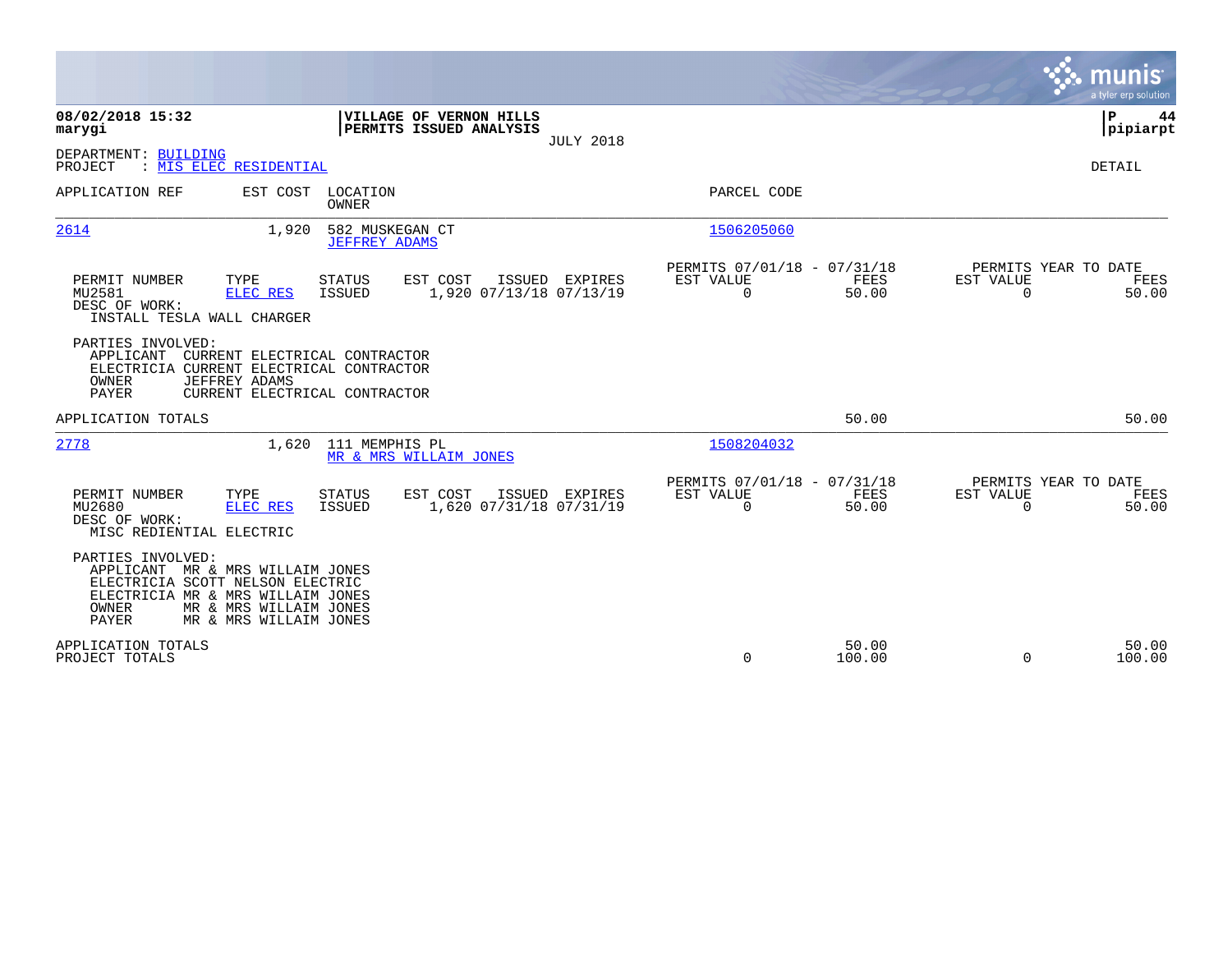|                                                                                                                                                                                                                    |                                                                       | munis<br>a tyler erp solution                                  |
|--------------------------------------------------------------------------------------------------------------------------------------------------------------------------------------------------------------------|-----------------------------------------------------------------------|----------------------------------------------------------------|
| 08/02/2018 15:32<br>VILLAGE OF VERNON HILLS<br>marygi<br>PERMITS ISSUED ANALYSIS<br><b>JULY 2018</b>                                                                                                               |                                                                       | P<br>44<br> pipiarpt                                           |
| DEPARTMENT: BUILDING<br>PROJECT<br><u>MIS ELEC RESIDENTIAL</u>                                                                                                                                                     |                                                                       | DETAIL                                                         |
| EST COST<br>APPLICATION REF<br>LOCATION<br><b>OWNER</b>                                                                                                                                                            | PARCEL CODE                                                           |                                                                |
| 2614<br>1,920<br>582 MUSKEGAN CT<br><b>JEFFREY ADAMS</b>                                                                                                                                                           | 1506205060                                                            |                                                                |
| EST COST<br>PERMIT NUMBER<br>TYPE<br><b>STATUS</b><br>ISSUED<br>EXPIRES<br>1,920 07/13/18 07/13/19<br>MU2581<br><b>ISSUED</b><br><b>ELEC RES</b><br>DESC OF WORK:<br>INSTALL TESLA WALL CHARGER                    | PERMITS 07/01/18 - 07/31/18<br>FEES<br>EST VALUE<br>$\Omega$<br>50.00 | PERMITS YEAR TO DATE<br>EST VALUE<br>FEES<br>$\Omega$<br>50.00 |
| PARTIES INVOLVED:<br>CURRENT ELECTRICAL CONTRACTOR<br>APPLICANT<br>ELECTRICIA CURRENT ELECTRICAL CONTRACTOR<br>OWNER<br><b>JEFFREY ADAMS</b><br>PAYER<br>CURRENT ELECTRICAL CONTRACTOR                             |                                                                       |                                                                |
| APPLICATION TOTALS                                                                                                                                                                                                 | 50.00                                                                 | 50.00                                                          |
| 2778<br>1,620 111 MEMPHIS PL<br>MR & MRS WILLAIM JONES                                                                                                                                                             | 1508204032                                                            |                                                                |
| EST COST<br>PERMIT NUMBER<br>TYPE<br><b>STATUS</b><br>ISSUED EXPIRES<br>MU2680<br>1,620 07/31/18 07/31/19<br><b>ELEC RES</b><br>ISSUED<br>DESC OF WORK:<br>MISC REDIENTIAL ELECTRIC                                | PERMITS 07/01/18 - 07/31/18<br>EST VALUE<br>FEES<br>$\Omega$<br>50.00 | PERMITS YEAR TO DATE<br>EST VALUE<br>FEES<br>$\Omega$<br>50.00 |
| PARTIES INVOLVED:<br>APPLICANT MR & MRS WILLAIM JONES<br>ELECTRICIA SCOTT NELSON ELECTRIC<br>ELECTRICIA MR & MRS WILLAIM JONES<br><b>OWNER</b><br>MR & MRS WILLAIM JONES<br><b>PAYER</b><br>MR & MRS WILLAIM JONES |                                                                       |                                                                |
| APPLICATION TOTALS<br>PROJECT TOTALS                                                                                                                                                                               | 50.00<br>0<br>100.00                                                  | 50.00<br>$\Omega$<br>100.00                                    |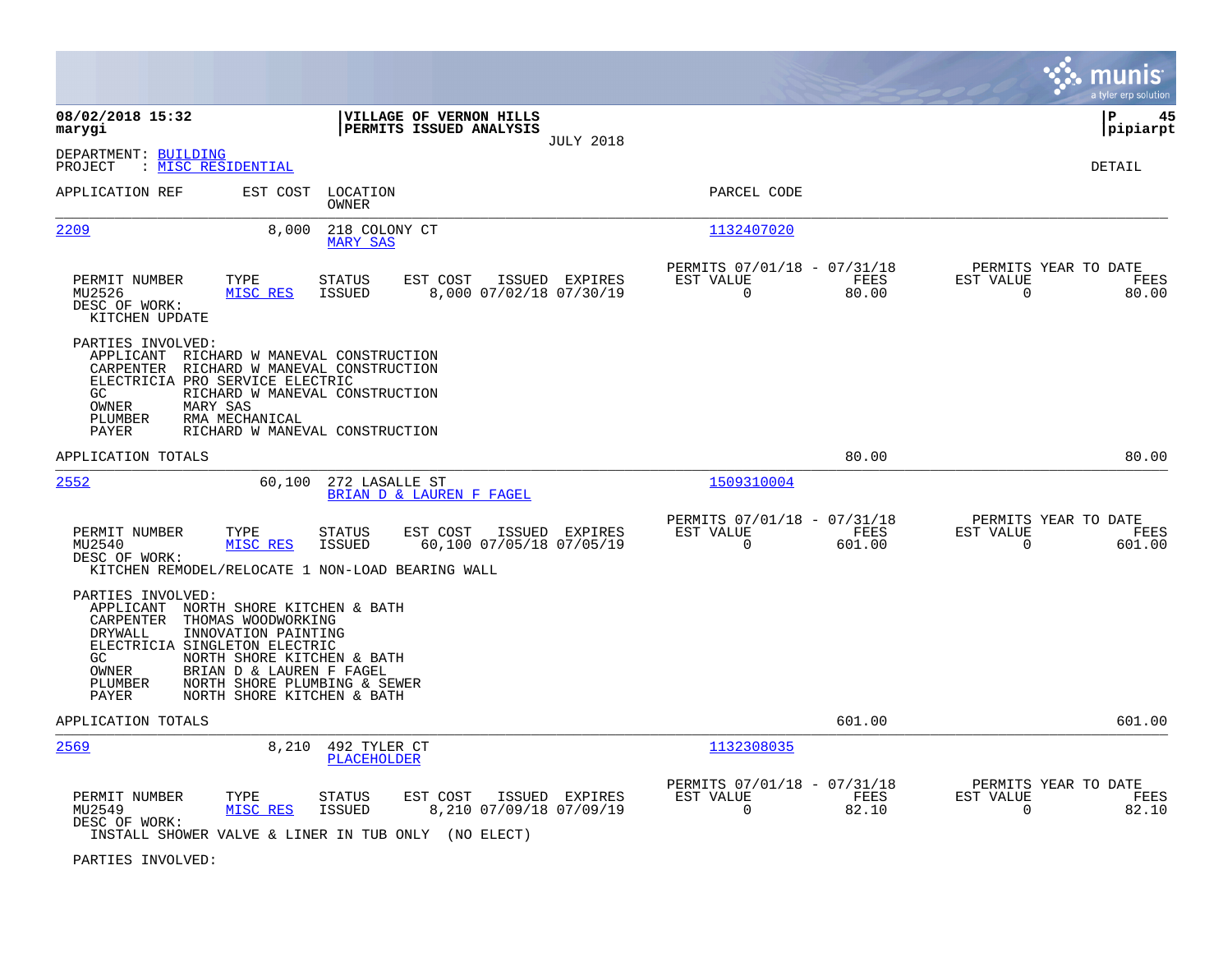|                                                                                                                                                                                                     |                                                                                                                                         |                                                                               | munis<br>a tyler erp solution                                   |
|-----------------------------------------------------------------------------------------------------------------------------------------------------------------------------------------------------|-----------------------------------------------------------------------------------------------------------------------------------------|-------------------------------------------------------------------------------|-----------------------------------------------------------------|
| 08/02/2018 15:32<br>marygi                                                                                                                                                                          | VILLAGE OF VERNON HILLS<br>PERMITS ISSUED ANALYSIS<br><b>JULY 2018</b>                                                                  |                                                                               | ∣P<br>45<br> pipiarpt                                           |
| DEPARTMENT: BUILDING<br>: MISC RESIDENTIAL<br>PROJECT                                                                                                                                               |                                                                                                                                         |                                                                               | DETAIL                                                          |
| APPLICATION REF<br>EST COST                                                                                                                                                                         | LOCATION<br><b>OWNER</b>                                                                                                                | PARCEL CODE                                                                   |                                                                 |
| 2209                                                                                                                                                                                                | 8,000<br>218 COLONY CT<br><b>MARY SAS</b>                                                                                               | 1132407020                                                                    |                                                                 |
| TYPE<br>PERMIT NUMBER<br>MU2526<br>MISC RES<br>DESC OF WORK:<br>KITCHEN UPDATE                                                                                                                      | <b>STATUS</b><br>EST COST<br>ISSUED EXPIRES<br><b>ISSUED</b><br>8,000 07/02/18 07/30/19                                                 | PERMITS 07/01/18 - 07/31/18<br>EST VALUE<br>FEES<br>$\Omega$<br>80.00         | PERMITS YEAR TO DATE<br>EST VALUE<br>FEES<br>0<br>80.00         |
| PARTIES INVOLVED:<br>APPLICANT<br>CARPENTER<br>ELECTRICIA PRO SERVICE ELECTRIC<br>GC.<br>OWNER<br>MARY SAS<br>RMA MECHANICAL<br>PLUMBER<br>PAYER                                                    | RICHARD W MANEVAL CONSTRUCTION<br>RICHARD W MANEVAL CONSTRUCTION<br>RICHARD W MANEVAL CONSTRUCTION<br>RICHARD W MANEVAL CONSTRUCTION    |                                                                               |                                                                 |
| APPLICATION TOTALS                                                                                                                                                                                  |                                                                                                                                         | 80.00                                                                         | 80.00                                                           |
| 2552                                                                                                                                                                                                | 60,100<br>272 LASALLE ST<br>BRIAN D & LAUREN F FAGEL                                                                                    | 1509310004                                                                    |                                                                 |
| PERMIT NUMBER<br>TYPE<br>MU2540<br>MISC RES<br>DESC OF WORK:                                                                                                                                        | STATUS<br>EST COST<br>ISSUED EXPIRES<br><b>ISSUED</b><br>60,100 07/05/18 07/05/19<br>KITCHEN REMODEL/RELOCATE 1 NON-LOAD BEARING WALL   | PERMITS 07/01/18 - 07/31/18<br><b>FEES</b><br>EST VALUE<br>$\Omega$<br>601.00 | PERMITS YEAR TO DATE<br>EST VALUE<br>FEES<br>$\Omega$<br>601.00 |
| PARTIES INVOLVED:<br>APPLICANT NORTH SHORE KITCHEN & BATH<br>CARPENTER<br>THOMAS WOODWORKING<br>DRYWALL<br>INNOVATION PAINTING<br>ELECTRICIA SINGLETON ELECTRIC<br>GC.<br>OWNER<br>PLUMBER<br>PAYER | NORTH SHORE KITCHEN & BATH<br>BRIAN D & LAUREN F FAGEL<br>NORTH SHORE PLUMBING & SEWER<br>NORTH SHORE KITCHEN & BATH                    |                                                                               |                                                                 |
| APPLICATION TOTALS                                                                                                                                                                                  |                                                                                                                                         | 601.00                                                                        | 601.00                                                          |
| 2569                                                                                                                                                                                                | 492 TYLER CT<br>8,210<br>PLACEHOLDER                                                                                                    | 1132308035                                                                    |                                                                 |
| PERMIT NUMBER<br>TYPE<br>MU2549<br>MISC RES<br>DESC OF WORK:                                                                                                                                        | EST COST<br>STATUS<br>ISSUED EXPIRES<br><b>ISSUED</b><br>8,210 07/09/18 07/09/19<br>INSTALL SHOWER VALVE & LINER IN TUB ONLY (NO ELECT) | PERMITS 07/01/18 - 07/31/18<br>EST VALUE<br>FEES<br>$\Omega$<br>82.10         | PERMITS YEAR TO DATE<br>EST VALUE<br>FEES<br>82.10<br>0         |
| PARTIES INVOLVED:                                                                                                                                                                                   |                                                                                                                                         |                                                                               |                                                                 |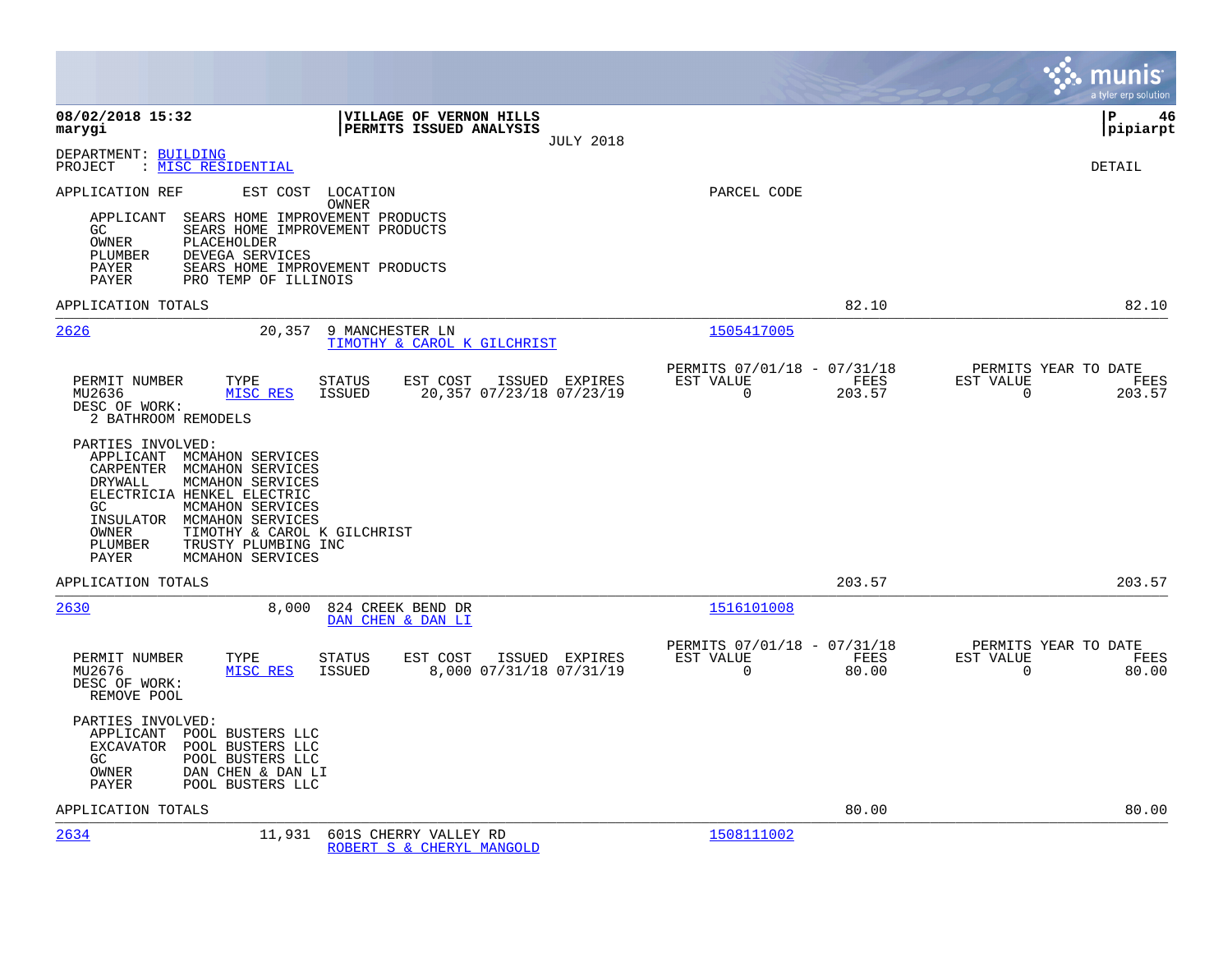|                                                                                                                                                                                                                                                                                                                                                                                                                                                                                             | munis<br>a tyler erp solution                                                                                                      |      |
|---------------------------------------------------------------------------------------------------------------------------------------------------------------------------------------------------------------------------------------------------------------------------------------------------------------------------------------------------------------------------------------------------------------------------------------------------------------------------------------------|------------------------------------------------------------------------------------------------------------------------------------|------|
| 08/02/2018 15:32<br>VILLAGE OF VERNON HILLS<br>PERMITS ISSUED ANALYSIS<br>marygi<br><b>JULY 2018</b>                                                                                                                                                                                                                                                                                                                                                                                        | lР<br> pipiarpt                                                                                                                    | 46   |
| DEPARTMENT: BUILDING<br>: MISC RESIDENTIAL<br>PROJECT                                                                                                                                                                                                                                                                                                                                                                                                                                       | <b>DETAIL</b>                                                                                                                      |      |
| EST COST<br>APPLICATION REF<br>LOCATION<br>OWNER<br>SEARS HOME IMPROVEMENT PRODUCTS<br>APPLICANT<br>GC<br>SEARS HOME IMPROVEMENT PRODUCTS<br>PLACEHOLDER<br>OWNER<br>PLUMBER<br>DEVEGA SERVICES<br>SEARS HOME IMPROVEMENT PRODUCTS<br><b>PAYER</b><br>PAYER<br>PRO TEMP OF ILLINOIS                                                                                                                                                                                                         | PARCEL CODE                                                                                                                        |      |
| APPLICATION TOTALS                                                                                                                                                                                                                                                                                                                                                                                                                                                                          | 82.10<br>82.10                                                                                                                     |      |
| 2626<br>20,357<br>9 MANCHESTER LN<br>TIMOTHY & CAROL K GILCHRIST                                                                                                                                                                                                                                                                                                                                                                                                                            | 1505417005                                                                                                                         |      |
| PERMIT NUMBER<br>TYPE<br>STATUS<br>EST COST<br>ISSUED EXPIRES<br>MU2636<br>MISC RES<br><b>ISSUED</b><br>20,357 07/23/18 07/23/19<br>DESC OF WORK:<br>2 BATHROOM REMODELS<br>PARTIES INVOLVED:<br>APPLICANT MCMAHON SERVICES<br>CARPENTER<br>MCMAHON SERVICES<br>MCMAHON SERVICES<br>DRYWALL<br>ELECTRICIA HENKEL ELECTRIC<br>GC<br>MCMAHON SERVICES<br>MCMAHON SERVICES<br>INSULATOR<br>OWNER<br>TIMOTHY & CAROL K GILCHRIST<br>TRUSTY PLUMBING INC<br>PLUMBER<br>MCMAHON SERVICES<br>PAYER | PERMITS 07/01/18 - 07/31/18<br>PERMITS YEAR TO DATE<br>EST VALUE<br>EST VALUE<br>FEES<br>$\Omega$<br>203.57<br>$\Omega$<br>203.57  | FEES |
| APPLICATION TOTALS                                                                                                                                                                                                                                                                                                                                                                                                                                                                          | 203.57<br>203.57                                                                                                                   |      |
| 2630<br>8.000<br>824 CREEK BEND DR<br>DAN CHEN & DAN LI                                                                                                                                                                                                                                                                                                                                                                                                                                     | 1516101008                                                                                                                         |      |
| PERMIT NUMBER<br>TYPE<br>EST COST<br>ISSUED EXPIRES<br><b>STATUS</b><br>8,000 07/31/18 07/31/19<br>MU2676<br>MISC RES<br><b>ISSUED</b><br>DESC OF WORK:<br>REMOVE POOL                                                                                                                                                                                                                                                                                                                      | PERMITS 07/01/18 - 07/31/18<br>PERMITS YEAR TO DATE<br>EST VALUE<br>EST VALUE<br>FEES<br>$\Omega$<br>80.00<br>$\mathbf 0$<br>80.00 | FEES |
| PARTIES INVOLVED:<br>APPLICANT<br>POOL BUSTERS LLC<br><b>EXCAVATOR</b><br>POOL BUSTERS LLC<br>GC.<br>POOL BUSTERS LLC<br>DAN CHEN & DAN LI<br>OWNER<br>PAYER<br>POOL BUSTERS LLC                                                                                                                                                                                                                                                                                                            |                                                                                                                                    |      |
| APPLICATION TOTALS                                                                                                                                                                                                                                                                                                                                                                                                                                                                          | 80.00<br>80.00                                                                                                                     |      |
| 2634<br>11,931<br>601S CHERRY VALLEY RD<br>ROBERT S & CHERYL MANGOLD                                                                                                                                                                                                                                                                                                                                                                                                                        | 1508111002                                                                                                                         |      |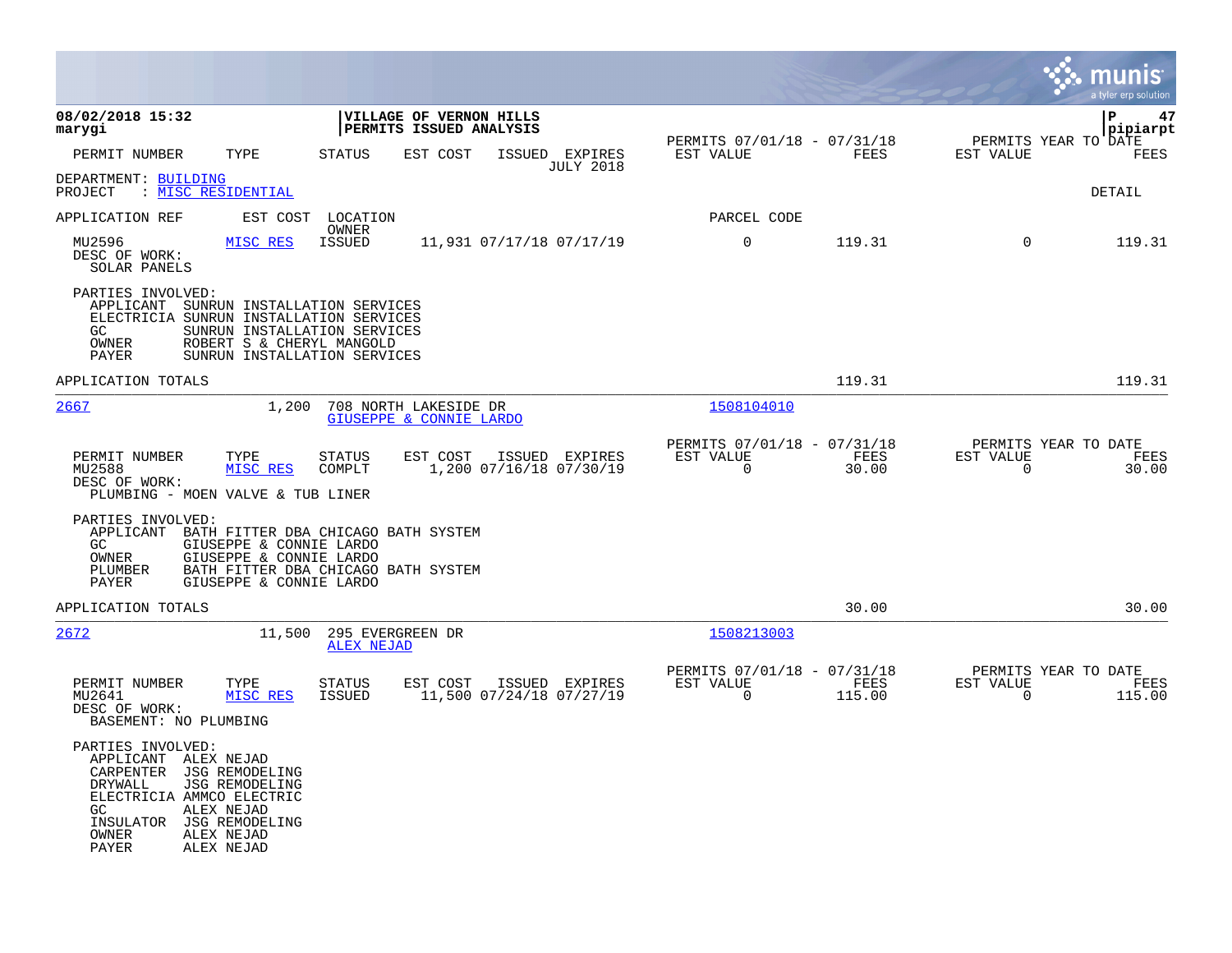|                                                                                                                                                                                                                                                   |                                                                                   |                                                                               | munis<br>a tyler erp solution                                   |
|---------------------------------------------------------------------------------------------------------------------------------------------------------------------------------------------------------------------------------------------------|-----------------------------------------------------------------------------------|-------------------------------------------------------------------------------|-----------------------------------------------------------------|
| 08/02/2018 15:32<br>marygi                                                                                                                                                                                                                        | VILLAGE OF VERNON HILLS<br>PERMITS ISSUED ANALYSIS                                |                                                                               | l P<br>47<br>pipiarpt                                           |
| PERMIT NUMBER<br>TYPE                                                                                                                                                                                                                             | STATUS<br>EST COST<br>ISSUED EXPIRES<br><b>JULY 2018</b>                          | PERMITS 07/01/18 - 07/31/18<br>EST VALUE<br>FEES                              | PERMITS YEAR TO DATE<br>EST VALUE<br>FEES                       |
| DEPARTMENT: BUILDING<br>PROJECT<br>: MISC RESIDENTIAL                                                                                                                                                                                             |                                                                                   |                                                                               | <b>DETAIL</b>                                                   |
| APPLICATION REF<br>EST COST                                                                                                                                                                                                                       | LOCATION<br>OWNER                                                                 | PARCEL CODE                                                                   |                                                                 |
| MU2596<br>MISC RES<br>DESC OF WORK:<br>SOLAR PANELS                                                                                                                                                                                               | ISSUED<br>11,931 07/17/18 07/17/19                                                | 0<br>119.31                                                                   | $\mathbf 0$<br>119.31                                           |
| PARTIES INVOLVED:<br>APPLICANT SUNRUN INSTALLATION SERVICES<br>ELECTRICIA SUNRUN INSTALLATION SERVICES<br>GC<br>SUNRUN INSTALLATION SERVICES<br>ROBERT S & CHERYL MANGOLD<br>OWNER<br>PAYER<br>SUNRUN INSTALLATION SERVICES                       |                                                                                   |                                                                               |                                                                 |
| APPLICATION TOTALS                                                                                                                                                                                                                                |                                                                                   | 119.31                                                                        | 119.31                                                          |
| 2667<br>1,200                                                                                                                                                                                                                                     | 708 NORTH LAKESIDE DR<br>GIUSEPPE & CONNIE LARDO                                  | 1508104010                                                                    |                                                                 |
| PERMIT NUMBER<br>TYPE<br>MISC RES<br>MU2588<br>DESC OF WORK:<br>PLUMBING - MOEN VALVE & TUB LINER                                                                                                                                                 | EST COST<br><b>STATUS</b><br>ISSUED EXPIRES<br>1,200 07/16/18 07/30/19<br>COMPLT  | PERMITS 07/01/18 - 07/31/18<br>EST VALUE<br>FEES<br>0<br>30.00                | PERMITS YEAR TO DATE<br>EST VALUE<br>FEES<br>0<br>30.00         |
| PARTIES INVOLVED:<br>APPLICANT<br>GIUSEPPE & CONNIE LARDO<br>GC.<br>GIUSEPPE & CONNIE LARDO<br>OWNER<br>PLUMBER<br><b>PAYER</b><br>GIUSEPPE & CONNIE LARDO                                                                                        | BATH FITTER DBA CHICAGO BATH SYSTEM<br>BATH FITTER DBA CHICAGO BATH SYSTEM        |                                                                               |                                                                 |
| APPLICATION TOTALS                                                                                                                                                                                                                                |                                                                                   | 30.00                                                                         | 30.00                                                           |
| 2672<br>11,500                                                                                                                                                                                                                                    | 295 EVERGREEN DR<br><b>ALEX NEJAD</b>                                             | 1508213003                                                                    |                                                                 |
| PERMIT NUMBER<br>TYPE<br>MU2641<br>MISC RES<br>DESC OF WORK:<br>BASEMENT: NO PLUMBING                                                                                                                                                             | <b>STATUS</b><br>EST COST<br>ISSUED EXPIRES<br>11,500 07/24/18 07/27/19<br>ISSUED | PERMITS 07/01/18 - 07/31/18<br>EST VALUE<br><b>FEES</b><br>$\Omega$<br>115.00 | PERMITS YEAR TO DATE<br>EST VALUE<br>FEES<br>$\Omega$<br>115.00 |
| PARTIES INVOLVED:<br>APPLICANT ALEX NEJAD<br>CARPENTER<br>JSG REMODELING<br>DRYWALL<br><b>JSG REMODELING</b><br>ELECTRICIA AMMCO ELECTRIC<br>GC<br>ALEX NEJAD<br>JSG REMODELING<br>INSULATOR<br>OWNER<br>ALEX NEJAD<br><b>PAYER</b><br>ALEX NEJAD |                                                                                   |                                                                               |                                                                 |

 $\mathcal{L}^{\text{max}}$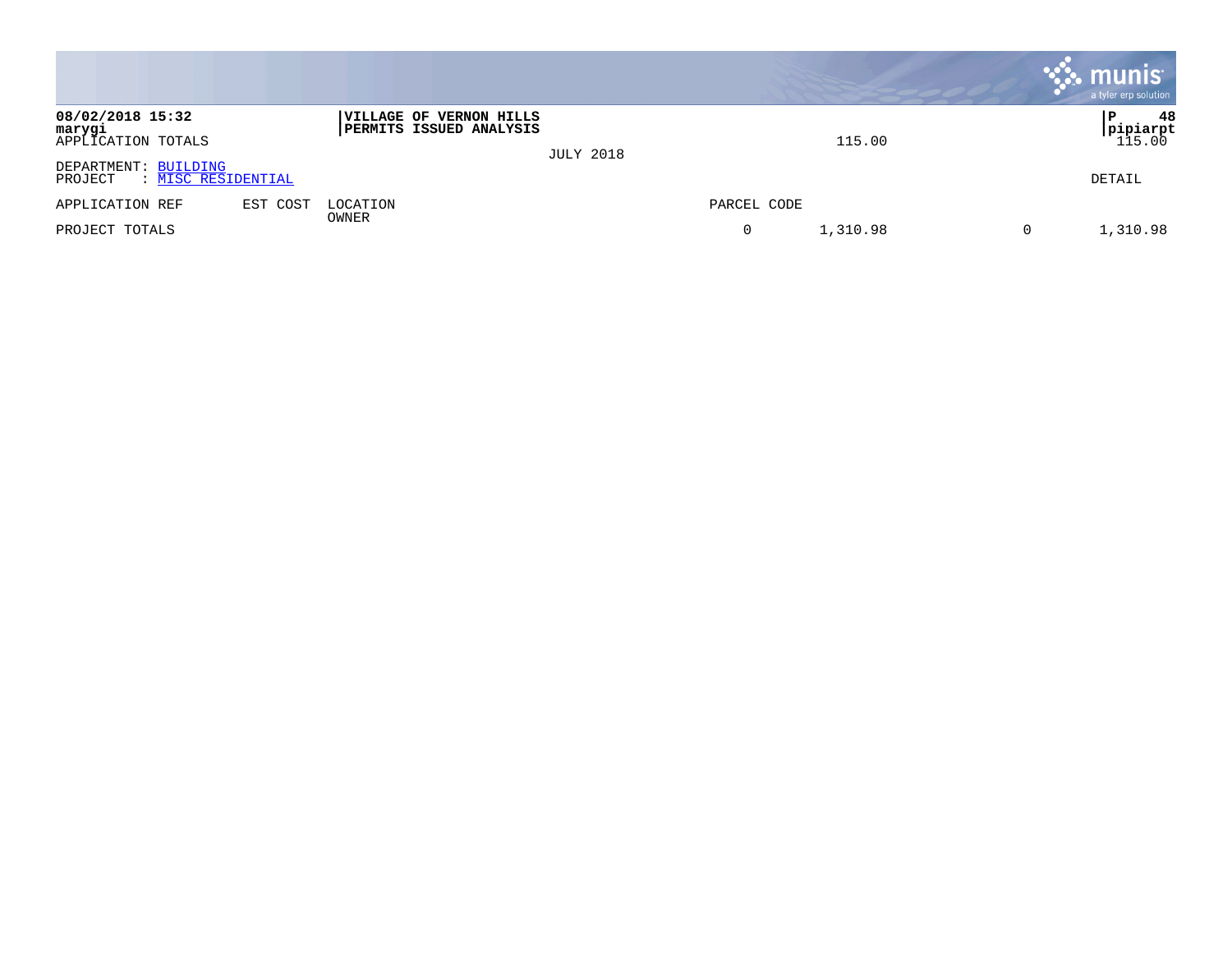|                                                       |          |                                                                  |                  |             |          |   | <b>munis</b><br>a tyler erp solution                              |
|-------------------------------------------------------|----------|------------------------------------------------------------------|------------------|-------------|----------|---|-------------------------------------------------------------------|
| 08/02/2018 15:32<br>marygi<br>APPLICATION TOTALS      |          | <b>VILLAGE OF VERNON HILLS</b><br><b>PERMITS ISSUED ANALYSIS</b> | <b>JULY 2018</b> |             | 115.00   |   | 48<br>P<br>$\begin{array}{c} {\bf pipiarpt} \ 115.00 \end{array}$ |
| DEPARTMENT: BUILDING<br>: MISC RESIDENTIAL<br>PROJECT |          |                                                                  |                  |             |          |   | DETAIL                                                            |
| APPLICATION REF                                       | EST COST | LOCATION<br>OWNER                                                |                  | PARCEL CODE |          |   |                                                                   |
| PROJECT TOTALS                                        |          |                                                                  |                  | 0           | 1,310.98 | 0 | 1,310.98                                                          |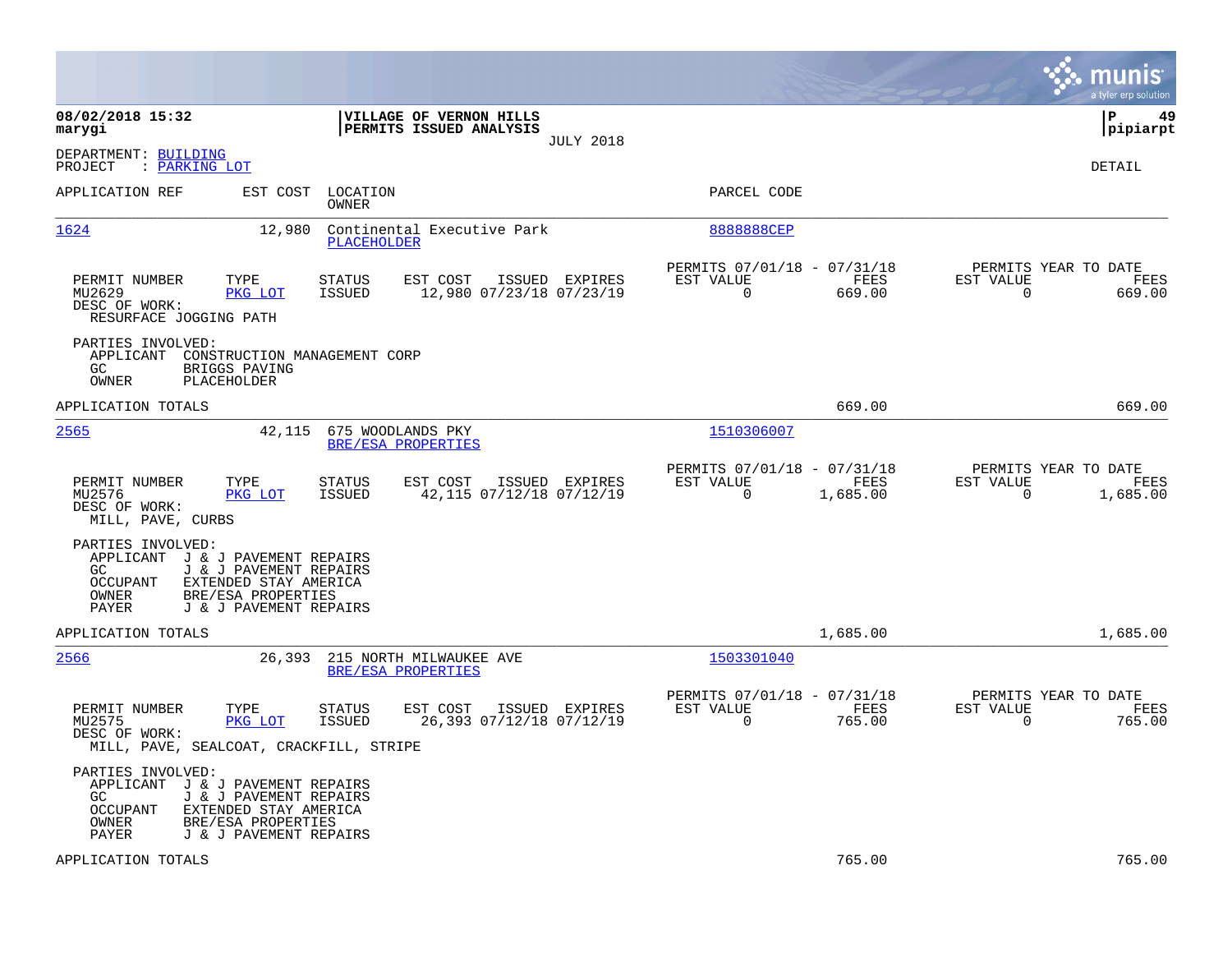|                                                                                                                                                                                               |                                            |                                                      |                  |                                               | munis<br>a tyler erp solution |
|-----------------------------------------------------------------------------------------------------------------------------------------------------------------------------------------------|--------------------------------------------|------------------------------------------------------|------------------|-----------------------------------------------|-------------------------------|
| 08/02/2018 15:32<br>VILLAGE OF VERNON HILLS<br>marygi<br>PERMITS ISSUED ANALYSIS                                                                                                              | <b>JULY 2018</b>                           |                                                      |                  |                                               | l P<br>49<br> pipiarpt        |
| DEPARTMENT: BUILDING<br>PROJECT<br>: PARKING LOT                                                                                                                                              |                                            |                                                      |                  |                                               | DETAIL                        |
| APPLICATION REF<br>EST COST<br>LOCATION<br>OWNER                                                                                                                                              |                                            | PARCEL CODE                                          |                  |                                               |                               |
| 1624<br>12,980<br>Continental Executive Park<br><b>PLACEHOLDER</b>                                                                                                                            |                                            | 888888CEP                                            |                  |                                               |                               |
| PERMIT NUMBER<br>TYPE<br><b>STATUS</b><br>EST COST<br>MU2629<br><b>ISSUED</b><br>PKG LOT<br>DESC OF WORK:<br>RESURFACE JOGGING PATH                                                           | ISSUED EXPIRES<br>12,980 07/23/18 07/23/19 | PERMITS 07/01/18 - 07/31/18<br>EST VALUE<br>$\Omega$ | FEES<br>669.00   | PERMITS YEAR TO DATE<br>EST VALUE<br>$\Omega$ | FEES<br>669.00                |
| PARTIES INVOLVED:<br>APPLICANT<br>CONSTRUCTION MANAGEMENT CORP<br>GC<br>BRIGGS PAVING<br><b>OWNER</b><br>PLACEHOLDER                                                                          |                                            |                                                      |                  |                                               |                               |
| APPLICATION TOTALS                                                                                                                                                                            |                                            |                                                      | 669.00           |                                               | 669.00                        |
| 2565<br>42,115 675 WOODLANDS PKY<br>BRE/ESA PROPERTIES                                                                                                                                        |                                            | 1510306007                                           |                  |                                               |                               |
| EST COST<br>PERMIT NUMBER<br>TYPE<br><b>STATUS</b><br>MU2576<br>PKG LOT<br>ISSUED<br>DESC OF WORK:<br>MILL, PAVE, CURBS                                                                       | ISSUED EXPIRES<br>42,115 07/12/18 07/12/19 | PERMITS 07/01/18 - 07/31/18<br>EST VALUE<br>$\Omega$ | FEES<br>1,685.00 | PERMITS YEAR TO DATE<br>EST VALUE<br>$\Omega$ | FEES<br>1,685.00              |
| PARTIES INVOLVED:<br>APPLICANT J & J PAVEMENT REPAIRS<br>GC.<br>J & J PAVEMENT REPAIRS<br>OCCUPANT<br>EXTENDED STAY AMERICA<br>OWNER<br>BRE/ESA PROPERTIES<br>PAYER<br>J & J PAVEMENT REPAIRS |                                            |                                                      |                  |                                               |                               |
| APPLICATION TOTALS                                                                                                                                                                            |                                            |                                                      | 1,685.00         |                                               | 1,685.00                      |
| 2566<br>26,393 215 NORTH MILWAUKEE AVE<br>BRE/ESA PROPERTIES                                                                                                                                  |                                            | 1503301040                                           |                  |                                               |                               |
| PERMIT NUMBER<br>TYPE<br><b>STATUS</b><br>EST COST<br>MU2575<br>PKG LOT<br><b>ISSUED</b><br>DESC OF WORK:<br>MILL, PAVE, SEALCOAT, CRACKFILL, STRIPE                                          | ISSUED EXPIRES<br>26,393 07/12/18 07/12/19 | PERMITS 07/01/18 - 07/31/18<br>EST VALUE<br>$\Omega$ | FEES<br>765.00   | PERMITS YEAR TO DATE<br>EST VALUE<br>$\Omega$ | FEES<br>765.00                |
| PARTIES INVOLVED:<br>APPLICANT J & J PAVEMENT REPAIRS<br>GC.<br>J & J PAVEMENT REPAIRS<br>OCCUPANT<br>EXTENDED STAY AMERICA<br>OWNER<br>BRE/ESA PROPERTIES<br>PAYER<br>J & J PAVEMENT REPAIRS |                                            |                                                      |                  |                                               |                               |
| APPLICATION TOTALS                                                                                                                                                                            |                                            |                                                      | 765.00           |                                               | 765.00                        |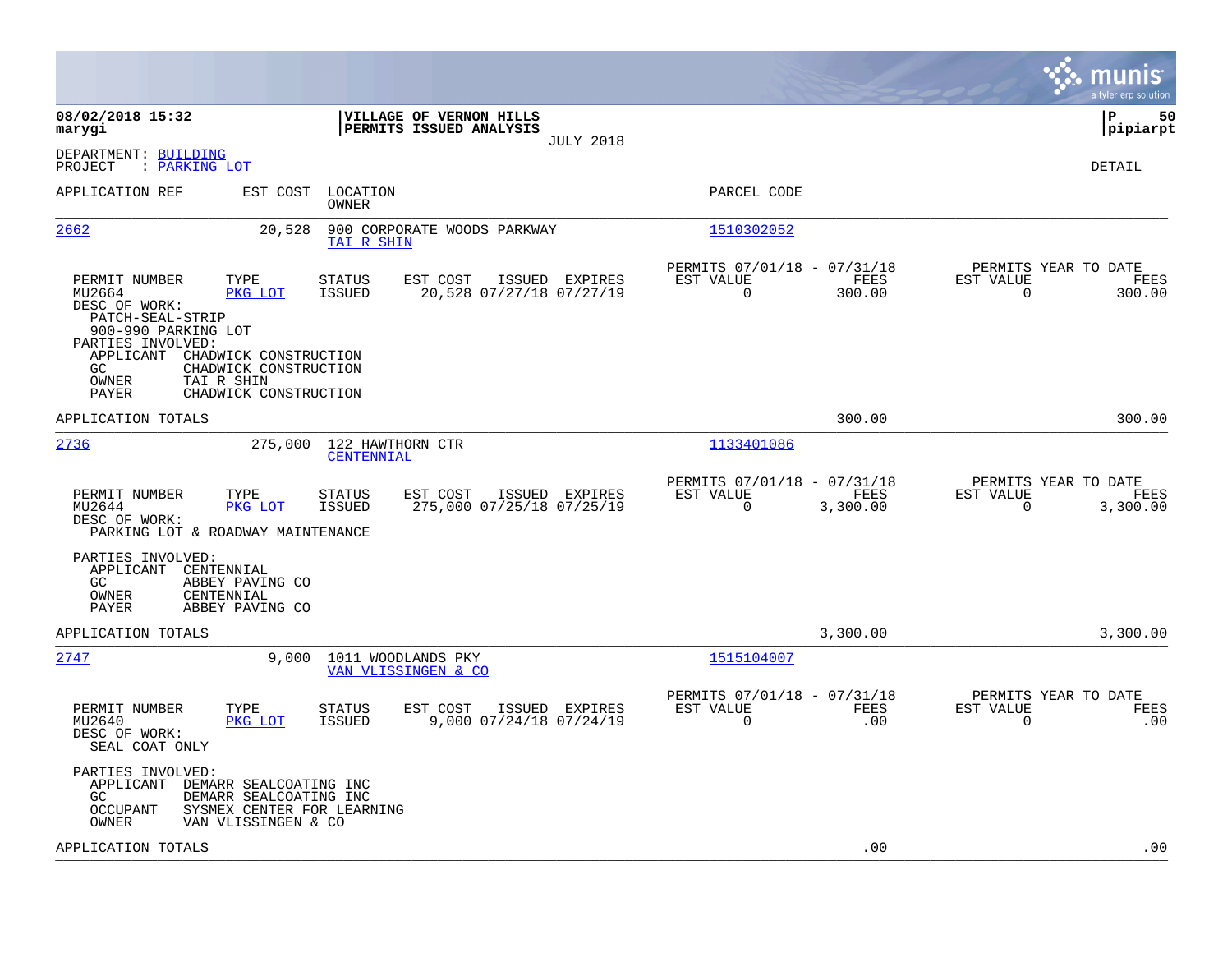|                                                                                                                                                                                                                                                                                       |                                                                        |                                                         |                    | munis<br>a tyler erp solution                                        |
|---------------------------------------------------------------------------------------------------------------------------------------------------------------------------------------------------------------------------------------------------------------------------------------|------------------------------------------------------------------------|---------------------------------------------------------|--------------------|----------------------------------------------------------------------|
| 08/02/2018 15:32<br>marygi                                                                                                                                                                                                                                                            | VILLAGE OF VERNON HILLS<br>PERMITS ISSUED ANALYSIS<br><b>JULY 2018</b> |                                                         |                    | lР<br>50<br> pipiarpt                                                |
| DEPARTMENT: BUILDING<br>: PARKING LOT<br>PROJECT                                                                                                                                                                                                                                      |                                                                        |                                                         |                    | DETAIL                                                               |
| APPLICATION REF<br>EST COST<br>LOCATION<br><b>OWNER</b>                                                                                                                                                                                                                               |                                                                        | PARCEL CODE                                             |                    |                                                                      |
| 2662<br>20,528                                                                                                                                                                                                                                                                        | 900 CORPORATE WOODS PARKWAY<br>TAI R SHIN                              | 1510302052                                              |                    |                                                                      |
| PERMIT NUMBER<br>TYPE<br><b>STATUS</b><br>MU2664<br>PKG LOT<br>ISSUED<br>DESC OF WORK:<br>PATCH-SEAL-STRIP<br>900-990 PARKING LOT<br>PARTIES INVOLVED:<br>APPLICANT<br>CHADWICK CONSTRUCTION<br>CHADWICK CONSTRUCTION<br>GC.<br>OWNER<br>TAI R SHIN<br>PAYER<br>CHADWICK CONSTRUCTION | EST COST<br>ISSUED EXPIRES<br>20,528 07/27/18 07/27/19                 | PERMITS 07/01/18 - 07/31/18<br>EST VALUE<br>$\Omega$    | FEES<br>300.00     | PERMITS YEAR TO DATE<br>EST VALUE<br>FEES<br>$\Omega$<br>300.00      |
| APPLICATION TOTALS                                                                                                                                                                                                                                                                    |                                                                        |                                                         | 300.00             | 300.00                                                               |
| 2736<br>275,000 122 HAWTHORN CTR                                                                                                                                                                                                                                                      | CENTENNIAL                                                             | 1133401086                                              |                    |                                                                      |
| PERMIT NUMBER<br>TYPE<br><b>STATUS</b><br>MU2644<br>PKG LOT<br><b>ISSUED</b><br>DESC OF WORK:<br>PARKING LOT & ROADWAY MAINTENANCE                                                                                                                                                    | EST COST<br>ISSUED EXPIRES<br>275,000 07/25/18 07/25/19                | PERMITS 07/01/18 - 07/31/18<br>EST VALUE<br>$\mathbf 0$ | FEES<br>3,300.00   | PERMITS YEAR TO DATE<br>EST VALUE<br>FEES<br>$\mathbf 0$<br>3,300.00 |
| PARTIES INVOLVED:<br>APPLICANT<br>CENTENNIAL<br>GC.<br>ABBEY PAVING CO<br>OWNER<br>CENTENNIAL<br>PAYER<br>ABBEY PAVING CO                                                                                                                                                             |                                                                        |                                                         |                    |                                                                      |
| APPLICATION TOTALS                                                                                                                                                                                                                                                                    |                                                                        |                                                         | 3,300.00           | 3,300.00                                                             |
| 2747<br>9,000                                                                                                                                                                                                                                                                         | 1011 WOODLANDS PKY<br>VAN VLISSINGEN & CO                              | 1515104007                                              |                    |                                                                      |
| TYPE<br>PERMIT NUMBER<br>STATUS<br>MU2640<br>PKG LOT<br><b>ISSUED</b><br>DESC OF WORK:<br>SEAL COAT ONLY                                                                                                                                                                              | EST COST<br>ISSUED EXPIRES<br>9,000 07/24/18 07/24/19                  | PERMITS 07/01/18 - 07/31/18<br>EST VALUE<br>$\mathbf 0$ | <b>FEES</b><br>.00 | PERMITS YEAR TO DATE<br>EST VALUE<br>FEES<br>$\mathbf 0$<br>.00      |
| PARTIES INVOLVED:<br>APPLICANT<br>DEMARR SEALCOATING INC<br>GC<br>DEMARR SEALCOATING INC<br>SYSMEX CENTER FOR LEARNING<br>OCCUPANT<br>OWNER<br>VAN VLISSINGEN & CO                                                                                                                    |                                                                        |                                                         |                    |                                                                      |
| APPLICATION TOTALS                                                                                                                                                                                                                                                                    |                                                                        |                                                         | .00                | .00                                                                  |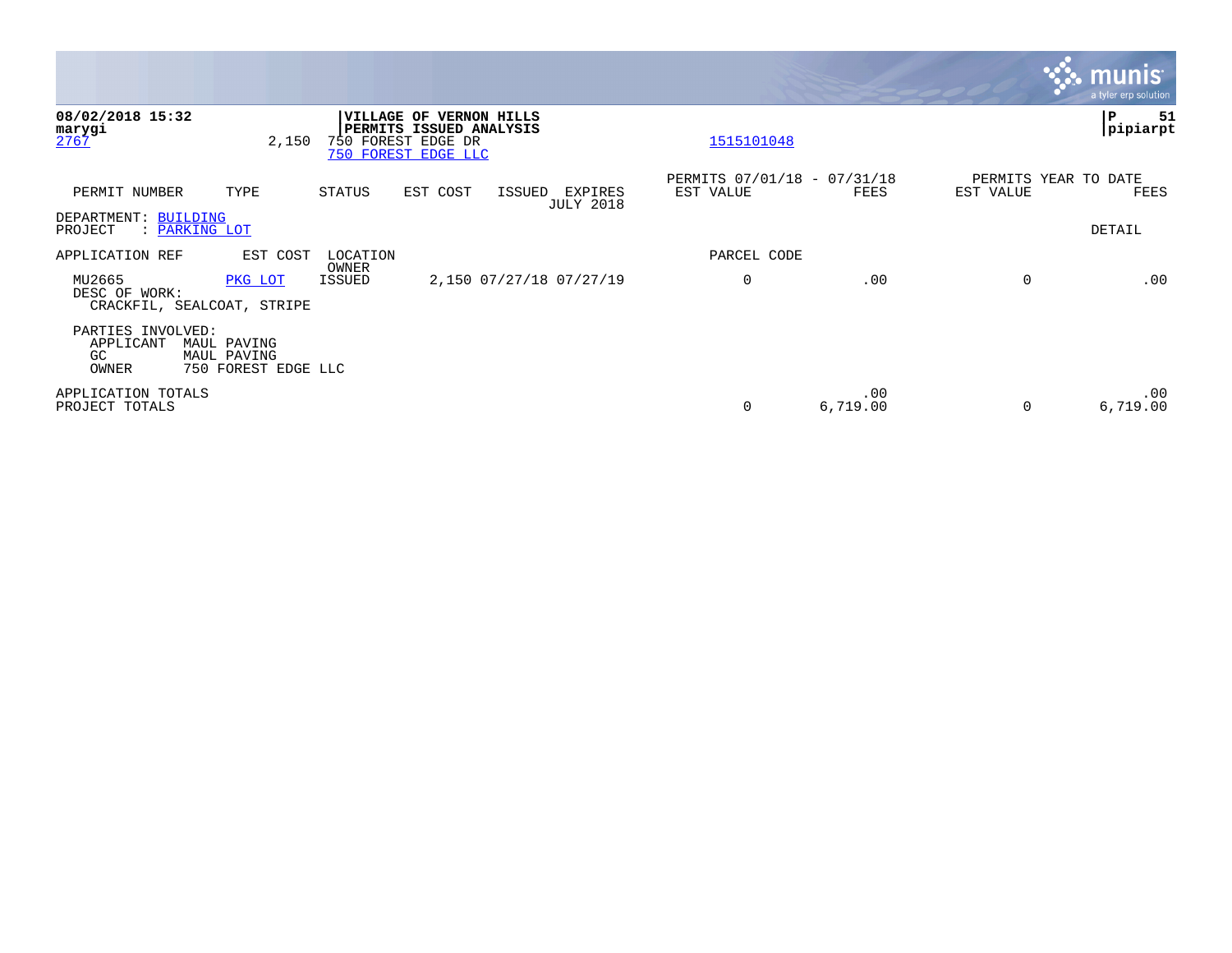|                                                                                                                                                |                                                                                              | $\overline{\mathsf{m} \mathsf{u}}$ nıs'<br>a tyler erp solution |
|------------------------------------------------------------------------------------------------------------------------------------------------|----------------------------------------------------------------------------------------------|-----------------------------------------------------------------|
| 08/02/2018 15:32<br>VILLAGE OF VERNON HILLS<br>PERMITS ISSUED ANALYSIS<br>marygi<br>750 FOREST EDGE DR<br>2767<br>2,150<br>750 FOREST EDGE LLC | 1515101048                                                                                   | P<br>51<br> pipiarpt                                            |
| PERMIT NUMBER<br>TYPE<br>STATUS<br>EST COST<br>ISSUED                                                                                          | PERMITS 07/01/18 - 07/31/18<br>EST VALUE<br>EST VALUE<br>FEES<br>EXPIRES<br><b>JULY 2018</b> | PERMITS YEAR TO DATE<br>FEES                                    |
| DEPARTMENT: BUILDING<br>: PARKING LOT<br>PROJECT                                                                                               |                                                                                              | DETAIL                                                          |
| APPLICATION REF<br>EST COST<br>LOCATION<br>OWNER                                                                                               | PARCEL CODE                                                                                  |                                                                 |
| 2,150 07/27/18 07/27/19<br>MU2665<br>PKG LOT<br>ISSUED<br>DESC OF WORK:<br>CRACKFIL, SEALCOAT, STRIPE                                          | 0<br>.00                                                                                     | .00<br>$\Omega$                                                 |
| PARTIES INVOLVED:<br>APPLICANT<br>MAUL PAVING<br>GC<br>MAUL PAVING<br>750 FOREST EDGE LLC<br>OWNER                                             |                                                                                              |                                                                 |
| APPLICATION TOTALS<br>PROJECT TOTALS                                                                                                           | .00<br>6,719.00<br>0                                                                         | .00<br>6,719.00                                                 |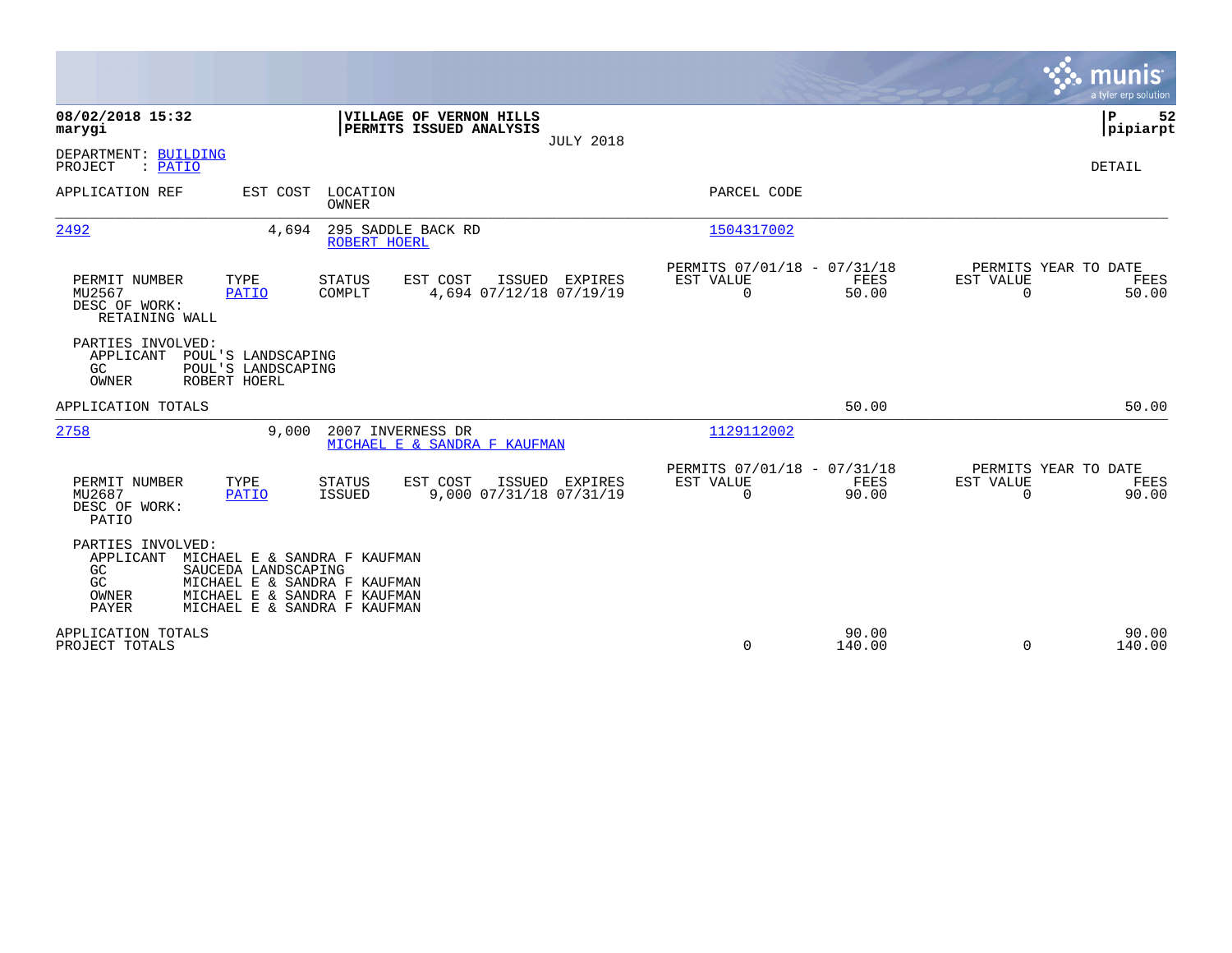|                                                                                                                                                                                                                            |                                                                        |                                                         |                      |                                                      | munis<br>a tyler erp solution |
|----------------------------------------------------------------------------------------------------------------------------------------------------------------------------------------------------------------------------|------------------------------------------------------------------------|---------------------------------------------------------|----------------------|------------------------------------------------------|-------------------------------|
| 08/02/2018 15:32<br>marygi                                                                                                                                                                                                 | VILLAGE OF VERNON HILLS<br>PERMITS ISSUED ANALYSIS<br><b>JULY 2018</b> |                                                         |                      |                                                      | P<br>52<br> pipiarpt          |
| DEPARTMENT: BUILDING<br>PROJECT<br>: PATIO                                                                                                                                                                                 |                                                                        |                                                         |                      |                                                      | DETAIL                        |
| APPLICATION REF<br>EST COST LOCATION<br><b>OWNER</b>                                                                                                                                                                       |                                                                        | PARCEL CODE                                             |                      |                                                      |                               |
| 2492<br>4,694                                                                                                                                                                                                              | 295 SADDLE BACK RD<br>ROBERT HOERL                                     | 1504317002                                              |                      |                                                      |                               |
| PERMIT NUMBER<br>TYPE<br><b>STATUS</b><br>MU2567<br>COMPLT<br>PATIO<br>DESC OF WORK:<br>RETAINING WALL                                                                                                                     | EST COST<br>ISSUED EXPIRES<br>4,694 07/12/18 07/19/19                  | PERMITS 07/01/18 - 07/31/18<br>EST VALUE<br>$\mathbf 0$ | FEES<br>50.00        | PERMITS YEAR TO DATE<br>EST VALUE<br>$\Omega$        | FEES<br>50.00                 |
| PARTIES INVOLVED:<br>APPLICANT<br>POUL'S LANDSCAPING<br>GC<br>POUL'S LANDSCAPING<br>OWNER<br>ROBERT HOERL                                                                                                                  |                                                                        |                                                         |                      |                                                      |                               |
| APPLICATION TOTALS                                                                                                                                                                                                         |                                                                        |                                                         | 50.00                |                                                      | 50.00                         |
| 2758<br>9,000                                                                                                                                                                                                              | 2007 INVERNESS DR<br>MICHAEL E & SANDRA F KAUFMAN                      | 1129112002                                              |                      |                                                      |                               |
| PERMIT NUMBER<br>TYPE<br><b>STATUS</b><br>MU2687<br><b>PATIO</b><br>ISSUED<br>DESC OF WORK:<br>PATIO                                                                                                                       | EST COST<br>ISSUED EXPIRES<br>9,000 07/31/18 07/31/19                  | PERMITS 07/01/18 - 07/31/18<br>EST VALUE<br>$\Omega$    | <b>FEES</b><br>90.00 | PERMITS YEAR TO DATE<br><b>EST VALUE</b><br>$\Omega$ | FEES<br>90.00                 |
| PARTIES INVOLVED:<br>APPLICANT<br>MICHAEL E & SANDRA F KAUFMAN<br>GC<br>SAUCEDA LANDSCAPING<br>GC<br>MICHAEL E & SANDRA F KAUFMAN<br>MICHAEL E & SANDRA F KAUFMAN<br>OWNER<br>MICHAEL E & SANDRA F KAUFMAN<br><b>PAYER</b> |                                                                        |                                                         |                      |                                                      |                               |
| APPLICATION TOTALS<br>PROJECT TOTALS                                                                                                                                                                                       |                                                                        | 0                                                       | 90.00<br>140.00      | $\mathbf 0$                                          | 90.00<br>140.00               |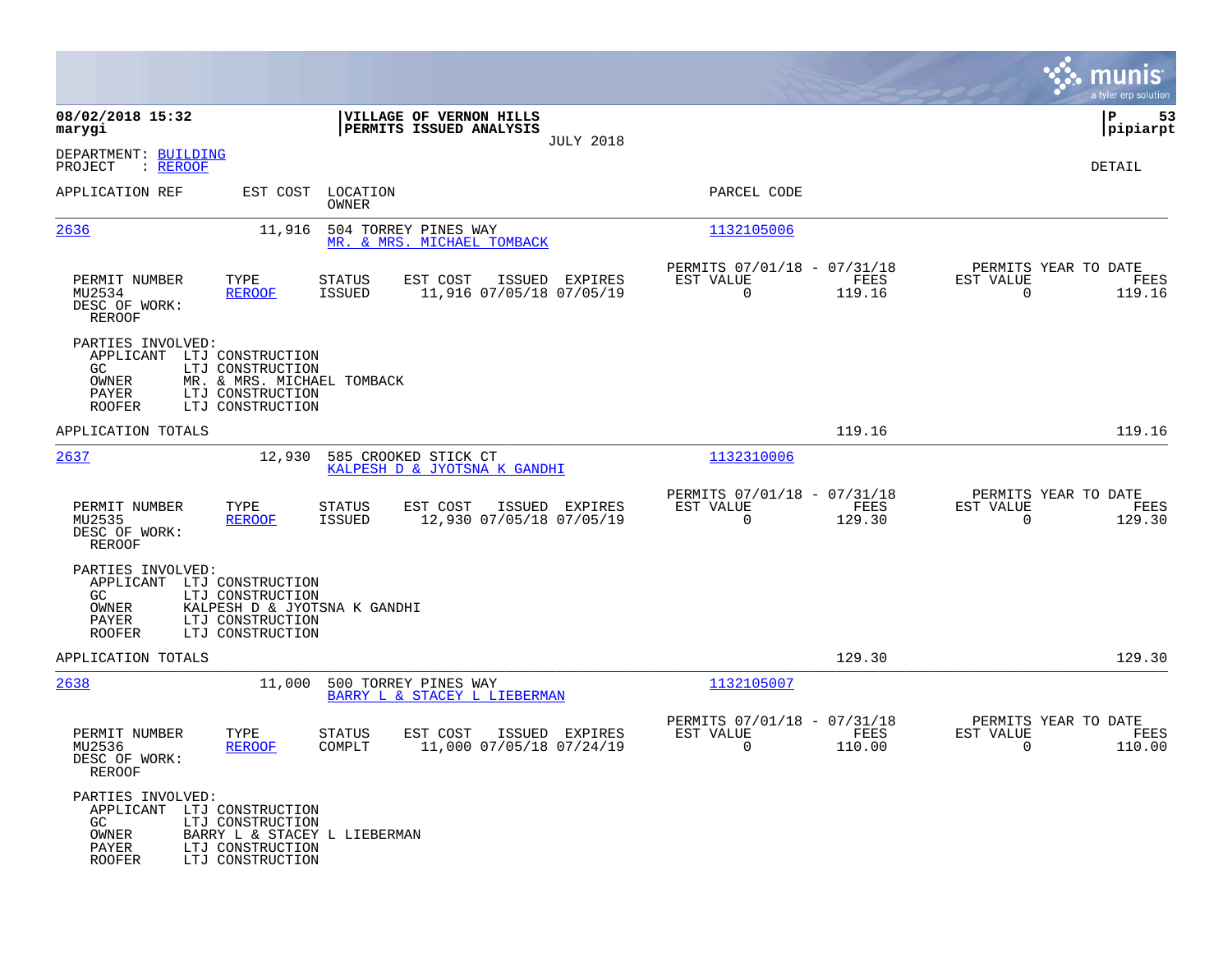|                                                                                   |                                                                                                              |                                   |                                                             |                                                            |                |                                                     | munis<br>a tyler erp solution |
|-----------------------------------------------------------------------------------|--------------------------------------------------------------------------------------------------------------|-----------------------------------|-------------------------------------------------------------|------------------------------------------------------------|----------------|-----------------------------------------------------|-------------------------------|
| 08/02/2018 15:32<br>marygi                                                        |                                                                                                              |                                   | VILLAGE OF VERNON HILLS<br>PERMITS ISSUED ANALYSIS          |                                                            |                |                                                     | P<br>53<br> pipiarpt          |
| DEPARTMENT: BUILDING<br>PROJECT<br>: <u>REROOF</u>                                |                                                                                                              |                                   | <b>JULY 2018</b>                                            |                                                            |                |                                                     | DETAIL                        |
| APPLICATION REF                                                                   |                                                                                                              | EST COST LOCATION<br><b>OWNER</b> |                                                             | PARCEL CODE                                                |                |                                                     |                               |
| 2636                                                                              | 11,916                                                                                                       |                                   | 504 TORREY PINES WAY<br>MR. & MRS. MICHAEL TOMBACK          | 1132105006                                                 |                |                                                     |                               |
| PERMIT NUMBER<br>MU2534<br>DESC OF WORK:<br><b>REROOF</b>                         | TYPE<br><b>REROOF</b>                                                                                        | STATUS<br>ISSUED                  | EST COST<br>ISSUED EXPIRES<br>11,916 07/05/18 07/05/19      | PERMITS 07/01/18 - 07/31/18<br>EST VALUE<br>$\overline{0}$ | FEES<br>119.16 | PERMITS YEAR TO DATE<br>EST VALUE<br>$\overline{0}$ | FEES<br>119.16                |
| PARTIES INVOLVED:<br>APPLICANT<br>GC.<br>OWNER<br>PAYER<br><b>ROOFER</b>          | LTJ CONSTRUCTION<br>LTJ CONSTRUCTION<br>MR. & MRS. MICHAEL TOMBACK<br>LTJ CONSTRUCTION<br>LTJ CONSTRUCTION   |                                   |                                                             |                                                            |                |                                                     |                               |
| APPLICATION TOTALS                                                                |                                                                                                              |                                   |                                                             |                                                            | 119.16         |                                                     | 119.16                        |
| 2637                                                                              | 12,930                                                                                                       |                                   | 585 CROOKED STICK CT<br>KALPESH D & JYOTSNA K GANDHI        | 1132310006                                                 |                |                                                     |                               |
| PERMIT NUMBER<br>MU2535<br>DESC OF WORK:<br><b>REROOF</b>                         | TYPE<br><b>REROOF</b>                                                                                        | <b>STATUS</b><br>ISSUED           | EST COST<br>ISSUED EXPIRES<br>12,930 07/05/18 07/05/19      | PERMITS 07/01/18 - 07/31/18<br>EST VALUE<br>$\mathbf 0$    | FEES<br>129.30 | PERMITS YEAR TO DATE<br>EST VALUE<br>$\Omega$       | FEES<br>129.30                |
| PARTIES INVOLVED:<br>APPLICANT<br>GC<br>OWNER<br>PAYER<br><b>ROOFER</b>           | LTJ CONSTRUCTION<br>LTJ CONSTRUCTION<br>KALPESH D & JYOTSNA K GANDHI<br>LTJ CONSTRUCTION<br>LTJ CONSTRUCTION |                                   |                                                             |                                                            |                |                                                     |                               |
| APPLICATION TOTALS                                                                |                                                                                                              |                                   |                                                             |                                                            | 129.30         |                                                     | 129.30                        |
| 2638                                                                              |                                                                                                              |                                   | 11,000 500 TORREY PINES WAY<br>BARRY L & STACEY L LIEBERMAN | 1132105007                                                 |                |                                                     |                               |
| PERMIT NUMBER<br>MU2536<br>DESC OF WORK:<br>REROOF                                | TYPE<br><b>REROOF</b>                                                                                        | <b>STATUS</b><br>COMPLT           | EST COST<br>ISSUED EXPIRES<br>11,000 07/05/18 07/24/19      | PERMITS 07/01/18 - 07/31/18<br>EST VALUE<br>0              | FEES<br>110.00 | PERMITS YEAR TO DATE<br>EST VALUE<br>0              | FEES<br>110.00                |
| PARTIES INVOLVED:<br>APPLICANT LTJ CONSTRUCTION<br>GC<br>OWNER<br>PAYER<br>ROOFER | LTJ CONSTRUCTION<br>BARRY L & STACEY L LIEBERMAN<br>LTJ CONSTRUCTION<br>LTJ CONSTRUCTION                     |                                   |                                                             |                                                            |                |                                                     |                               |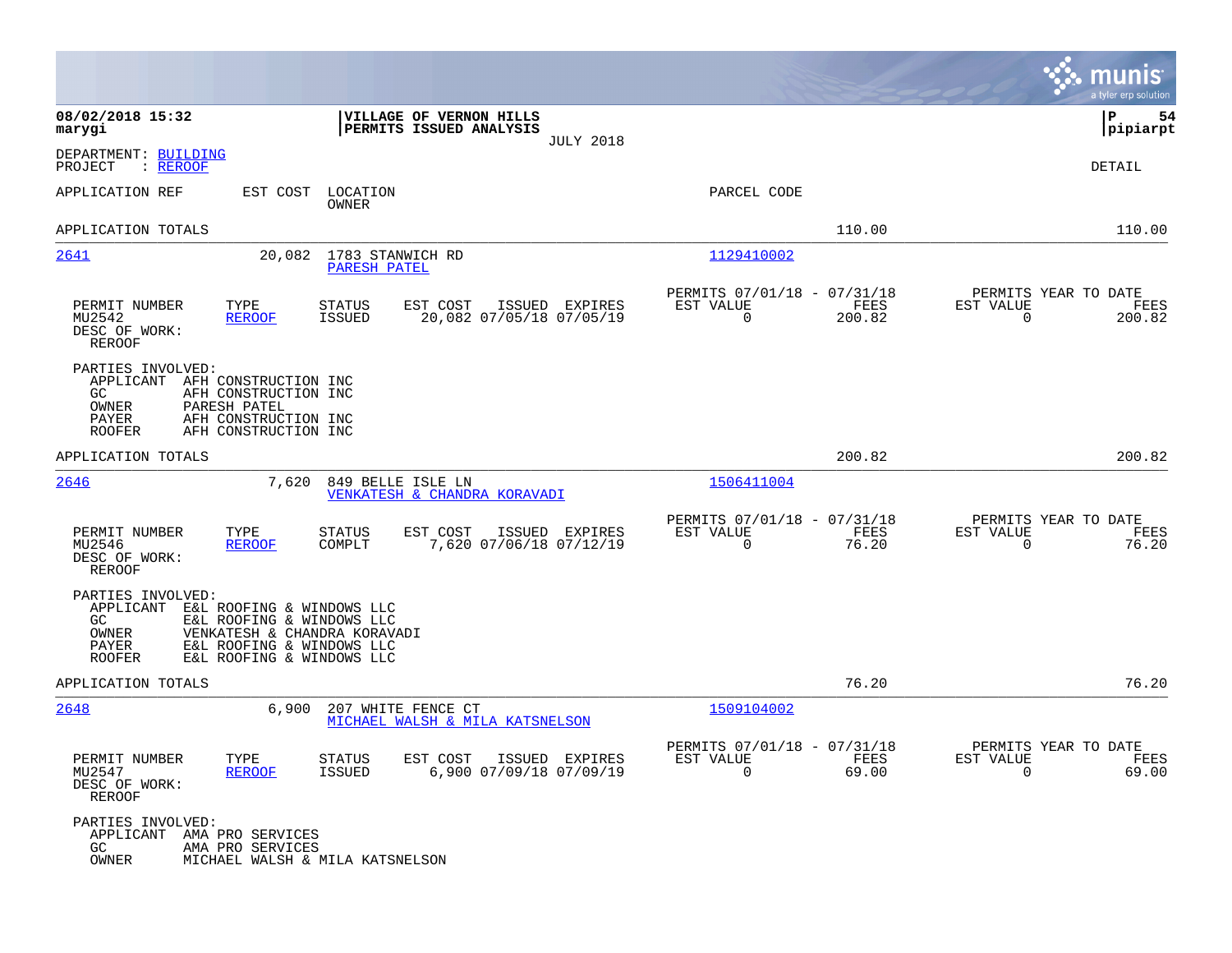|                                                                                          |                                                                                                                                                  |                                                                           |                | munis<br>a tyler erp solution                                        |
|------------------------------------------------------------------------------------------|--------------------------------------------------------------------------------------------------------------------------------------------------|---------------------------------------------------------------------------|----------------|----------------------------------------------------------------------|
| 08/02/2018 15:32<br>marygi                                                               | VILLAGE OF VERNON HILLS<br>PERMITS ISSUED ANALYSIS                                                                                               | <b>JULY 2018</b>                                                          |                | P<br>54<br> pipiarpt                                                 |
| DEPARTMENT: BUILDING<br>PROJECT<br>: <u>REROOF</u>                                       |                                                                                                                                                  |                                                                           |                | DETAIL                                                               |
| APPLICATION REF                                                                          | EST COST<br>LOCATION<br>OWNER                                                                                                                    | PARCEL CODE                                                               |                |                                                                      |
| APPLICATION TOTALS                                                                       |                                                                                                                                                  |                                                                           | 110.00         | 110.00                                                               |
| 2641                                                                                     | 20,082 1783 STANWICH RD<br>PARESH PATEL                                                                                                          | 1129410002                                                                |                |                                                                      |
| PERMIT NUMBER<br>TYPE<br>MU2542<br>DESC OF WORK:<br><b>REROOF</b>                        | <b>STATUS</b><br>EST COST<br>20,082 07/05/18 07/05/19<br><b>REROOF</b><br><b>ISSUED</b>                                                          | PERMITS 07/01/18 - 07/31/18<br>ISSUED EXPIRES<br>EST VALUE<br>$\mathbf 0$ | FEES<br>200.82 | PERMITS YEAR TO DATE<br>EST VALUE<br>FEES<br>$\mathbf 0$<br>200.82   |
| PARTIES INVOLVED:<br>APPLICANT<br>GC.<br>PARESH PATEL<br>OWNER<br>PAYER<br><b>ROOFER</b> | AFH CONSTRUCTION INC<br>AFH CONSTRUCTION INC<br>AFH CONSTRUCTION INC<br>AFH CONSTRUCTION INC                                                     |                                                                           |                |                                                                      |
| APPLICATION TOTALS                                                                       |                                                                                                                                                  |                                                                           | 200.82         | 200.82                                                               |
| 2646                                                                                     | 7,620<br>849 BELLE ISLE LN<br>VENKATESH & CHANDRA KORAVADI                                                                                       | 1506411004                                                                |                |                                                                      |
| PERMIT NUMBER<br>TYPE<br>MU2546<br>DESC OF WORK:<br><b>REROOF</b>                        | <b>STATUS</b><br>EST COST<br>7,620 07/06/18 07/12/19<br>COMPLT<br><b>REROOF</b>                                                                  | PERMITS 07/01/18 - 07/31/18<br>ISSUED EXPIRES<br>EST VALUE<br>$\mathbf 0$ | FEES<br>76.20  | PERMITS YEAR TO DATE<br>EST VALUE<br>FEES<br>$\overline{0}$<br>76.20 |
| PARTIES INVOLVED:<br>APPLICANT<br>GC<br>OWNER<br>PAYER<br><b>ROOFER</b>                  | E&L ROOFING & WINDOWS LLC<br>E&L ROOFING & WINDOWS LLC<br>VENKATESH & CHANDRA KORAVADI<br>E&L ROOFING & WINDOWS LLC<br>E&L ROOFING & WINDOWS LLC |                                                                           |                |                                                                      |
| APPLICATION TOTALS                                                                       |                                                                                                                                                  |                                                                           | 76.20          | 76.20                                                                |
| 2648                                                                                     | 6,900<br>207 WHITE FENCE CT<br>MICHAEL WALSH & MILA KATSNELSON                                                                                   | 1509104002                                                                |                |                                                                      |
| PERMIT NUMBER<br>TYPE<br>MU2547<br>DESC OF WORK:<br>REROOF                               | STATUS<br>EST COST ISSUED EXPIRES<br>6,900 07/09/18 07/09/19<br>REROOF<br>ISSUED                                                                 | PERMITS 07/01/18 - 07/31/18<br>EST VALUE<br>$\Omega$                      | FEES<br>69.00  | PERMITS YEAR TO DATE<br>EST VALUE<br>FEES<br>69.00<br>$\Omega$       |
| PARTIES INVOLVED:<br>APPLICANT AMA PRO SERVICES<br>GC<br>OWNER                           | AMA PRO SERVICES<br>MICHAEL WALSH & MILA KATSNELSON                                                                                              |                                                                           |                |                                                                      |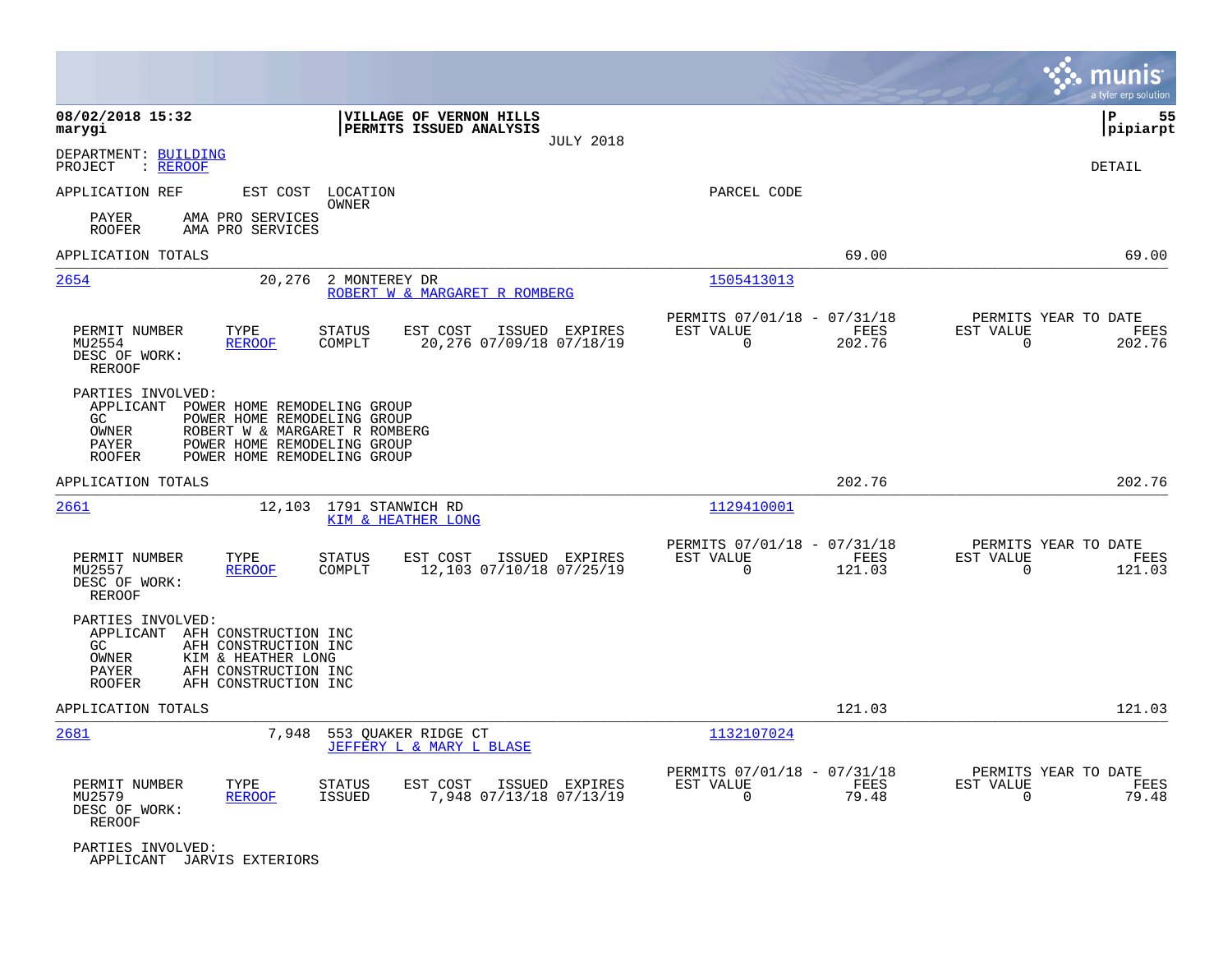|                                                                                                                                                                                                                                       |                                                                          | munis<br>a tyler erp solution                                      |
|---------------------------------------------------------------------------------------------------------------------------------------------------------------------------------------------------------------------------------------|--------------------------------------------------------------------------|--------------------------------------------------------------------|
| 08/02/2018 15:32<br>VILLAGE OF VERNON HILLS<br>PERMITS ISSUED ANALYSIS<br>marygi<br><b>JULY 2018</b>                                                                                                                                  |                                                                          | P<br>55<br> pipiarpt                                               |
| DEPARTMENT: BUILDING<br>: REROOF<br>PROJECT                                                                                                                                                                                           |                                                                          | DETAIL                                                             |
| APPLICATION REF<br>EST COST<br>LOCATION<br>OWNER                                                                                                                                                                                      | PARCEL CODE                                                              |                                                                    |
| PAYER<br>AMA PRO SERVICES<br><b>ROOFER</b><br>AMA PRO SERVICES                                                                                                                                                                        |                                                                          |                                                                    |
| APPLICATION TOTALS                                                                                                                                                                                                                    | 69.00                                                                    | 69.00                                                              |
| 2654<br>20,276<br>2 MONTEREY DR<br>ROBERT W & MARGARET R ROMBERG                                                                                                                                                                      | 1505413013                                                               |                                                                    |
| PERMIT NUMBER<br>EST COST<br>ISSUED EXPIRES<br>TYPE<br><b>STATUS</b><br>MU2554<br><b>REROOF</b><br>COMPLT<br>20,276 07/09/18 07/18/19<br>DESC OF WORK:<br>REROOF                                                                      | PERMITS 07/01/18 - 07/31/18<br>FEES<br>EST VALUE<br>$\Omega$<br>202.76   | PERMITS YEAR TO DATE<br>EST VALUE<br>FEES<br>$\mathbf 0$<br>202.76 |
| PARTIES INVOLVED:<br>APPLICANT<br>POWER HOME REMODELING GROUP<br>GC.<br>POWER HOME REMODELING GROUP<br>OWNER<br>ROBERT W & MARGARET R ROMBERG<br>PAYER<br>POWER HOME REMODELING GROUP<br><b>ROOFER</b><br>POWER HOME REMODELING GROUP |                                                                          |                                                                    |
| APPLICATION TOTALS                                                                                                                                                                                                                    | 202.76                                                                   | 202.76                                                             |
| <u> 2661</u><br>12,103 1791 STANWICH RD<br>KIM & HEATHER LONG                                                                                                                                                                         | 1129410001                                                               |                                                                    |
| PERMIT NUMBER<br>TYPE<br><b>STATUS</b><br>EST COST<br>ISSUED EXPIRES<br>12,103 07/10/18 07/25/19<br>MU2557<br><b>REROOF</b><br>COMPLT<br>DESC OF WORK:<br><b>REROOF</b>                                                               | PERMITS 07/01/18 - 07/31/18<br>EST VALUE<br>FEES<br>$\Omega$<br>121.03   | PERMITS YEAR TO DATE<br>EST VALUE<br>FEES<br>$\Omega$<br>121.03    |
| PARTIES INVOLVED:<br>APPLICANT AFH CONSTRUCTION INC<br>GC<br>AFH CONSTRUCTION INC<br>OWNER<br>KIM & HEATHER LONG<br>AFH CONSTRUCTION INC<br>PAYER<br>AFH CONSTRUCTION INC<br>ROOFER                                                   |                                                                          |                                                                    |
| APPLICATION TOTALS                                                                                                                                                                                                                    | 121.03                                                                   | 121.03                                                             |
| 2681<br>7,948<br>553 OUAKER RIDGE CT<br>JEFFERY L & MARY L BLASE                                                                                                                                                                      | 1132107024                                                               |                                                                    |
| PERMIT NUMBER<br>EST COST<br>ISSUED EXPIRES<br>TYPE<br><b>STATUS</b><br>7,948 07/13/18 07/13/19<br>MU2579<br><b>REROOF</b><br>ISSUED<br>DESC OF WORK:<br>REROOF                                                                       | PERMITS 07/01/18 - 07/31/18<br>EST VALUE<br>FEES<br>$\mathbf 0$<br>79.48 | PERMITS YEAR TO DATE<br>EST VALUE<br>FEES<br>$\mathbf 0$<br>79.48  |
| PARTIES INVOLVED:<br>APPLICANT JARVIS EXTERIORS                                                                                                                                                                                       |                                                                          |                                                                    |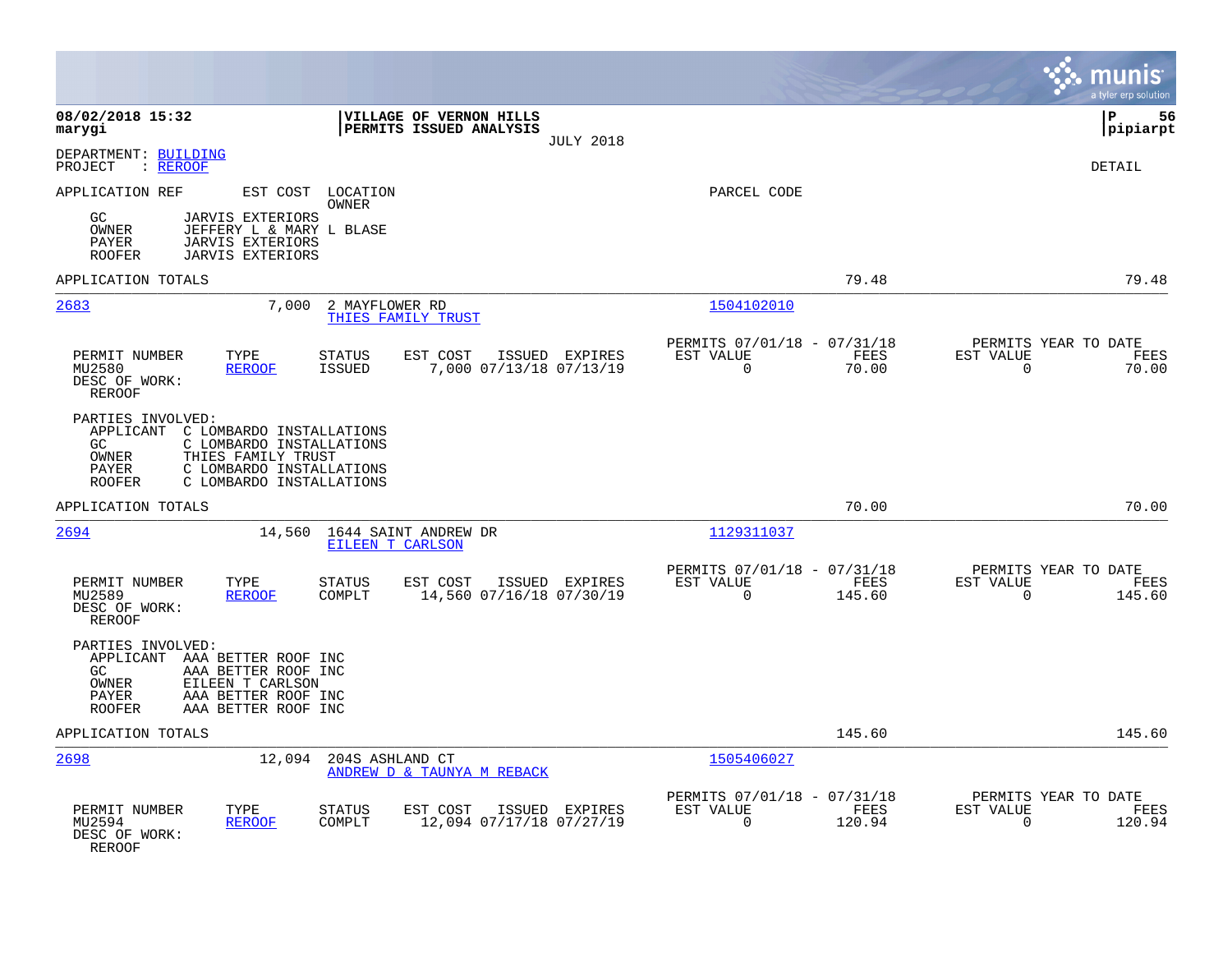|                                                                                                                                                                                                            |                                                                                         |                                                                          | munis<br>a tyler erp solution                                   |
|------------------------------------------------------------------------------------------------------------------------------------------------------------------------------------------------------------|-----------------------------------------------------------------------------------------|--------------------------------------------------------------------------|-----------------------------------------------------------------|
| 08/02/2018 15:32<br>marygi                                                                                                                                                                                 | VILLAGE OF VERNON HILLS<br>PERMITS ISSUED ANALYSIS<br><b>JULY 2018</b>                  |                                                                          | l P<br>56<br> pipiarpt                                          |
| DEPARTMENT: BUILDING<br>: REROOF<br>PROJECT                                                                                                                                                                |                                                                                         |                                                                          | <b>DETAIL</b>                                                   |
| APPLICATION REF<br>EST COST LOCATION<br>GC<br><b>JARVIS EXTERIORS</b><br>OWNER<br>JEFFERY L & MARY L BLASE                                                                                                 | OWNER                                                                                   | PARCEL CODE                                                              |                                                                 |
| <b>JARVIS EXTERIORS</b><br>PAYER<br><b>ROOFER</b><br><b>JARVIS EXTERIORS</b>                                                                                                                               |                                                                                         |                                                                          |                                                                 |
| APPLICATION TOTALS                                                                                                                                                                                         |                                                                                         | 79.48                                                                    | 79.48                                                           |
| 2683<br>7,000                                                                                                                                                                                              | 2 MAYFLOWER RD<br>THIES FAMILY TRUST                                                    | 1504102010                                                               |                                                                 |
| TYPE<br>PERMIT NUMBER<br>MU2580<br><b>REROOF</b><br>DESC OF WORK:<br><b>REROOF</b>                                                                                                                         | <b>STATUS</b><br>EST COST<br>ISSUED EXPIRES<br><b>ISSUED</b><br>7,000 07/13/18 07/13/19 | PERMITS 07/01/18 - 07/31/18<br>EST VALUE<br>FEES<br>$\mathbf 0$<br>70.00 | PERMITS YEAR TO DATE<br>EST VALUE<br>FEES<br>0<br>70.00         |
| PARTIES INVOLVED:<br>APPLICANT C LOMBARDO INSTALLATIONS<br>GC<br>C LOMBARDO INSTALLATIONS<br>OWNER<br>THIES FAMILY TRUST<br>PAYER<br>C LOMBARDO INSTALLATIONS<br>C LOMBARDO INSTALLATIONS<br><b>ROOFER</b> |                                                                                         |                                                                          |                                                                 |
| APPLICATION TOTALS                                                                                                                                                                                         |                                                                                         | 70.00                                                                    | 70.00                                                           |
| 2694<br>14,560                                                                                                                                                                                             | 1644 SAINT ANDREW DR<br>EILEEN T CARLSON                                                | 1129311037                                                               |                                                                 |
| PERMIT NUMBER<br>TYPE<br>MU2589<br><b>REROOF</b><br>DESC OF WORK:<br>REROOF                                                                                                                                | <b>STATUS</b><br>EST COST<br>ISSUED EXPIRES<br>14,560 07/16/18 07/30/19<br>COMPLT       | PERMITS 07/01/18 - 07/31/18<br>FEES<br>EST VALUE<br>$\Omega$<br>145.60   | PERMITS YEAR TO DATE<br>EST VALUE<br>FEES<br>$\Omega$<br>145.60 |
| PARTIES INVOLVED:<br>APPLICANT AAA BETTER ROOF INC<br>GC<br>AAA BETTER ROOF INC<br>OWNER<br>EILEEN T CARLSON<br>AAA BETTER ROOF INC<br>PAYER<br><b>ROOFER</b><br>AAA BETTER ROOF INC                       |                                                                                         |                                                                          |                                                                 |
| APPLICATION TOTALS                                                                                                                                                                                         |                                                                                         | 145.60                                                                   | 145.60                                                          |
| 2698<br>12,094                                                                                                                                                                                             | 204S ASHLAND CT<br>ANDREW D & TAUNYA M REBACK                                           | 1505406027                                                               |                                                                 |
| PERMIT NUMBER<br>TYPE<br>MU2594<br><b>REROOF</b><br>DESC OF WORK:<br>REROOF                                                                                                                                | <b>STATUS</b><br>EST COST<br>ISSUED EXPIRES<br>12,094 07/17/18 07/27/19<br>COMPLT       | PERMITS 07/01/18 - 07/31/18<br>EST VALUE<br>FEES<br>$\Omega$<br>120.94   | PERMITS YEAR TO DATE<br>EST VALUE<br>FEES<br>120.94<br>0        |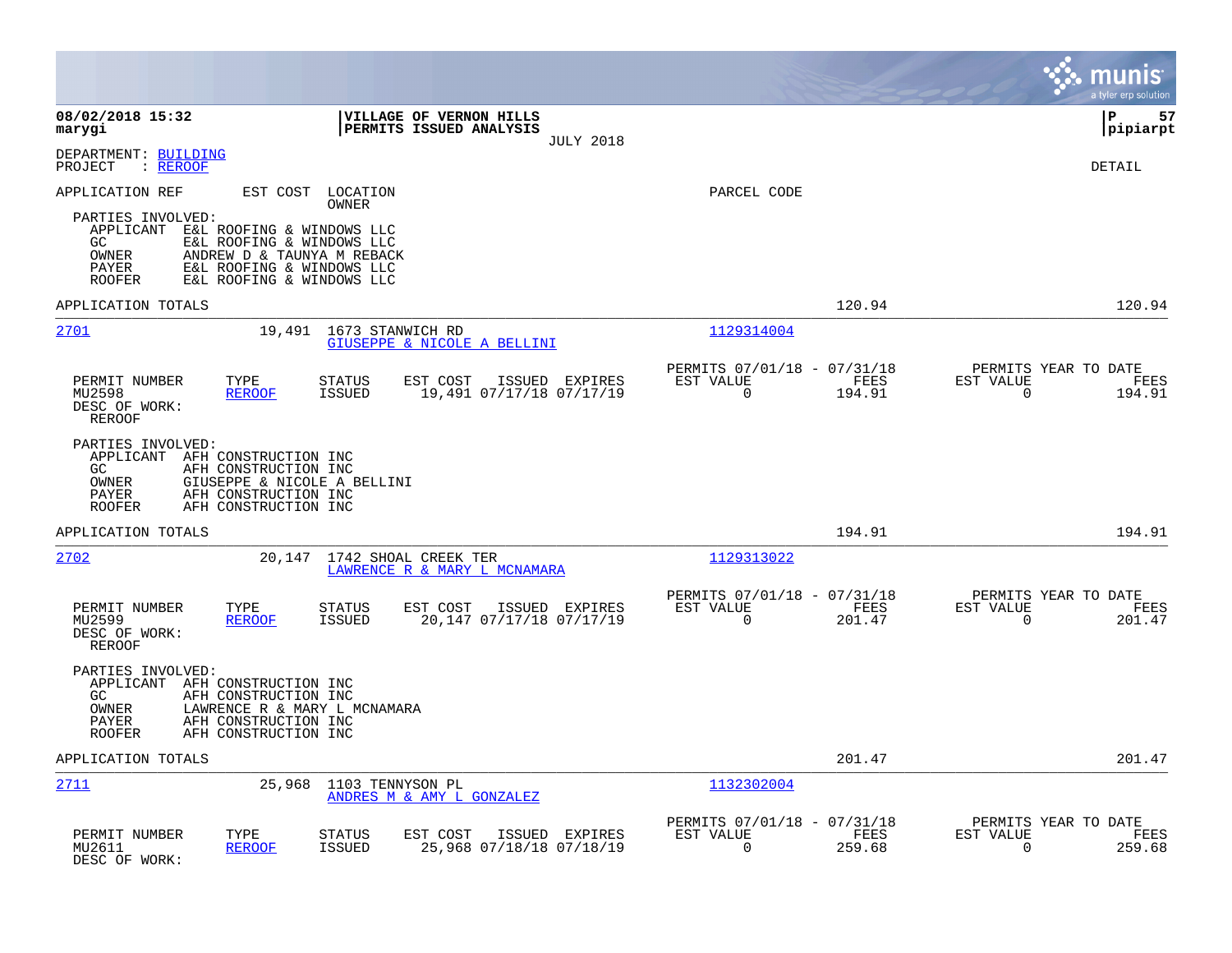|                                                                                                                                                                                                                         |                                                                        | munis<br>a tyler erp solution                                   |
|-------------------------------------------------------------------------------------------------------------------------------------------------------------------------------------------------------------------------|------------------------------------------------------------------------|-----------------------------------------------------------------|
| 08/02/2018 15:32<br>VILLAGE OF VERNON HILLS<br>marygi<br>PERMITS ISSUED ANALYSIS<br><b>JULY 2018</b>                                                                                                                    |                                                                        | 57<br>l P<br> pipiarpt                                          |
| DEPARTMENT: BUILDING<br>PROJECT<br>: REROOF                                                                                                                                                                             |                                                                        | <b>DETAIL</b>                                                   |
| APPLICATION REF<br>EST COST LOCATION<br>OWNER                                                                                                                                                                           | PARCEL CODE                                                            |                                                                 |
| PARTIES INVOLVED:<br>APPLICANT E&L ROOFING & WINDOWS LLC<br>E&L ROOFING & WINDOWS LLC<br>GC.<br>OWNER<br>ANDREW D & TAUNYA M REBACK<br>E&L ROOFING & WINDOWS LLC<br>PAYER<br><b>ROOFER</b><br>E&L ROOFING & WINDOWS LLC |                                                                        |                                                                 |
| APPLICATION TOTALS                                                                                                                                                                                                      | 120.94                                                                 | 120.94                                                          |
| 2701<br>19,491<br>1673 STANWICH RD<br>GIUSEPPE & NICOLE A BELLINI                                                                                                                                                       | 1129314004                                                             |                                                                 |
| PERMIT NUMBER<br>TYPE<br>EST COST<br><b>STATUS</b><br>ISSUED EXPIRES<br>MU2598<br><b>REROOF</b><br><b>ISSUED</b><br>19,491 07/17/18 07/17/19<br>DESC OF WORK:<br><b>REROOF</b>                                          | PERMITS 07/01/18 - 07/31/18<br>EST VALUE<br>FEES<br>$\Omega$<br>194.91 | PERMITS YEAR TO DATE<br>EST VALUE<br>FEES<br>$\Omega$<br>194.91 |
| PARTIES INVOLVED:<br>APPLICANT AFH CONSTRUCTION INC<br>GC.<br>AFH CONSTRUCTION INC<br>OWNER<br>GIUSEPPE & NICOLE A BELLINI<br>AFH CONSTRUCTION INC<br>PAYER<br>AFH CONSTRUCTION INC<br><b>ROOFER</b>                    |                                                                        |                                                                 |
| APPLICATION TOTALS                                                                                                                                                                                                      | 194.91                                                                 | 194.91                                                          |
| 2702<br>20,147<br>1742 SHOAL CREEK TER<br>LAWRENCE R & MARY L MCNAMARA                                                                                                                                                  | 1129313022                                                             |                                                                 |
| PERMIT NUMBER<br>EST COST<br>ISSUED EXPIRES<br>TYPE<br>STATUS<br>MU2599<br>20,147 07/17/18 07/17/19<br><b>REROOF</b><br><b>ISSUED</b><br>DESC OF WORK:<br>REROOF                                                        | PERMITS 07/01/18 - 07/31/18<br>EST VALUE<br>FEES<br>$\Omega$<br>201.47 | PERMITS YEAR TO DATE<br>EST VALUE<br>FEES<br>$\Omega$<br>201.47 |
| PARTIES INVOLVED:<br>APPLICANT AFH CONSTRUCTION INC<br>GC<br>AFH CONSTRUCTION INC<br>OWNER<br>LAWRENCE R & MARY L MCNAMARA<br>AFH CONSTRUCTION INC<br>PAYER<br>AFH CONSTRUCTION INC<br><b>ROOFER</b>                    |                                                                        |                                                                 |
| APPLICATION TOTALS                                                                                                                                                                                                      | 201.47                                                                 | 201.47                                                          |
| 2711<br>25,968<br>1103 TENNYSON PL<br>ANDRES M & AMY L GONZALEZ                                                                                                                                                         | 1132302004                                                             |                                                                 |
| TYPE<br>PERMIT NUMBER<br>STATUS<br>EST COST<br>ISSUED EXPIRES<br>25,968 07/18/18 07/18/19<br>MU2611<br><b>REROOF</b><br><b>ISSUED</b><br>DESC OF WORK:                                                                  | PERMITS 07/01/18 - 07/31/18<br>EST VALUE<br><b>FEES</b><br>0<br>259.68 | PERMITS YEAR TO DATE<br>EST VALUE<br>FEES<br>0<br>259.68        |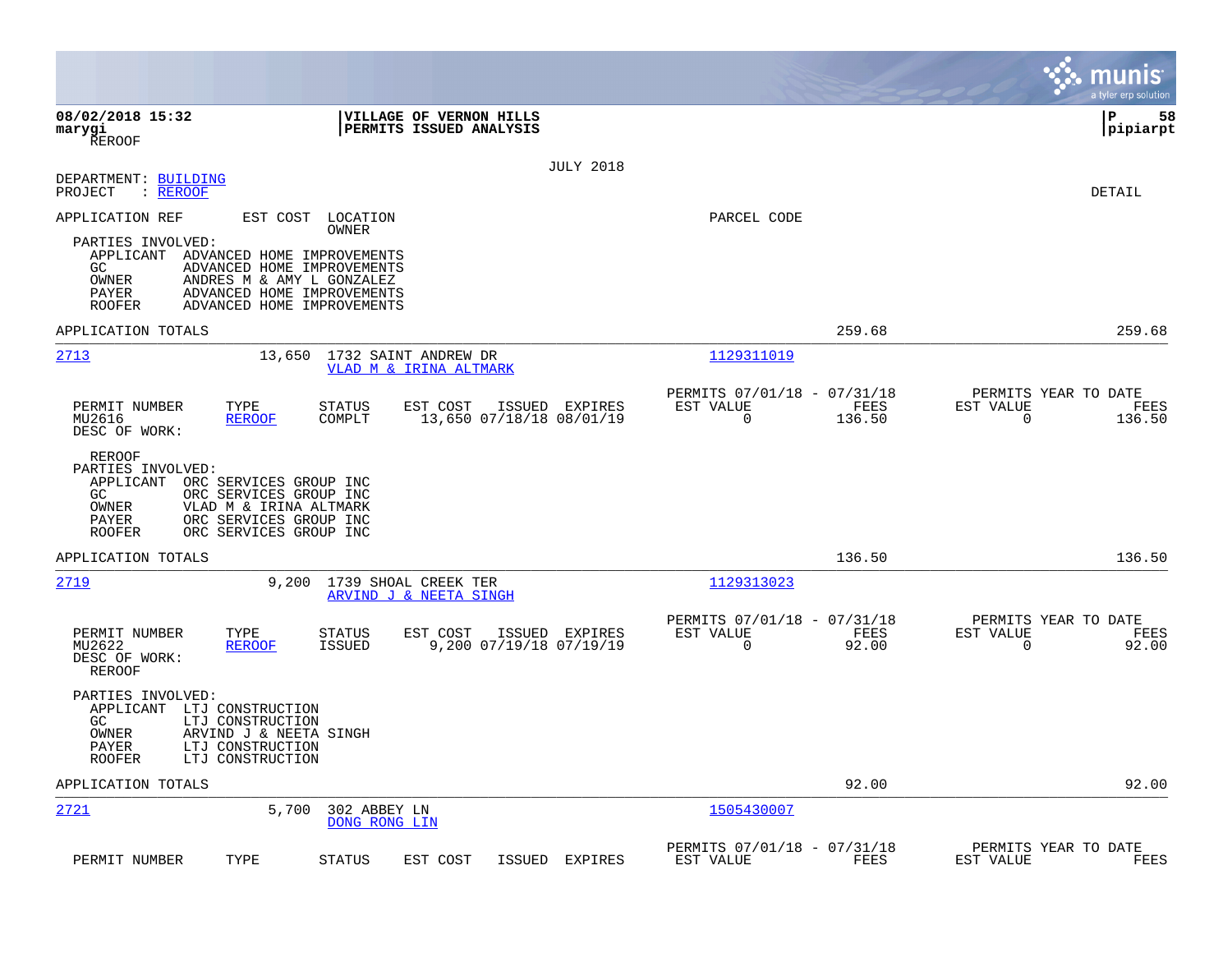|                                                                                                                                                                                                                                                                            |                                                                           | munis<br>a tyler erp solution                                      |
|----------------------------------------------------------------------------------------------------------------------------------------------------------------------------------------------------------------------------------------------------------------------------|---------------------------------------------------------------------------|--------------------------------------------------------------------|
| 08/02/2018 15:32<br>VILLAGE OF VERNON HILLS<br>PERMITS ISSUED ANALYSIS<br>marygi<br><b>REROOF</b>                                                                                                                                                                          |                                                                           | l P<br>58<br> pipiarpt                                             |
| <b>JULY 2018</b><br>DEPARTMENT: BUILDING<br>PROJECT<br>: REROOF                                                                                                                                                                                                            |                                                                           | DETAIL                                                             |
| APPLICATION REF<br>EST COST LOCATION<br>OWNER<br>PARTIES INVOLVED:<br>APPLICANT ADVANCED HOME IMPROVEMENTS<br>ADVANCED HOME IMPROVEMENTS<br>GC<br>OWNER<br>ANDRES M & AMY L GONZALEZ<br>PAYER<br>ADVANCED HOME IMPROVEMENTS<br><b>ROOFER</b><br>ADVANCED HOME IMPROVEMENTS | PARCEL CODE                                                               |                                                                    |
| APPLICATION TOTALS                                                                                                                                                                                                                                                         | 259.68                                                                    | 259.68                                                             |
| 2713<br>13,650<br>1732 SAINT ANDREW DR<br>VLAD M & IRINA ALTMARK                                                                                                                                                                                                           | 1129311019                                                                |                                                                    |
| TYPE<br>EST COST<br>ISSUED EXPIRES<br>PERMIT NUMBER<br><b>STATUS</b><br>MU2616<br>COMPLT<br>13,650 07/18/18 08/01/19<br><b>REROOF</b><br>DESC OF WORK:                                                                                                                     | PERMITS 07/01/18 - 07/31/18<br>EST VALUE<br>FEES<br>$\mathbf 0$<br>136.50 | PERMITS YEAR TO DATE<br>EST VALUE<br>FEES<br>$\mathbf 0$<br>136.50 |
| <b>REROOF</b><br>PARTIES INVOLVED:<br>APPLICANT ORC SERVICES GROUP INC<br>GC<br>ORC SERVICES GROUP INC<br>OWNER<br>VLAD M & IRINA ALTMARK<br>ORC SERVICES GROUP INC<br>PAYER<br>ORC SERVICES GROUP INC<br><b>ROOFER</b>                                                    |                                                                           |                                                                    |
| APPLICATION TOTALS                                                                                                                                                                                                                                                         | 136.50                                                                    | 136.50                                                             |
| 2719<br>9,200<br>1739 SHOAL CREEK TER<br>ARVIND J & NEETA SINGH                                                                                                                                                                                                            | 1129313023                                                                |                                                                    |
| PERMIT NUMBER<br>TYPE<br><b>STATUS</b><br>EST COST<br>ISSUED EXPIRES<br>9,200 07/19/18 07/19/19<br>MU2622<br><b>REROOF</b><br><b>ISSUED</b><br>DESC OF WORK:<br>REROOF                                                                                                     | PERMITS 07/01/18 - 07/31/18<br>EST VALUE<br>FEES<br>$\mathbf 0$<br>92.00  | PERMITS YEAR TO DATE<br>EST VALUE<br>FEES<br>$\mathbf 0$<br>92.00  |
| PARTIES INVOLVED:<br>APPLICANT LTJ CONSTRUCTION<br>GC.<br>LTJ CONSTRUCTION<br>OWNER<br>ARVIND J & NEETA SINGH<br>PAYER<br>LTJ CONSTRUCTION<br><b>ROOFER</b><br>LTJ CONSTRUCTION                                                                                            |                                                                           |                                                                    |
| APPLICATION TOTALS                                                                                                                                                                                                                                                         | 92.00                                                                     | 92.00                                                              |
| 2721<br>5,700<br>302 ABBEY LN<br>DONG RONG LIN                                                                                                                                                                                                                             | 1505430007                                                                |                                                                    |
| PERMIT NUMBER<br>TYPE<br><b>STATUS</b><br>EST COST<br>ISSUED<br>EXPIRES                                                                                                                                                                                                    | PERMITS 07/01/18 - 07/31/18<br>EST VALUE<br>FEES                          | PERMITS YEAR TO DATE<br>EST VALUE<br>FEES                          |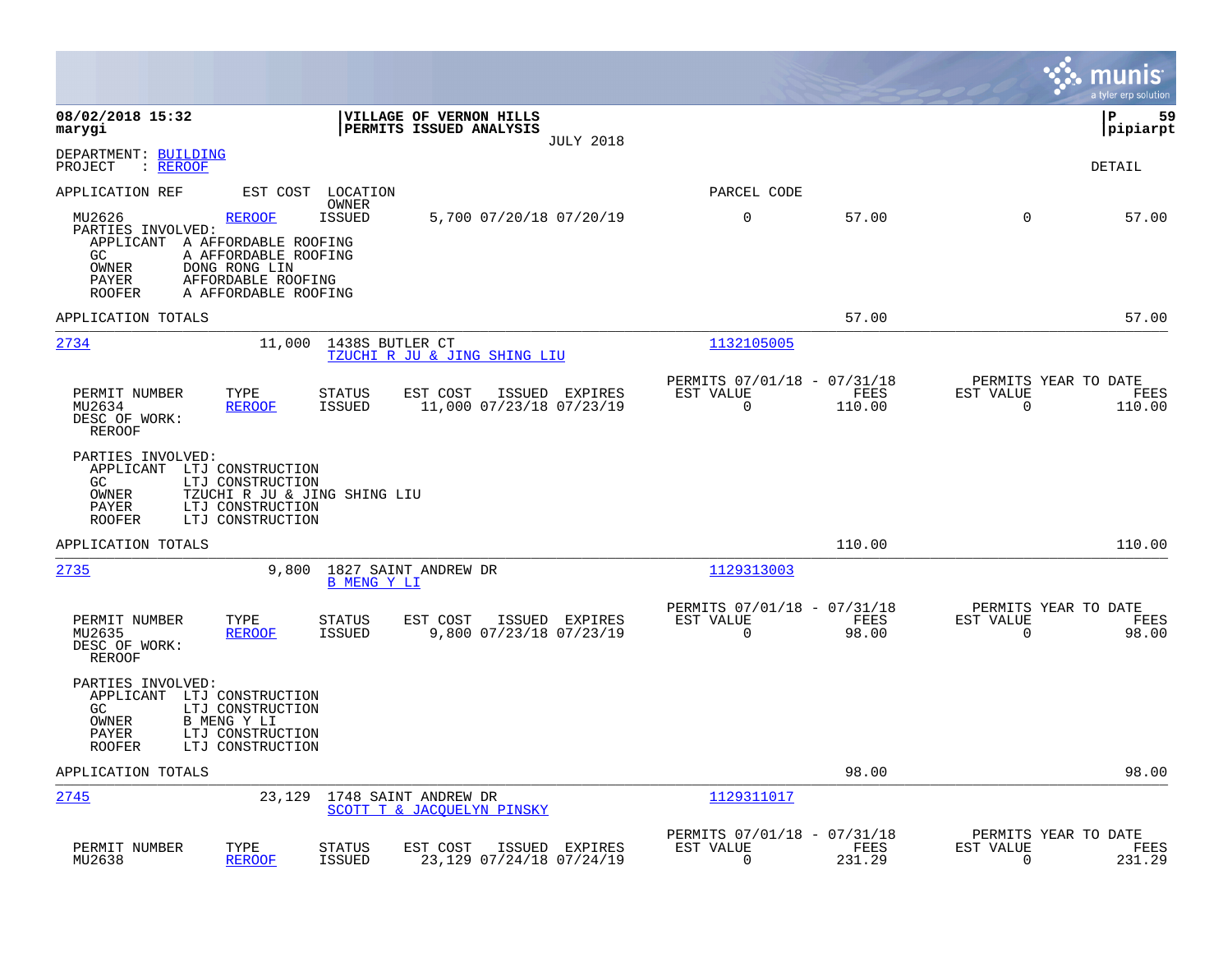|                                                                                                                                                                                                                                                     |                                                                        | munis<br>a tyler erp solution                                   |
|-----------------------------------------------------------------------------------------------------------------------------------------------------------------------------------------------------------------------------------------------------|------------------------------------------------------------------------|-----------------------------------------------------------------|
| 08/02/2018 15:32<br>VILLAGE OF VERNON HILLS<br>PERMITS ISSUED ANALYSIS<br>marygi<br><b>JULY 2018</b>                                                                                                                                                |                                                                        | 59<br>ΙP<br> pipiarpt                                           |
| DEPARTMENT: BUILDING<br>PROJECT<br>: <u>REROOF</u>                                                                                                                                                                                                  |                                                                        | DETAIL                                                          |
| APPLICATION REF<br>EST COST<br>LOCATION<br>OWNER                                                                                                                                                                                                    | PARCEL CODE                                                            |                                                                 |
| MU2626<br><b>ISSUED</b><br>REROOF<br>5,700 07/20/18 07/20/19<br>PARTIES INVOLVED:<br>APPLICANT A AFFORDABLE ROOFING<br>GC<br>A AFFORDABLE ROOFING<br>OWNER<br>DONG RONG LIN<br>AFFORDABLE ROOFING<br>PAYER<br><b>ROOFER</b><br>A AFFORDABLE ROOFING | $\mathbf 0$<br>57.00                                                   | 57.00<br>$\mathbf 0$                                            |
| APPLICATION TOTALS                                                                                                                                                                                                                                  | 57.00                                                                  | 57.00                                                           |
| <u> 2734</u><br>11,000<br>1438S BUTLER CT<br>TZUCHI R JU & JING SHING LIU                                                                                                                                                                           | 1132105005                                                             |                                                                 |
| PERMIT NUMBER<br>TYPE<br>STATUS<br>EST COST<br>ISSUED<br>EXPIRES<br><b>ISSUED</b><br>11,000 07/23/18 07/23/19<br>MU2634<br><b>REROOF</b><br>DESC OF WORK:<br><b>REROOF</b>                                                                          | PERMITS 07/01/18 - 07/31/18<br>EST VALUE<br>FEES<br>$\Omega$<br>110.00 | PERMITS YEAR TO DATE<br>EST VALUE<br>FEES<br>$\Omega$<br>110.00 |
| PARTIES INVOLVED:<br>APPLICANT LTJ CONSTRUCTION<br>GC.<br>LTJ CONSTRUCTION<br>OWNER<br>TZUCHI R JU & JING SHING LIU<br>PAYER<br>LTJ CONSTRUCTION<br>LTJ CONSTRUCTION<br><b>ROOFER</b>                                                               |                                                                        |                                                                 |
| APPLICATION TOTALS                                                                                                                                                                                                                                  | 110.00                                                                 | 110.00                                                          |
| 2735<br>9,800<br>1827 SAINT ANDREW DR<br><b>B MENG Y LI</b>                                                                                                                                                                                         | 1129313003                                                             |                                                                 |
| PERMIT NUMBER<br>TYPE<br><b>STATUS</b><br>EST COST<br>ISSUED EXPIRES<br><b>ISSUED</b><br>9,800 07/23/18 07/23/19<br>MU2635<br><b>REROOF</b><br>DESC OF WORK:<br>REROOF                                                                              | PERMITS 07/01/18 - 07/31/18<br>EST VALUE<br>FEES<br>0<br>98.00         | PERMITS YEAR TO DATE<br>EST VALUE<br>FEES<br>98.00<br>0         |
| PARTIES INVOLVED:<br>APPLICANT<br>LTJ CONSTRUCTION<br>GC<br>LTJ CONSTRUCTION<br>OWNER<br>B MENG Y LI<br>PAYER<br>LTJ CONSTRUCTION<br><b>ROOFER</b><br>LTJ CONSTRUCTION                                                                              |                                                                        |                                                                 |
| APPLICATION TOTALS                                                                                                                                                                                                                                  | 98.00                                                                  | 98.00                                                           |
| 2745<br>23,129<br>1748 SAINT ANDREW DR<br>SCOTT T & JACQUELYN PINSKY                                                                                                                                                                                | 1129311017                                                             |                                                                 |
| PERMIT NUMBER<br>TYPE<br>EST COST<br><b>STATUS</b><br>ISSUED EXPIRES<br>MU2638<br><b>REROOF</b><br><b>ISSUED</b><br>23,129 07/24/18 07/24/19                                                                                                        | PERMITS 07/01/18 - 07/31/18<br>EST VALUE<br>FEES<br>$\Omega$<br>231.29 | PERMITS YEAR TO DATE<br>EST VALUE<br>FEES<br>0<br>231.29        |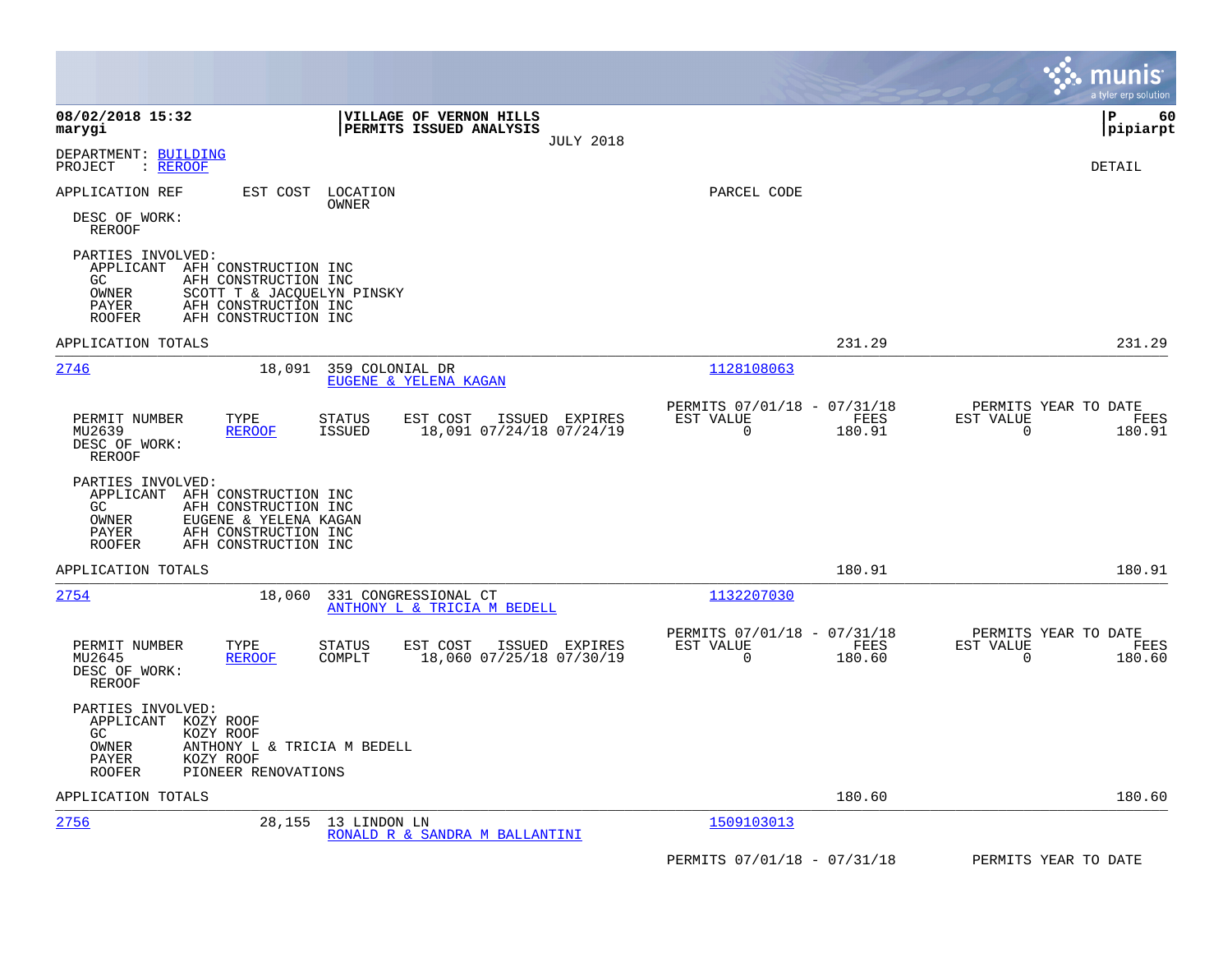|                                                                                                                                                                                                       |                                                                           | munis<br>a tyler erp solution                            |
|-------------------------------------------------------------------------------------------------------------------------------------------------------------------------------------------------------|---------------------------------------------------------------------------|----------------------------------------------------------|
| 08/02/2018 15:32<br><b>VILLAGE OF VERNON HILLS</b><br><b>PERMITS ISSUED ANALYSIS</b><br>marygi<br><b>JULY 2018</b>                                                                                    |                                                                           | l P<br>60<br> pipiarpt                                   |
| DEPARTMENT: BUILDING<br>: <u>REROOF</u><br>PROJECT                                                                                                                                                    |                                                                           | <b>DETAIL</b>                                            |
| APPLICATION REF<br>EST COST<br>LOCATION<br>OWNER<br>DESC OF WORK:<br><b>REROOF</b>                                                                                                                    | PARCEL CODE                                                               |                                                          |
| PARTIES INVOLVED:<br>APPLICANT<br>AFH CONSTRUCTION INC<br>GC<br>AFH CONSTRUCTION INC<br>OWNER<br>SCOTT T & JACQUELYN PINSKY<br>AFH CONSTRUCTION INC<br>PAYER<br><b>ROOFER</b><br>AFH CONSTRUCTION INC |                                                                           |                                                          |
| APPLICATION TOTALS                                                                                                                                                                                    | 231.29                                                                    | 231.29                                                   |
| 2746<br>18,091<br>359 COLONIAL DR<br>EUGENE & YELENA KAGAN                                                                                                                                            | 1128108063                                                                |                                                          |
| TYPE<br>PERMIT NUMBER<br><b>STATUS</b><br>EST COST<br>ISSUED EXPIRES<br>18,091 07/24/18 07/24/19<br>MU2639<br><b>REROOF</b><br>ISSUED<br>DESC OF WORK:<br>REROOF                                      | PERMITS 07/01/18 - 07/31/18<br>EST VALUE<br>FEES<br>$\mathbf 0$<br>180.91 | PERMITS YEAR TO DATE<br>EST VALUE<br>FEES<br>180.91<br>0 |
| PARTIES INVOLVED:<br>APPLICANT AFH CONSTRUCTION INC<br>GC.<br>AFH CONSTRUCTION INC<br>OWNER<br>EUGENE & YELENA KAGAN<br>PAYER<br>AFH CONSTRUCTION INC<br>AFH CONSTRUCTION INC<br><b>ROOFER</b>        |                                                                           |                                                          |
| APPLICATION TOTALS                                                                                                                                                                                    | 180.91                                                                    | 180.91                                                   |
| 2754<br>18,060<br>331 CONGRESSIONAL CT<br>ANTHONY L & TRICIA M BEDELL                                                                                                                                 | 1132207030                                                                |                                                          |
| PERMIT NUMBER<br>TYPE<br>STATUS<br>EST COST<br>ISSUED EXPIRES<br>MU2645<br><b>REROOF</b><br>COMPLT<br>18,060 07/25/18 07/30/19<br>DESC OF WORK:<br>REROOF                                             | PERMITS 07/01/18 - 07/31/18<br>EST VALUE<br>FEES<br>0<br>180.60           | PERMITS YEAR TO DATE<br>EST VALUE<br>FEES<br>0<br>180.60 |
| PARTIES INVOLVED:<br>APPLICANT KOZY ROOF<br>GC<br>KOZY ROOF<br>ANTHONY L & TRICIA M BEDELL<br>OWNER<br>PAYER<br>KOZY ROOF<br><b>ROOFER</b><br>PIONEER RENOVATIONS                                     |                                                                           |                                                          |
| APPLICATION TOTALS                                                                                                                                                                                    | 180.60                                                                    | 180.60                                                   |
| 2756<br>28,155<br>13 LINDON LN<br>RONALD R & SANDRA M BALLANTINI                                                                                                                                      | 1509103013                                                                |                                                          |
|                                                                                                                                                                                                       | PERMITS 07/01/18 - 07/31/18                                               | PERMITS YEAR TO DATE                                     |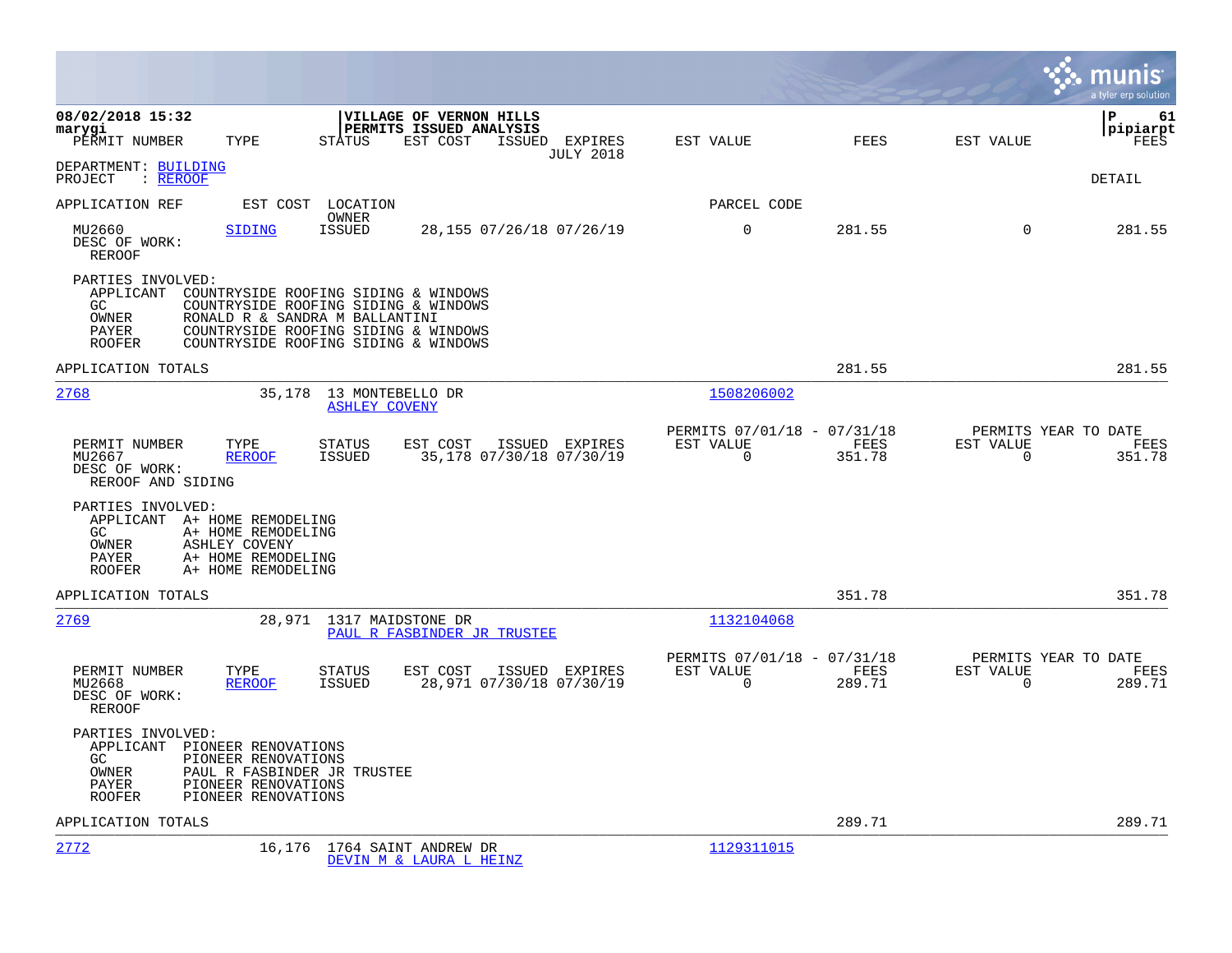|                                                                                                                                                                                                                                                                           |                                                         |                |                                                  | munis<br>a tyler erp solution |
|---------------------------------------------------------------------------------------------------------------------------------------------------------------------------------------------------------------------------------------------------------------------------|---------------------------------------------------------|----------------|--------------------------------------------------|-------------------------------|
| 08/02/2018 15:32<br>VILLAGE OF VERNON HILLS<br>PERMITS ISSUED ANALYSIS<br>marygi<br>PERMIT NUMBER<br>EST COST<br>TYPE<br>STATUS<br>ISSUED EXPIRES<br><b>JULY 2018</b>                                                                                                     | EST VALUE                                               | <b>FEES</b>    | EST VALUE                                        | lР<br>61<br> pipiarpt<br>FEES |
| DEPARTMENT: BUILDING<br>PROJECT<br>: REROOF                                                                                                                                                                                                                               |                                                         |                |                                                  | <b>DETAIL</b>                 |
| APPLICATION REF<br>EST COST<br>LOCATION                                                                                                                                                                                                                                   | PARCEL CODE                                             |                |                                                  |                               |
| OWNER<br>MU2660<br><b>SIDING</b><br><b>ISSUED</b><br>28,155 07/26/18 07/26/19<br>DESC OF WORK:<br><b>REROOF</b>                                                                                                                                                           | $\mathbf 0$                                             | 281.55         | $\Omega$                                         | 281.55                        |
| PARTIES INVOLVED:<br>APPLICANT<br>COUNTRYSIDE ROOFING SIDING & WINDOWS<br>COUNTRYSIDE ROOFING SIDING & WINDOWS<br>GC<br>OWNER<br>RONALD R & SANDRA M BALLANTINI<br>COUNTRYSIDE ROOFING SIDING & WINDOWS<br>PAYER<br>COUNTRYSIDE ROOFING SIDING & WINDOWS<br><b>ROOFER</b> |                                                         |                |                                                  |                               |
| APPLICATION TOTALS                                                                                                                                                                                                                                                        |                                                         | 281.55         |                                                  | 281.55                        |
| 2768<br>35,178<br>13 MONTEBELLO DR<br><b>ASHLEY COVENY</b>                                                                                                                                                                                                                | 1508206002                                              |                |                                                  |                               |
| PERMIT NUMBER<br>TYPE<br>STATUS<br>EST COST<br>ISSUED EXPIRES<br>MU2667<br><b>REROOF</b><br>ISSUED<br>35,178 07/30/18 07/30/19<br>DESC OF WORK:<br>REROOF AND SIDING                                                                                                      | PERMITS 07/01/18 - 07/31/18<br>EST VALUE<br>$\mathbf 0$ | FEES<br>351.78 | PERMITS YEAR TO DATE<br>EST VALUE<br>$\mathbf 0$ | FEES<br>351.78                |
| PARTIES INVOLVED:<br>APPLICANT A+ HOME REMODELING<br>GC.<br>A+ HOME REMODELING<br>OWNER<br>ASHLEY COVENY<br>A+ HOME REMODELING<br>PAYER<br><b>ROOFER</b><br>A+ HOME REMODELING                                                                                            |                                                         |                |                                                  |                               |
| APPLICATION TOTALS                                                                                                                                                                                                                                                        |                                                         | 351.78         |                                                  | 351.78                        |
| 2769<br>28,971<br>1317 MAIDSTONE DR<br>PAUL R FASBINDER JR TRUSTEE                                                                                                                                                                                                        | 1132104068                                              |                |                                                  |                               |
| PERMIT NUMBER<br>STATUS<br>EST COST<br>TYPE<br>ISSUED EXPIRES<br><b>REROOF</b><br><b>ISSUED</b><br>28,971 07/30/18 07/30/19<br>MU2668<br>DESC OF WORK:<br><b>REROOF</b>                                                                                                   | PERMITS 07/01/18 - 07/31/18<br>EST VALUE<br>$\mathbf 0$ | FEES<br>289.71 | PERMITS YEAR TO DATE<br>EST VALUE<br>$\mathbf 0$ | FEES<br>289.71                |
| PARTIES INVOLVED:<br>APPLICANT PIONEER RENOVATIONS<br>GC<br>PIONEER RENOVATIONS<br>OWNER<br>PAUL R FASBINDER JR TRUSTEE<br>PIONEER RENOVATIONS<br>PAYER<br><b>ROOFER</b><br>PIONEER RENOVATIONS                                                                           |                                                         |                |                                                  |                               |
| APPLICATION TOTALS                                                                                                                                                                                                                                                        |                                                         | 289.71         |                                                  | 289.71                        |
| 2772<br>16,176 1764 SAINT ANDREW DR<br>DEVIN M & LAURA L HEINZ                                                                                                                                                                                                            | 1129311015                                              |                |                                                  |                               |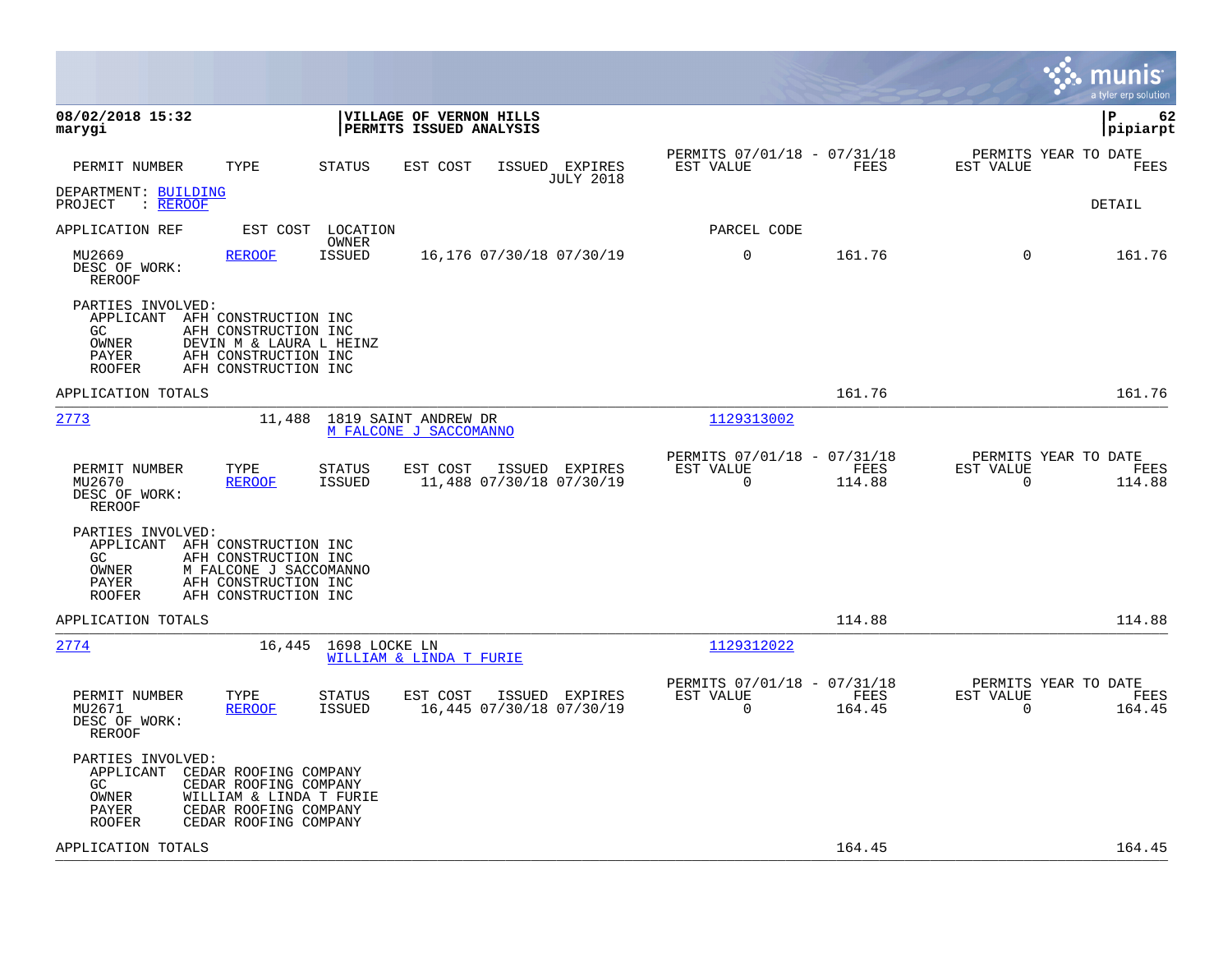|                                                                                                                                                                                                 |                                                           |                                                                        | munis<br>a tyler erp solution                                   |
|-------------------------------------------------------------------------------------------------------------------------------------------------------------------------------------------------|-----------------------------------------------------------|------------------------------------------------------------------------|-----------------------------------------------------------------|
| 08/02/2018 15:32<br>marygi                                                                                                                                                                      | VILLAGE OF VERNON HILLS<br><b>PERMITS ISSUED ANALYSIS</b> |                                                                        | l P<br>62<br> pipiarpt                                          |
| TYPE<br>STATUS<br>PERMIT NUMBER                                                                                                                                                                 | EST COST<br>ISSUED EXPIRES<br><b>JULY 2018</b>            | PERMITS 07/01/18 - 07/31/18<br>EST VALUE<br>FEES                       | PERMITS YEAR TO DATE<br>EST VALUE<br>FEES                       |
| DEPARTMENT: BUILDING<br>: REROOF<br>PROJECT                                                                                                                                                     |                                                           |                                                                        | <b>DETAIL</b>                                                   |
| APPLICATION REF<br>EST COST                                                                                                                                                                     | LOCATION<br>OWNER                                         | PARCEL CODE                                                            |                                                                 |
| MU2669<br><b>REROOF</b><br><b>ISSUED</b><br>DESC OF WORK:<br>REROOF                                                                                                                             | 16,176 07/30/18 07/30/19                                  | $\mathsf 0$<br>161.76                                                  | $\mathbf 0$<br>161.76                                           |
| PARTIES INVOLVED:<br>APPLICANT AFH CONSTRUCTION INC<br>GC.<br>AFH CONSTRUCTION INC<br>OWNER<br>DEVIN M & LAURA L HEINZ<br>PAYER<br>AFH CONSTRUCTION INC<br>AFH CONSTRUCTION INC<br>ROOFER       |                                                           |                                                                        |                                                                 |
| APPLICATION TOTALS                                                                                                                                                                              |                                                           | 161.76                                                                 | 161.76                                                          |
| 2773<br>11,488                                                                                                                                                                                  | 1819 SAINT ANDREW DR<br>M FALCONE J SACCOMANNO            | 1129313002                                                             |                                                                 |
| PERMIT NUMBER<br>TYPE<br>STATUS<br>MU2670<br><b>REROOF</b><br>ISSUED<br>DESC OF WORK:<br><b>REROOF</b>                                                                                          | EST COST<br>ISSUED EXPIRES<br>11,488 07/30/18 07/30/19    | PERMITS 07/01/18 - 07/31/18<br>EST VALUE<br>FEES<br>$\Omega$<br>114.88 | PERMITS YEAR TO DATE<br>EST VALUE<br>FEES<br>$\Omega$<br>114.88 |
| PARTIES INVOLVED:<br>APPLICANT AFH CONSTRUCTION INC<br>GC.<br>AFH CONSTRUCTION INC<br>OWNER<br>M FALCONE J SACCOMANNO<br>AFH CONSTRUCTION INC<br>PAYER<br>AFH CONSTRUCTION INC<br><b>ROOFER</b> |                                                           |                                                                        |                                                                 |
| APPLICATION TOTALS                                                                                                                                                                              |                                                           | 114.88                                                                 | 114.88                                                          |
| 2774<br>16,445                                                                                                                                                                                  | 1698 LOCKE LN<br>WILLIAM & LINDA T FURIE                  | 1129312022                                                             |                                                                 |
| PERMIT NUMBER<br>TYPE<br><b>STATUS</b><br><b>REROOF</b><br><b>ISSUED</b><br>MU2671<br>DESC OF WORK:<br>REROOF                                                                                   | EST COST<br>ISSUED EXPIRES<br>16,445 07/30/18 07/30/19    | PERMITS 07/01/18 - 07/31/18<br>EST VALUE<br>FEES<br>$\Omega$<br>164.45 | PERMITS YEAR TO DATE<br>EST VALUE<br>FEES<br>164.45<br>$\Omega$ |
| PARTIES INVOLVED:<br>APPLICANT<br>CEDAR ROOFING COMPANY<br>GC<br>CEDAR ROOFING COMPANY<br>OWNER<br>WILLIAM & LINDA T FURIE<br>CEDAR ROOFING COMPANY<br>PAYER<br>ROOFER<br>CEDAR ROOFING COMPANY |                                                           |                                                                        |                                                                 |
| APPLICATION TOTALS                                                                                                                                                                              |                                                           | 164.45                                                                 | 164.45                                                          |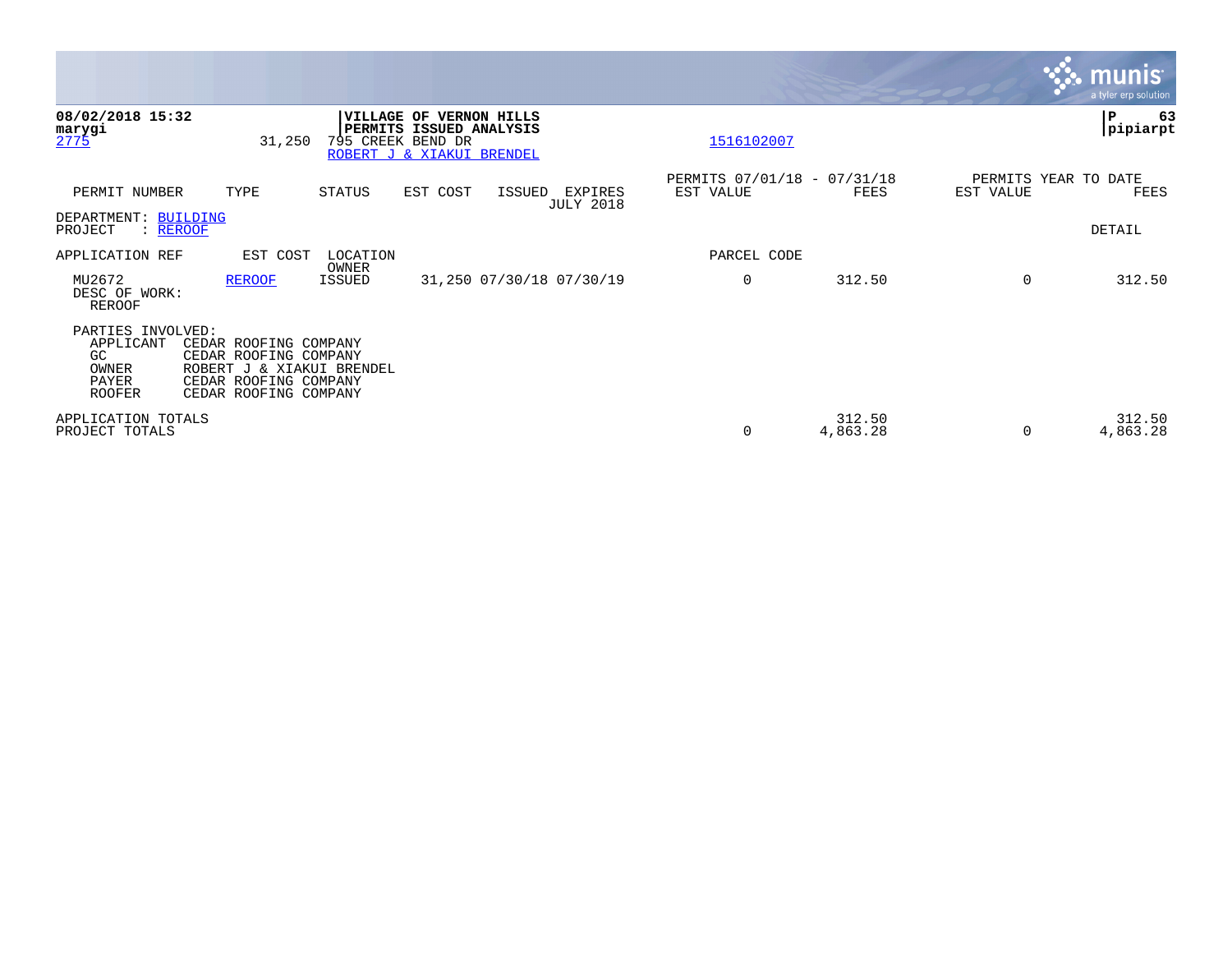|                                                                         |                                                                                                                               |                   |                                                                           |                     |                             |                                          |                    |             | munis<br>a tyler erp solution |
|-------------------------------------------------------------------------|-------------------------------------------------------------------------------------------------------------------------------|-------------------|---------------------------------------------------------------------------|---------------------|-----------------------------|------------------------------------------|--------------------|-------------|-------------------------------|
| 08/02/2018 15:32<br>marygi<br>2775                                      | 31,250                                                                                                                        | <b>VILLAGE OF</b> | PERMITS ISSUED ANALYSIS<br>795 CREEK BEND DR<br>ROBERT J & XIAKUI BRENDEL | <b>VERNON HILLS</b> |                             | 1516102007                               |                    |             | 63<br>P<br>pipiarpt           |
| PERMIT NUMBER                                                           | TYPE                                                                                                                          | <b>STATUS</b>     | EST COST                                                                  | ISSUED              | EXPIRES<br><b>JULY 2018</b> | PERMITS 07/01/18 - 07/31/18<br>EST VALUE | FEES               | EST VALUE   | PERMITS YEAR TO DATE<br>FEES  |
| DEPARTMENT: BUILDING<br>PROJECT<br>: REROOF                             |                                                                                                                               |                   |                                                                           |                     |                             |                                          |                    |             | DETAIL                        |
| APPLICATION REF                                                         | EST COST                                                                                                                      | LOCATION<br>OWNER |                                                                           |                     |                             | PARCEL CODE                              |                    |             |                               |
| MU2672<br>DESC OF WORK:<br><b>REROOF</b>                                | <b>REROOF</b>                                                                                                                 | ISSUED            |                                                                           |                     | 31,250 07/30/18 07/30/19    | 0                                        | 312.50             | $\mathbf 0$ | 312.50                        |
| PARTIES INVOLVED:<br>APPLICANT<br>GC<br>OWNER<br>PAYER<br><b>ROOFER</b> | CEDAR ROOFING COMPANY<br>CEDAR ROOFING COMPANY<br>ROBERT J & XIAKUI BRENDEL<br>CEDAR ROOFING COMPANY<br>CEDAR ROOFING COMPANY |                   |                                                                           |                     |                             |                                          |                    |             |                               |
| APPLICATION TOTALS<br>PROJECT TOTALS                                    |                                                                                                                               |                   |                                                                           |                     |                             | $\mathbf 0$                              | 312.50<br>4,863.28 | $\Omega$    | 312.50<br>4,863.28            |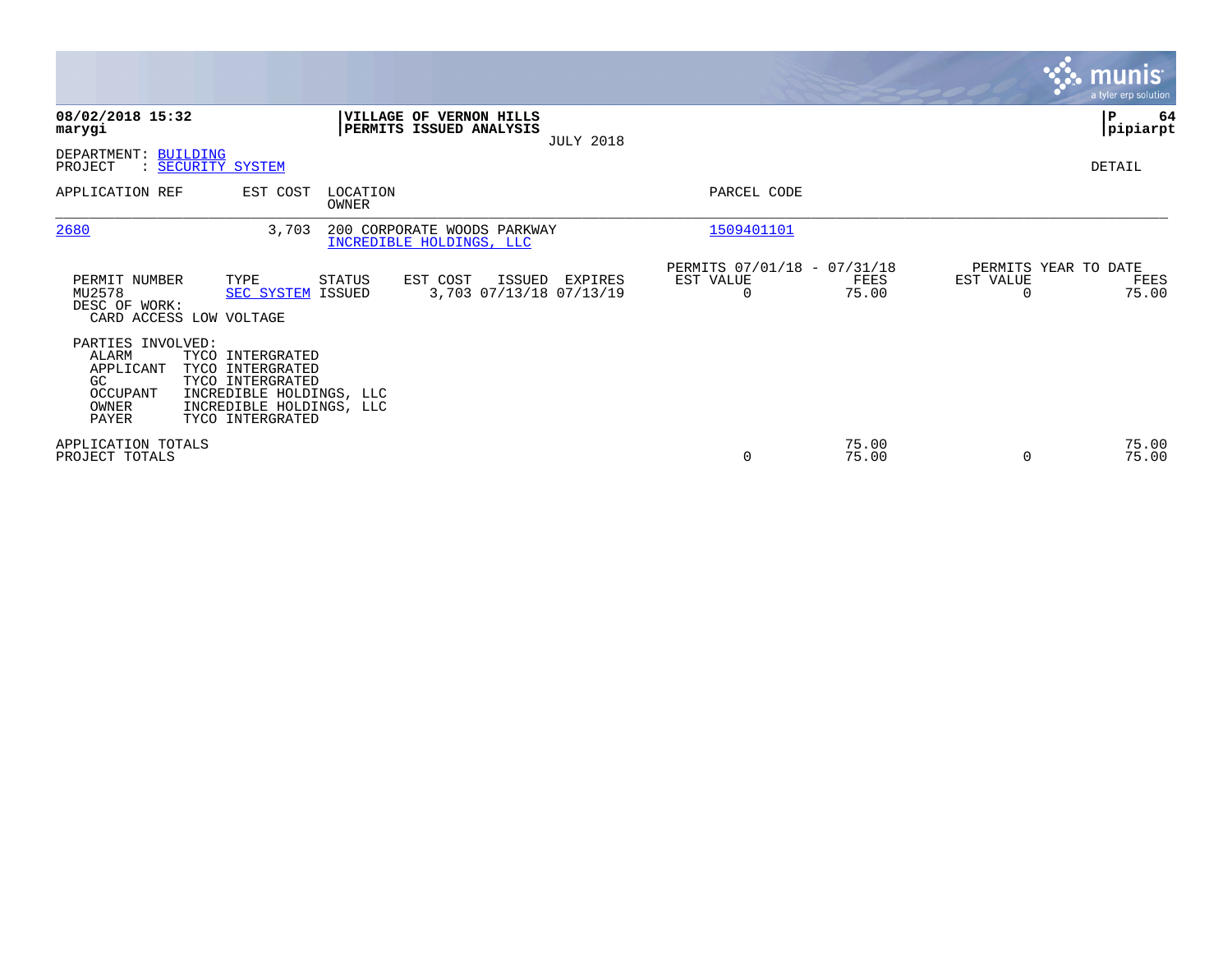|                                                                                    |                                                                                                                                      |                   |                                                         |                  |                                               |                |           | <b>munis</b><br>a tyler erp solution  |
|------------------------------------------------------------------------------------|--------------------------------------------------------------------------------------------------------------------------------------|-------------------|---------------------------------------------------------|------------------|-----------------------------------------------|----------------|-----------|---------------------------------------|
| 08/02/2018 15:32<br>marygi                                                         |                                                                                                                                      |                   | VILLAGE OF VERNON HILLS<br>PERMITS ISSUED ANALYSIS      | <b>JULY 2018</b> |                                               |                |           | ∣₽<br>64<br> pipiarpt                 |
| DEPARTMENT: BUILDING<br>PROJECT                                                    | : SECURITY SYSTEM                                                                                                                    |                   |                                                         |                  |                                               |                |           | DETAIL                                |
| APPLICATION REF                                                                    | EST COST                                                                                                                             | LOCATION<br>OWNER |                                                         |                  | PARCEL CODE                                   |                |           |                                       |
| 2680                                                                               | 3,703                                                                                                                                |                   | 200 CORPORATE WOODS PARKWAY<br>INCREDIBLE HOLDINGS, LLC |                  | 1509401101                                    |                |           |                                       |
| PERMIT NUMBER<br>MU2578<br>DESC OF WORK:                                           | TYPE<br><b>SEC SYSTEM ISSUED</b><br>CARD ACCESS LOW VOLTAGE                                                                          | STATUS            | EST COST<br>ISSUED<br>3,703 07/13/18 07/13/19           | EXPIRES          | PERMITS 07/01/18 - 07/31/18<br>EST VALUE<br>0 | FEES<br>75.00  | EST VALUE | PERMITS YEAR TO DATE<br>FEES<br>75.00 |
| PARTIES INVOLVED:<br>ALARM<br>APPLICANT<br>GC<br>OCCUPANT<br>OWNER<br><b>PAYER</b> | TYCO INTERGRATED<br>TYCO INTERGRATED<br>TYCO INTERGRATED<br>INCREDIBLE HOLDINGS, LLC<br>INCREDIBLE HOLDINGS, LLC<br>TYCO INTERGRATED |                   |                                                         |                  |                                               |                |           |                                       |
| APPLICATION TOTALS<br>PROJECT TOTALS                                               |                                                                                                                                      |                   |                                                         |                  | $\mathbf 0$                                   | 75.00<br>75.00 |           | 75.00<br>75.00                        |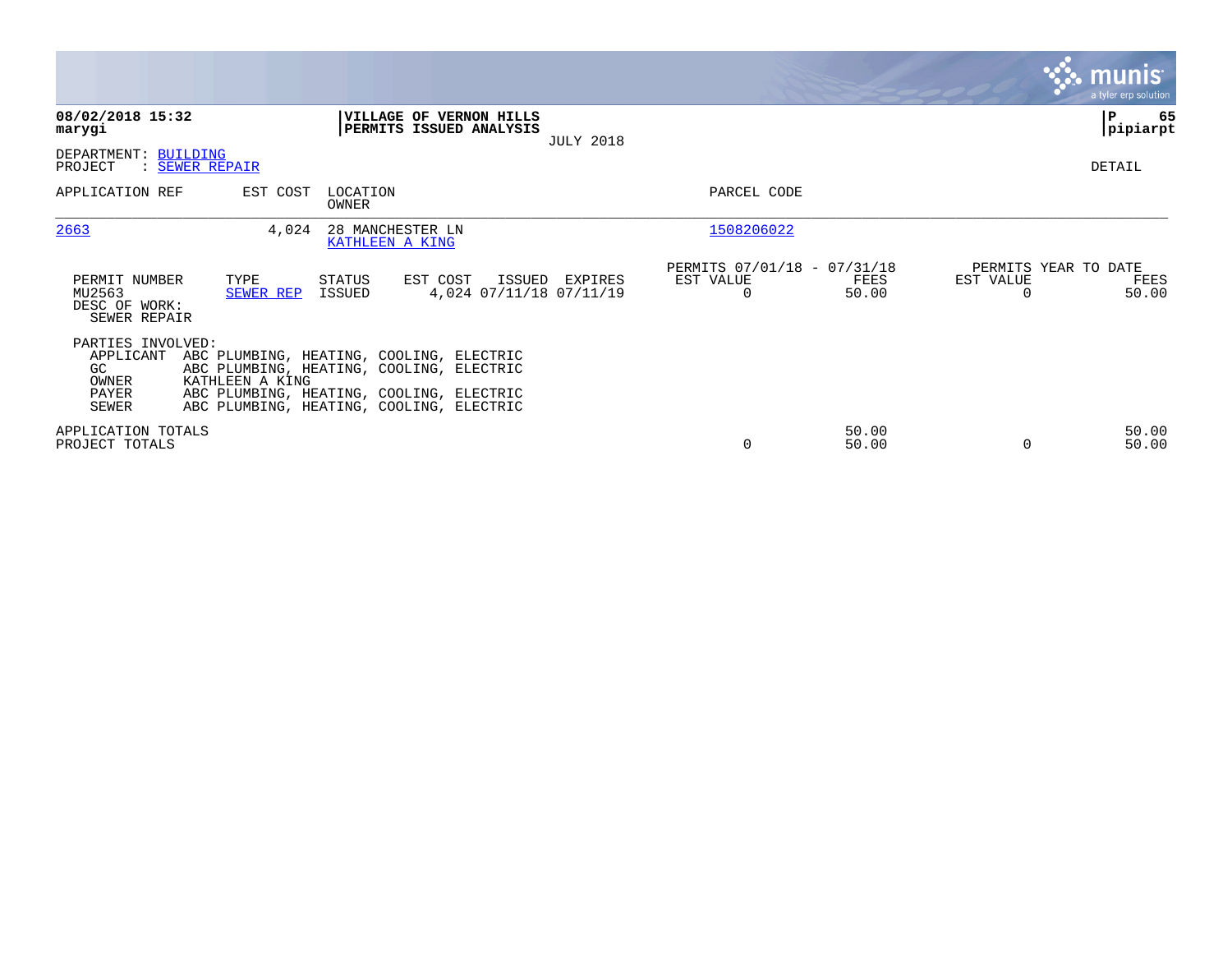|                                                                  |                   |                   |                                                                                                                                                                              |                  |                                                      |                |                                   | <b>munis</b><br>a tyler erp solution |
|------------------------------------------------------------------|-------------------|-------------------|------------------------------------------------------------------------------------------------------------------------------------------------------------------------------|------------------|------------------------------------------------------|----------------|-----------------------------------|--------------------------------------|
| 08/02/2018 15:32<br>marygi                                       |                   |                   | <b>VILLAGE OF VERNON HILLS</b><br>PERMITS ISSUED ANALYSIS                                                                                                                    | <b>JULY 2018</b> |                                                      |                |                                   | ∣₽<br>65<br> pipiarpt                |
| DEPARTMENT: BUILDING<br>PROJECT                                  | : SEWER REPAIR    |                   |                                                                                                                                                                              |                  |                                                      |                |                                   | DETAIL                               |
| APPLICATION REF                                                  | EST COST          | LOCATION<br>OWNER |                                                                                                                                                                              |                  | PARCEL CODE                                          |                |                                   |                                      |
| 2663                                                             | 4,024             |                   | 28 MANCHESTER LN<br>KATHLEEN A KING                                                                                                                                          |                  | 1508206022                                           |                |                                   |                                      |
| PERMIT NUMBER<br>MU2563<br>DESC OF WORK:<br>SEWER REPAIR         | TYPE<br>SEWER REP | STATUS<br>ISSUED  | EST COST<br>4,024 07/11/18 07/11/19                                                                                                                                          | ISSUED EXPIRES   | PERMITS 07/01/18 - 07/31/18<br>EST VALUE<br>$\Omega$ | FEES<br>50.00  | PERMITS YEAR TO DATE<br>EST VALUE | FEES<br>50.00                        |
| PARTIES INVOLVED:<br>APPLICANT<br>GC.<br>OWNER<br>PAYER<br>SEWER | KATHLEEN A KING   |                   | ABC PLUMBING, HEATING, COOLING, ELECTRIC<br>ABC PLUMBING, HEATING, COOLING, ELECTRIC<br>ABC PLUMBING, HEATING, COOLING, ELECTRIC<br>ABC PLUMBING, HEATING, COOLING, ELECTRIC |                  |                                                      |                |                                   |                                      |
| APPLICATION TOTALS<br>PROJECT TOTALS                             |                   |                   |                                                                                                                                                                              |                  | 0                                                    | 50.00<br>50.00 |                                   | 50.00<br>50.00                       |

**Contract**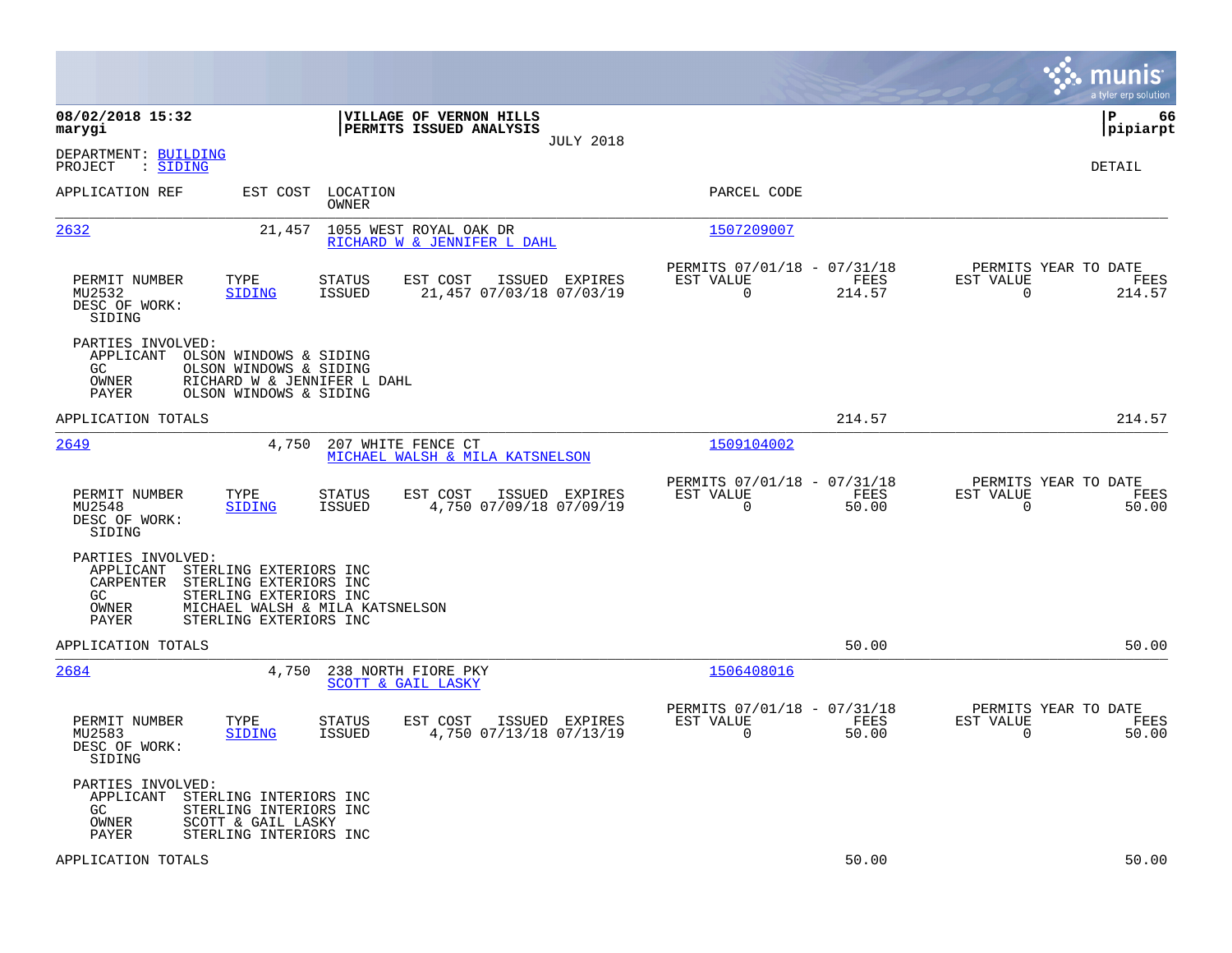|                                                                      |                                                                                                                                         |                                                                        |                                                         |                |                                                  | munis<br>a tyler erp solution |
|----------------------------------------------------------------------|-----------------------------------------------------------------------------------------------------------------------------------------|------------------------------------------------------------------------|---------------------------------------------------------|----------------|--------------------------------------------------|-------------------------------|
| 08/02/2018 15:32<br>marygi                                           |                                                                                                                                         | VILLAGE OF VERNON HILLS<br>PERMITS ISSUED ANALYSIS<br><b>JULY 2018</b> |                                                         |                |                                                  | lР<br>66<br> pipiarpt         |
| DEPARTMENT: BUILDING<br>: SIDING<br>PROJECT                          |                                                                                                                                         |                                                                        |                                                         |                |                                                  | <b>DETAIL</b>                 |
| APPLICATION REF                                                      | EST COST<br>LOCATION<br>OWNER                                                                                                           |                                                                        | PARCEL CODE                                             |                |                                                  |                               |
| 2632                                                                 | 21,457                                                                                                                                  | 1055 WEST ROYAL OAK DR<br>RICHARD W & JENNIFER L DAHL                  | 1507209007                                              |                |                                                  |                               |
| PERMIT NUMBER<br>MU2532<br>DESC OF WORK:<br>SIDING                   | TYPE<br>STATUS<br><b>ISSUED</b><br>SIDING                                                                                               | EST COST<br>ISSUED EXPIRES<br>21,457 07/03/18 07/03/19                 | PERMITS 07/01/18 - 07/31/18<br>EST VALUE<br>$\mathbf 0$ | FEES<br>214.57 | PERMITS YEAR TO DATE<br>EST VALUE<br>0           | FEES<br>214.57                |
| PARTIES INVOLVED:<br>APPLICANT<br>GC<br>OWNER<br>PAYER               | OLSON WINDOWS & SIDING<br>OLSON WINDOWS & SIDING<br>RICHARD W & JENNIFER L DAHL<br>OLSON WINDOWS & SIDING                               |                                                                        |                                                         |                |                                                  |                               |
| APPLICATION TOTALS                                                   |                                                                                                                                         |                                                                        |                                                         | 214.57         |                                                  | 214.57                        |
| 2649                                                                 | 4,750                                                                                                                                   | 207 WHITE FENCE CT<br>MICHAEL WALSH & MILA KATSNELSON                  | 1509104002                                              |                |                                                  |                               |
| PERMIT NUMBER<br>MU2548<br>DESC OF WORK:<br>SIDING                   | TYPE<br>STATUS<br><b>ISSUED</b><br>SIDING                                                                                               | EST COST<br>ISSUED EXPIRES<br>4,750 07/09/18 07/09/19                  | PERMITS 07/01/18 - 07/31/18<br>EST VALUE<br>$\mathbf 0$ | FEES<br>50.00  | PERMITS YEAR TO DATE<br>EST VALUE<br>$\mathbf 0$ | FEES<br>50.00                 |
| PARTIES INVOLVED:<br>APPLICANT<br>CARPENTER<br>GC.<br>OWNER<br>PAYER | STERLING EXTERIORS INC<br>STERLING EXTERIORS INC<br>STERLING EXTERIORS INC<br>MICHAEL WALSH & MILA KATSNELSON<br>STERLING EXTERIORS INC |                                                                        |                                                         |                |                                                  |                               |
| APPLICATION TOTALS                                                   |                                                                                                                                         |                                                                        |                                                         | 50.00          |                                                  | 50.00                         |
| 2684                                                                 | 4,750                                                                                                                                   | 238 NORTH FIORE PKY<br>SCOTT & GAIL LASKY                              | 1506408016                                              |                |                                                  |                               |
| PERMIT NUMBER<br>MU2583<br>DESC OF WORK:<br>SIDING                   | <b>STATUS</b><br>TYPE<br><b>ISSUED</b><br><b>SIDING</b>                                                                                 | EST COST<br>ISSUED EXPIRES<br>4,750 07/13/18 07/13/19                  | PERMITS 07/01/18 - 07/31/18<br>EST VALUE<br>$\Omega$    | FEES<br>50.00  | PERMITS YEAR TO DATE<br>EST VALUE<br>$\Omega$    | FEES<br>50.00                 |
| PARTIES INVOLVED:<br>APPLICANT<br>GC.<br>OWNER<br>PAYER              | STERLING INTERIORS INC<br>STERLING INTERIORS INC<br>SCOTT & GAIL LASKY<br>STERLING INTERIORS INC                                        |                                                                        |                                                         |                |                                                  |                               |
| APPLICATION TOTALS                                                   |                                                                                                                                         |                                                                        |                                                         | 50.00          |                                                  | 50.00                         |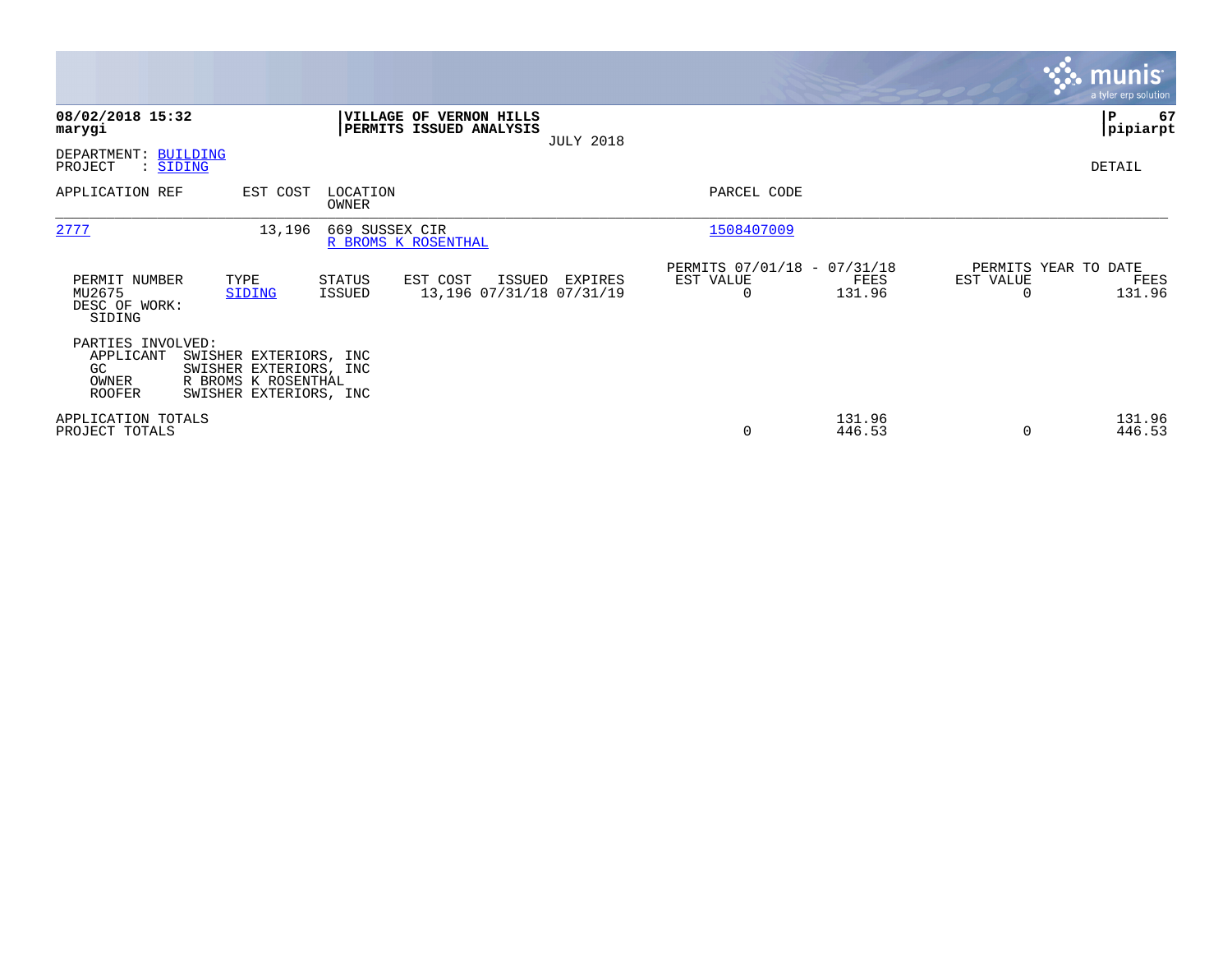|                                                                |                                                                                                   |                   |                                                           |                  |                                                      |                  |           | <b>munis</b><br>a tyler erp solution   |
|----------------------------------------------------------------|---------------------------------------------------------------------------------------------------|-------------------|-----------------------------------------------------------|------------------|------------------------------------------------------|------------------|-----------|----------------------------------------|
| 08/02/2018 15:32<br>marygi                                     |                                                                                                   |                   | <b>VILLAGE OF VERNON HILLS</b><br>PERMITS ISSUED ANALYSIS | <b>JULY 2018</b> |                                                      |                  |           | P<br>67<br> pipiarpt                   |
| DEPARTMENT:<br>PROJECT<br>: SIDING                             | <b>BUILDING</b>                                                                                   |                   |                                                           |                  |                                                      |                  |           | DETAIL                                 |
| APPLICATION REF                                                | EST COST                                                                                          | LOCATION<br>OWNER |                                                           |                  | PARCEL CODE                                          |                  |           |                                        |
| 2777                                                           | 13,196                                                                                            | 669 SUSSEX CIR    | R BROMS K ROSENTHAL                                       |                  | 1508407009                                           |                  |           |                                        |
| PERMIT NUMBER<br>MU2675<br>DESC OF WORK:<br>SIDING             | TYPE<br>SIDING                                                                                    | STATUS<br>ISSUED  | EST COST<br>ISSUED<br>13,196 07/31/18 07/31/19            | EXPIRES          | PERMITS 07/01/18 - 07/31/18<br>EST VALUE<br>$\Omega$ | FEES<br>131.96   | EST VALUE | PERMITS YEAR TO DATE<br>FEES<br>131.96 |
| PARTIES INVOLVED:<br>APPLICANT<br>GC<br>OWNER<br><b>ROOFER</b> | SWISHER EXTERIORS, INC<br>SWISHER EXTERIORS, INC<br>R BROMS K ROSENTHAL<br>SWISHER EXTERIORS, INC |                   |                                                           |                  |                                                      |                  |           |                                        |
| APPLICATION TOTALS<br>PROJECT TOTALS                           |                                                                                                   |                   |                                                           |                  | 0                                                    | 131.96<br>446.53 |           | 131.96<br>446.53                       |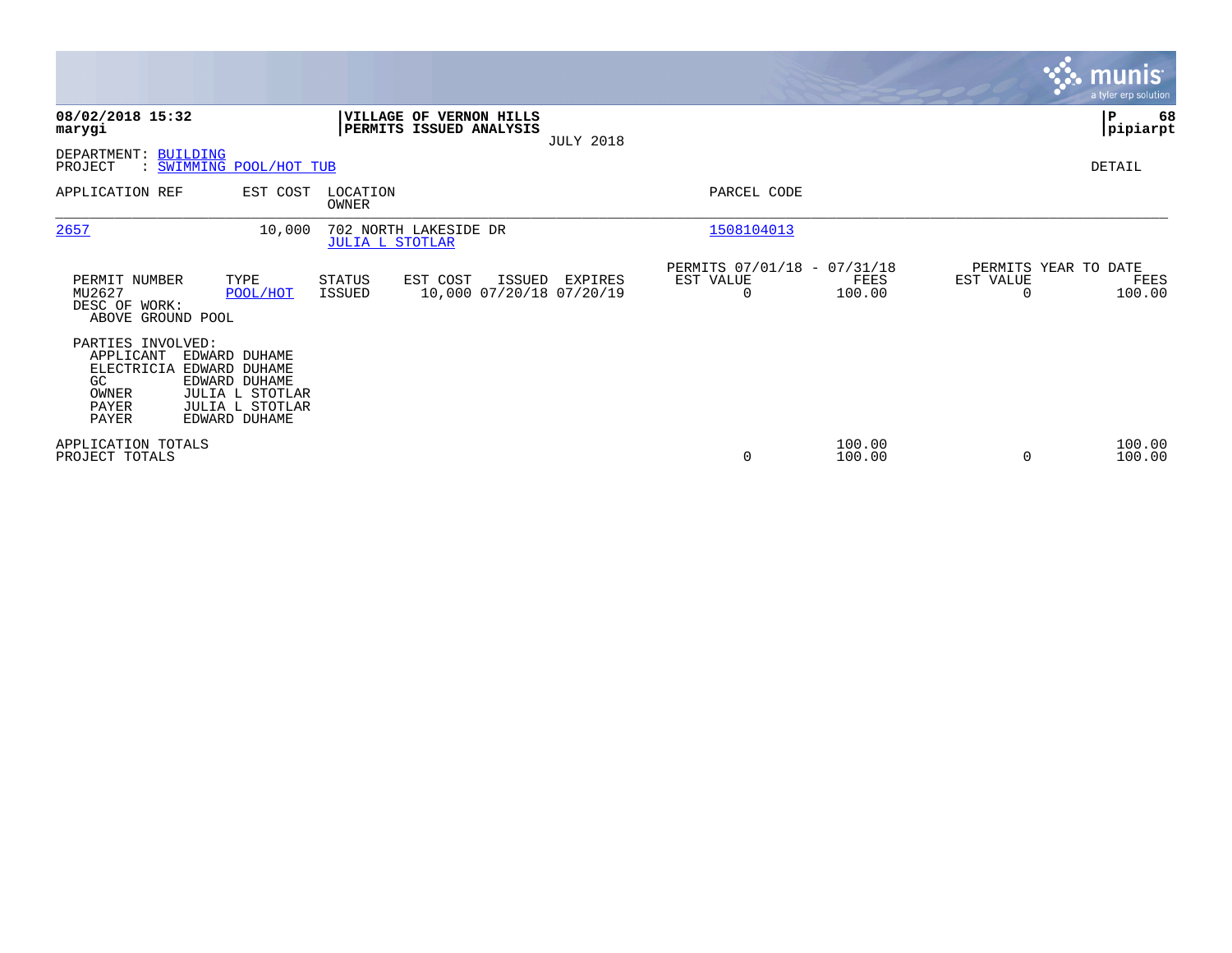|                                                                               |                                                                                                        |                                |                                                           |                  |                                               |                  |           | <b>munis</b><br>a tyler erp solution   |
|-------------------------------------------------------------------------------|--------------------------------------------------------------------------------------------------------|--------------------------------|-----------------------------------------------------------|------------------|-----------------------------------------------|------------------|-----------|----------------------------------------|
| 08/02/2018 15:32<br>marygi                                                    |                                                                                                        |                                | <b>VILLAGE OF VERNON HILLS</b><br>PERMITS ISSUED ANALYSIS | <b>JULY 2018</b> |                                               |                  |           | ∣P<br>68<br> pipiarpt                  |
| DEPARTMENT: BUILDING<br>PROJECT                                               | : SWIMMING POOL/HOT TUB                                                                                |                                |                                                           |                  |                                               |                  |           | DETAIL                                 |
| APPLICATION REF                                                               | EST COST                                                                                               | LOCATION<br>OWNER              |                                                           |                  | PARCEL CODE                                   |                  |           |                                        |
| 2657                                                                          | 10,000                                                                                                 | <b>JULIA L STOTLAR</b>         | 702 NORTH LAKESIDE DR                                     |                  | 1508104013                                    |                  |           |                                        |
| PERMIT NUMBER<br>MU2627<br>DESC OF WORK:<br>ABOVE GROUND POOL                 | TYPE<br>POOL/HOT                                                                                       | <b>STATUS</b><br><b>ISSUED</b> | EST COST<br>ISSUED<br>10,000 07/20/18 07/20/19            | EXPIRES          | PERMITS 07/01/18 - 07/31/18<br>EST VALUE<br>0 | FEES<br>100.00   | EST VALUE | PERMITS YEAR TO DATE<br>FEES<br>100.00 |
| PARTIES INVOLVED:<br>APPLICANT<br>ELECTRICIA<br>GC<br>OWNER<br>PAYER<br>PAYER | EDWARD DUHAME<br>EDWARD DUHAME<br>EDWARD DUHAME<br>JULIA L STOTLAR<br>JULIA L STOTLAR<br>EDWARD DUHAME |                                |                                                           |                  |                                               |                  |           |                                        |
| APPLICATION TOTALS<br>PROJECT TOTALS                                          |                                                                                                        |                                |                                                           |                  | 0                                             | 100.00<br>100.00 | $\Omega$  | 100.00<br>100.00                       |

**Contract**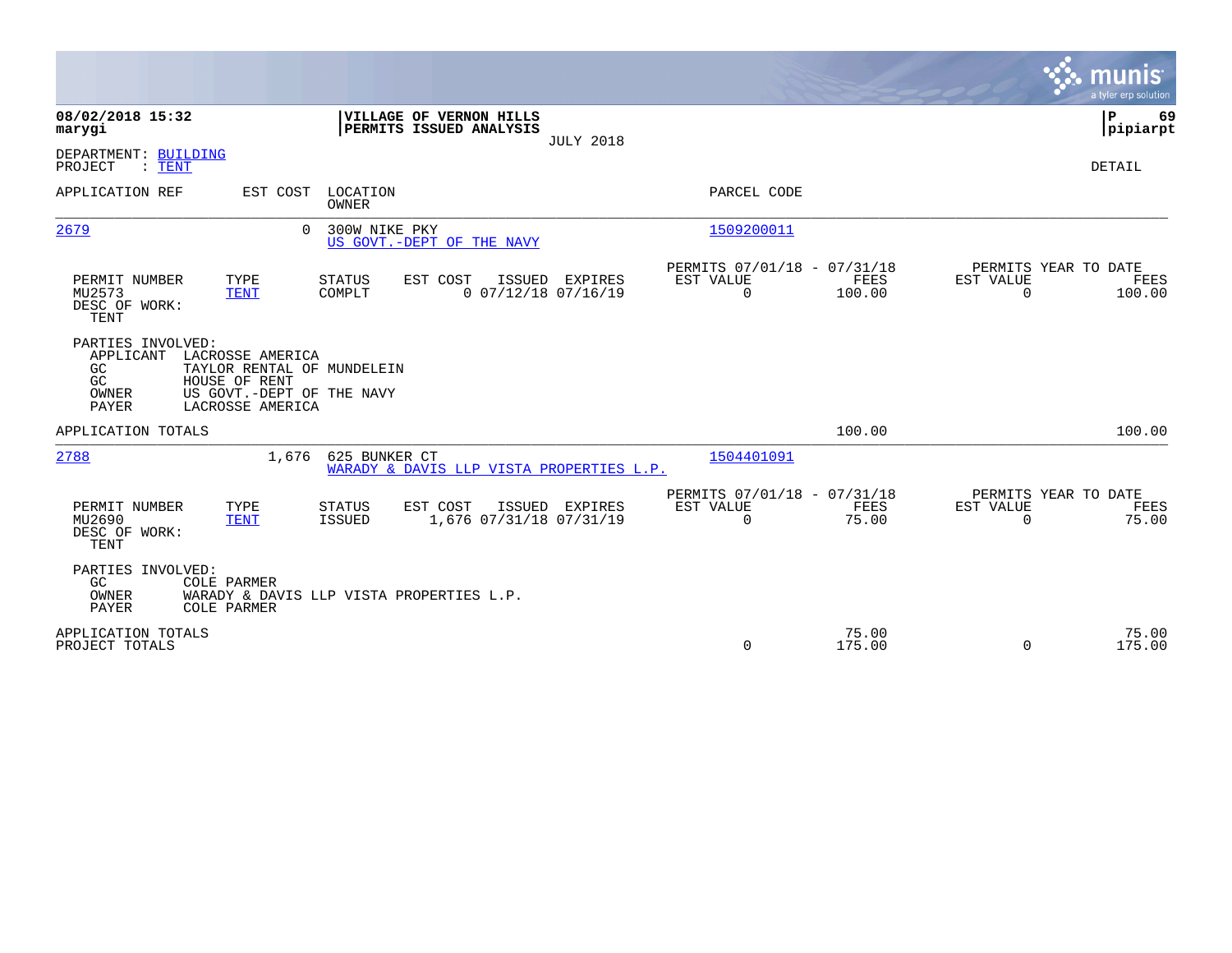|                                                                                                                                                                                  |                                                                                         |                                                         |                                   | munis<br>a tyler erp solution                        |
|----------------------------------------------------------------------------------------------------------------------------------------------------------------------------------|-----------------------------------------------------------------------------------------|---------------------------------------------------------|-----------------------------------|------------------------------------------------------|
| 08/02/2018 15:32<br>marygi                                                                                                                                                       | VILLAGE OF VERNON HILLS<br>PERMITS ISSUED ANALYSIS                                      | <b>JULY 2018</b>                                        |                                   | ΙP<br>69<br> pipiarpt                                |
| DEPARTMENT: BUILDING<br>PROJECT<br>$\therefore$ TENT                                                                                                                             |                                                                                         |                                                         |                                   | DETAIL                                               |
| APPLICATION REF<br>EST COST LOCATION                                                                                                                                             | <b>OWNER</b>                                                                            | PARCEL CODE                                             |                                   |                                                      |
| 2679<br>$\cap$                                                                                                                                                                   | 300W NIKE PKY<br>US GOVT. - DEPT OF THE NAVY                                            | 1509200011                                              |                                   |                                                      |
| PERMIT NUMBER<br>TYPE<br>MU2573<br><b>TENT</b><br>DESC OF WORK:<br><b>TENT</b>                                                                                                   | EST COST<br>ISSUED EXPIRES<br><b>STATUS</b><br>$0$ $07/12/18$ $07/16/19$<br>COMPLT      | PERMITS 07/01/18 - 07/31/18<br>EST VALUE<br>$\mathbf 0$ | FEES<br>EST VALUE<br>100.00       | PERMITS YEAR TO DATE<br>FEES<br>0<br>100.00          |
| PARTIES INVOLVED:<br>APPLICANT<br>LACROSSE AMERICA<br>GC<br>TAYLOR RENTAL OF MUNDELEIN<br>HOUSE OF RENT<br>GC<br>US GOVT.-DEPT OF THE NAVY<br>OWNER<br>PAYER<br>LACROSSE AMERICA |                                                                                         |                                                         |                                   |                                                      |
| APPLICATION TOTALS                                                                                                                                                               |                                                                                         |                                                         | 100.00                            | 100.00                                               |
| 2788<br>1,676                                                                                                                                                                    | 625 BUNKER CT<br>WARADY & DAVIS LLP VISTA PROPERTIES L.P.                               | 1504401091                                              |                                   |                                                      |
| PERMIT NUMBER<br>TYPE<br>MU2690<br><b>TENT</b><br>DESC OF WORK:<br><b>TENT</b>                                                                                                   | EST COST<br><b>STATUS</b><br>ISSUED EXPIRES<br>1,676 07/31/18 07/31/19<br><b>ISSUED</b> | PERMITS 07/01/18 - 07/31/18<br>EST VALUE<br>0           | FEES<br><b>EST VALUE</b><br>75.00 | PERMITS YEAR TO DATE<br>FEES<br>75.00<br>$\mathbf 0$ |
| PARTIES INVOLVED:<br>GC<br><b>COLE PARMER</b><br>OWNER<br>PAYER<br><b>COLE PARMER</b>                                                                                            | WARADY & DAVIS LLP VISTA PROPERTIES L.P.                                                |                                                         |                                   |                                                      |
| APPLICATION TOTALS<br>PROJECT TOTALS                                                                                                                                             |                                                                                         | $\mathbf 0$                                             | 75.00<br>175.00                   | 75.00<br>$\mathbf 0$<br>175.00                       |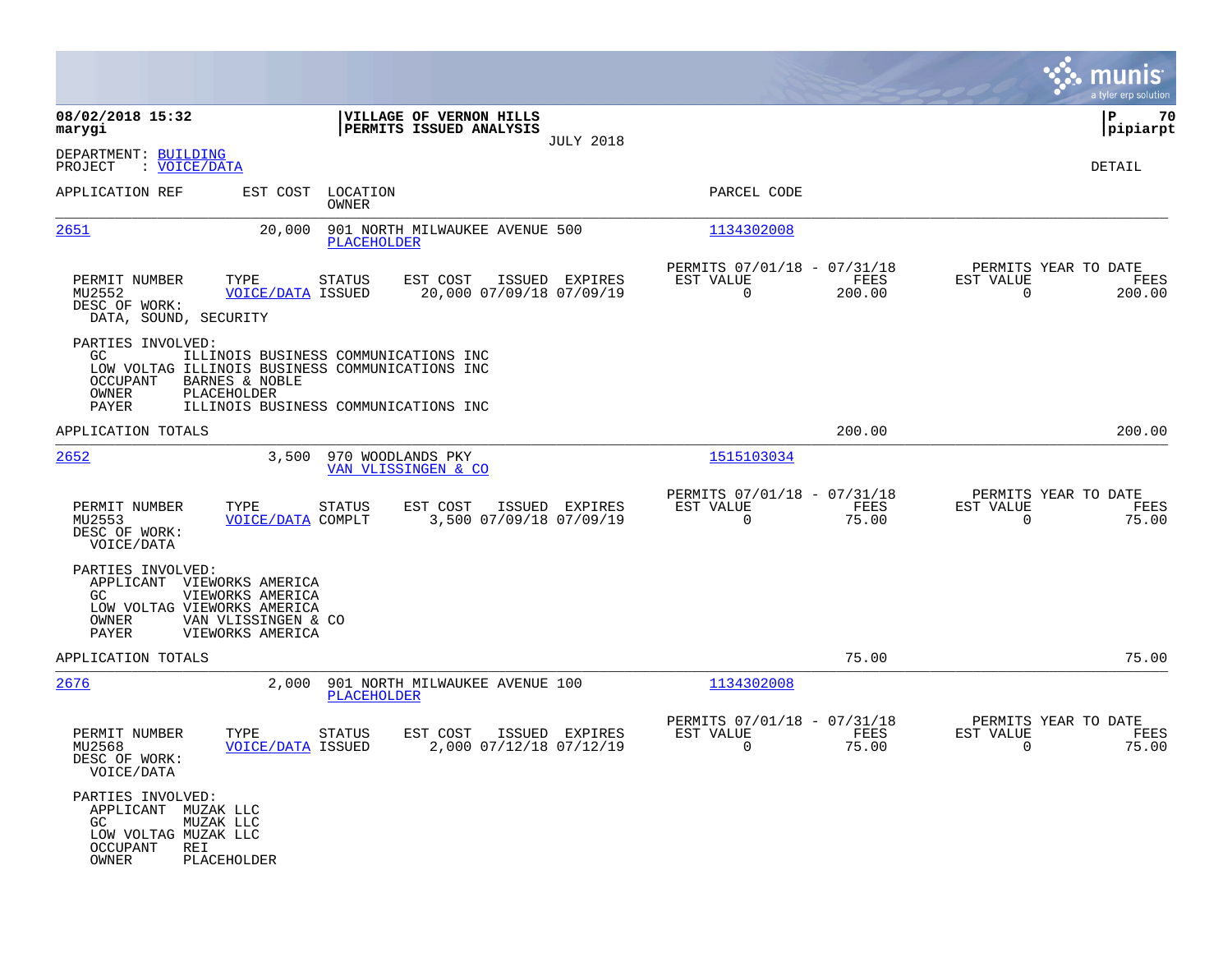|                                                                                                           |                                                                                                               |                            |                                                    |                  |                                                            |                |                                               | munis<br>a tyler erp solution |
|-----------------------------------------------------------------------------------------------------------|---------------------------------------------------------------------------------------------------------------|----------------------------|----------------------------------------------------|------------------|------------------------------------------------------------|----------------|-----------------------------------------------|-------------------------------|
| 08/02/2018 15:32<br>marygi                                                                                |                                                                                                               |                            | VILLAGE OF VERNON HILLS<br>PERMITS ISSUED ANALYSIS | <b>JULY 2018</b> |                                                            |                |                                               | 70<br>IΡ<br> pipiarpt         |
| DEPARTMENT: BUILDING<br>: VOICE/DATA<br>PROJECT                                                           |                                                                                                               |                            |                                                    |                  |                                                            |                |                                               | DETAIL                        |
| APPLICATION REF                                                                                           |                                                                                                               | EST COST LOCATION<br>OWNER |                                                    |                  | PARCEL CODE                                                |                |                                               |                               |
| 2651                                                                                                      | 20,000                                                                                                        | <b>PLACEHOLDER</b>         | 901 NORTH MILWAUKEE AVENUE 500                     |                  | 1134302008                                                 |                |                                               |                               |
| PERMIT NUMBER<br>MU2552<br>DESC OF WORK:<br>DATA, SOUND, SECURITY                                         | TYPE<br><b>VOICE/DATA ISSUED</b>                                                                              | <b>STATUS</b>              | EST COST<br>20,000 07/09/18 07/09/19               | ISSUED EXPIRES   | PERMITS 07/01/18 - 07/31/18<br>EST VALUE<br>$\overline{0}$ | FEES<br>200.00 | PERMITS YEAR TO DATE<br>EST VALUE<br>$\Omega$ | FEES<br>200.00                |
| PARTIES INVOLVED:<br>GC.<br>LOW VOLTAG ILLINOIS BUSINESS COMMUNICATIONS INC<br>OCCUPANT<br>OWNER<br>PAYER | ILLINOIS BUSINESS COMMUNICATIONS INC<br>BARNES & NOBLE<br>PLACEHOLDER<br>ILLINOIS BUSINESS COMMUNICATIONS INC |                            |                                                    |                  |                                                            |                |                                               |                               |
| APPLICATION TOTALS                                                                                        |                                                                                                               |                            |                                                    |                  |                                                            | 200.00         |                                               | 200.00                        |
| 2652                                                                                                      | 3,500                                                                                                         | 970 WOODLANDS PKY          | VAN VLISSINGEN & CO                                |                  | 1515103034                                                 |                |                                               |                               |
| PERMIT NUMBER<br>MU2553<br>DESC OF WORK:<br>VOICE/DATA                                                    | TYPE<br><b>VOICE/DATA COMPLT</b>                                                                              | STATUS                     | EST COST<br>3,500 07/09/18 07/09/19                | ISSUED EXPIRES   | PERMITS 07/01/18 - 07/31/18<br>EST VALUE<br>$\Omega$       | FEES<br>75.00  | PERMITS YEAR TO DATE<br>EST VALUE<br>$\Omega$ | FEES<br>75.00                 |
| PARTIES INVOLVED:<br>APPLICANT VIEWORKS AMERICA<br>GC.<br>LOW VOLTAG VIEWORKS AMERICA<br>OWNER<br>PAYER   | VIEWORKS AMERICA<br>VAN VLISSINGEN & CO<br>VIEWORKS AMERICA                                                   |                            |                                                    |                  |                                                            |                |                                               |                               |
| APPLICATION TOTALS                                                                                        |                                                                                                               |                            |                                                    |                  |                                                            | 75.00          |                                               | 75.00                         |
| 2676                                                                                                      | 2,000                                                                                                         | <b>PLACEHOLDER</b>         | 901 NORTH MILWAUKEE AVENUE 100                     |                  | 1134302008                                                 |                |                                               |                               |
| PERMIT NUMBER<br>MU2568<br>DESC OF WORK:<br>VOICE/DATA                                                    | TYPE<br><b>VOICE/DATA ISSUED</b>                                                                              | <b>STATUS</b>              | EST COST<br>2,000 07/12/18 07/12/19                | ISSUED EXPIRES   | PERMITS 07/01/18 - 07/31/18<br>EST VALUE<br>0              | FEES<br>75.00  | PERMITS YEAR TO DATE<br>EST VALUE<br>0        | FEES<br>75.00                 |
| PARTIES INVOLVED:<br>APPLICANT MUZAK LLC<br>GC<br>LOW VOLTAG MUZAK LLC<br>OCCUPANT<br>REI<br>OWNER        | MUZAK LLC<br>PLACEHOLDER                                                                                      |                            |                                                    |                  |                                                            |                |                                               |                               |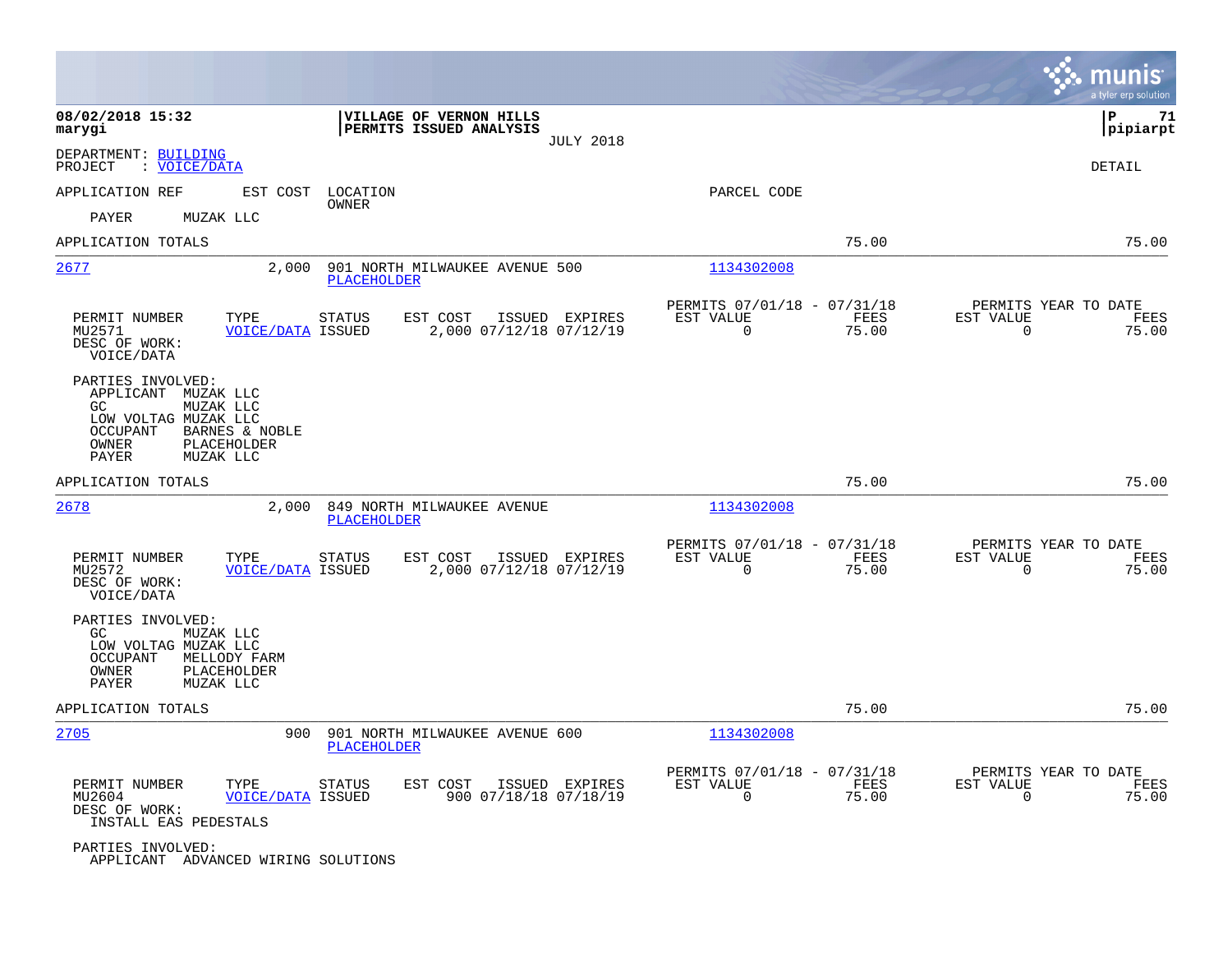|                                                                                                                                                                           |                                                                        |                                                                          | munis<br>a tyler erp solution                                     |
|---------------------------------------------------------------------------------------------------------------------------------------------------------------------------|------------------------------------------------------------------------|--------------------------------------------------------------------------|-------------------------------------------------------------------|
| 08/02/2018 15:32<br>marygi                                                                                                                                                | VILLAGE OF VERNON HILLS<br>PERMITS ISSUED ANALYSIS<br><b>JULY 2018</b> |                                                                          | ΙP<br>71<br> pipiarpt                                             |
| DEPARTMENT: BUILDING<br>PROJECT<br>: VOICE/DATA                                                                                                                           |                                                                        |                                                                          | <b>DETAIL</b>                                                     |
| APPLICATION REF<br>EST COST                                                                                                                                               | LOCATION<br>OWNER                                                      | PARCEL CODE                                                              |                                                                   |
| PAYER<br>MUZAK LLC                                                                                                                                                        |                                                                        |                                                                          |                                                                   |
| APPLICATION TOTALS                                                                                                                                                        |                                                                        | 75.00                                                                    | 75.00                                                             |
| 2677<br>2,000                                                                                                                                                             | 901 NORTH MILWAUKEE AVENUE 500<br>PLACEHOLDER                          | 1134302008                                                               |                                                                   |
| PERMIT NUMBER<br>TYPE<br>MU2571<br><b>VOICE/DATA ISSUED</b><br>DESC OF WORK:<br>VOICE/DATA                                                                                | <b>STATUS</b><br>EST COST<br>ISSUED EXPIRES<br>2,000 07/12/18 07/12/19 | PERMITS 07/01/18 - 07/31/18<br>EST VALUE<br>FEES<br>$\mathbf 0$<br>75.00 | PERMITS YEAR TO DATE<br>EST VALUE<br>FEES<br>$\mathbf 0$<br>75.00 |
| PARTIES INVOLVED:<br>APPLICANT<br>MUZAK LLC<br>GC<br>MUZAK LLC<br>LOW VOLTAG MUZAK LLC<br><b>OCCUPANT</b><br>BARNES & NOBLE<br>OWNER<br>PLACEHOLDER<br>PAYER<br>MUZAK LLC |                                                                        |                                                                          |                                                                   |
| APPLICATION TOTALS                                                                                                                                                        |                                                                        | 75.00                                                                    | 75.00                                                             |
| 2678<br>2,000                                                                                                                                                             | 849 NORTH MILWAUKEE AVENUE<br>PLACEHOLDER                              | 1134302008                                                               |                                                                   |
| PERMIT NUMBER<br>TYPE<br>MU2572<br>VOICE/DATA ISSUED<br>DESC OF WORK:<br>VOICE/DATA                                                                                       | EST COST<br>STATUS<br>ISSUED EXPIRES<br>2,000 07/12/18 07/12/19        | PERMITS 07/01/18 - 07/31/18<br>EST VALUE<br>FEES<br>$\mathbf 0$<br>75.00 | PERMITS YEAR TO DATE<br>EST VALUE<br>FEES<br>$\mathbf 0$<br>75.00 |
| PARTIES INVOLVED:<br>GC<br>MUZAK LLC<br>LOW VOLTAG MUZAK LLC<br>OCCUPANT<br>MELLODY FARM<br>OWNER<br>PLACEHOLDER<br>PAYER<br>MUZAK LLC                                    |                                                                        |                                                                          |                                                                   |
| APPLICATION TOTALS                                                                                                                                                        |                                                                        | 75.00                                                                    | 75.00                                                             |
| 2705<br>900                                                                                                                                                               | 901 NORTH MILWAUKEE AVENUE 600<br>PLACEHOLDER                          | 1134302008                                                               |                                                                   |
| PERMIT NUMBER<br>TYPE<br>MU2604<br><b>VOICE/DATA ISSUED</b><br>DESC OF WORK:<br>INSTALL EAS PEDESTALS                                                                     | EST COST<br>ISSUED EXPIRES<br>STATUS<br>900 07/18/18 07/18/19          | PERMITS 07/01/18 - 07/31/18<br>FEES<br>EST VALUE<br>0<br>75.00           | PERMITS YEAR TO DATE<br>EST VALUE<br>FEES<br>75.00<br>0           |
| PARTIES INVOLVED:<br>APPLICANT ADVANCED WIRING SOLUTIONS                                                                                                                  |                                                                        |                                                                          |                                                                   |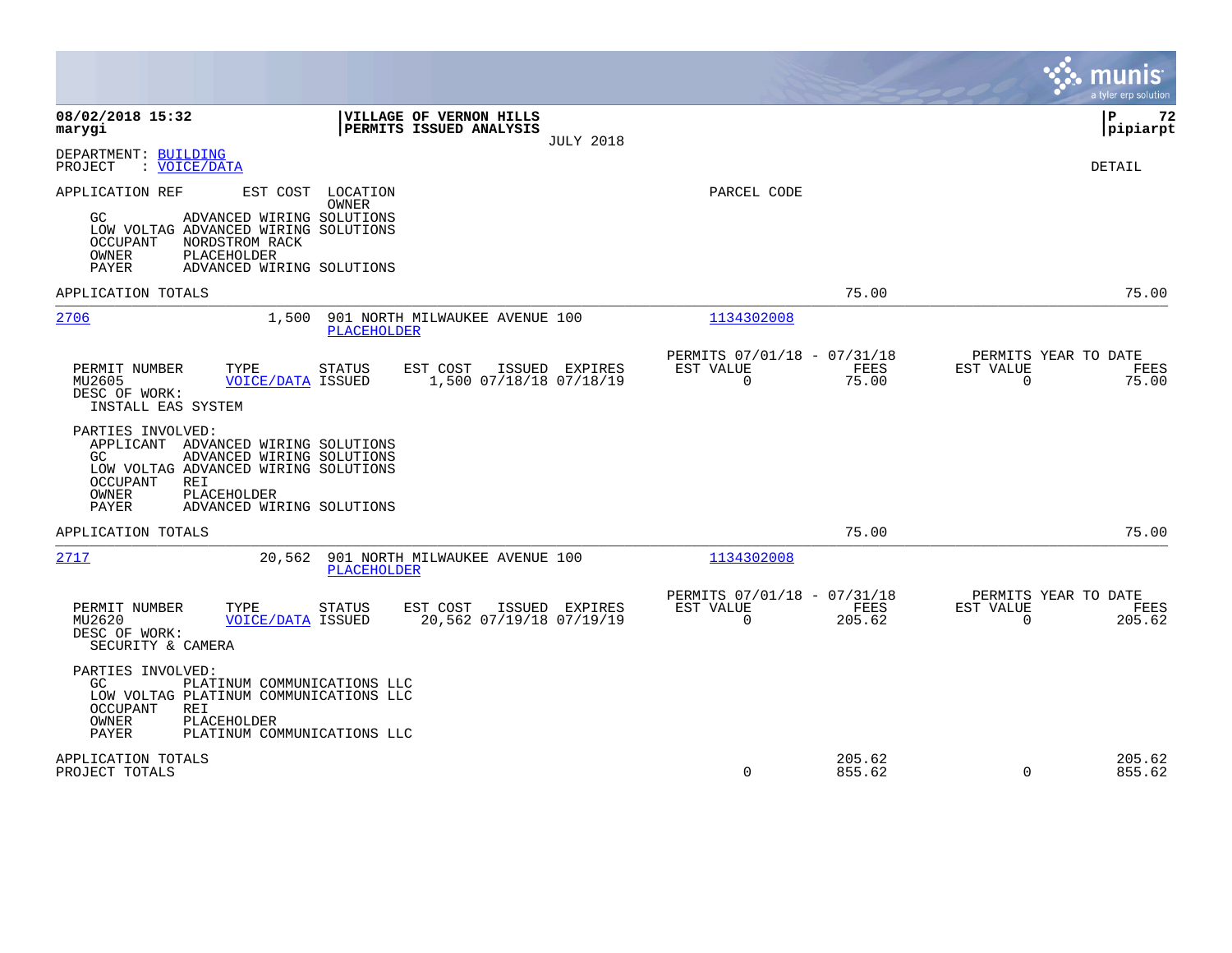|                                                                                                                                                                                                                       |                                                              |                  |                                                      |                  | munis                                         | a tyler erp solution |
|-----------------------------------------------------------------------------------------------------------------------------------------------------------------------------------------------------------------------|--------------------------------------------------------------|------------------|------------------------------------------------------|------------------|-----------------------------------------------|----------------------|
| 08/02/2018 15:32<br>marygi                                                                                                                                                                                            | VILLAGE OF VERNON HILLS<br>PERMITS ISSUED ANALYSIS           | <b>JULY 2018</b> |                                                      |                  | l P                                           | 72<br> pipiarpt      |
| DEPARTMENT: BUILDING<br>: <u>VOICE/DATA</u><br>PROJECT                                                                                                                                                                |                                                              |                  |                                                      |                  | <b>DETAIL</b>                                 |                      |
| APPLICATION REF<br>ADVANCED WIRING SOLUTIONS<br>GC.<br>LOW VOLTAG ADVANCED WIRING SOLUTIONS<br><b>OCCUPANT</b><br>NORDSTROM RACK<br>OWNER<br>PLACEHOLDER<br>PAYER<br>ADVANCED WIRING SOLUTIONS                        | EST COST LOCATION<br>OWNER                                   |                  | PARCEL CODE                                          |                  |                                               |                      |
| APPLICATION TOTALS                                                                                                                                                                                                    |                                                              |                  |                                                      | 75.00            |                                               | 75.00                |
| 2706<br>1,500                                                                                                                                                                                                         | 901 NORTH MILWAUKEE AVENUE 100<br>PLACEHOLDER                |                  | 1134302008                                           |                  |                                               |                      |
| PERMIT NUMBER<br>TYPE<br>MU2605<br><b>VOICE/DATA ISSUED</b><br>DESC OF WORK:<br>INSTALL EAS SYSTEM                                                                                                                    | STATUS<br>EST COST ISSUED EXPIRES<br>1,500 07/18/18 07/18/19 |                  | PERMITS 07/01/18 - 07/31/18<br>EST VALUE<br>$\Omega$ | FEES<br>75.00    | PERMITS YEAR TO DATE<br>EST VALUE<br>$\Omega$ | FEES<br>75.00        |
| PARTIES INVOLVED:<br>APPLICANT ADVANCED WIRING SOLUTIONS<br>ADVANCED WIRING SOLUTIONS<br>GC.<br>LOW VOLTAG ADVANCED WIRING SOLUTIONS<br>OCCUPANT<br>REI<br>OWNER<br>PLACEHOLDER<br>PAYER<br>ADVANCED WIRING SOLUTIONS |                                                              |                  |                                                      |                  |                                               |                      |
| APPLICATION TOTALS                                                                                                                                                                                                    |                                                              |                  |                                                      | 75.00            |                                               | 75.00                |
| 2717<br>20,562                                                                                                                                                                                                        | 901 NORTH MILWAUKEE AVENUE 100<br><b>PLACEHOLDER</b>         |                  | 1134302008                                           |                  |                                               |                      |
| PERMIT NUMBER<br>TYPE<br>MU2620<br><b>VOICE/DATA ISSUED</b><br>DESC OF WORK:<br>SECURITY & CAMERA                                                                                                                     | <b>STATUS</b><br>EST COST<br>20,562 07/19/18 07/19/19        | ISSUED EXPIRES   | PERMITS 07/01/18 - 07/31/18<br>EST VALUE<br>$\Omega$ | FEES<br>205.62   | PERMITS YEAR TO DATE<br>EST VALUE<br>$\Omega$ | FEES<br>205.62       |
| PARTIES INVOLVED:<br>GC.<br>PLATINUM COMMUNICATIONS LLC<br>LOW VOLTAG PLATINUM COMMUNICATIONS LLC<br><b>OCCUPANT</b><br>REI<br>OWNER<br>PLACEHOLDER<br>PAYER<br>PLATINUM COMMUNICATIONS LLC                           |                                                              |                  |                                                      |                  |                                               |                      |
| APPLICATION TOTALS<br>PROJECT TOTALS                                                                                                                                                                                  |                                                              |                  | $\Omega$                                             | 205.62<br>855.62 | $\Omega$                                      | 205.62<br>855.62     |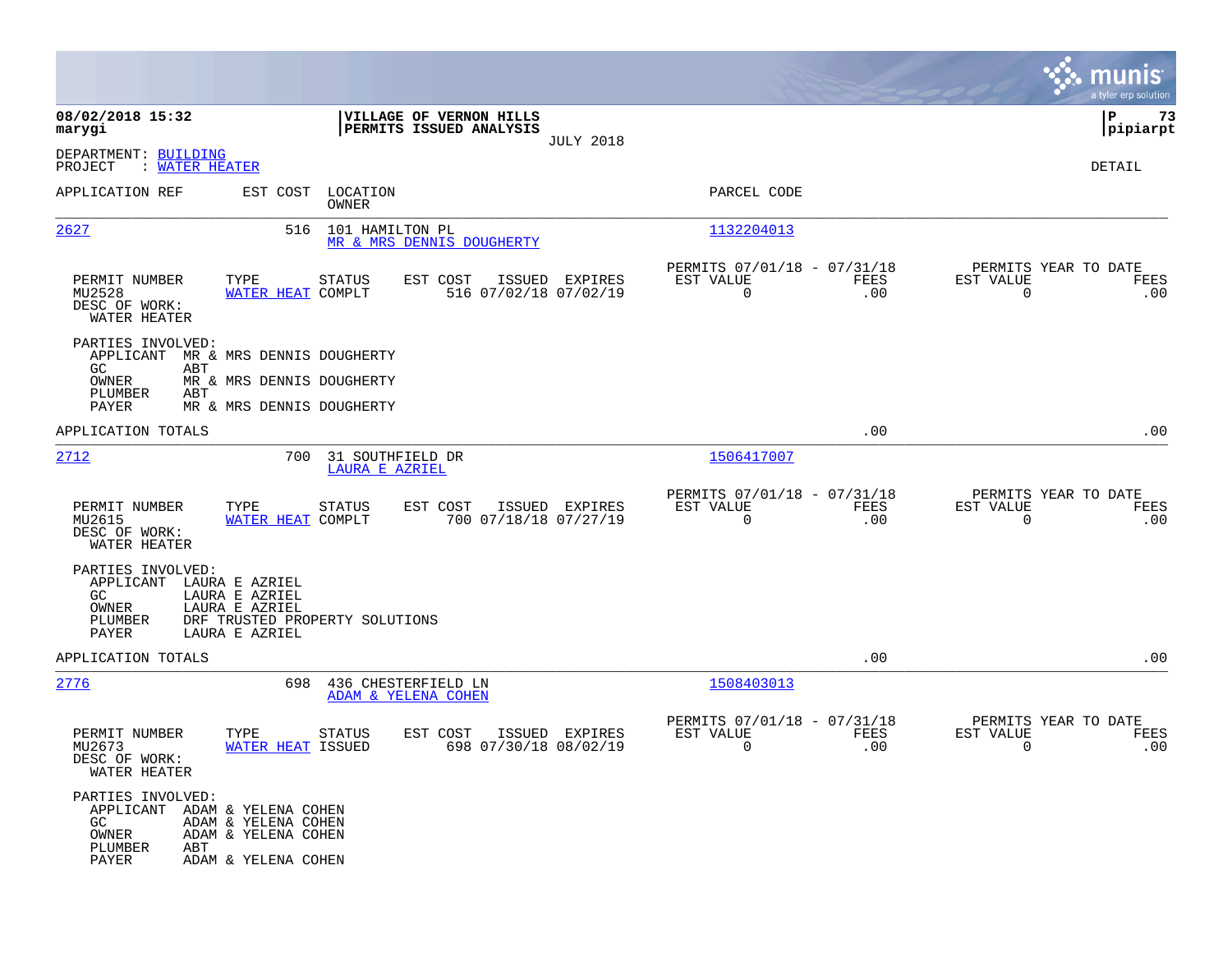|                                                                                                                                                                   |                                                                                           |                                                                               | munis<br>a tyler erp solution                                |
|-------------------------------------------------------------------------------------------------------------------------------------------------------------------|-------------------------------------------------------------------------------------------|-------------------------------------------------------------------------------|--------------------------------------------------------------|
| 08/02/2018 15:32<br>marygi                                                                                                                                        | VILLAGE OF VERNON HILLS<br>PERMITS ISSUED ANALYSIS                                        |                                                                               | 73<br>l P<br> pipiarpt                                       |
| DEPARTMENT: BUILDING<br>PROJECT<br>: WATER HEATER                                                                                                                 | <b>JULY 2018</b>                                                                          |                                                                               | DETAIL                                                       |
| APPLICATION REF                                                                                                                                                   | EST COST<br>LOCATION<br>OWNER                                                             | PARCEL CODE                                                                   |                                                              |
| 2627                                                                                                                                                              | 101 HAMILTON PL<br>516<br>MR & MRS DENNIS DOUGHERTY                                       | 1132204013                                                                    |                                                              |
| TYPE<br>PERMIT NUMBER<br>MU2528<br>DESC OF WORK:<br>WATER HEATER                                                                                                  | STATUS<br>ISSUED EXPIRES<br>EST COST<br>516 07/02/18 07/02/19<br>WATER HEAT COMPLT        | PERMITS 07/01/18 - 07/31/18<br>FEES<br>EST VALUE<br>$\mathbf 0$<br>.00        | PERMITS YEAR TO DATE<br>EST VALUE<br>FEES<br>$\Omega$<br>.00 |
| PARTIES INVOLVED:<br>APPLICANT                                                                                                                                    | MR & MRS DENNIS DOUGHERTY                                                                 |                                                                               |                                                              |
| GC.<br>ABT<br>OWNER                                                                                                                                               | MR & MRS DENNIS DOUGHERTY                                                                 |                                                                               |                                                              |
| PLUMBER<br>ABT<br>PAYER                                                                                                                                           | MR & MRS DENNIS DOUGHERTY                                                                 |                                                                               |                                                              |
| APPLICATION TOTALS                                                                                                                                                |                                                                                           | .00                                                                           | .00                                                          |
| 2712                                                                                                                                                              | 700<br>31 SOUTHFIELD DR<br>LAURA E AZRIEL                                                 | 1506417007                                                                    |                                                              |
| PERMIT NUMBER<br>TYPE<br>MU2615<br>DESC OF WORK:<br>WATER HEATER                                                                                                  | STATUS<br>EST COST<br>ISSUED EXPIRES<br>WATER HEAT COMPLT<br>700 07/18/18 07/27/19        | PERMITS 07/01/18 - 07/31/18<br>EST VALUE<br>FEES<br>$\mathbf 0$<br>.00        | PERMITS YEAR TO DATE<br>EST VALUE<br>FEES<br>$\Omega$<br>.00 |
| PARTIES INVOLVED:<br>APPLICANT<br>LAURA E AZRIEL<br>LAURA E AZRIEL<br>GC<br>LAURA E AZRIEL<br>OWNER<br>PLUMBER<br>PAYER<br>LAURA E AZRIEL                         | DRF TRUSTED PROPERTY SOLUTIONS                                                            |                                                                               |                                                              |
| APPLICATION TOTALS                                                                                                                                                |                                                                                           | .00                                                                           | .00                                                          |
| 2776                                                                                                                                                              | 698<br>436 CHESTERFIELD LN<br>ADAM & YELENA COHEN                                         | 1508403013                                                                    |                                                              |
| PERMIT NUMBER<br>TYPE<br>MU2673<br>DESC OF WORK:<br>WATER HEATER                                                                                                  | STATUS<br>EST COST<br>ISSUED EXPIRES<br><b>WATER HEAT ISSUED</b><br>698 07/30/18 08/02/19 | PERMITS 07/01/18 - 07/31/18<br>EST VALUE<br><b>FEES</b><br>$\mathbf 0$<br>.00 | PERMITS YEAR TO DATE<br>EST VALUE<br>FEES<br>0<br>.00        |
| PARTIES INVOLVED:<br>APPLICANT ADAM & YELENA COHEN<br>GC<br>ADAM & YELENA COHEN<br>OWNER<br>ADAM & YELENA COHEN<br>PLUMBER<br>ABT<br>PAYER<br>ADAM & YELENA COHEN |                                                                                           |                                                                               |                                                              |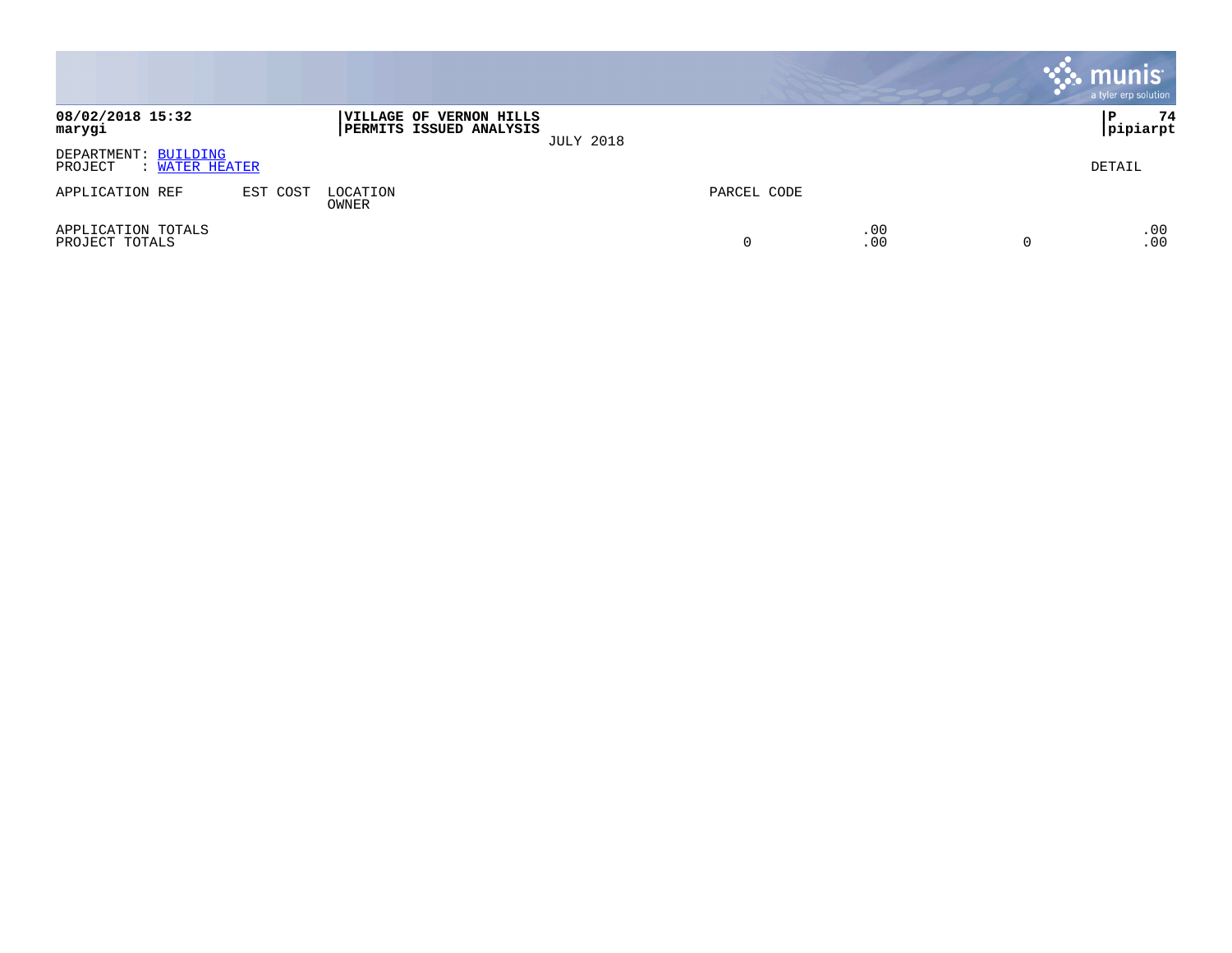|                                                   |          |                   |                                                            |                  |             |            | munis<br>a tyler erp solution |
|---------------------------------------------------|----------|-------------------|------------------------------------------------------------|------------------|-------------|------------|-------------------------------|
| 08/02/2018 15:32<br>marygi                        |          |                   | <b> VILLAGE OF VERNON HILLS</b><br>PERMITS ISSUED ANALYSIS | <b>JULY 2018</b> |             |            | 74<br>l P<br>pipiarpt         |
| DEPARTMENT: BUILDING<br>PROJECT<br>: WATER HEATER |          |                   |                                                            |                  |             |            | DETAIL                        |
| APPLICATION REF                                   | EST COST | LOCATION<br>OWNER |                                                            |                  | PARCEL CODE |            |                               |
| APPLICATION TOTALS<br>PROJECT TOTALS              |          |                   |                                                            |                  |             | .00<br>.00 | .00<br>.00                    |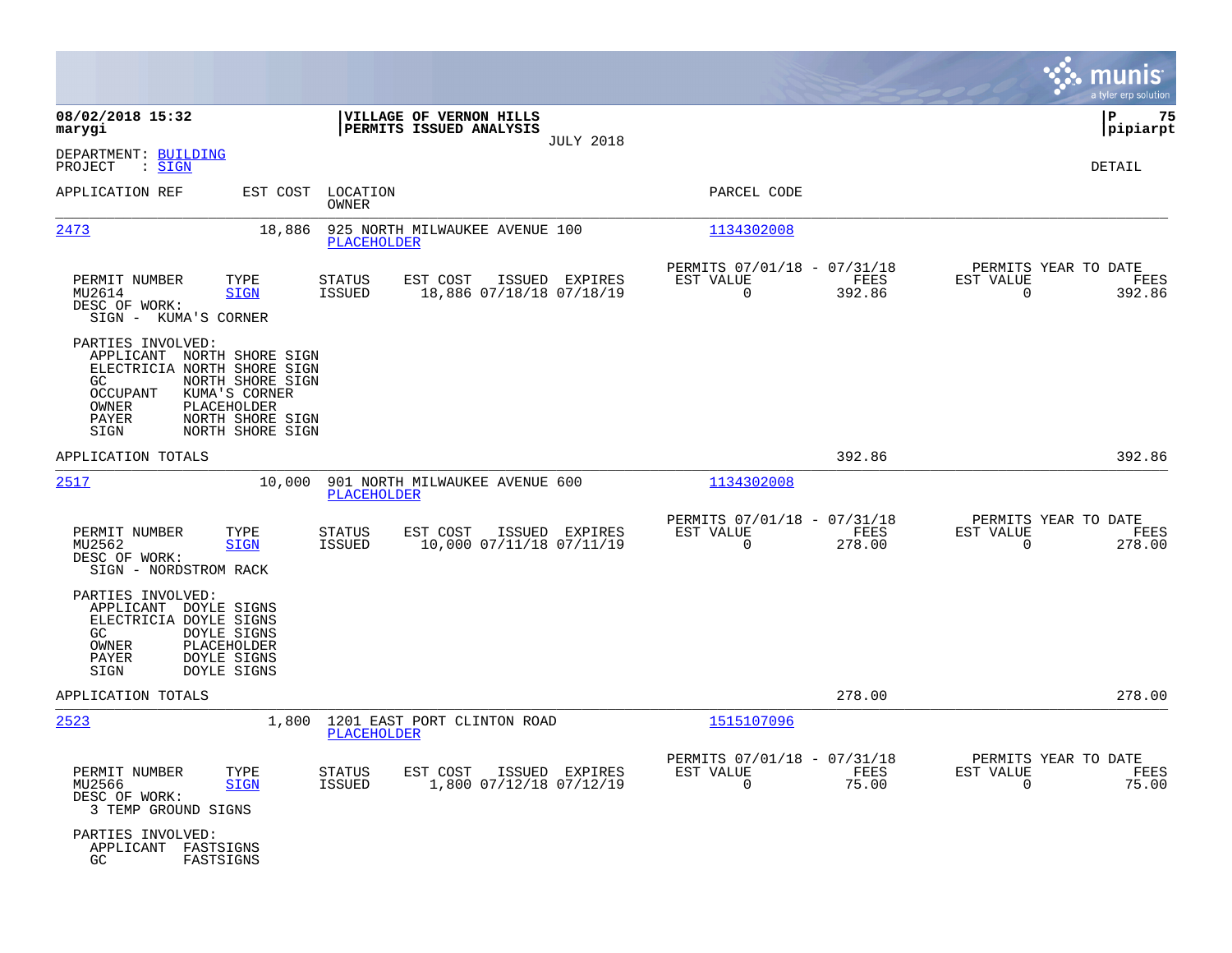|                                                                                                                                                                                                                                |                                                                                   |                                                                           | munis<br>a tyler erp solution                                     |
|--------------------------------------------------------------------------------------------------------------------------------------------------------------------------------------------------------------------------------|-----------------------------------------------------------------------------------|---------------------------------------------------------------------------|-------------------------------------------------------------------|
| 08/02/2018 15:32<br>marygi                                                                                                                                                                                                     | VILLAGE OF VERNON HILLS<br>PERMITS ISSUED ANALYSIS                                |                                                                           | ΙP<br>75<br> pipiarpt                                             |
| DEPARTMENT: BUILDING<br>PROJECT<br>: SIGN                                                                                                                                                                                      | <b>JULY 2018</b>                                                                  |                                                                           | DETAIL                                                            |
| APPLICATION REF<br>EST COST                                                                                                                                                                                                    | LOCATION<br>OWNER                                                                 | PARCEL CODE                                                               |                                                                   |
| 2473<br>18,886                                                                                                                                                                                                                 | 925 NORTH MILWAUKEE AVENUE 100<br>PLACEHOLDER                                     | 1134302008                                                                |                                                                   |
| PERMIT NUMBER<br>TYPE<br>MU2614<br><b>SIGN</b><br>DESC OF WORK:<br>SIGN - KUMA'S CORNER                                                                                                                                        | <b>STATUS</b><br>EST COST<br>ISSUED EXPIRES<br>18,886 07/18/18 07/18/19<br>ISSUED | PERMITS 07/01/18 - 07/31/18<br>EST VALUE<br>FEES<br>$\Omega$<br>392.86    | PERMITS YEAR TO DATE<br>EST VALUE<br>FEES<br>392.86<br>$\Omega$   |
| PARTIES INVOLVED:<br>APPLICANT NORTH SHORE SIGN<br>ELECTRICIA NORTH SHORE SIGN<br>NORTH SHORE SIGN<br>GC.<br><b>OCCUPANT</b><br>KUMA'S CORNER<br>OWNER<br>PLACEHOLDER<br>NORTH SHORE SIGN<br>PAYER<br>SIGN<br>NORTH SHORE SIGN |                                                                                   |                                                                           |                                                                   |
| APPLICATION TOTALS                                                                                                                                                                                                             |                                                                                   | 392.86                                                                    | 392.86                                                            |
| <u> 2517</u><br>10,000                                                                                                                                                                                                         | 901 NORTH MILWAUKEE AVENUE 600<br><b>PLACEHOLDER</b>                              | 1134302008                                                                |                                                                   |
| PERMIT NUMBER<br>TYPE<br><b>SIGN</b><br>MU2562<br>DESC OF WORK:<br>SIGN - NORDSTROM RACK                                                                                                                                       | STATUS<br>EST COST<br>ISSUED EXPIRES<br><b>ISSUED</b><br>10,000 07/11/18 07/11/19 | PERMITS 07/01/18 - 07/31/18<br>EST VALUE<br>FEES<br>$\mathbf 0$<br>278.00 | PERMITS YEAR TO DATE<br>EST VALUE<br>FEES<br>$\Omega$<br>278.00   |
| PARTIES INVOLVED:<br>APPLICANT DOYLE SIGNS<br>ELECTRICIA DOYLE SIGNS<br>GC.<br>DOYLE SIGNS<br>PLACEHOLDER<br>OWNER<br>DOYLE SIGNS<br>PAYER<br>SIGN<br>DOYLE SIGNS                                                              |                                                                                   |                                                                           |                                                                   |
| APPLICATION TOTALS                                                                                                                                                                                                             |                                                                                   | 278.00                                                                    | 278.00                                                            |
| 2523<br>1,800                                                                                                                                                                                                                  | 1201 EAST PORT CLINTON ROAD<br>PLACEHOLDER                                        | 1515107096                                                                |                                                                   |
| PERMIT NUMBER<br>TYPE<br>MU2566<br><b>SIGN</b><br>DESC OF WORK:<br>3 TEMP GROUND SIGNS                                                                                                                                         | STATUS<br>EST COST<br>ISSUED EXPIRES<br>1,800 07/12/18 07/12/19<br>ISSUED         | PERMITS 07/01/18 - 07/31/18<br>EST VALUE<br>FEES<br>$\mathbf 0$<br>75.00  | PERMITS YEAR TO DATE<br>EST VALUE<br>FEES<br>$\mathbf 0$<br>75.00 |
| PARTIES INVOLVED:<br>APPLICANT FASTSIGNS<br>GC.<br>FASTSIGNS                                                                                                                                                                   |                                                                                   |                                                                           |                                                                   |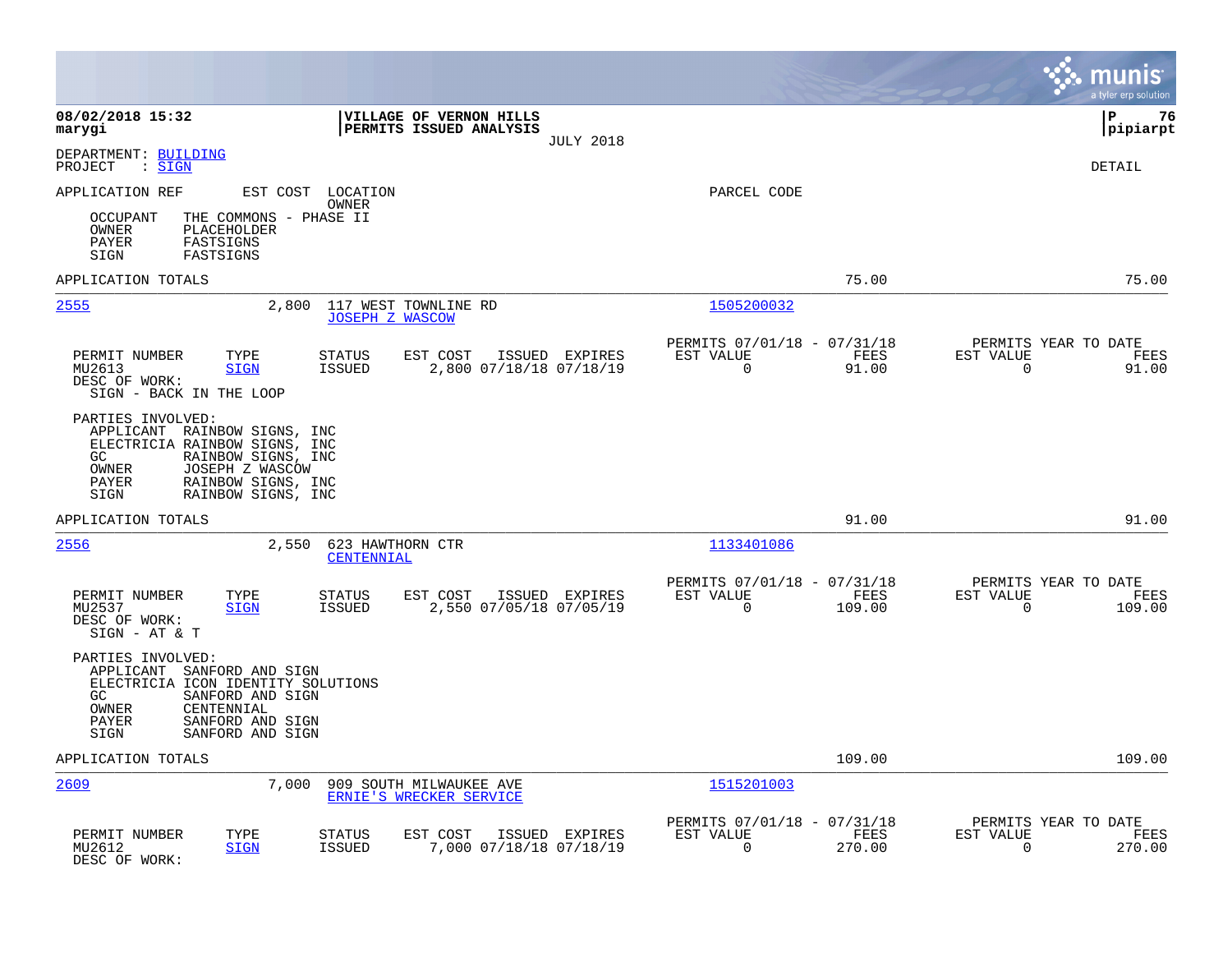|                                                                                                                                                                                                         |                                                                           | munis<br>a tyler erp solution                                   |
|---------------------------------------------------------------------------------------------------------------------------------------------------------------------------------------------------------|---------------------------------------------------------------------------|-----------------------------------------------------------------|
| 08/02/2018 15:32<br><b>VILLAGE OF VERNON HILLS</b><br>PERMITS ISSUED ANALYSIS<br>marygi<br><b>JULY 2018</b>                                                                                             |                                                                           | lР<br>76<br> pipiarpt                                           |
| DEPARTMENT: BUILDING<br>PROJECT<br>$\mathrel{\mathop:} \mathsf{SIGN}$                                                                                                                                   |                                                                           | DETAIL                                                          |
| APPLICATION REF<br>EST COST LOCATION<br>OWNER                                                                                                                                                           | PARCEL CODE                                                               |                                                                 |
| OCCUPANT<br>THE COMMONS - PHASE II<br>OWNER<br>PLACEHOLDER<br>PAYER<br>FASTSIGNS<br>SIGN<br>FASTSIGNS                                                                                                   |                                                                           |                                                                 |
| APPLICATION TOTALS                                                                                                                                                                                      | 75.00                                                                     | 75.00                                                           |
| 2555<br>2,800<br>117 WEST TOWNLINE RD<br><b>JOSEPH Z WASCOW</b>                                                                                                                                         | 1505200032                                                                |                                                                 |
| PERMIT NUMBER<br>TYPE<br>STATUS<br>EST COST<br>ISSUED EXPIRES<br>MU2613<br><b>SIGN</b><br>ISSUED<br>2,800 07/18/18 07/18/19<br>DESC OF WORK:<br>SIGN - BACK IN THE LOOP                                 | PERMITS 07/01/18 - 07/31/18<br>EST VALUE<br>FEES<br>$\mathbf 0$<br>91.00  | PERMITS YEAR TO DATE<br>EST VALUE<br>FEES<br>91.00<br>0         |
| PARTIES INVOLVED:<br>APPLICANT RAINBOW SIGNS, INC<br>ELECTRICIA RAINBOW SIGNS, INC<br>RAINBOW SIGNS, INC<br>GC<br>JOSEPH Z WASCOW<br>OWNER<br>PAYER<br>RAINBOW SIGNS, INC<br>RAINBOW SIGNS, INC<br>SIGN |                                                                           |                                                                 |
| APPLICATION TOTALS                                                                                                                                                                                      | 91.00                                                                     | 91.00                                                           |
| 2556<br>2,550<br>623 HAWTHORN CTR<br>CENTENNIAL                                                                                                                                                         | 1133401086                                                                |                                                                 |
| PERMIT NUMBER<br>EST COST<br>TYPE<br><b>STATUS</b><br>ISSUED EXPIRES<br>MU2537<br>2,550 07/05/18 07/05/19<br><b>SIGN</b><br><b>ISSUED</b><br>DESC OF WORK:<br>SIGN - AT & T                             | PERMITS 07/01/18 - 07/31/18<br>EST VALUE<br>FEES<br>$\Omega$<br>109.00    | PERMITS YEAR TO DATE<br>EST VALUE<br>FEES<br>$\Omega$<br>109.00 |
| PARTIES INVOLVED:<br>APPLICANT<br>SANFORD AND SIGN<br>ELECTRICIA ICON IDENTITY SOLUTIONS<br>GC<br>SANFORD AND SIGN<br>CENTENNIAL<br>OWNER<br>SANFORD AND SIGN<br>PAYER<br>SIGN<br>SANFORD AND SIGN      |                                                                           |                                                                 |
| APPLICATION TOTALS                                                                                                                                                                                      | 109.00                                                                    | 109.00                                                          |
| 2609<br>7,000<br>909 SOUTH MILWAUKEE AVE<br>ERNIE'S WRECKER SERVICE                                                                                                                                     | 1515201003                                                                |                                                                 |
| PERMIT NUMBER<br>TYPE<br><b>STATUS</b><br>EST COST<br>ISSUED EXPIRES<br>7,000 07/18/18 07/18/19<br><b>SIGN</b><br><b>ISSUED</b><br>MU2612<br>DESC OF WORK:                                              | PERMITS 07/01/18 - 07/31/18<br>EST VALUE<br>FEES<br>$\mathbf 0$<br>270.00 | PERMITS YEAR TO DATE<br>EST VALUE<br>FEES<br>270.00<br>0        |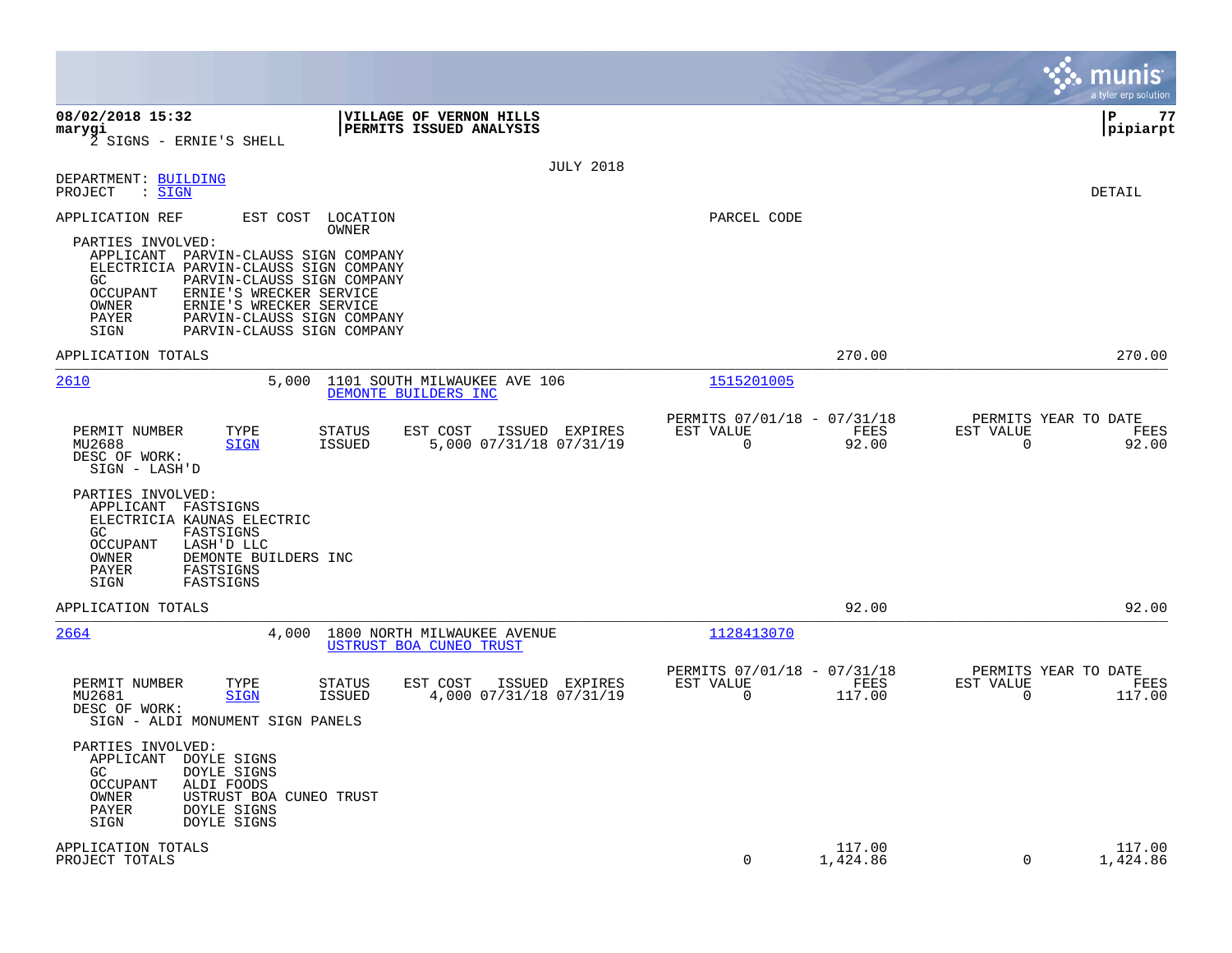|                                                                                                                                                                                                                                                                            |                                                                           | munis<br>a tyler erp solution                            |
|----------------------------------------------------------------------------------------------------------------------------------------------------------------------------------------------------------------------------------------------------------------------------|---------------------------------------------------------------------------|----------------------------------------------------------|
| 08/02/2018 15:32<br>VILLAGE OF VERNON HILLS<br>PERMITS ISSUED ANALYSIS<br>marygi<br>2 SIGNS - ERNIE'S SHELL                                                                                                                                                                |                                                                           | P<br>77<br> pipiarpt                                     |
| <b>JULY 2018</b><br>DEPARTMENT: BUILDING<br>PROJECT<br>$:$ SIGN                                                                                                                                                                                                            |                                                                           | DETAIL                                                   |
| APPLICATION REF<br>EST COST<br>LOCATION<br>OWNER<br>PARTIES INVOLVED:                                                                                                                                                                                                      | PARCEL CODE                                                               |                                                          |
| APPLICANT PARVIN-CLAUSS SIGN COMPANY<br>ELECTRICIA PARVIN-CLAUSS SIGN COMPANY<br>PARVIN-CLAUSS SIGN COMPANY<br>GC.<br>ERNIE'S WRECKER SERVICE<br>OCCUPANT<br>OWNER<br>ERNIE'S WRECKER SERVICE<br>PARVIN-CLAUSS SIGN COMPANY<br>PAYER<br>SIGN<br>PARVIN-CLAUSS SIGN COMPANY |                                                                           |                                                          |
| APPLICATION TOTALS                                                                                                                                                                                                                                                         | 270.00                                                                    | 270.00                                                   |
| 2610<br>5,000<br>1101 SOUTH MILWAUKEE AVE 106<br>DEMONTE BUILDERS INC                                                                                                                                                                                                      | 1515201005                                                                |                                                          |
| PERMIT NUMBER<br>TYPE<br>STATUS<br>EST COST<br>ISSUED EXPIRES<br>5,000 07/31/18 07/31/19<br>MU2688<br>ISSUED<br><b>SIGN</b><br>DESC OF WORK:<br>SIGN - LASH'D                                                                                                              | PERMITS 07/01/18 - 07/31/18<br>EST VALUE<br>FEES<br>$\mathbf 0$<br>92.00  | PERMITS YEAR TO DATE<br>EST VALUE<br>FEES<br>0<br>92.00  |
| PARTIES INVOLVED:<br>APPLICANT<br>FASTSIGNS<br>ELECTRICIA KAUNAS ELECTRIC<br>GC.<br>FASTSIGNS<br>LASH'D LLC<br><b>OCCUPANT</b><br>OWNER<br>DEMONTE BUILDERS INC<br>PAYER<br>FASTSIGNS<br>FASTSIGNS<br>SIGN                                                                 |                                                                           |                                                          |
| APPLICATION TOTALS                                                                                                                                                                                                                                                         | 92.00                                                                     | 92.00                                                    |
| 2664<br>4,000<br>1800 NORTH MILWAUKEE AVENUE<br>USTRUST BOA CUNEO TRUST                                                                                                                                                                                                    | 1128413070                                                                |                                                          |
| PERMIT NUMBER<br>EST COST<br>ISSUED EXPIRES<br>TYPE<br>STATUS<br>4,000 07/31/18 07/31/19<br>MU2681<br><b>SIGN</b><br><b>ISSUED</b><br>DESC OF WORK:<br>SIGN - ALDI MONUMENT SIGN PANELS                                                                                    | PERMITS 07/01/18 - 07/31/18<br>EST VALUE<br>FEES<br>$\mathbf 0$<br>117.00 | PERMITS YEAR TO DATE<br>EST VALUE<br>FEES<br>0<br>117.00 |
| PARTIES INVOLVED:<br>APPLICANT<br>DOYLE SIGNS<br>GC<br>DOYLE SIGNS<br>OCCUPANT<br>ALDI FOODS<br>OWNER<br>USTRUST BOA CUNEO TRUST<br>PAYER<br>DOYLE SIGNS<br>SIGN<br>DOYLE SIGNS                                                                                            |                                                                           |                                                          |
| APPLICATION TOTALS<br>PROJECT TOTALS                                                                                                                                                                                                                                       | 117.00<br>0<br>1,424.86                                                   | 117.00<br>0<br>1,424.86                                  |